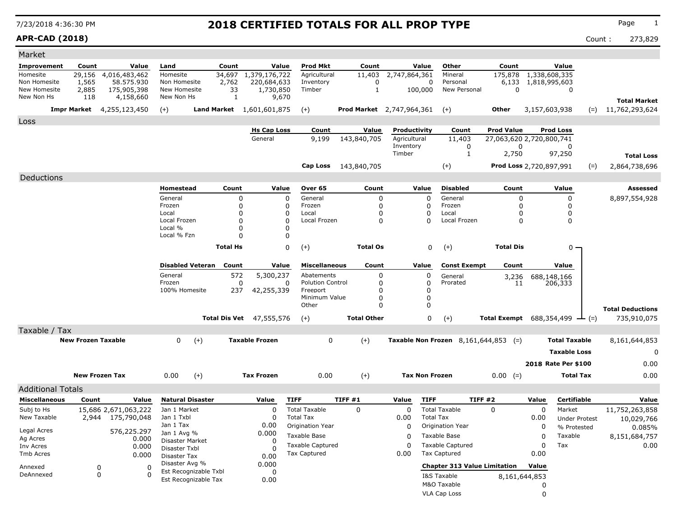## 7/23/2018 4:36:30 PM **2018 CERTIFIED TOTALS FOR ALL PROP TYPE** Page 1

**APR-CAD (2018)** Count : 273,829

| Market                       |                           |                                  |                                |                       |                         |                                 |                                       |                                  |                              |                             |                                             |                          |                    |                                                     |       |                                       |
|------------------------------|---------------------------|----------------------------------|--------------------------------|-----------------------|-------------------------|---------------------------------|---------------------------------------|----------------------------------|------------------------------|-----------------------------|---------------------------------------------|--------------------------|--------------------|-----------------------------------------------------|-------|---------------------------------------|
| Improvement                  | Count                     | Value                            | Land                           | Count                 |                         | Value                           | <b>Prod Mkt</b>                       | Count                            |                              | Value                       | Other                                       | Count                    |                    | Value                                               |       |                                       |
| Homesite                     | 29,156                    | 4,016,483,462                    | Homesite                       |                       |                         | 34,697 1,379,176,722            | Agricultural                          | 11,403                           | 2,747,864,361                |                             | Mineral                                     | 175,878                  | 1,338,608,335      |                                                     |       |                                       |
| Non Homesite<br>New Homesite | 1,565<br>2,885            | 58,575,930<br>175,905,398        | Non Homesite<br>New Homesite   | 2,762                 | 33                      | 220,684,633<br>1,730,850        | Inventory<br>Timber                   | 0<br>$\mathbf{1}$                |                              | 0<br>100,000                | Personal<br>New Personal                    | 6,133<br>$\Omega$        | 1,818,995,603      | $\Omega$                                            |       |                                       |
| New Non Hs                   | 118                       | 4,158,660                        | New Non Hs                     |                       | 1                       | 9,670                           |                                       |                                  |                              |                             |                                             |                          |                    |                                                     |       |                                       |
|                              |                           | <b>Impr Market</b> 4,255,123,450 | $(+)$                          |                       |                         | Land Market 1,601,601,875       | $(+)$                                 | <b>Prod Market</b> 2,747,964,361 |                              |                             | $(+)$                                       | Other                    | 3,157,603,938      |                                                     | $(=)$ | <b>Total Market</b><br>11,762,293,624 |
|                              |                           |                                  |                                |                       |                         |                                 |                                       |                                  |                              |                             |                                             |                          |                    |                                                     |       |                                       |
| Loss                         |                           |                                  |                                |                       |                         | <b>Hs Cap Loss</b>              | Count                                 | Value                            |                              |                             |                                             | <b>Prod Value</b>        |                    |                                                     |       |                                       |
|                              |                           |                                  |                                |                       |                         | General                         | 9,199                                 | 143,840,705                      | Productivity<br>Agricultural |                             | Count<br>11,403                             | 27,063,620 2,720,800,741 |                    | <b>Prod Loss</b>                                    |       |                                       |
|                              |                           |                                  |                                |                       |                         |                                 |                                       |                                  | Inventory                    |                             | 0                                           | O                        |                    | $\Omega$                                            |       |                                       |
|                              |                           |                                  |                                |                       |                         |                                 |                                       |                                  | Timber                       |                             | 1                                           | 2,750                    |                    | 97,250                                              |       | <b>Total Loss</b>                     |
|                              |                           |                                  |                                |                       |                         |                                 | <b>Cap Loss</b>                       | 143,840,705                      |                              |                             | $(+)$                                       | Prod Loss 2,720,897,991  |                    |                                                     | $(=)$ | 2,864,738,696                         |
| Deductions                   |                           |                                  |                                |                       |                         |                                 |                                       |                                  |                              |                             |                                             |                          |                    |                                                     |       |                                       |
|                              |                           |                                  | <b>Homestead</b>               |                       | Count                   | Value                           | Over 65                               | Count                            |                              | Value                       | <b>Disabled</b>                             | Count                    |                    | Value                                               |       | <b>Assessed</b>                       |
|                              |                           |                                  | General                        |                       | $\mathbf 0$             | 0                               | General                               | 0                                |                              | $\Omega$                    | General                                     | $\mathbf 0$              |                    | 0                                                   |       | 8,897,554,928                         |
|                              |                           |                                  | Frozen                         |                       | $\mathbf 0$             | 0                               | Frozen                                | 0                                |                              | $\Omega$                    | Frozen                                      | 0                        |                    | $\Omega$                                            |       |                                       |
|                              |                           |                                  | Local<br>Local Frozen          |                       | $\mathbf 0$<br>$\Omega$ | 0<br>$\Omega$                   | Local<br>Local Frozen                 | 0<br>$\Omega$                    |                              | $\Omega$<br>$\Omega$        | Local<br>Local Frozen                       | 0<br>$\Omega$            |                    | $\mathbf 0$<br>$\Omega$                             |       |                                       |
|                              |                           |                                  | Local %                        |                       | $\Omega$                | $\Omega$                        |                                       |                                  |                              |                             |                                             |                          |                    |                                                     |       |                                       |
|                              |                           |                                  | Local % Fzn                    |                       | $\Omega$                | $\pmb{0}$                       |                                       |                                  |                              |                             |                                             |                          |                    |                                                     |       |                                       |
|                              |                           |                                  |                                | <b>Total Hs</b>       |                         | 0                               | $(+)$                                 | <b>Total Os</b>                  |                              | $\mathbf 0$                 | $(+)$                                       | <b>Total Dis</b>         |                    | $0 \cdot$                                           |       |                                       |
|                              |                           |                                  |                                |                       |                         |                                 |                                       |                                  |                              |                             |                                             |                          |                    |                                                     |       |                                       |
|                              |                           |                                  | <b>Disabled Veteran</b>        |                       | Count                   | Value                           | <b>Miscellaneous</b>                  | Count                            |                              | Value                       | <b>Const Exempt</b>                         | Count                    |                    | Value                                               |       |                                       |
|                              |                           |                                  | General<br>Frozen              |                       | 572<br>$\mathbf 0$      | 5,300,237                       | Abatements<br><b>Polution Control</b> | 0                                |                              | $\mathbf{0}$<br>$\mathbf 0$ | General                                     | 3,236                    |                    | 688,148,166                                         |       |                                       |
|                              |                           |                                  | 100% Homesite                  |                       | 237                     | 0<br>42,255,339                 | Freeport                              | 0<br>0                           |                              | $\mathbf 0$                 | Prorated                                    | 11                       |                    | 206,333                                             |       |                                       |
|                              |                           |                                  |                                |                       |                         |                                 | Minimum Value                         | 0                                |                              | 0                           |                                             |                          |                    |                                                     |       |                                       |
|                              |                           |                                  |                                |                       |                         |                                 | Other                                 | 0                                |                              | $\Omega$                    |                                             |                          |                    |                                                     |       | <b>Total Deductions</b>               |
|                              |                           |                                  |                                |                       |                         | <b>Total Dis Vet</b> 47,555,576 | $(+)$                                 | <b>Total Other</b>               |                              | $\mathbf 0$                 | $(+)$                                       |                          |                    | <b>Total Exempt</b> $688,354,499$ $\rightarrow$ (=) |       | 735,910,075                           |
| Taxable / Tax                |                           |                                  |                                |                       |                         |                                 |                                       |                                  |                              |                             |                                             |                          |                    |                                                     |       |                                       |
|                              | <b>New Frozen Taxable</b> |                                  | $\Omega$                       | $(+)$                 |                         | <b>Taxable Frozen</b>           | $\mathbf 0$                           | $(+)$                            |                              |                             | <b>Taxable Non Frozen</b> 8,161,644,853 (=) |                          |                    | <b>Total Taxable</b>                                |       | 8,161,644,853                         |
|                              |                           |                                  |                                |                       |                         |                                 |                                       |                                  |                              |                             |                                             |                          |                    | <b>Taxable Loss</b>                                 |       | $\Omega$                              |
|                              |                           |                                  |                                |                       |                         |                                 |                                       |                                  |                              |                             |                                             |                          |                    | 2018 Rate Per \$100                                 |       | 0.00                                  |
|                              | <b>New Frozen Tax</b>     |                                  | 0.00                           | $(+)$                 |                         | <b>Tax Frozen</b>               | 0.00                                  | $(+)$                            |                              | <b>Tax Non Frozen</b>       |                                             | $0.00 (=)$               |                    | <b>Total Tax</b>                                    |       | 0.00                                  |
|                              |                           |                                  |                                |                       |                         |                                 |                                       |                                  |                              |                             |                                             |                          |                    |                                                     |       |                                       |
| <b>Additional Totals</b>     |                           |                                  |                                |                       |                         |                                 |                                       |                                  |                              |                             |                                             |                          |                    |                                                     |       |                                       |
| <b>Miscellaneous</b>         | Count                     | Value                            | <b>Natural Disaster</b>        |                       |                         | Value                           | <b>TIFF</b>                           | TIFF #1                          | Value                        | <b>TIFF</b>                 | <b>TIFF #2</b>                              |                          | Value              | Certifiable                                         |       | Value                                 |
| Subi to Hs<br>New Taxable    |                           | 15,686 2,671,063,222             | Jan 1 Market<br>Jan 1 Txbl     |                       |                         | 0<br>0                          | <b>Total Taxable</b>                  | $\Omega$                         | $\Omega$                     |                             | <b>Total Taxable</b>                        | $\Omega$                 | $\Omega$           | Market                                              |       | 11,752,263,858                        |
|                              |                           | 2,944 175,790,048                | Jan 1 Tax                      |                       |                         | 0.00                            | <b>Total Tax</b><br>Origination Year  |                                  | 0.00<br>0                    | <b>Total Tax</b>            | Origination Year                            |                          | 0.00<br>0          | <b>Under Protest</b><br>% Protested                 |       | 10,029,766                            |
| Legal Acres                  |                           | 576,225.297                      | Jan 1 Avg %                    |                       |                         | 0.000                           | <b>Taxable Base</b>                   |                                  | $\Omega$                     |                             | Taxable Base                                |                          | 0                  | Taxable                                             |       | 0.085%<br>8,151,684,757               |
| Ag Acres<br>Inv Acres        |                           | 0.000<br>0.000                   | <b>Disaster Market</b>         |                       |                         | 0                               | <b>Taxable Captured</b>               |                                  | 0                            |                             | <b>Taxable Captured</b>                     |                          | $\Omega$           | Tax                                                 |       | 0.00                                  |
| Tmb Acres                    |                           | 0.000                            | Disaster Txbl                  |                       |                         | $\Omega$                        | Tax Captured                          |                                  | 0.00                         |                             | <b>Tax Captured</b>                         |                          | 0.00               |                                                     |       |                                       |
|                              |                           |                                  | Disaster Tax<br>Disaster Avg % |                       |                         | 0.00<br>0.000                   |                                       |                                  |                              |                             | <b>Chapter 313 Value Limitation</b>         |                          | Value              |                                                     |       |                                       |
| Annexed<br>DeAnnexed         | 0<br>$\mathbf 0$          | $\Omega$<br>$\Omega$             |                                | Est Recognizable Txbl |                         | $\Omega$                        |                                       |                                  |                              |                             | I&S Taxable                                 |                          |                    |                                                     |       |                                       |
|                              |                           |                                  |                                | Est Recognizable Tax  |                         | 0.00                            |                                       |                                  |                              |                             | M&O Taxable                                 |                          | 8,161,644,853<br>0 |                                                     |       |                                       |
|                              |                           |                                  |                                |                       |                         |                                 |                                       |                                  |                              |                             | <b>VLA Cap Loss</b>                         |                          | $\Omega$           |                                                     |       |                                       |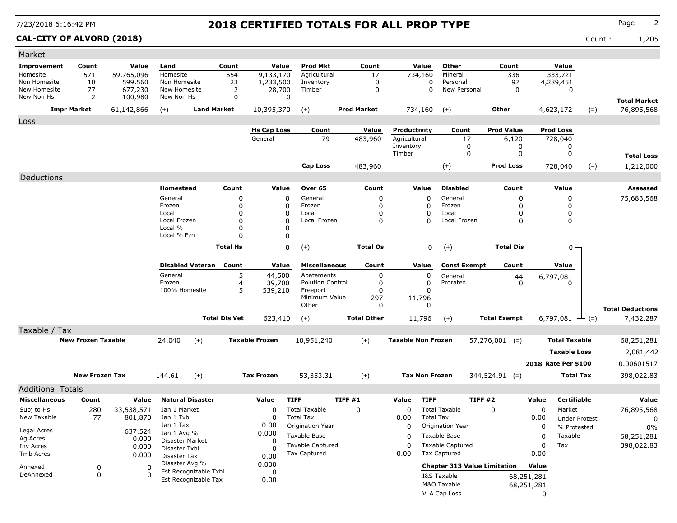### **CAL-CITY OF ALVORD (2018)** Count : 1,205

| Market                   |                           |            |                                  |                         |                      |                       |                         |                    |                           |                  |                                     |                     |             |                             |                         |
|--------------------------|---------------------------|------------|----------------------------------|-------------------------|----------------------|-----------------------|-------------------------|--------------------|---------------------------|------------------|-------------------------------------|---------------------|-------------|-----------------------------|-------------------------|
| <b>Improvement</b>       | Count                     | Value      | Land                             |                         | Count                | Value                 | <b>Prod Mkt</b>         | Count              |                           | Value            | Other                               | Count               |             | Value                       |                         |
| Homesite                 | 571                       | 59,765,096 | Homesite                         |                         | 654                  | 9,133,170             | Agricultural            | 17                 |                           | 734,160          | Mineral                             | 336                 |             | 333,721                     |                         |
| Non Homesite             | 10                        | 599.560    | Non Homesite                     |                         | 23                   | 1,233,500             | Inventory               | $\Omega$           |                           | 0                | Personal                            | 97                  |             | 4,289,451                   |                         |
| New Homesite             | 77                        | 677,230    | New Homesite                     |                         | $\overline{2}$       | 28,700                | Timber                  | $\mathbf 0$        |                           | $\mathbf 0$      | New Personal                        | 0                   |             | 0                           |                         |
| New Non Hs               | 2                         | 100,980    | New Non Hs                       |                         | $\mathbf 0$          | $\Omega$              |                         |                    |                           |                  |                                     |                     |             |                             | <b>Total Market</b>     |
|                          | <b>Impr Market</b>        | 61,142,866 | $(+)$                            | <b>Land Market</b>      |                      | 10,395,370            | $(+)$                   | <b>Prod Market</b> |                           | 734,160          | $(+)$                               | Other               |             | 4,623,172<br>$(=)$          | 76,895,568              |
| Loss                     |                           |            |                                  |                         |                      |                       |                         |                    |                           |                  |                                     |                     |             |                             |                         |
|                          |                           |            |                                  |                         |                      | <b>Hs Cap Loss</b>    | Count                   | <b>Value</b>       | Productivity              |                  | Count                               | <b>Prod Value</b>   |             | <b>Prod Loss</b>            |                         |
|                          |                           |            |                                  |                         |                      | General               | 79                      | 483,960            | Agricultural              |                  | 17                                  | 6,120               |             | 728,040                     |                         |
|                          |                           |            |                                  |                         |                      |                       |                         |                    | Inventory                 |                  | 0                                   | 0                   |             | 0                           |                         |
|                          |                           |            |                                  |                         |                      |                       |                         |                    | Timber                    |                  | $\mathbf 0$                         | 0                   |             | 0                           | <b>Total Loss</b>       |
|                          |                           |            |                                  |                         |                      |                       | <b>Cap Loss</b>         | 483,960            |                           |                  | $(+)$                               | <b>Prod Loss</b>    |             | 728,040<br>$(=)$            | 1,212,000               |
| Deductions               |                           |            |                                  |                         |                      |                       |                         |                    |                           |                  |                                     |                     |             |                             |                         |
|                          |                           |            | Homestead                        |                         | Count                | Value                 | Over 65                 | Count              |                           | Value            | <b>Disabled</b>                     | Count               |             | Value                       | Assessed                |
|                          |                           |            | General                          |                         | $\mathbf 0$          | 0                     | General                 | 0                  |                           | $\Omega$         | General                             | 0                   |             | 0                           | 75,683,568              |
|                          |                           |            | Frozen                           |                         | 0                    | 0                     | Frozen                  | 0                  |                           | 0                | Frozen                              | 0                   |             | 0                           |                         |
|                          |                           |            | Local                            |                         | 0                    | 0                     | Local                   | 0                  |                           | 0                | Local                               | 0                   |             | 0                           |                         |
|                          |                           |            | Local Frozen                     |                         | 0                    | 0                     | Local Frozen            | 0                  |                           | O                | Local Frozen                        | $\mathbf 0$         |             | $\mathbf 0$                 |                         |
|                          |                           |            | Local %                          |                         | 0                    | 0                     |                         |                    |                           |                  |                                     |                     |             |                             |                         |
|                          |                           |            | Local % Fzn                      |                         | $\Omega$             | 0                     |                         |                    |                           |                  |                                     |                     |             |                             |                         |
|                          |                           |            |                                  |                         | <b>Total Hs</b>      | 0                     | $(+)$                   | <b>Total Os</b>    |                           | 0                | $(+)$                               | <b>Total Dis</b>    |             | $0 -$                       |                         |
|                          |                           |            |                                  | <b>Disabled Veteran</b> | Count                | Value                 | <b>Miscellaneous</b>    | Count              |                           | Value            | <b>Const Exempt</b>                 | Count               |             | Value                       |                         |
|                          |                           |            | General                          |                         | 5                    | 44,500                | Abatements              | 0                  |                           | 0                | General                             | 44                  |             | 6,797,081                   |                         |
|                          |                           |            | Frozen                           |                         | $\overline{4}$       | 39,700                | <b>Polution Control</b> | 0                  |                           | 0                | Prorated                            | $\Omega$            |             | 0                           |                         |
|                          |                           |            | 100% Homesite                    |                         | 5                    | 539,210               | Freeport                | 0                  |                           | 0                |                                     |                     |             |                             |                         |
|                          |                           |            |                                  |                         |                      |                       | Minimum Value<br>Other  | 297<br>0           |                           | 11,796<br>0      |                                     |                     |             |                             |                         |
|                          |                           |            |                                  |                         |                      |                       |                         |                    |                           |                  |                                     |                     |             |                             | <b>Total Deductions</b> |
|                          |                           |            |                                  |                         | <b>Total Dis Vet</b> | 623,410               | $(+)$                   | <b>Total Other</b> |                           | 11,796           | $(+)$                               | <b>Total Exempt</b> |             | 6,797,081 $\rightarrow$ (=) | 7,432,287               |
| Taxable / Tax            |                           |            |                                  |                         |                      |                       |                         |                    |                           |                  |                                     |                     |             |                             |                         |
|                          | <b>New Frozen Taxable</b> |            | 24,040                           | $(+)$                   |                      | <b>Taxable Frozen</b> | 10,951,240              | $(+)$              | <b>Taxable Non Frozen</b> |                  |                                     | $57,276,001$ (=)    |             | <b>Total Taxable</b>        | 68,251,281              |
|                          |                           |            |                                  |                         |                      |                       |                         |                    |                           |                  |                                     |                     |             | <b>Taxable Loss</b>         | 2,081,442               |
|                          |                           |            |                                  |                         |                      |                       |                         |                    |                           |                  |                                     |                     |             | 2018 Rate Per \$100         | 0.00601517              |
|                          | <b>New Frozen Tax</b>     |            | 144.61                           | $(+)$                   |                      | <b>Tax Frozen</b>     | 53,353.31               | $^{(+)}$           | <b>Tax Non Frozen</b>     |                  |                                     | $344,524.91$ (=)    |             | Total Tax                   | 398,022.83              |
|                          |                           |            |                                  |                         |                      |                       |                         |                    |                           |                  |                                     |                     |             |                             |                         |
| <b>Additional Totals</b> |                           |            |                                  |                         |                      |                       |                         |                    |                           |                  |                                     |                     |             |                             |                         |
| <b>Miscellaneous</b>     | Count                     | Value      | <b>Natural Disaster</b>          |                         |                      | Value                 | <b>TIFF</b>             | TIFF#1             | Value                     | <b>TIFF</b>      | TIFF #2                             |                     | Value       | Certifiable                 | Value                   |
| Subj to Hs               | 280                       | 33,538,571 | Jan 1 Market                     |                         |                      | 0                     | <b>Total Taxable</b>    | 0                  | 0                         |                  | <b>Total Taxable</b>                | 0                   | 0           | Market                      | 76,895,568              |
| New Taxable              | 77                        | 801,870    | Jan 1 Txbl                       |                         |                      | 0                     | <b>Total Tax</b>        |                    | 0.00                      | <b>Total Tax</b> |                                     |                     | 0.00        | <b>Under Protest</b>        | 0                       |
| Legal Acres              |                           | 637.524    | Jan 1 Tax                        |                         |                      | 0.00                  | Origination Year        |                    | 0                         |                  | Origination Year                    |                     | 0           | % Protested                 | $0\%$                   |
| Ag Acres                 |                           | 0.000      | Jan 1 Avg %                      |                         |                      | 0.000                 | Taxable Base            |                    | 0                         |                  | Taxable Base                        |                     | 0           | Taxable                     | 68,251,281              |
| Inv Acres                |                           | 0.000      | Disaster Market<br>Disaster Txbl |                         |                      | 0<br>$\Omega$         | <b>Taxable Captured</b> |                    | 0                         |                  | <b>Taxable Captured</b>             |                     | 0           | Tax                         | 398,022.83              |
| Tmb Acres                |                           | 0.000      | Disaster Tax                     |                         |                      | 0.00                  | Tax Captured            |                    | 0.00                      |                  | Tax Captured                        |                     | 0.00        |                             |                         |
| Annexed                  | 0                         | $\Omega$   | Disaster Avg %                   |                         |                      | 0.000                 |                         |                    |                           |                  | <b>Chapter 313 Value Limitation</b> |                     | Value       |                             |                         |
| DeAnnexed                | 0                         | $\Omega$   |                                  | Est Recognizable Txbl   |                      | 0                     |                         |                    |                           |                  | I&S Taxable                         |                     | 68,251,281  |                             |                         |
|                          |                           |            |                                  | Est Recognizable Tax    |                      | 0.00                  |                         |                    |                           |                  | M&O Taxable                         |                     | 68,251,281  |                             |                         |
|                          |                           |            |                                  |                         |                      |                       |                         |                    |                           |                  | VLA Cap Loss                        |                     | $\mathbf 0$ |                             |                         |
|                          |                           |            |                                  |                         |                      |                       |                         |                    |                           |                  |                                     |                     |             |                             |                         |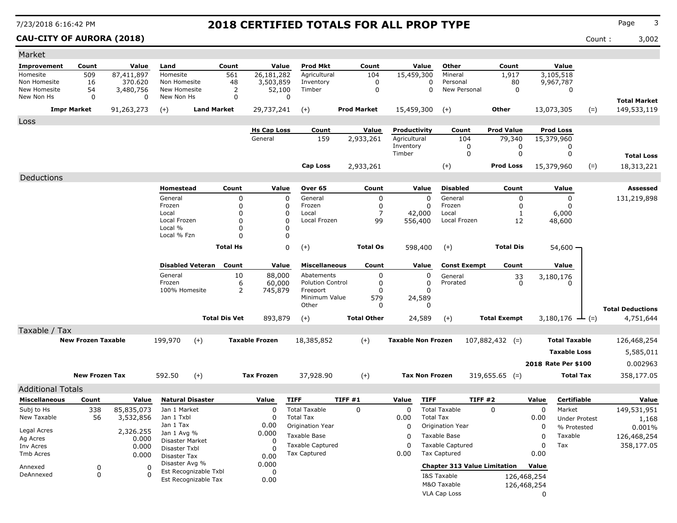### **CAU-CITY OF AURORA (2018)** Count : 3,002

| <b>Prod Mkt</b><br>Other<br>Value<br>Value<br>Land<br>Count<br>Value<br>Count<br>Value<br>Count<br>Count<br>3,105,518<br>509<br>87,411,897<br>561<br>26,181,282<br>Agricultural<br>104<br>15,459,300<br>Mineral<br>1,917<br>Homesite<br>Non Homesite<br>370.620<br>Non Homesite<br>48<br>3,503,859<br>Inventory<br>0<br>0<br>Personal<br>80<br>9,967,787<br>16<br>New Homesite<br>New Homesite<br>2<br>Timber<br>0<br>0<br>New Personal<br>$\mathbf 0$<br>54<br>3,480,756<br>52,100<br>0<br>0<br>0<br>New Non Hs<br>0<br>0<br><b>Total Market</b><br><b>Land Market</b><br>149,533,119<br><b>Impr Market</b><br>91,263,273<br>$(+)$<br>29,737,241<br><b>Prod Market</b><br>15,459,300<br>Other<br>13,073,305<br>$(+)$<br>$(+)$<br>$(=)$<br>Loss<br><b>Hs Cap Loss</b><br>Count<br>Value<br>Productivity<br><b>Prod Value</b><br><b>Prod Loss</b><br>Count<br>159<br>General<br>2,933,261<br>Agricultural<br>104<br>79,340<br>15,379,960<br>Inventory<br>0<br>0<br>0<br>$\mathbf 0$<br>0<br>Timber<br>0<br><b>Total Loss</b><br>2,933,261<br>$(+)$<br><b>Prod Loss</b><br>15,379,960<br>18,313,221<br><b>Cap Loss</b><br>$(=)$<br>Homestead<br>Count<br>Value<br>Over 65<br>Count<br>Value<br><b>Disabled</b><br>Count<br>Value<br>Assessed<br>General<br>0<br>$\mathbf 0$<br>General<br>$\pmb{0}$<br>$\mathbf 0$<br>General<br>0<br>0<br>131,219,898<br>Frozen<br>$\Omega$<br>0<br>Frozen<br>0<br>Frozen<br>0<br>0<br>0<br>7<br>Local<br>$\Omega$<br>Local<br>0<br>Local<br>42,000<br>1<br>6,000<br>Local Frozen<br>$\Omega$<br>0<br>Local Frozen<br>99<br>556,400<br>Local Frozen<br>12<br>48,600<br>Local %<br>$\Omega$<br>0<br>Local % Fzn<br>$\Omega$<br>0<br>0<br><b>Total Hs</b><br><b>Total Dis</b><br>$(+)$<br><b>Total Os</b><br>598,400<br>$(+)$<br>$54,600 -$<br><b>Disabled Veteran</b><br>Count<br><b>Miscellaneous</b><br><b>Const Exempt</b><br>Value<br>Count<br>Value<br>Count<br>Value<br>General<br>10<br>0<br>$\mathbf 0$<br>88,000<br>Abatements<br>General<br>33<br>3,180,176<br>$\Omega$<br>Frozen<br>6<br>60,000<br><b>Polution Control</b><br>0<br>0<br>Prorated<br><sup>0</sup><br>$\mathbf 0$<br>100% Homesite<br>2<br>Freeport<br>745,879<br>0<br>Minimum Value<br>579<br>24,589<br>Other<br>$\Omega$<br>0<br><b>Total Deductions</b><br><b>Total Dis Vet</b><br>893,879<br><b>Total Other</b><br>24,589<br>$(+)$<br><b>Total Exempt</b><br>3,180,176 $\rightarrow$ (=)<br>4,751,644<br>$(+)$<br>Taxable / Tax<br>$(+)$<br><b>Taxable Frozen</b><br>$(+)$<br><b>Taxable Non Frozen</b><br><b>Total Taxable</b><br><b>New Frozen Taxable</b><br>199,970<br>18,385,852<br>$107,882,432$ (=)<br>126,468,254<br><b>Taxable Loss</b><br>5,585,011<br>2018 Rate Per \$100<br>0.002963<br><b>New Frozen Tax</b><br>592.50<br>$(+)$<br><b>Tax Frozen</b><br>$(+)$<br><b>Tax Non Frozen</b><br>$319,655.65$ (=)<br><b>Total Tax</b><br>358,177.05<br>37,928.90<br><b>Additional Totals</b><br><b>TIFF #1</b><br><b>TIFF #2</b><br><b>TIFF</b><br><b>TIFF</b><br>Certifiable<br><b>Miscellaneous</b><br>Count<br><b>Natural Disaster</b><br>Value<br>Value<br>Value<br>Value<br>Value<br><b>Total Taxable</b><br><b>Total Taxable</b><br>$\mathbf 0$<br>$\mathbf 0$<br>Market<br>Subj to Hs<br>338<br>85,835,073<br>Jan 1 Market<br>0<br>0<br>0<br>149,531,951<br>56<br>New Taxable<br><b>Total Tax</b><br>0.00<br><b>Total Tax</b><br>3,532,856<br>Jan 1 Txbl<br>0<br>0.00<br><b>Under Protest</b><br>1,168<br>Jan 1 Tax<br>0.00<br>Origination Year<br>0<br>Origination Year<br>0<br>% Protested<br>0.001%<br>Legal Acres<br>2,326.255<br>0.000<br>Jan 1 Avg %<br>Taxable Base<br>0<br>Taxable Base<br>0<br>Taxable<br>126,468,254<br>Ag Acres<br>0.000<br>Disaster Market<br>0<br><b>Taxable Captured</b><br><b>Taxable Captured</b><br>Tax<br>358,177.05<br>0<br>0<br>Inv Acres<br>0.000<br>Disaster Txbl<br>n<br><b>Tax Captured</b><br><b>Tax Captured</b><br>0.00<br>0.00<br>Tmb Acres<br>0.000<br>Disaster Tax<br>0.00<br>Disaster Avg %<br>0.000<br><b>Chapter 313 Value Limitation</b><br>Value<br>Annexed<br>0<br>0<br>Est Recognizable Txbl<br>0<br>DeAnnexed<br>0<br>$\Omega$<br>I&S Taxable<br>126,468,254<br>Est Recognizable Tax<br>0.00<br>M&O Taxable<br>126,468,254 | Market      |  |  |  |  |  |  |  |  |  |
|----------------------------------------------------------------------------------------------------------------------------------------------------------------------------------------------------------------------------------------------------------------------------------------------------------------------------------------------------------------------------------------------------------------------------------------------------------------------------------------------------------------------------------------------------------------------------------------------------------------------------------------------------------------------------------------------------------------------------------------------------------------------------------------------------------------------------------------------------------------------------------------------------------------------------------------------------------------------------------------------------------------------------------------------------------------------------------------------------------------------------------------------------------------------------------------------------------------------------------------------------------------------------------------------------------------------------------------------------------------------------------------------------------------------------------------------------------------------------------------------------------------------------------------------------------------------------------------------------------------------------------------------------------------------------------------------------------------------------------------------------------------------------------------------------------------------------------------------------------------------------------------------------------------------------------------------------------------------------------------------------------------------------------------------------------------------------------------------------------------------------------------------------------------------------------------------------------------------------------------------------------------------------------------------------------------------------------------------------------------------------------------------------------------------------------------------------------------------------------------------------------------------------------------------------------------------------------------------------------------------------------------------------------------------------------------------------------------------------------------------------------------------------------------------------------------------------------------------------------------------------------------------------------------------------------------------------------------------------------------------------------------------------------------------------------------------------------------------------------------------------------------------------------------------------------------------------------------------------------------------------------------------------------------------------------------------------------------------------------------------------------------------------------------------------------------------------------------------------------------------------------------------------------------------------------------------------------------------------------------------------------------------------------------------------------------------------------------------------------------------------------------------------------------------------------------------------------------------------------------------------------------------------------------------------------------------------------------------------------------------------------------------------------------------------------------------------------------------------------------------------------------------------------------------------------------------------------|-------------|--|--|--|--|--|--|--|--|--|
|                                                                                                                                                                                                                                                                                                                                                                                                                                                                                                                                                                                                                                                                                                                                                                                                                                                                                                                                                                                                                                                                                                                                                                                                                                                                                                                                                                                                                                                                                                                                                                                                                                                                                                                                                                                                                                                                                                                                                                                                                                                                                                                                                                                                                                                                                                                                                                                                                                                                                                                                                                                                                                                                                                                                                                                                                                                                                                                                                                                                                                                                                                                                                                                                                                                                                                                                                                                                                                                                                                                                                                                                                                                                                                                                                                                                                                                                                                                                                                                                                                                                                                                                                                                                          | Improvement |  |  |  |  |  |  |  |  |  |
|                                                                                                                                                                                                                                                                                                                                                                                                                                                                                                                                                                                                                                                                                                                                                                                                                                                                                                                                                                                                                                                                                                                                                                                                                                                                                                                                                                                                                                                                                                                                                                                                                                                                                                                                                                                                                                                                                                                                                                                                                                                                                                                                                                                                                                                                                                                                                                                                                                                                                                                                                                                                                                                                                                                                                                                                                                                                                                                                                                                                                                                                                                                                                                                                                                                                                                                                                                                                                                                                                                                                                                                                                                                                                                                                                                                                                                                                                                                                                                                                                                                                                                                                                                                                          | Homesite    |  |  |  |  |  |  |  |  |  |
|                                                                                                                                                                                                                                                                                                                                                                                                                                                                                                                                                                                                                                                                                                                                                                                                                                                                                                                                                                                                                                                                                                                                                                                                                                                                                                                                                                                                                                                                                                                                                                                                                                                                                                                                                                                                                                                                                                                                                                                                                                                                                                                                                                                                                                                                                                                                                                                                                                                                                                                                                                                                                                                                                                                                                                                                                                                                                                                                                                                                                                                                                                                                                                                                                                                                                                                                                                                                                                                                                                                                                                                                                                                                                                                                                                                                                                                                                                                                                                                                                                                                                                                                                                                                          |             |  |  |  |  |  |  |  |  |  |
|                                                                                                                                                                                                                                                                                                                                                                                                                                                                                                                                                                                                                                                                                                                                                                                                                                                                                                                                                                                                                                                                                                                                                                                                                                                                                                                                                                                                                                                                                                                                                                                                                                                                                                                                                                                                                                                                                                                                                                                                                                                                                                                                                                                                                                                                                                                                                                                                                                                                                                                                                                                                                                                                                                                                                                                                                                                                                                                                                                                                                                                                                                                                                                                                                                                                                                                                                                                                                                                                                                                                                                                                                                                                                                                                                                                                                                                                                                                                                                                                                                                                                                                                                                                                          | New Non Hs  |  |  |  |  |  |  |  |  |  |
|                                                                                                                                                                                                                                                                                                                                                                                                                                                                                                                                                                                                                                                                                                                                                                                                                                                                                                                                                                                                                                                                                                                                                                                                                                                                                                                                                                                                                                                                                                                                                                                                                                                                                                                                                                                                                                                                                                                                                                                                                                                                                                                                                                                                                                                                                                                                                                                                                                                                                                                                                                                                                                                                                                                                                                                                                                                                                                                                                                                                                                                                                                                                                                                                                                                                                                                                                                                                                                                                                                                                                                                                                                                                                                                                                                                                                                                                                                                                                                                                                                                                                                                                                                                                          |             |  |  |  |  |  |  |  |  |  |
|                                                                                                                                                                                                                                                                                                                                                                                                                                                                                                                                                                                                                                                                                                                                                                                                                                                                                                                                                                                                                                                                                                                                                                                                                                                                                                                                                                                                                                                                                                                                                                                                                                                                                                                                                                                                                                                                                                                                                                                                                                                                                                                                                                                                                                                                                                                                                                                                                                                                                                                                                                                                                                                                                                                                                                                                                                                                                                                                                                                                                                                                                                                                                                                                                                                                                                                                                                                                                                                                                                                                                                                                                                                                                                                                                                                                                                                                                                                                                                                                                                                                                                                                                                                                          |             |  |  |  |  |  |  |  |  |  |
|                                                                                                                                                                                                                                                                                                                                                                                                                                                                                                                                                                                                                                                                                                                                                                                                                                                                                                                                                                                                                                                                                                                                                                                                                                                                                                                                                                                                                                                                                                                                                                                                                                                                                                                                                                                                                                                                                                                                                                                                                                                                                                                                                                                                                                                                                                                                                                                                                                                                                                                                                                                                                                                                                                                                                                                                                                                                                                                                                                                                                                                                                                                                                                                                                                                                                                                                                                                                                                                                                                                                                                                                                                                                                                                                                                                                                                                                                                                                                                                                                                                                                                                                                                                                          |             |  |  |  |  |  |  |  |  |  |
|                                                                                                                                                                                                                                                                                                                                                                                                                                                                                                                                                                                                                                                                                                                                                                                                                                                                                                                                                                                                                                                                                                                                                                                                                                                                                                                                                                                                                                                                                                                                                                                                                                                                                                                                                                                                                                                                                                                                                                                                                                                                                                                                                                                                                                                                                                                                                                                                                                                                                                                                                                                                                                                                                                                                                                                                                                                                                                                                                                                                                                                                                                                                                                                                                                                                                                                                                                                                                                                                                                                                                                                                                                                                                                                                                                                                                                                                                                                                                                                                                                                                                                                                                                                                          |             |  |  |  |  |  |  |  |  |  |
|                                                                                                                                                                                                                                                                                                                                                                                                                                                                                                                                                                                                                                                                                                                                                                                                                                                                                                                                                                                                                                                                                                                                                                                                                                                                                                                                                                                                                                                                                                                                                                                                                                                                                                                                                                                                                                                                                                                                                                                                                                                                                                                                                                                                                                                                                                                                                                                                                                                                                                                                                                                                                                                                                                                                                                                                                                                                                                                                                                                                                                                                                                                                                                                                                                                                                                                                                                                                                                                                                                                                                                                                                                                                                                                                                                                                                                                                                                                                                                                                                                                                                                                                                                                                          |             |  |  |  |  |  |  |  |  |  |
|                                                                                                                                                                                                                                                                                                                                                                                                                                                                                                                                                                                                                                                                                                                                                                                                                                                                                                                                                                                                                                                                                                                                                                                                                                                                                                                                                                                                                                                                                                                                                                                                                                                                                                                                                                                                                                                                                                                                                                                                                                                                                                                                                                                                                                                                                                                                                                                                                                                                                                                                                                                                                                                                                                                                                                                                                                                                                                                                                                                                                                                                                                                                                                                                                                                                                                                                                                                                                                                                                                                                                                                                                                                                                                                                                                                                                                                                                                                                                                                                                                                                                                                                                                                                          |             |  |  |  |  |  |  |  |  |  |
|                                                                                                                                                                                                                                                                                                                                                                                                                                                                                                                                                                                                                                                                                                                                                                                                                                                                                                                                                                                                                                                                                                                                                                                                                                                                                                                                                                                                                                                                                                                                                                                                                                                                                                                                                                                                                                                                                                                                                                                                                                                                                                                                                                                                                                                                                                                                                                                                                                                                                                                                                                                                                                                                                                                                                                                                                                                                                                                                                                                                                                                                                                                                                                                                                                                                                                                                                                                                                                                                                                                                                                                                                                                                                                                                                                                                                                                                                                                                                                                                                                                                                                                                                                                                          |             |  |  |  |  |  |  |  |  |  |
|                                                                                                                                                                                                                                                                                                                                                                                                                                                                                                                                                                                                                                                                                                                                                                                                                                                                                                                                                                                                                                                                                                                                                                                                                                                                                                                                                                                                                                                                                                                                                                                                                                                                                                                                                                                                                                                                                                                                                                                                                                                                                                                                                                                                                                                                                                                                                                                                                                                                                                                                                                                                                                                                                                                                                                                                                                                                                                                                                                                                                                                                                                                                                                                                                                                                                                                                                                                                                                                                                                                                                                                                                                                                                                                                                                                                                                                                                                                                                                                                                                                                                                                                                                                                          | Deductions  |  |  |  |  |  |  |  |  |  |
|                                                                                                                                                                                                                                                                                                                                                                                                                                                                                                                                                                                                                                                                                                                                                                                                                                                                                                                                                                                                                                                                                                                                                                                                                                                                                                                                                                                                                                                                                                                                                                                                                                                                                                                                                                                                                                                                                                                                                                                                                                                                                                                                                                                                                                                                                                                                                                                                                                                                                                                                                                                                                                                                                                                                                                                                                                                                                                                                                                                                                                                                                                                                                                                                                                                                                                                                                                                                                                                                                                                                                                                                                                                                                                                                                                                                                                                                                                                                                                                                                                                                                                                                                                                                          |             |  |  |  |  |  |  |  |  |  |
|                                                                                                                                                                                                                                                                                                                                                                                                                                                                                                                                                                                                                                                                                                                                                                                                                                                                                                                                                                                                                                                                                                                                                                                                                                                                                                                                                                                                                                                                                                                                                                                                                                                                                                                                                                                                                                                                                                                                                                                                                                                                                                                                                                                                                                                                                                                                                                                                                                                                                                                                                                                                                                                                                                                                                                                                                                                                                                                                                                                                                                                                                                                                                                                                                                                                                                                                                                                                                                                                                                                                                                                                                                                                                                                                                                                                                                                                                                                                                                                                                                                                                                                                                                                                          |             |  |  |  |  |  |  |  |  |  |
|                                                                                                                                                                                                                                                                                                                                                                                                                                                                                                                                                                                                                                                                                                                                                                                                                                                                                                                                                                                                                                                                                                                                                                                                                                                                                                                                                                                                                                                                                                                                                                                                                                                                                                                                                                                                                                                                                                                                                                                                                                                                                                                                                                                                                                                                                                                                                                                                                                                                                                                                                                                                                                                                                                                                                                                                                                                                                                                                                                                                                                                                                                                                                                                                                                                                                                                                                                                                                                                                                                                                                                                                                                                                                                                                                                                                                                                                                                                                                                                                                                                                                                                                                                                                          |             |  |  |  |  |  |  |  |  |  |
|                                                                                                                                                                                                                                                                                                                                                                                                                                                                                                                                                                                                                                                                                                                                                                                                                                                                                                                                                                                                                                                                                                                                                                                                                                                                                                                                                                                                                                                                                                                                                                                                                                                                                                                                                                                                                                                                                                                                                                                                                                                                                                                                                                                                                                                                                                                                                                                                                                                                                                                                                                                                                                                                                                                                                                                                                                                                                                                                                                                                                                                                                                                                                                                                                                                                                                                                                                                                                                                                                                                                                                                                                                                                                                                                                                                                                                                                                                                                                                                                                                                                                                                                                                                                          |             |  |  |  |  |  |  |  |  |  |
|                                                                                                                                                                                                                                                                                                                                                                                                                                                                                                                                                                                                                                                                                                                                                                                                                                                                                                                                                                                                                                                                                                                                                                                                                                                                                                                                                                                                                                                                                                                                                                                                                                                                                                                                                                                                                                                                                                                                                                                                                                                                                                                                                                                                                                                                                                                                                                                                                                                                                                                                                                                                                                                                                                                                                                                                                                                                                                                                                                                                                                                                                                                                                                                                                                                                                                                                                                                                                                                                                                                                                                                                                                                                                                                                                                                                                                                                                                                                                                                                                                                                                                                                                                                                          |             |  |  |  |  |  |  |  |  |  |
|                                                                                                                                                                                                                                                                                                                                                                                                                                                                                                                                                                                                                                                                                                                                                                                                                                                                                                                                                                                                                                                                                                                                                                                                                                                                                                                                                                                                                                                                                                                                                                                                                                                                                                                                                                                                                                                                                                                                                                                                                                                                                                                                                                                                                                                                                                                                                                                                                                                                                                                                                                                                                                                                                                                                                                                                                                                                                                                                                                                                                                                                                                                                                                                                                                                                                                                                                                                                                                                                                                                                                                                                                                                                                                                                                                                                                                                                                                                                                                                                                                                                                                                                                                                                          |             |  |  |  |  |  |  |  |  |  |
|                                                                                                                                                                                                                                                                                                                                                                                                                                                                                                                                                                                                                                                                                                                                                                                                                                                                                                                                                                                                                                                                                                                                                                                                                                                                                                                                                                                                                                                                                                                                                                                                                                                                                                                                                                                                                                                                                                                                                                                                                                                                                                                                                                                                                                                                                                                                                                                                                                                                                                                                                                                                                                                                                                                                                                                                                                                                                                                                                                                                                                                                                                                                                                                                                                                                                                                                                                                                                                                                                                                                                                                                                                                                                                                                                                                                                                                                                                                                                                                                                                                                                                                                                                                                          |             |  |  |  |  |  |  |  |  |  |
|                                                                                                                                                                                                                                                                                                                                                                                                                                                                                                                                                                                                                                                                                                                                                                                                                                                                                                                                                                                                                                                                                                                                                                                                                                                                                                                                                                                                                                                                                                                                                                                                                                                                                                                                                                                                                                                                                                                                                                                                                                                                                                                                                                                                                                                                                                                                                                                                                                                                                                                                                                                                                                                                                                                                                                                                                                                                                                                                                                                                                                                                                                                                                                                                                                                                                                                                                                                                                                                                                                                                                                                                                                                                                                                                                                                                                                                                                                                                                                                                                                                                                                                                                                                                          |             |  |  |  |  |  |  |  |  |  |
|                                                                                                                                                                                                                                                                                                                                                                                                                                                                                                                                                                                                                                                                                                                                                                                                                                                                                                                                                                                                                                                                                                                                                                                                                                                                                                                                                                                                                                                                                                                                                                                                                                                                                                                                                                                                                                                                                                                                                                                                                                                                                                                                                                                                                                                                                                                                                                                                                                                                                                                                                                                                                                                                                                                                                                                                                                                                                                                                                                                                                                                                                                                                                                                                                                                                                                                                                                                                                                                                                                                                                                                                                                                                                                                                                                                                                                                                                                                                                                                                                                                                                                                                                                                                          |             |  |  |  |  |  |  |  |  |  |
|                                                                                                                                                                                                                                                                                                                                                                                                                                                                                                                                                                                                                                                                                                                                                                                                                                                                                                                                                                                                                                                                                                                                                                                                                                                                                                                                                                                                                                                                                                                                                                                                                                                                                                                                                                                                                                                                                                                                                                                                                                                                                                                                                                                                                                                                                                                                                                                                                                                                                                                                                                                                                                                                                                                                                                                                                                                                                                                                                                                                                                                                                                                                                                                                                                                                                                                                                                                                                                                                                                                                                                                                                                                                                                                                                                                                                                                                                                                                                                                                                                                                                                                                                                                                          |             |  |  |  |  |  |  |  |  |  |
|                                                                                                                                                                                                                                                                                                                                                                                                                                                                                                                                                                                                                                                                                                                                                                                                                                                                                                                                                                                                                                                                                                                                                                                                                                                                                                                                                                                                                                                                                                                                                                                                                                                                                                                                                                                                                                                                                                                                                                                                                                                                                                                                                                                                                                                                                                                                                                                                                                                                                                                                                                                                                                                                                                                                                                                                                                                                                                                                                                                                                                                                                                                                                                                                                                                                                                                                                                                                                                                                                                                                                                                                                                                                                                                                                                                                                                                                                                                                                                                                                                                                                                                                                                                                          |             |  |  |  |  |  |  |  |  |  |
|                                                                                                                                                                                                                                                                                                                                                                                                                                                                                                                                                                                                                                                                                                                                                                                                                                                                                                                                                                                                                                                                                                                                                                                                                                                                                                                                                                                                                                                                                                                                                                                                                                                                                                                                                                                                                                                                                                                                                                                                                                                                                                                                                                                                                                                                                                                                                                                                                                                                                                                                                                                                                                                                                                                                                                                                                                                                                                                                                                                                                                                                                                                                                                                                                                                                                                                                                                                                                                                                                                                                                                                                                                                                                                                                                                                                                                                                                                                                                                                                                                                                                                                                                                                                          |             |  |  |  |  |  |  |  |  |  |
|                                                                                                                                                                                                                                                                                                                                                                                                                                                                                                                                                                                                                                                                                                                                                                                                                                                                                                                                                                                                                                                                                                                                                                                                                                                                                                                                                                                                                                                                                                                                                                                                                                                                                                                                                                                                                                                                                                                                                                                                                                                                                                                                                                                                                                                                                                                                                                                                                                                                                                                                                                                                                                                                                                                                                                                                                                                                                                                                                                                                                                                                                                                                                                                                                                                                                                                                                                                                                                                                                                                                                                                                                                                                                                                                                                                                                                                                                                                                                                                                                                                                                                                                                                                                          |             |  |  |  |  |  |  |  |  |  |
|                                                                                                                                                                                                                                                                                                                                                                                                                                                                                                                                                                                                                                                                                                                                                                                                                                                                                                                                                                                                                                                                                                                                                                                                                                                                                                                                                                                                                                                                                                                                                                                                                                                                                                                                                                                                                                                                                                                                                                                                                                                                                                                                                                                                                                                                                                                                                                                                                                                                                                                                                                                                                                                                                                                                                                                                                                                                                                                                                                                                                                                                                                                                                                                                                                                                                                                                                                                                                                                                                                                                                                                                                                                                                                                                                                                                                                                                                                                                                                                                                                                                                                                                                                                                          |             |  |  |  |  |  |  |  |  |  |
|                                                                                                                                                                                                                                                                                                                                                                                                                                                                                                                                                                                                                                                                                                                                                                                                                                                                                                                                                                                                                                                                                                                                                                                                                                                                                                                                                                                                                                                                                                                                                                                                                                                                                                                                                                                                                                                                                                                                                                                                                                                                                                                                                                                                                                                                                                                                                                                                                                                                                                                                                                                                                                                                                                                                                                                                                                                                                                                                                                                                                                                                                                                                                                                                                                                                                                                                                                                                                                                                                                                                                                                                                                                                                                                                                                                                                                                                                                                                                                                                                                                                                                                                                                                                          |             |  |  |  |  |  |  |  |  |  |
|                                                                                                                                                                                                                                                                                                                                                                                                                                                                                                                                                                                                                                                                                                                                                                                                                                                                                                                                                                                                                                                                                                                                                                                                                                                                                                                                                                                                                                                                                                                                                                                                                                                                                                                                                                                                                                                                                                                                                                                                                                                                                                                                                                                                                                                                                                                                                                                                                                                                                                                                                                                                                                                                                                                                                                                                                                                                                                                                                                                                                                                                                                                                                                                                                                                                                                                                                                                                                                                                                                                                                                                                                                                                                                                                                                                                                                                                                                                                                                                                                                                                                                                                                                                                          |             |  |  |  |  |  |  |  |  |  |
|                                                                                                                                                                                                                                                                                                                                                                                                                                                                                                                                                                                                                                                                                                                                                                                                                                                                                                                                                                                                                                                                                                                                                                                                                                                                                                                                                                                                                                                                                                                                                                                                                                                                                                                                                                                                                                                                                                                                                                                                                                                                                                                                                                                                                                                                                                                                                                                                                                                                                                                                                                                                                                                                                                                                                                                                                                                                                                                                                                                                                                                                                                                                                                                                                                                                                                                                                                                                                                                                                                                                                                                                                                                                                                                                                                                                                                                                                                                                                                                                                                                                                                                                                                                                          |             |  |  |  |  |  |  |  |  |  |
|                                                                                                                                                                                                                                                                                                                                                                                                                                                                                                                                                                                                                                                                                                                                                                                                                                                                                                                                                                                                                                                                                                                                                                                                                                                                                                                                                                                                                                                                                                                                                                                                                                                                                                                                                                                                                                                                                                                                                                                                                                                                                                                                                                                                                                                                                                                                                                                                                                                                                                                                                                                                                                                                                                                                                                                                                                                                                                                                                                                                                                                                                                                                                                                                                                                                                                                                                                                                                                                                                                                                                                                                                                                                                                                                                                                                                                                                                                                                                                                                                                                                                                                                                                                                          |             |  |  |  |  |  |  |  |  |  |
|                                                                                                                                                                                                                                                                                                                                                                                                                                                                                                                                                                                                                                                                                                                                                                                                                                                                                                                                                                                                                                                                                                                                                                                                                                                                                                                                                                                                                                                                                                                                                                                                                                                                                                                                                                                                                                                                                                                                                                                                                                                                                                                                                                                                                                                                                                                                                                                                                                                                                                                                                                                                                                                                                                                                                                                                                                                                                                                                                                                                                                                                                                                                                                                                                                                                                                                                                                                                                                                                                                                                                                                                                                                                                                                                                                                                                                                                                                                                                                                                                                                                                                                                                                                                          |             |  |  |  |  |  |  |  |  |  |
|                                                                                                                                                                                                                                                                                                                                                                                                                                                                                                                                                                                                                                                                                                                                                                                                                                                                                                                                                                                                                                                                                                                                                                                                                                                                                                                                                                                                                                                                                                                                                                                                                                                                                                                                                                                                                                                                                                                                                                                                                                                                                                                                                                                                                                                                                                                                                                                                                                                                                                                                                                                                                                                                                                                                                                                                                                                                                                                                                                                                                                                                                                                                                                                                                                                                                                                                                                                                                                                                                                                                                                                                                                                                                                                                                                                                                                                                                                                                                                                                                                                                                                                                                                                                          |             |  |  |  |  |  |  |  |  |  |
|                                                                                                                                                                                                                                                                                                                                                                                                                                                                                                                                                                                                                                                                                                                                                                                                                                                                                                                                                                                                                                                                                                                                                                                                                                                                                                                                                                                                                                                                                                                                                                                                                                                                                                                                                                                                                                                                                                                                                                                                                                                                                                                                                                                                                                                                                                                                                                                                                                                                                                                                                                                                                                                                                                                                                                                                                                                                                                                                                                                                                                                                                                                                                                                                                                                                                                                                                                                                                                                                                                                                                                                                                                                                                                                                                                                                                                                                                                                                                                                                                                                                                                                                                                                                          |             |  |  |  |  |  |  |  |  |  |
|                                                                                                                                                                                                                                                                                                                                                                                                                                                                                                                                                                                                                                                                                                                                                                                                                                                                                                                                                                                                                                                                                                                                                                                                                                                                                                                                                                                                                                                                                                                                                                                                                                                                                                                                                                                                                                                                                                                                                                                                                                                                                                                                                                                                                                                                                                                                                                                                                                                                                                                                                                                                                                                                                                                                                                                                                                                                                                                                                                                                                                                                                                                                                                                                                                                                                                                                                                                                                                                                                                                                                                                                                                                                                                                                                                                                                                                                                                                                                                                                                                                                                                                                                                                                          |             |  |  |  |  |  |  |  |  |  |
|                                                                                                                                                                                                                                                                                                                                                                                                                                                                                                                                                                                                                                                                                                                                                                                                                                                                                                                                                                                                                                                                                                                                                                                                                                                                                                                                                                                                                                                                                                                                                                                                                                                                                                                                                                                                                                                                                                                                                                                                                                                                                                                                                                                                                                                                                                                                                                                                                                                                                                                                                                                                                                                                                                                                                                                                                                                                                                                                                                                                                                                                                                                                                                                                                                                                                                                                                                                                                                                                                                                                                                                                                                                                                                                                                                                                                                                                                                                                                                                                                                                                                                                                                                                                          |             |  |  |  |  |  |  |  |  |  |
|                                                                                                                                                                                                                                                                                                                                                                                                                                                                                                                                                                                                                                                                                                                                                                                                                                                                                                                                                                                                                                                                                                                                                                                                                                                                                                                                                                                                                                                                                                                                                                                                                                                                                                                                                                                                                                                                                                                                                                                                                                                                                                                                                                                                                                                                                                                                                                                                                                                                                                                                                                                                                                                                                                                                                                                                                                                                                                                                                                                                                                                                                                                                                                                                                                                                                                                                                                                                                                                                                                                                                                                                                                                                                                                                                                                                                                                                                                                                                                                                                                                                                                                                                                                                          |             |  |  |  |  |  |  |  |  |  |
|                                                                                                                                                                                                                                                                                                                                                                                                                                                                                                                                                                                                                                                                                                                                                                                                                                                                                                                                                                                                                                                                                                                                                                                                                                                                                                                                                                                                                                                                                                                                                                                                                                                                                                                                                                                                                                                                                                                                                                                                                                                                                                                                                                                                                                                                                                                                                                                                                                                                                                                                                                                                                                                                                                                                                                                                                                                                                                                                                                                                                                                                                                                                                                                                                                                                                                                                                                                                                                                                                                                                                                                                                                                                                                                                                                                                                                                                                                                                                                                                                                                                                                                                                                                                          |             |  |  |  |  |  |  |  |  |  |
|                                                                                                                                                                                                                                                                                                                                                                                                                                                                                                                                                                                                                                                                                                                                                                                                                                                                                                                                                                                                                                                                                                                                                                                                                                                                                                                                                                                                                                                                                                                                                                                                                                                                                                                                                                                                                                                                                                                                                                                                                                                                                                                                                                                                                                                                                                                                                                                                                                                                                                                                                                                                                                                                                                                                                                                                                                                                                                                                                                                                                                                                                                                                                                                                                                                                                                                                                                                                                                                                                                                                                                                                                                                                                                                                                                                                                                                                                                                                                                                                                                                                                                                                                                                                          |             |  |  |  |  |  |  |  |  |  |
|                                                                                                                                                                                                                                                                                                                                                                                                                                                                                                                                                                                                                                                                                                                                                                                                                                                                                                                                                                                                                                                                                                                                                                                                                                                                                                                                                                                                                                                                                                                                                                                                                                                                                                                                                                                                                                                                                                                                                                                                                                                                                                                                                                                                                                                                                                                                                                                                                                                                                                                                                                                                                                                                                                                                                                                                                                                                                                                                                                                                                                                                                                                                                                                                                                                                                                                                                                                                                                                                                                                                                                                                                                                                                                                                                                                                                                                                                                                                                                                                                                                                                                                                                                                                          |             |  |  |  |  |  |  |  |  |  |
|                                                                                                                                                                                                                                                                                                                                                                                                                                                                                                                                                                                                                                                                                                                                                                                                                                                                                                                                                                                                                                                                                                                                                                                                                                                                                                                                                                                                                                                                                                                                                                                                                                                                                                                                                                                                                                                                                                                                                                                                                                                                                                                                                                                                                                                                                                                                                                                                                                                                                                                                                                                                                                                                                                                                                                                                                                                                                                                                                                                                                                                                                                                                                                                                                                                                                                                                                                                                                                                                                                                                                                                                                                                                                                                                                                                                                                                                                                                                                                                                                                                                                                                                                                                                          |             |  |  |  |  |  |  |  |  |  |
|                                                                                                                                                                                                                                                                                                                                                                                                                                                                                                                                                                                                                                                                                                                                                                                                                                                                                                                                                                                                                                                                                                                                                                                                                                                                                                                                                                                                                                                                                                                                                                                                                                                                                                                                                                                                                                                                                                                                                                                                                                                                                                                                                                                                                                                                                                                                                                                                                                                                                                                                                                                                                                                                                                                                                                                                                                                                                                                                                                                                                                                                                                                                                                                                                                                                                                                                                                                                                                                                                                                                                                                                                                                                                                                                                                                                                                                                                                                                                                                                                                                                                                                                                                                                          |             |  |  |  |  |  |  |  |  |  |
| VLA Cap Loss<br>0                                                                                                                                                                                                                                                                                                                                                                                                                                                                                                                                                                                                                                                                                                                                                                                                                                                                                                                                                                                                                                                                                                                                                                                                                                                                                                                                                                                                                                                                                                                                                                                                                                                                                                                                                                                                                                                                                                                                                                                                                                                                                                                                                                                                                                                                                                                                                                                                                                                                                                                                                                                                                                                                                                                                                                                                                                                                                                                                                                                                                                                                                                                                                                                                                                                                                                                                                                                                                                                                                                                                                                                                                                                                                                                                                                                                                                                                                                                                                                                                                                                                                                                                                                                        |             |  |  |  |  |  |  |  |  |  |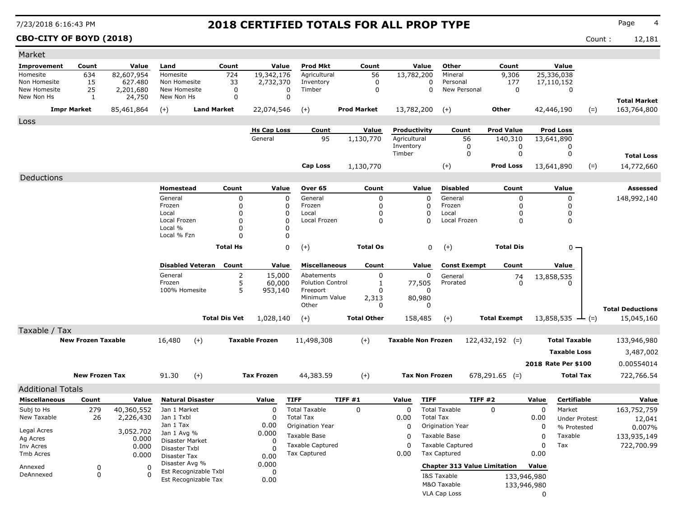## 7/23/2018 6:16:43 PM **2018 CERTIFIED TOTALS FOR ALL PROP TYPE** Page <sup>4</sup>

### **CBO-CITY OF BOYD (2018)** Count : 12,181

| Market                       |                           |                     |                                |                         |                      |                       |                                          |                    |                   |                           |                                          |                     |                  |                             |       |                                       |
|------------------------------|---------------------------|---------------------|--------------------------------|-------------------------|----------------------|-----------------------|------------------------------------------|--------------------|-------------------|---------------------------|------------------------------------------|---------------------|------------------|-----------------------------|-------|---------------------------------------|
| Improvement                  | Count                     | Value               | Land                           |                         | Count                | Value                 | <b>Prod Mkt</b>                          |                    | Count             | Value                     | Other                                    | Count               |                  | Value                       |       |                                       |
| Homesite                     | 634                       | 82,607,954          | Homesite                       |                         | 724                  | 19,342,176            | Agricultural                             |                    | 56                | 13,782,200                | Mineral                                  | 9,306               |                  | 25,336,038                  |       |                                       |
| Non Homesite<br>New Homesite | 15                        | 627.480             | Non Homesite<br>New Homesite   |                         | 33<br>$\mathbf 0$    | 2,732,370             | Inventory<br>Timber                      |                    | 0                 | 0<br>0                    | Personal<br>New Personal                 | 177                 |                  | 17,110,152                  |       |                                       |
| New Non Hs                   | 25<br>$\mathbf{1}$        | 2,201,680<br>24,750 | New Non Hs                     |                         | $\mathbf 0$          |                       | $\mathbf 0$<br>$\mathbf 0$               |                    | $\mathbf 0$       |                           |                                          | $\mathbf 0$         |                  | $\mathbf 0$                 |       |                                       |
|                              |                           |                     |                                |                         |                      |                       |                                          |                    |                   |                           |                                          |                     |                  |                             |       | <b>Total Market</b>                   |
|                              | <b>Impr Market</b>        | 85,461,864          | $(+)$                          | <b>Land Market</b>      |                      | 22,074,546            | $(+)$                                    | <b>Prod Market</b> |                   | 13,782,200                | $(+)$                                    | Other               |                  | 42,446,190                  | $(=)$ | 163,764,800                           |
| Loss                         |                           |                     |                                |                         |                      |                       |                                          |                    |                   |                           |                                          |                     |                  |                             |       |                                       |
|                              |                           |                     |                                |                         |                      | <b>Hs Cap Loss</b>    | Count                                    |                    | Value             | Productivity              | Count                                    | <b>Prod Value</b>   |                  | <b>Prod Loss</b>            |       |                                       |
|                              |                           |                     |                                |                         |                      | General               | 95                                       | 1,130,770          |                   | Agricultural              | 56                                       | 140,310             |                  | 13,641,890                  |       |                                       |
|                              |                           |                     |                                |                         |                      |                       |                                          |                    |                   | Inventory<br>Timber       | 0<br>0                                   | 0<br>0              |                  | 0<br>0                      |       |                                       |
|                              |                           |                     |                                |                         |                      |                       |                                          |                    |                   |                           |                                          |                     |                  |                             |       | <b>Total Loss</b>                     |
|                              |                           |                     |                                |                         |                      |                       | <b>Cap Loss</b>                          | 1,130,770          |                   |                           | $(+)$                                    | <b>Prod Loss</b>    |                  | 13,641,890                  | $(=)$ | 14,772,660                            |
| Deductions                   |                           |                     |                                |                         |                      |                       |                                          |                    |                   |                           |                                          |                     |                  |                             |       |                                       |
|                              |                           |                     | Homestead                      |                         | Count                | Value                 | Over 65                                  |                    | Count             | Value                     | <b>Disabled</b>                          | Count               |                  | Value                       |       | <b>Assessed</b>                       |
|                              |                           |                     | General                        |                         | $\Omega$             | 0                     | General                                  |                    | 0                 | $\Omega$                  | General                                  | 0                   |                  | 0                           |       | 148,992,140                           |
|                              |                           |                     | Frozen                         |                         | $\Omega$             | $\mathbf 0$           | Frozen                                   |                    | $\mathbf 0$       | $\Omega$                  | Frozen                                   | $\mathbf 0$         |                  | $\mathbf 0$                 |       |                                       |
|                              |                           |                     | Local<br>Local Frozen          |                         | $\Omega$<br>$\Omega$ | 0<br>$\mathbf 0$      | Local<br>Local Frozen                    |                    | 0<br>$\Omega$     | 0<br>$\Omega$             | Local<br>Local Frozen                    | 0<br>$\mathbf{0}$   |                  | 0<br>$\Omega$               |       |                                       |
|                              |                           |                     | Local %                        |                         | $\mathbf 0$          | $\mathbf 0$           |                                          |                    |                   |                           |                                          |                     |                  |                             |       |                                       |
|                              |                           |                     | Local % Fzn                    |                         | $\Omega$             | 0                     |                                          |                    |                   |                           |                                          |                     |                  |                             |       |                                       |
|                              |                           |                     |                                |                         | <b>Total Hs</b>      | $\Omega$              | $(+)$                                    |                    | <b>Total Os</b>   | 0                         | $(+)$                                    | <b>Total Dis</b>    |                  | 0                           |       |                                       |
|                              |                           |                     |                                |                         |                      |                       |                                          |                    |                   |                           |                                          |                     |                  |                             |       |                                       |
|                              |                           |                     |                                | <b>Disabled Veteran</b> | Count                | Value                 | <b>Miscellaneous</b>                     |                    | Count             | Value                     | <b>Const Exempt</b>                      | Count               |                  | Value                       |       |                                       |
|                              |                           |                     | General                        |                         | $\mathbf{2}$         | 15,000                | Abatements                               |                    | $\mathbf 0$       | $\mathbf 0$               | General                                  | 74                  |                  | 13,858,535                  |       |                                       |
|                              |                           |                     | Frozen                         |                         | 5                    | 60,000                | <b>Polution Control</b>                  |                    | 1                 | 77,505                    | Prorated                                 | $\Omega$            |                  | $\Omega$                    |       |                                       |
|                              |                           |                     | 100% Homesite                  |                         | 5                    | 953,140               | Freeport<br>Minimum Value                |                    | $\Omega$<br>2,313 | $\Omega$<br>80,980        |                                          |                     |                  |                             |       |                                       |
|                              |                           |                     |                                |                         |                      |                       | Other                                    |                    | 0                 | $\Omega$                  |                                          |                     |                  |                             |       |                                       |
|                              |                           |                     |                                |                         | <b>Total Dis Vet</b> | 1,028,140             | $(+)$                                    | <b>Total Other</b> |                   | 158,485                   | $(+)$                                    | <b>Total Exempt</b> |                  | $13,858,535 \leftarrow (=)$ |       | <b>Total Deductions</b><br>15,045,160 |
|                              |                           |                     |                                |                         |                      |                       |                                          |                    |                   |                           |                                          |                     |                  |                             |       |                                       |
| Taxable / Tax                | <b>New Frozen Taxable</b> |                     | 16,480                         | $(+)$                   |                      | <b>Taxable Frozen</b> | 11,498,308                               | $(+)$              |                   | <b>Taxable Non Frozen</b> |                                          | $122,432,192$ (=)   |                  | <b>Total Taxable</b>        |       | 133,946,980                           |
|                              |                           |                     |                                |                         |                      |                       |                                          |                    |                   |                           |                                          |                     |                  |                             |       |                                       |
|                              |                           |                     |                                |                         |                      |                       |                                          |                    |                   |                           |                                          |                     |                  | <b>Taxable Loss</b>         |       | 3,487,002                             |
|                              |                           |                     |                                |                         |                      |                       |                                          |                    |                   |                           |                                          |                     |                  | 2018 Rate Per \$100         |       | 0.00554014                            |
|                              | <b>New Frozen Tax</b>     |                     | 91.30                          | $(+)$                   |                      | <b>Tax Frozen</b>     | 44,383.59                                | $(+)$              |                   | <b>Tax Non Frozen</b>     |                                          | $678,291.65$ (=)    |                  | <b>Total Tax</b>            |       | 722,766.54                            |
|                              |                           |                     |                                |                         |                      |                       |                                          |                    |                   |                           |                                          |                     |                  |                             |       |                                       |
| <b>Additional Totals</b>     |                           |                     |                                |                         |                      |                       |                                          |                    |                   |                           |                                          |                     |                  |                             |       |                                       |
| <b>Miscellaneous</b>         | Count                     | Value               |                                | <b>Natural Disaster</b> |                      | Value                 | <b>TIFF</b>                              | TIFF #1            |                   | Value<br><b>TIFF</b>      |                                          | <b>TIFF #2</b>      | Value            | Certifiable                 |       | Value                                 |
| Subj to Hs<br>New Taxable    | 279<br>26                 | 40,360,552          | Jan 1 Market<br>Jan 1 Txbl     |                         |                      | $\mathbf 0$<br>0      | <b>Total Taxable</b><br><b>Total Tax</b> | $\Omega$           |                   | $\Omega$<br>0.00          | <b>Total Taxable</b><br><b>Total Tax</b> | $\Omega$            | $\Omega$<br>0.00 | Market                      |       | 163,752,759                           |
|                              |                           | 2,226,430           | Jan 1 Tax                      |                         |                      | 0.00                  | Origination Year                         |                    |                   | 0                         | Origination Year                         |                     | 0                | <b>Under Protest</b>        |       | 12,041                                |
| Legal Acres                  |                           | 3,052.702           | Jan 1 Avg %                    |                         |                      | 0.000                 | <b>Taxable Base</b>                      |                    |                   | $\Omega$                  | Taxable Base                             |                     | 0                | % Protested<br>Taxable      |       | 0.007%<br>133,935,149                 |
| Ag Acres                     |                           | 0.000               | Disaster Market                |                         |                      | $\Omega$              | <b>Taxable Captured</b>                  |                    |                   | 0                         | <b>Taxable Captured</b>                  |                     | $\Omega$         | Tax                         |       | 722,700.99                            |
| Inv Acres<br>Tmb Acres       |                           | 0.000<br>0.000      | Disaster Txbl                  |                         |                      | $\Omega$              | Tax Captured                             |                    |                   | 0.00                      | Tax Captured                             |                     | 0.00             |                             |       |                                       |
|                              |                           |                     | Disaster Tax<br>Disaster Avg % |                         |                      | 0.00                  |                                          |                    |                   |                           |                                          |                     |                  |                             |       |                                       |
| Annexed                      | 0                         | 0                   |                                | Est Recognizable Txbl   |                      | 0.000<br>$\mathbf 0$  |                                          |                    |                   |                           | <b>Chapter 313 Value Limitation</b>      |                     | Value            |                             |       |                                       |
| DeAnnexed                    | $\Omega$                  | $\Omega$            |                                | Est Recognizable Tax    |                      | 0.00                  |                                          |                    |                   |                           | I&S Taxable                              |                     | 133,946,980      |                             |       |                                       |
|                              |                           |                     |                                |                         |                      |                       |                                          |                    |                   |                           | M&O Taxable                              |                     | 133,946,980      |                             |       |                                       |
|                              |                           |                     |                                |                         |                      |                       |                                          |                    |                   |                           | <b>VLA Cap Loss</b>                      |                     | $\Omega$         |                             |       |                                       |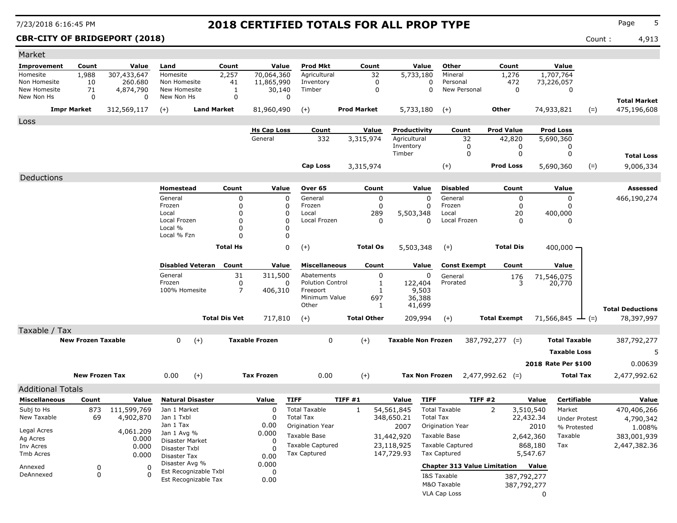## 7/23/2018 6:16:45 PM **2018 CERTIFIED TOTALS FOR ALL PROP TYPE** Page <sup>5</sup>

### **CBR-CITY OF BRIDGEPORT (2018)** Count : 4,913

| Market                     |                           |                    |                               |                         |                      |                         |                         |                    |                         |                           |                  |                                     |                     |                  |                     |                      |       |                         |
|----------------------------|---------------------------|--------------------|-------------------------------|-------------------------|----------------------|-------------------------|-------------------------|--------------------|-------------------------|---------------------------|------------------|-------------------------------------|---------------------|------------------|---------------------|----------------------|-------|-------------------------|
| Improvement                | Count                     | Value              | Land                          |                         | Count                | Value                   | <b>Prod Mkt</b>         |                    | Count                   |                           | Value            | Other                               |                     | Count            |                     | Value                |       |                         |
| Homesite                   | 1,988                     | 307,433,647        | Homesite                      |                         | 2,257                | 70,064,360              | Agricultural            |                    | 32                      | 5,733,180                 |                  | Mineral                             |                     | 1,276            | 1,707,764           |                      |       |                         |
| Non Homesite               | 10                        | 260.680            | Non Homesite                  |                         | 41                   | 11,865,990              | Inventory               |                    | $\mathbf 0$             |                           | 0                | Personal                            |                     | 472              | 73,226,057          |                      |       |                         |
| New Homesite<br>New Non Hs | 71<br>$\Omega$            | 4,874,790<br>0     | New Homesite<br>New Non Hs    |                         | 1<br>0               | 30,140<br>$\mathbf 0$   | Timber                  |                    | $\mathbf 0$             |                           | 0                | New Personal                        |                     | $\mathbf 0$      |                     | $\mathbf 0$          |       |                         |
|                            |                           |                    |                               |                         |                      |                         |                         |                    |                         |                           |                  |                                     |                     |                  |                     |                      |       | <b>Total Market</b>     |
| <b>Impr Market</b>         |                           | 312,569,117        | $(+)$                         | <b>Land Market</b>      |                      | 81,960,490              | $(+)$                   | <b>Prod Market</b> |                         | 5,733,180                 |                  | $(+)$                               | Other               |                  | 74,933,821          |                      | $(=)$ | 475,196,608             |
| Loss                       |                           |                    |                               |                         |                      |                         |                         |                    |                         |                           |                  |                                     |                     |                  |                     |                      |       |                         |
|                            |                           |                    |                               |                         |                      | <b>Hs Cap Loss</b>      | Count                   |                    | Value                   | Productivity              |                  | Count                               | <b>Prod Value</b>   |                  | <b>Prod Loss</b>    |                      |       |                         |
|                            |                           |                    |                               |                         |                      | General                 | 332                     |                    | 3,315,974               | Agricultural<br>Inventory |                  | 32<br>0                             |                     | 42,820<br>0      | 5,690,360           | 0                    |       |                         |
|                            |                           |                    |                               |                         |                      |                         |                         |                    |                         | Timber                    |                  | $\Omega$                            |                     | $\mathbf 0$      |                     | 0                    |       | <b>Total Loss</b>       |
|                            |                           |                    |                               |                         |                      |                         | <b>Cap Loss</b>         |                    | 3,315,974               |                           |                  |                                     | <b>Prod Loss</b>    |                  | 5,690,360           |                      |       | 9,006,334               |
|                            |                           |                    |                               |                         |                      |                         |                         |                    |                         |                           |                  | $(+)$                               |                     |                  |                     |                      | $(=)$ |                         |
| Deductions                 |                           |                    |                               |                         |                      |                         |                         |                    |                         |                           |                  |                                     |                     |                  |                     |                      |       |                         |
|                            |                           |                    | Homestead                     |                         | Count                | Value                   | Over 65                 |                    | Count                   | Value                     |                  | <b>Disabled</b>                     |                     | Count            |                     | Value                |       | <b>Assessed</b>         |
|                            |                           |                    | General<br>Frozen             |                         | $\Omega$<br>$\Omega$ | $\mathbf 0$<br>$\Omega$ | General<br>Frozen       |                    | $\Omega$<br>$\mathbf 0$ |                           | 0<br>$\Omega$    | General<br>Frozen                   |                     | 0<br>$\Omega$    |                     | 0<br>$\Omega$        |       | 466,190,274             |
|                            |                           |                    | Local                         |                         | $\Omega$             | $\mathbf 0$             | Local                   |                    | 289                     | 5,503,348                 |                  | Local                               |                     | 20               | 400,000             |                      |       |                         |
|                            |                           |                    | Local Frozen                  |                         | $\Omega$             | 0                       | Local Frozen            |                    | $\mathbf{0}$            |                           | $\Omega$         | Local Frozen                        |                     | $\Omega$         |                     | 0                    |       |                         |
|                            |                           |                    | Local %<br>Local % Fzn        |                         | $\Omega$<br>$\Omega$ | $\mathbf 0$             |                         |                    |                         |                           |                  |                                     |                     |                  |                     |                      |       |                         |
|                            |                           |                    |                               |                         |                      | 0                       |                         |                    |                         |                           |                  |                                     |                     |                  |                     |                      |       |                         |
|                            |                           |                    |                               |                         | <b>Total Hs</b>      | 0                       | $(+)$                   |                    | <b>Total Os</b>         | 5,503,348                 |                  | $(+)$                               |                     | <b>Total Dis</b> | $400,000 -$         |                      |       |                         |
|                            |                           |                    |                               | <b>Disabled Veteran</b> | Count                | Value                   | <b>Miscellaneous</b>    |                    | Count                   | Value                     |                  | <b>Const Exempt</b>                 |                     | Count            |                     | Value                |       |                         |
|                            |                           |                    | General                       |                         | 31                   | 311,500                 | Abatements              |                    | $\mathbf 0$             |                           | 0                | General                             |                     | 176              | 71,546,075          |                      |       |                         |
|                            |                           |                    | Frozen                        |                         | $\mathbf 0$          | 0                       | <b>Polution Control</b> |                    | 1                       | 122,404                   |                  | Prorated                            |                     | 3                | 20,770              |                      |       |                         |
|                            |                           |                    | 100% Homesite                 |                         | $\overline{7}$       | 406,310                 | Freeport                |                    | $\mathbf{1}$            | 9,503                     |                  |                                     |                     |                  |                     |                      |       |                         |
|                            |                           |                    |                               |                         |                      |                         | Minimum Value<br>Other  |                    | 697<br>1                | 36,388<br>41,699          |                  |                                     |                     |                  |                     |                      |       |                         |
|                            |                           |                    |                               | <b>Total Dis Vet</b>    |                      |                         |                         |                    | <b>Total Other</b>      |                           |                  |                                     |                     |                  |                     |                      |       | <b>Total Deductions</b> |
|                            |                           |                    |                               |                         |                      | 717,810                 | $(+)$                   |                    |                         | 209,994                   |                  | $(+)$                               | <b>Total Exempt</b> |                  | 71,566,845          | $ (=)$               |       | 78,397,997              |
| Taxable / Tax              |                           |                    |                               |                         |                      |                         |                         |                    |                         |                           |                  |                                     |                     |                  |                     |                      |       |                         |
|                            | <b>New Frozen Taxable</b> |                    | $\Omega$                      | $(+)$                   |                      | <b>Taxable Frozen</b>   | $\mathbf 0$             |                    | $(+)$                   | <b>Taxable Non Frozen</b> |                  |                                     | $387,792,277$ (=)   |                  |                     | <b>Total Taxable</b> |       | 387,792,277             |
|                            |                           |                    |                               |                         |                      |                         |                         |                    |                         |                           |                  |                                     |                     |                  |                     | <b>Taxable Loss</b>  |       | 5                       |
|                            |                           |                    |                               |                         |                      |                         |                         |                    |                         |                           |                  |                                     |                     |                  | 2018 Rate Per \$100 |                      |       | 0.00639                 |
|                            | <b>New Frozen Tax</b>     |                    | 0.00                          | $(+)$                   |                      | <b>Tax Frozen</b>       | 0.00                    |                    | $(+)$                   | <b>Tax Non Frozen</b>     |                  | $2,477,992.62$ (=)                  |                     |                  |                     | <b>Total Tax</b>     |       | 2,477,992.62            |
| <b>Additional Totals</b>   |                           |                    |                               |                         |                      |                         |                         |                    |                         |                           |                  |                                     |                     |                  |                     |                      |       |                         |
| <b>Miscellaneous</b>       | Count                     | Value              | <b>Natural Disaster</b>       |                         |                      | Value                   | <b>TIFF</b>             | <b>TIFF #1</b>     |                         | Value                     | <b>TIFF</b>      | <b>TIFF #2</b>                      |                     |                  | Value               | Certifiable          |       | Value                   |
| Subj to Hs                 | 873                       | 111,599,769        | Jan 1 Market                  |                         |                      | $\mathbf 0$             | <b>Total Taxable</b>    | -1                 |                         | 54,561,845                |                  | <b>Total Taxable</b>                | 2                   | 3,510,540        |                     | Market               |       | 470,406,266             |
| New Taxable                | 69                        | 4,902,870          | Jan 1 Txbl                    |                         |                      | $\Omega$                | <b>Total Tax</b>        |                    |                         | 348,650.21                | <b>Total Tax</b> |                                     |                     | 22,432.34        |                     | <b>Under Protest</b> |       | 4,790,342               |
|                            |                           |                    | Jan 1 Tax                     |                         |                      | 0.00                    | Origination Year        |                    |                         | 2007                      |                  | Origination Year                    |                     |                  | 2010                | % Protested          |       | 1.008%                  |
| Legal Acres<br>Ag Acres    |                           | 4,061.209<br>0.000 | Jan 1 Avg %                   |                         |                      | 0.000                   | <b>Taxable Base</b>     |                    |                         | 31,442,920                |                  | Taxable Base                        |                     | 2,642,360        |                     | Taxable              |       | 383,001,939             |
| Inv Acres                  |                           | 0.000              | Disaster Market               |                         |                      | $\Omega$<br>O           | <b>Taxable Captured</b> |                    |                         | 23,118,925                |                  | <b>Taxable Captured</b>             |                     |                  | 868,180             | Tax                  |       | 2,447,382.36            |
| Tmb Acres                  |                           | 0.000              | Disaster Txbl<br>Disaster Tax |                         |                      | 0.00                    | <b>Tax Captured</b>     |                    |                         | 147,729.93                |                  | <b>Tax Captured</b>                 |                     |                  | 5,547.67            |                      |       |                         |
| Annexed                    | 0                         | 0                  | Disaster Avg %                |                         |                      | 0.000                   |                         |                    |                         |                           |                  | <b>Chapter 313 Value Limitation</b> |                     |                  | Value               |                      |       |                         |
| DeAnnexed                  | $\Omega$                  | $\Omega$           |                               | Est Recognizable Txbl   |                      | 0                       |                         |                    |                         |                           |                  | I&S Taxable                         |                     | 387,792,277      |                     |                      |       |                         |
|                            |                           |                    |                               | Est Recognizable Tax    |                      | 0.00                    |                         |                    |                         |                           |                  | M&O Taxable                         |                     | 387,792,277      |                     |                      |       |                         |
|                            |                           |                    |                               |                         |                      |                         |                         |                    |                         |                           |                  | <b>VLA Cap Loss</b>                 |                     |                  | $\Omega$            |                      |       |                         |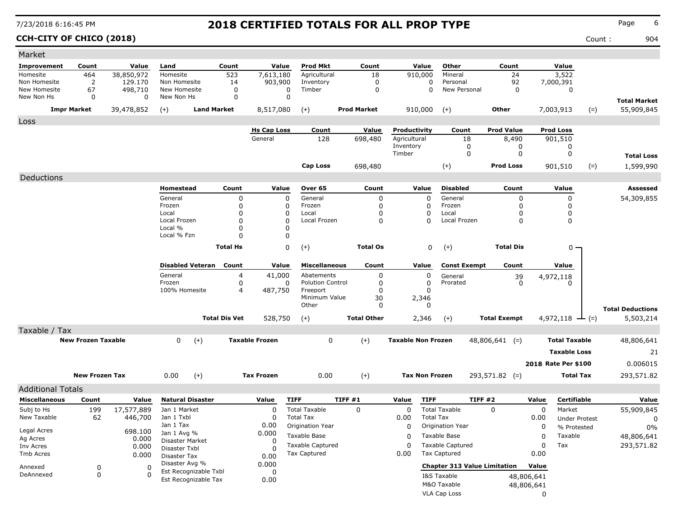## 7/23/2018 6:16:45 PM **2018 CERTIFIED TOTALS FOR ALL PROP TYPE** Page <sup>6</sup>

**CCH-CITY OF CHICO (2018)** Count : 904

| Market                   |                           |            |                                               |                      |                       |                                       |                    |                           |                  |                                     |                     |             |                             |       |                         |
|--------------------------|---------------------------|------------|-----------------------------------------------|----------------------|-----------------------|---------------------------------------|--------------------|---------------------------|------------------|-------------------------------------|---------------------|-------------|-----------------------------|-------|-------------------------|
| Improvement              | Count                     | Value      | Land                                          | Count                | Value                 | <b>Prod Mkt</b>                       | Count              | Value                     |                  | Other                               | Count               |             | Value                       |       |                         |
| Homesite                 | 464                       | 38,850,972 | Homesite                                      | 523                  | 7,613,180             | Agricultural                          | 18                 | 910,000                   |                  | Mineral                             | 24                  |             | 3,522                       |       |                         |
| Non Homesite             | 2                         | 129,170    | Non Homesite                                  | 14                   | 903,900               | Inventory                             | $\mathbf 0$        |                           | 0                | Personal                            | 92                  |             | 7,000,391                   |       |                         |
| New Homesite             | 67                        | 498,710    | New Homesite                                  | 0                    | 0                     | Timber                                | $\mathbf 0$        |                           | 0                | New Personal                        | $\mathbf 0$         |             | $\mathbf 0$                 |       |                         |
| New Non Hs               | 0                         | 0          | New Non Hs                                    | 0                    | $\mathbf 0$           |                                       |                    |                           |                  |                                     |                     |             |                             |       | <b>Total Market</b>     |
|                          | <b>Impr Market</b>        | 39,478,852 | <b>Land Market</b><br>$(+)$                   |                      | 8,517,080             | $(+)$                                 | <b>Prod Market</b> | 910,000                   |                  | $(+)$                               | Other               |             | 7,003,913                   | $(=)$ | 55,909,845              |
| Loss                     |                           |            |                                               |                      |                       |                                       |                    |                           |                  |                                     |                     |             |                             |       |                         |
|                          |                           |            |                                               |                      | <b>Hs Cap Loss</b>    | Count                                 | Value              | Productivity              |                  | Count                               | <b>Prod Value</b>   |             | <b>Prod Loss</b>            |       |                         |
|                          |                           |            |                                               |                      | General               | 128                                   | 698,480            | Agricultural              |                  | 18                                  | 8,490               |             | 901,510                     |       |                         |
|                          |                           |            |                                               |                      |                       |                                       |                    | Inventory                 |                  | 0                                   | 0                   |             | 0                           |       |                         |
|                          |                           |            |                                               |                      |                       |                                       |                    | Timber                    |                  | 0                                   | 0                   |             | 0                           |       | <b>Total Loss</b>       |
|                          |                           |            |                                               |                      |                       | Cap Loss                              | 698,480            |                           |                  | $(+)$                               | <b>Prod Loss</b>    |             | 901,510                     | $(=)$ | 1,599,990               |
| Deductions               |                           |            |                                               |                      |                       |                                       |                    |                           |                  |                                     |                     |             |                             |       |                         |
|                          |                           |            | Homestead                                     | Count                | Value                 | Over 65                               | Count              | Value                     |                  | <b>Disabled</b>                     | Count               |             | Value                       |       | Assessed                |
|                          |                           |            | General                                       | $\mathbf 0$          | 0                     | General                               | 0                  |                           | $\Omega$         | General                             | 0                   |             | 0                           |       | 54,309,855              |
|                          |                           |            | Frozen                                        | $\mathbf 0$          | 0                     | Frozen                                | 0                  |                           | 0                | Frozen                              | O                   |             | 0                           |       |                         |
|                          |                           |            | Local                                         | $\mathbf 0$          | 0                     | Local                                 | O                  |                           | 0                | Local                               | O                   |             | 0                           |       |                         |
|                          |                           |            | Local Frozen                                  | $\mathbf 0$          | $\Omega$              | Local Frozen                          | $\mathbf 0$        |                           | $\Omega$         | Local Frozen                        | $\mathbf 0$         |             | 0                           |       |                         |
|                          |                           |            | Local %                                       | $\mathbf 0$          | 0                     |                                       |                    |                           |                  |                                     |                     |             |                             |       |                         |
|                          |                           |            | Local % Fzn                                   | $\Omega$             | 0                     |                                       |                    |                           |                  |                                     |                     |             |                             |       |                         |
|                          |                           |            |                                               | <b>Total Hs</b>      | 0                     | $^{(+)}$                              | <b>Total Os</b>    |                           | 0                | $(+)$                               | <b>Total Dis</b>    |             | $0 -$                       |       |                         |
|                          |                           |            |                                               |                      |                       |                                       |                    |                           |                  |                                     |                     |             |                             |       |                         |
|                          |                           |            | <b>Disabled Veteran</b>                       | Count                | Value                 | <b>Miscellaneous</b>                  | Count              | Value                     |                  | <b>Const Exempt</b>                 | Count               |             | Value                       |       |                         |
|                          |                           |            | General<br>Frozen                             | 4<br>0               | 41,000<br>0           | Abatements<br><b>Polution Control</b> | 0<br>0             |                           | 0<br>0           | General<br>Prorated                 | 39<br>0             |             | 4,972,118                   |       |                         |
|                          |                           |            | 100% Homesite                                 | 4                    | 487,750               | Freeport                              | 0                  |                           | $\Omega$         |                                     |                     |             | 0                           |       |                         |
|                          |                           |            |                                               |                      |                       | Minimum Value                         | 30                 | 2,346                     |                  |                                     |                     |             |                             |       |                         |
|                          |                           |            |                                               |                      |                       | Other                                 | $\Omega$           |                           | 0                |                                     |                     |             |                             |       | <b>Total Deductions</b> |
|                          |                           |            |                                               | <b>Total Dis Vet</b> | 528,750               | $(+)$                                 | <b>Total Other</b> |                           | 2,346            | $(+)$                               | <b>Total Exempt</b> |             | 4,972,118 $\rightarrow$ (=) |       | 5,503,214               |
| Taxable / Tax            |                           |            |                                               |                      |                       |                                       |                    |                           |                  |                                     |                     |             |                             |       |                         |
|                          | <b>New Frozen Taxable</b> |            | $\mathbf{0}$                                  |                      | <b>Taxable Frozen</b> | 0                                     | $(+)$              | <b>Taxable Non Frozen</b> |                  |                                     |                     |             | <b>Total Taxable</b>        |       |                         |
|                          |                           |            | $(+)$                                         |                      |                       |                                       |                    |                           |                  |                                     | $48,806,641$ (=)    |             |                             |       | 48,806,641              |
|                          |                           |            |                                               |                      |                       |                                       |                    |                           |                  |                                     |                     |             | <b>Taxable Loss</b>         |       | 21                      |
|                          |                           |            |                                               |                      |                       |                                       |                    |                           |                  |                                     |                     |             | 2018 Rate Per \$100         |       | 0.006015                |
|                          | <b>New Frozen Tax</b>     |            | 0.00<br>$(+)$                                 |                      | <b>Tax Frozen</b>     | 0.00                                  | $(+)$              | <b>Tax Non Frozen</b>     |                  |                                     | $293,571.82$ (=)    |             | <b>Total Tax</b>            |       | 293,571.82              |
|                          |                           |            |                                               |                      |                       |                                       |                    |                           |                  |                                     |                     |             |                             |       |                         |
| <b>Additional Totals</b> |                           |            |                                               |                      |                       |                                       |                    |                           |                  |                                     |                     |             |                             |       |                         |
| <b>Miscellaneous</b>     | Count                     | Value      | <b>Natural Disaster</b>                       |                      | Value                 | <b>TIFF</b>                           | <b>TIFF #1</b>     | Value                     | <b>TIFF</b>      | <b>TIFF #2</b>                      |                     | Value       | <b>Certifiable</b>          |       | Value                   |
| Subj to Hs               | 199                       | 17,577,889 | Jan 1 Market                                  |                      | $\mathbf 0$           | <b>Total Taxable</b>                  | $\Omega$           | $\mathbf 0$               |                  | <b>Total Taxable</b>                | $\Omega$            | $\mathbf 0$ | Market                      |       | 55,909,845              |
| New Taxable              | 62                        | 446,700    | Jan 1 Txbl<br>Jan 1 Tax                       |                      | 0                     | <b>Total Tax</b>                      |                    | 0.00                      | <b>Total Tax</b> |                                     |                     | 0.00        | <b>Under Protest</b>        |       | 0                       |
| Legal Acres              |                           | 698.100    | Jan 1 Avg %                                   |                      | 0.00<br>0.000         | Origination Year                      |                    | 0                         |                  | Origination Year                    |                     | 0           | % Protested                 |       | 0%                      |
| Ag Acres                 |                           | 0.000      | Disaster Market                               |                      | $\Omega$              | Taxable Base                          |                    | 0                         |                  | Taxable Base                        |                     | 0           | Taxable                     |       | 48,806,641              |
| Inv Acres                |                           | 0.000      | Disaster Txbl                                 |                      | O                     | <b>Taxable Captured</b>               |                    | $\Omega$                  |                  | <b>Taxable Captured</b>             |                     | 0           | Tax                         |       | 293,571.82              |
| Tmb Acres                |                           | 0.000      | Disaster Tax                                  |                      | 0.00                  | Tax Captured                          |                    | 0.00                      |                  | <b>Tax Captured</b>                 |                     | 0.00        |                             |       |                         |
| Annexed                  | 0                         | 0          | Disaster Avg %                                |                      | 0.000                 |                                       |                    |                           |                  | <b>Chapter 313 Value Limitation</b> |                     | Value       |                             |       |                         |
| DeAnnexed                | 0                         | 0          | Est Recognizable Txbl<br>Est Recognizable Tax |                      | 0                     |                                       |                    |                           |                  | I&S Taxable                         |                     | 48,806,641  |                             |       |                         |
|                          |                           |            |                                               |                      | 0.00                  |                                       |                    |                           |                  | M&O Taxable                         |                     | 48,806,641  |                             |       |                         |
|                          |                           |            |                                               |                      |                       |                                       |                    |                           |                  | VLA Cap Loss                        |                     | n           |                             |       |                         |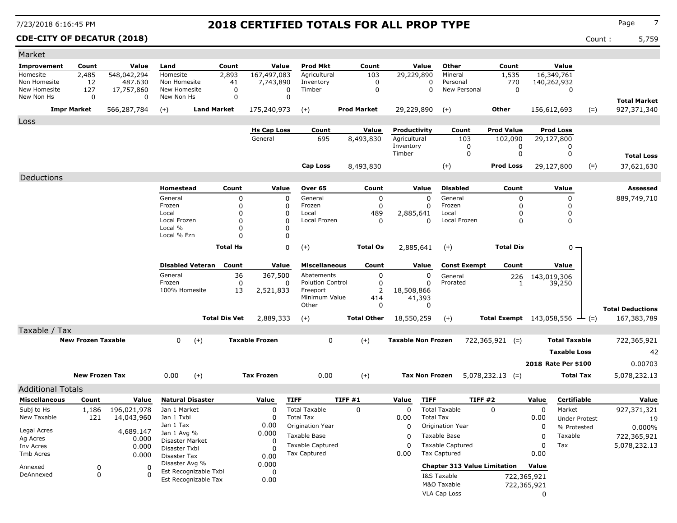## 7/23/2018 6:16:45 PM **2018 CERTIFIED TOTALS FOR ALL PROP TYPE** Page <sup>7</sup>

### **CDE-CITY OF DECATUR (2018)** Count : 5,759

| Market                     |                           |                    |                                  |                         |                      |                          |                                     |         |                     |                           |                          |                                     |                                              |             |                      |       |                         |
|----------------------------|---------------------------|--------------------|----------------------------------|-------------------------|----------------------|--------------------------|-------------------------------------|---------|---------------------|---------------------------|--------------------------|-------------------------------------|----------------------------------------------|-------------|----------------------|-------|-------------------------|
| Improvement                | Count                     | Value              | Land                             | Count                   |                      | Value                    | <b>Prod Mkt</b>                     |         | Count               |                           | Value                    | Other                               | Count                                        |             | Value                |       |                         |
| Homesite                   | 2,485                     | 548,042,294        | Homesite                         | 2,893                   |                      | 167,497,083              | Agricultural                        |         | 103                 |                           | 29,229,890               | Mineral                             | 1,535                                        |             | 16,349,761           |       |                         |
| Non Homesite               | 12                        | 487.630            | Non Homesite                     |                         | 41                   | 7,743,890                | Inventory                           |         | 0                   |                           | 0                        | Personal                            | 770                                          |             | 140,262,932          |       |                         |
| New Homesite<br>New Non Hs | 127<br>$\Omega$           | 17,757,860<br>0    | New Homesite<br>New Non Hs       |                         | 0<br>0               | $\mathbf 0$<br>$\pmb{0}$ | Timber                              |         | $\mathbf 0$         |                           | 0                        | New Personal                        | $\mathbf 0$                                  |             | $\mathbf 0$          |       |                         |
|                            |                           |                    |                                  |                         |                      |                          |                                     |         |                     |                           |                          |                                     |                                              |             |                      |       | <b>Total Market</b>     |
|                            | <b>Impr Market</b>        | 566,287,784        | $(+)$                            | <b>Land Market</b>      |                      | 175,240,973              | $(+)$                               |         | <b>Prod Market</b>  |                           | 29,229,890               | $(+)$                               | <b>Other</b>                                 |             | 156,612,693          | $(=)$ | 927,371,340             |
| Loss                       |                           |                    |                                  |                         |                      |                          |                                     |         |                     |                           |                          |                                     |                                              |             |                      |       |                         |
|                            |                           |                    |                                  |                         |                      | <b>Hs Cap Loss</b>       | Count                               |         | Value               | Productivity              |                          | Count                               | <b>Prod Value</b>                            |             | <b>Prod Loss</b>     |       |                         |
|                            |                           |                    |                                  |                         |                      | General                  | 695                                 |         | 8,493,830           | Agricultural<br>Inventory |                          | 103<br>0                            | 102,090<br>0                                 |             | 29,127,800<br>0      |       |                         |
|                            |                           |                    |                                  |                         |                      |                          |                                     |         |                     | Timber                    |                          | 0                                   | 0                                            |             | 0                    |       | <b>Total Loss</b>       |
|                            |                           |                    |                                  |                         |                      |                          |                                     |         |                     |                           |                          |                                     |                                              |             |                      |       |                         |
|                            |                           |                    |                                  |                         |                      |                          | <b>Cap Loss</b>                     |         | 8,493,830           |                           |                          | $(+)$                               | <b>Prod Loss</b>                             |             | 29,127,800           | $(=)$ | 37,621,630              |
| Deductions                 |                           |                    |                                  |                         |                      |                          |                                     |         |                     |                           |                          |                                     |                                              |             |                      |       |                         |
|                            |                           |                    | Homestead                        |                         | Count                | Value                    | Over 65                             |         | Count               |                           | Value                    | <b>Disabled</b>                     | Count                                        |             | Value                |       | <b>Assessed</b>         |
|                            |                           |                    | General                          |                         | $\Omega$             | $\mathbf 0$              | General                             |         | $\Omega$            |                           | $\Omega$                 | General                             | $\Omega$                                     |             | 0                    |       | 889,749,710             |
|                            |                           |                    | Frozen<br>Local                  |                         | $\Omega$<br>$\Omega$ | 0<br>0                   | Frozen<br>Local                     |         | $\mathbf 0$<br>489  |                           | $\mathbf 0$<br>2,885,641 | Frozen<br>Local                     | $\Omega$<br>0                                |             | 0<br>0               |       |                         |
|                            |                           |                    | Local Frozen                     |                         | $\Omega$             | $\Omega$                 | Local Frozen                        |         | $\mathbf{0}$        |                           | $\Omega$                 | Local Frozen                        | $\Omega$                                     |             | $\Omega$             |       |                         |
|                            |                           |                    | Local %                          |                         | 0                    | $\mathbf 0$              |                                     |         |                     |                           |                          |                                     |                                              |             |                      |       |                         |
|                            |                           |                    | Local % Fzn                      |                         | $\Omega$             | 0                        |                                     |         |                     |                           |                          |                                     |                                              |             |                      |       |                         |
|                            |                           |                    |                                  | <b>Total Hs</b>         |                      | 0                        | $(+)$                               |         | <b>Total Os</b>     |                           | 2,885,641                | $(+)$                               | <b>Total Dis</b>                             |             | 0                    |       |                         |
|                            |                           |                    |                                  |                         |                      |                          |                                     |         |                     |                           |                          |                                     |                                              |             |                      |       |                         |
|                            |                           |                    |                                  | <b>Disabled Veteran</b> | Count                | Value                    | <b>Miscellaneous</b>                |         | Count               |                           | Value                    | <b>Const Exempt</b>                 | Count                                        |             | Value                |       |                         |
|                            |                           |                    | General                          |                         | 36                   | 367,500                  | Abatements                          |         | 0                   |                           | $\mathbf 0$              | General                             | 226                                          |             | 143,019,306          |       |                         |
|                            |                           |                    | Frozen<br>100% Homesite          |                         | 0<br>13              | 0<br>2,521,833           | <b>Polution Control</b><br>Freeport |         | 0<br>$\overline{2}$ | 18,508,866                | 0                        | Prorated                            | 1                                            |             | 39,250               |       |                         |
|                            |                           |                    |                                  |                         |                      |                          | Minimum Value                       |         | 414                 |                           | 41,393                   |                                     |                                              |             |                      |       |                         |
|                            |                           |                    |                                  |                         |                      |                          | Other                               |         | $\mathbf 0$         |                           | 0                        |                                     |                                              |             |                      |       | <b>Total Deductions</b> |
|                            |                           |                    |                                  | <b>Total Dis Vet</b>    |                      | 2,889,333                | $(+)$                               |         | <b>Total Other</b>  | 18,550,259                |                          | $(+)$                               | Total Exempt $143,058,556$ $\rightarrow$ (=) |             |                      |       | 167,383,789             |
| Taxable / Tax              |                           |                    |                                  |                         |                      |                          |                                     |         |                     |                           |                          |                                     |                                              |             |                      |       |                         |
|                            | <b>New Frozen Taxable</b> |                    | $\Omega$                         | $(+)$                   |                      | <b>Taxable Frozen</b>    | $\mathbf 0$                         |         | $(+)$               | <b>Taxable Non Frozen</b> |                          |                                     | $722,365,921$ (=)                            |             | <b>Total Taxable</b> |       | 722,365,921             |
|                            |                           |                    |                                  |                         |                      |                          |                                     |         |                     |                           |                          |                                     |                                              |             | <b>Taxable Loss</b>  |       |                         |
|                            |                           |                    |                                  |                         |                      |                          |                                     |         |                     |                           |                          |                                     |                                              |             |                      |       | 42                      |
|                            |                           |                    |                                  |                         |                      |                          |                                     |         |                     |                           |                          |                                     |                                              |             | 2018 Rate Per \$100  |       | 0.00703                 |
|                            | <b>New Frozen Tax</b>     |                    | 0.00                             | $(+)$                   |                      | <b>Tax Frozen</b>        | 0.00                                |         | $(+)$               |                           | <b>Tax Non Frozen</b>    |                                     | $5,078,232.13$ (=)                           |             | <b>Total Tax</b>     |       | 5,078,232.13            |
| <b>Additional Totals</b>   |                           |                    |                                  |                         |                      |                          |                                     |         |                     |                           |                          |                                     |                                              |             |                      |       |                         |
| <b>Miscellaneous</b>       | Count                     | Value              | <b>Natural Disaster</b>          |                         |                      | Value                    | <b>TIFF</b>                         | TIFF #1 |                     | Value                     | <b>TIFF</b>              | TIFF #2                             |                                              | Value       | Certifiable          |       | Value                   |
| Subj to Hs                 | 1,186                     | 196,021,978        | Jan 1 Market                     |                         |                      | $\Omega$                 | <b>Total Taxable</b>                |         | $\Omega$            | $\Omega$                  |                          | <b>Total Taxable</b>                | $\Omega$                                     | $\Omega$    | Market               |       | 927,371,321             |
| New Taxable                | 121                       | 14,043,960         | Jan 1 Txbl                       |                         |                      | 0                        | <b>Total Tax</b>                    |         |                     | 0.00                      | <b>Total Tax</b>         |                                     |                                              | 0.00        | <b>Under Protest</b> |       | 19                      |
| Legal Acres                |                           |                    | Jan 1 Tax                        |                         |                      | 0.00                     | Origination Year                    |         |                     | 0                         |                          | Origination Year                    |                                              | 0           | % Protested          |       | $0.000\%$               |
| Ag Acres                   |                           | 4,689.147<br>0.000 | Jan 1 Avg %                      |                         |                      | 0.000                    | <b>Taxable Base</b>                 |         |                     | $\Omega$                  |                          | Taxable Base                        |                                              | $\Omega$    | Taxable              |       | 722,365,921             |
| Inv Acres                  |                           | 0.000              | Disaster Market<br>Disaster Txbl |                         |                      | $\Omega$<br>$\Omega$     | Taxable Captured                    |         |                     | $\Omega$                  |                          | <b>Taxable Captured</b>             |                                              | $\Omega$    | Tax                  |       | 5,078,232.13            |
| Tmb Acres                  |                           | 0.000              | Disaster Tax                     |                         |                      | 0.00                     | <b>Tax Captured</b>                 |         |                     | 0.00                      |                          | <b>Tax Captured</b>                 |                                              | 0.00        |                      |       |                         |
| Annexed                    | 0                         | 0                  | Disaster Avg %                   |                         |                      | 0.000                    |                                     |         |                     |                           |                          | <b>Chapter 313 Value Limitation</b> |                                              | Value       |                      |       |                         |
| DeAnnexed                  | $\Omega$                  | $\Omega$           |                                  | Est Recognizable Txbl   |                      | 0                        |                                     |         |                     |                           |                          | I&S Taxable                         |                                              | 722,365,921 |                      |       |                         |
|                            |                           |                    |                                  | Est Recognizable Tax    |                      | 0.00                     |                                     |         |                     |                           |                          | M&O Taxable                         |                                              | 722,365,921 |                      |       |                         |
|                            |                           |                    |                                  |                         |                      |                          |                                     |         |                     |                           |                          | <b>VLA Cap Loss</b>                 |                                              | $\Omega$    |                      |       |                         |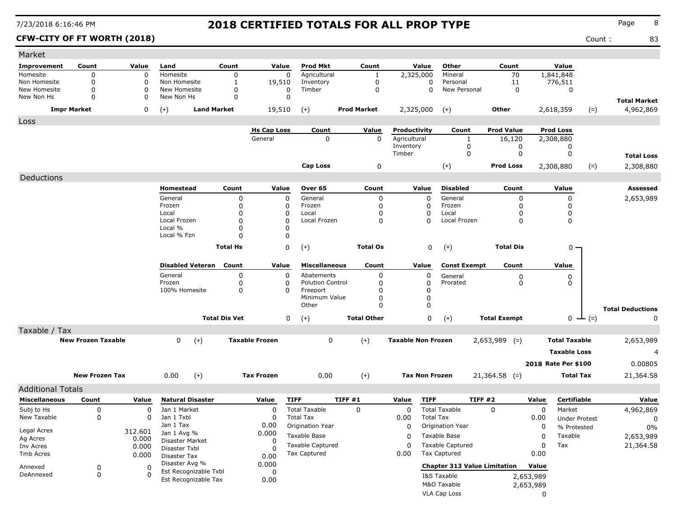## 7/23/2018 6:16:46 PM **2018 CERTIFIED TOTALS FOR ALL PROP TYPE** Page 8

### **CFW-CITY OF FT WORTH (2018)** Count : 83

| Market                     |                           |               |                                               |                       |                      |                           |                    |                           |                  |                                     |                     |           |                      |             |                                  |
|----------------------------|---------------------------|---------------|-----------------------------------------------|-----------------------|----------------------|---------------------------|--------------------|---------------------------|------------------|-------------------------------------|---------------------|-----------|----------------------|-------------|----------------------------------|
| Improvement                | Count                     | Value         | Land                                          | Count                 | Value                | Prod Mkt                  | Count              | Value                     |                  | Other                               | Count               |           | Value                |             |                                  |
| Homesite                   | 0                         | $\Omega$      | Homesite                                      | 0                     | $\mathbf 0$          | Agricultural              | $\mathbf{1}$       | 2,325,000                 |                  | Mineral                             | 70                  |           | 1,841,848            |             |                                  |
| Non Homesite               | 0                         | 0             | Non Homesite                                  | 1                     | 19,510               | Inventory                 | 0                  |                           | 0                | Personal                            | 11                  |           | 776,511              |             |                                  |
| New Homesite<br>New Non Hs | 0<br>0                    | $\Omega$<br>0 | New Homesite<br>New Non Hs                    | 0<br>$\Omega$         | 0<br>0               | Timber                    | 0                  |                           | $\Omega$         | New Personal                        | $\mathbf 0$         |           | $\mathbf 0$          |             |                                  |
|                            | <b>Impr Market</b>        | 0             | <b>Land Market</b><br>$(+)$                   |                       | 19,510               | $(+)$                     | <b>Prod Market</b> | 2,325,000                 |                  | $(+)$                               | Other               |           | 2,618,359            | $(=)$       | <b>Total Market</b><br>4,962,869 |
| Loss                       |                           |               |                                               |                       |                      |                           |                    |                           |                  |                                     |                     |           |                      |             |                                  |
|                            |                           |               |                                               |                       | <b>Hs Cap Loss</b>   | Count                     | Value              | Productivity              |                  | Count                               | <b>Prod Value</b>   |           | <b>Prod Loss</b>     |             |                                  |
|                            |                           |               |                                               |                       | General              | 0                         | $\Omega$           | Agricultural              |                  | 1                                   | 16,120              |           | 2,308,880            |             |                                  |
|                            |                           |               |                                               |                       |                      |                           |                    | Inventory                 |                  | 0                                   | 0                   |           | 0                    |             |                                  |
|                            |                           |               |                                               |                       |                      |                           |                    | Timber                    |                  | 0                                   | 0                   |           | 0                    |             | <b>Total Loss</b>                |
|                            |                           |               |                                               |                       |                      | <b>Cap Loss</b>           | 0                  |                           |                  | $(+)$                               | <b>Prod Loss</b>    |           | 2,308,880            | $(=)$       | 2,308,880                        |
| Deductions                 |                           |               |                                               |                       |                      |                           |                    |                           |                  |                                     |                     |           |                      |             |                                  |
|                            |                           |               | Homestead                                     | Count                 | Value                | Over 65                   | Count              | Value                     |                  | <b>Disabled</b>                     | Count               |           | Value                |             | Assessed                         |
|                            |                           |               | General                                       | 0                     | 0                    | General                   | 0                  |                           | 0                | General                             | 0                   |           | 0                    |             | 2,653,989                        |
|                            |                           |               | Frozen                                        | 0                     | 0                    | Frozen                    | 0                  |                           | 0                | Frozen                              | 0                   |           | 0                    |             |                                  |
|                            |                           |               | Local<br>Local Frozen                         | 0<br>0                | 0<br>0               | Local<br>Local Frozen     | 0<br>0             |                           | 0<br>0           | Local<br>Local Frozen               | $\Omega$<br>0       |           | $\mathbf 0$<br>0     |             |                                  |
|                            |                           |               | Local %                                       | 0                     | 0                    |                           |                    |                           |                  |                                     |                     |           |                      |             |                                  |
|                            |                           |               | Local % Fzn                                   | $\Omega$              | 0                    |                           |                    |                           |                  |                                     |                     |           |                      |             |                                  |
|                            |                           |               |                                               | <b>Total Hs</b>       | 0                    | $(+)$                     | <b>Total Os</b>    |                           | 0                | $(+)$                               | <b>Total Dis</b>    |           | $0 -$                |             |                                  |
|                            |                           |               |                                               |                       |                      |                           |                    |                           |                  |                                     |                     |           |                      |             |                                  |
|                            |                           |               | <b>Disabled Veteran</b>                       | Count                 | Value                | <b>Miscellaneous</b>      | Count              | Value                     |                  | <b>Const Exempt</b>                 | Count               |           | Value                |             |                                  |
|                            |                           |               | General                                       | 0                     | 0                    | Abatements                | 0                  |                           | 0                | General                             | 0                   |           | 0                    |             |                                  |
|                            |                           |               | Frozen                                        | 0                     | 0                    | <b>Polution Control</b>   | 0                  |                           | 0                | Prorated                            | 0                   |           | 0                    |             |                                  |
|                            |                           |               | 100% Homesite                                 | 0                     | $\Omega$             | Freeport<br>Minimum Value | 0<br>0             |                           | 0<br>0           |                                     |                     |           |                      |             |                                  |
|                            |                           |               |                                               |                       |                      | Other                     | 0                  |                           | 0                |                                     |                     |           |                      |             |                                  |
|                            |                           |               |                                               | <b>Total Dis Vet</b>  | 0                    | $(+)$                     | <b>Total Other</b> |                           | 0                | $(+)$                               | <b>Total Exempt</b> |           | 0<br>ᅩ               | $\cdot$ (=) | <b>Total Deductions</b><br>0     |
| Taxable / Tax              |                           |               |                                               |                       |                      |                           |                    |                           |                  |                                     |                     |           |                      |             |                                  |
|                            | <b>New Frozen Taxable</b> |               | 0<br>$(+)$                                    | <b>Taxable Frozen</b> |                      | 0                         | $(+)$              | <b>Taxable Non Frozen</b> |                  |                                     | $2,653,989$ (=)     |           | <b>Total Taxable</b> |             | 2,653,989                        |
|                            |                           |               |                                               |                       |                      |                           |                    |                           |                  |                                     |                     |           | <b>Taxable Loss</b>  |             | 4                                |
|                            |                           |               |                                               |                       |                      |                           |                    |                           |                  |                                     |                     |           | 2018 Rate Per \$100  |             | 0.00805                          |
|                            |                           |               |                                               |                       |                      |                           |                    |                           |                  |                                     |                     |           |                      |             |                                  |
|                            | <b>New Frozen Tax</b>     |               | 0.00<br>$(+)$                                 |                       | <b>Tax Frozen</b>    | 0.00                      | $(+)$              | <b>Tax Non Frozen</b>     |                  |                                     | $21,364.58$ (=)     |           | <b>Total Tax</b>     |             | 21,364.58                        |
| <b>Additional Totals</b>   |                           |               |                                               |                       |                      |                           |                    |                           |                  |                                     |                     |           |                      |             |                                  |
| <b>Miscellaneous</b>       | Count                     | Value         | <b>Natural Disaster</b>                       |                       | <b>TIFF</b><br>Value |                           | TIFF #1            | Value                     | <b>TIFF</b>      | TIFF #2                             |                     | Value     | Certifiable          |             | Value                            |
| Subj to Hs                 | 0                         | 0             | Jan 1 Market                                  |                       | 0                    | <b>Total Taxable</b>      | $\Omega$           | $\mathbf 0$               |                  | <b>Total Taxable</b>                | $\Omega$            | 0         | Market               |             | 4,962,869                        |
| New Taxable                | 0                         | 0             | Jan 1 Txbl                                    |                       | 0                    | <b>Total Tax</b>          |                    | 0.00                      | <b>Total Tax</b> |                                     |                     | 0.00      | <b>Under Protest</b> |             | 0                                |
| Legal Acres                |                           | 312.601       | Jan 1 Tax                                     |                       | 0.00                 | Origination Year          |                    | 0                         |                  | Origination Year                    |                     | 0         | % Protested          |             | 0%                               |
| Ag Acres                   |                           | 0.000         | Jan 1 Avg %<br>Disaster Market                |                       | 0.000<br>0           | Taxable Base              |                    | 0                         |                  | Taxable Base                        |                     | 0         | Taxable              |             | 2,653,989                        |
| Inv Acres                  |                           | 0.000         | Disaster Txbl                                 |                       | $\Omega$             | <b>Taxable Captured</b>   |                    | 0                         |                  | <b>Taxable Captured</b>             |                     | 0         | Tax                  |             | 21,364.58                        |
| Tmb Acres                  |                           | 0.000         | Disaster Tax                                  |                       | 0.00                 | Tax Captured              |                    | 0.00                      |                  | Tax Captured                        |                     | 0.00      |                      |             |                                  |
| Annexed                    | 0                         | 0             | Disaster Avg %                                |                       | 0.000                |                           |                    |                           |                  | <b>Chapter 313 Value Limitation</b> |                     | Value     |                      |             |                                  |
| DeAnnexed                  | 0                         | O             | Est Recognizable Txbl<br>Est Recognizable Tax |                       | 0<br>0.00            |                           |                    |                           |                  | I&S Taxable                         |                     | 2,653,989 |                      |             |                                  |
|                            |                           |               |                                               |                       |                      |                           |                    |                           |                  | M&O Taxable                         |                     | 2,653,989 |                      |             |                                  |
|                            |                           |               |                                               |                       |                      |                           |                    |                           |                  | VLA Cap Loss                        |                     | 0         |                      |             |                                  |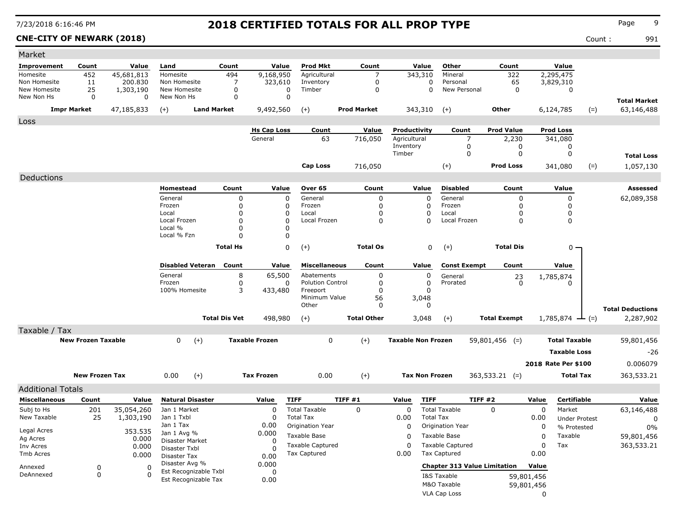## 7/23/2018 6:16:46 PM **2018 CERTIFIED TOTALS FOR ALL PROP TYPE** Page 9

### **CNE-CITY OF NEWARK (2018)** Count : 991

| Market                     |                           |                  |                                  |                      |                       |                           |                    |                           |                                     |                     |            |                               |                                   |
|----------------------------|---------------------------|------------------|----------------------------------|----------------------|-----------------------|---------------------------|--------------------|---------------------------|-------------------------------------|---------------------|------------|-------------------------------|-----------------------------------|
| Improvement                | Count                     | Value            | Land                             | Count                | Value                 | Prod Mkt                  | Count              | Value                     | Other                               | Count               |            | Value                         |                                   |
| Homesite                   | 452                       | 45,681,813       | Homesite                         | 494                  | 9,168,950             | Agricultural              |                    | 343,310                   | Mineral                             | 322                 |            | 2,295,475                     |                                   |
| Non Homesite               | 11                        | 200.830          | Non Homesite                     | 7                    | 323,610               | Inventory                 | 0                  |                           | 0<br>Personal                       | 65                  |            | 3,829,310                     |                                   |
| New Homesite<br>New Non Hs | 25<br>$\mathbf 0$         | 1,303,190<br>0   | New Homesite<br>New Non Hs       | 0<br>0               | 0<br>$\mathbf 0$      | Timber                    | 0                  |                           | 0<br>New Personal                   | 0                   |            | 0                             |                                   |
|                            | <b>Impr Market</b>        | 47,185,833       | <b>Land Market</b><br>$(+)$      |                      | 9,492,560             | $(+)$                     | <b>Prod Market</b> | 343,310                   | $(+)$                               | Other               |            | $(=)$<br>6,124,785            | <b>Total Market</b><br>63,146,488 |
| Loss                       |                           |                  |                                  |                      |                       |                           |                    |                           |                                     |                     |            |                               |                                   |
|                            |                           |                  |                                  |                      | <b>Hs Cap Loss</b>    | Count                     | Value              | Productivity              | Count                               | <b>Prod Value</b>   |            | <b>Prod Loss</b>              |                                   |
|                            |                           |                  |                                  |                      | General               | 63                        | 716,050            | Agricultural              | 7                                   | 2,230               |            | 341,080                       |                                   |
|                            |                           |                  |                                  |                      |                       |                           |                    | Inventory                 | 0                                   | 0                   |            | 0                             |                                   |
|                            |                           |                  |                                  |                      |                       |                           |                    | Timber                    | 0                                   | 0                   |            | 0                             | <b>Total Loss</b>                 |
|                            |                           |                  |                                  |                      |                       | <b>Cap Loss</b>           | 716,050            |                           | $(+)$                               | <b>Prod Loss</b>    |            | $(=)$<br>341,080              | 1,057,130                         |
| Deductions                 |                           |                  |                                  |                      |                       |                           |                    |                           |                                     |                     |            |                               |                                   |
|                            |                           |                  | Homestead                        | Count                | Value                 | Over 65                   | Count              | Value                     | <b>Disabled</b>                     | Count               |            | Value                         | Assessed                          |
|                            |                           |                  | General                          | 0                    | 0                     | General                   | 0                  | $\Omega$                  | General                             | 0                   |            | 0                             | 62,089,358                        |
|                            |                           |                  | Frozen                           | $\mathbf 0$          | 0                     | Frozen                    | 0                  | 0                         | Frozen                              | 0                   |            | 0                             |                                   |
|                            |                           |                  | Local<br>Local Frozen            | $\Omega$<br>$\Omega$ | 0<br>0                | Local<br>Local Frozen     | 0<br>0             | 0<br>$\Omega$             | Local<br>Local Frozen               | 0<br>$\mathbf 0$    |            | 0<br>0                        |                                   |
|                            |                           |                  | Local %                          | 0                    | 0                     |                           |                    |                           |                                     |                     |            |                               |                                   |
|                            |                           |                  | Local % Fzn                      | $\Omega$             | 0                     |                           |                    |                           |                                     |                     |            |                               |                                   |
|                            |                           |                  |                                  | <b>Total Hs</b>      | 0                     | $(+)$                     | <b>Total Os</b>    |                           | 0<br>$(+)$                          | <b>Total Dis</b>    |            | $0 -$                         |                                   |
|                            |                           |                  |                                  |                      |                       |                           |                    |                           |                                     |                     |            |                               |                                   |
|                            |                           |                  | <b>Disabled Veteran</b>          | Count                | Value                 | <b>Miscellaneous</b>      | Count              | Value                     | <b>Const Exempt</b>                 | Count               |            | Value                         |                                   |
|                            |                           |                  | General                          | 8                    | 65,500                | Abatements                | 0                  | 0                         | General                             | 23                  |            | 1,785,874                     |                                   |
|                            |                           |                  | Frozen<br>100% Homesite          | 0<br>3               | 0                     | <b>Polution Control</b>   | 0                  | 0<br>$\Omega$             | Prorated                            | 0                   |            | 0                             |                                   |
|                            |                           |                  |                                  |                      | 433,480               | Freeport<br>Minimum Value | 0<br>56            | 3,048                     |                                     |                     |            |                               |                                   |
|                            |                           |                  |                                  |                      |                       | Other                     | 0                  | $\mathbf{0}$              |                                     |                     |            |                               | <b>Total Deductions</b>           |
|                            |                           |                  |                                  | <b>Total Dis Vet</b> | 498,980               | $(+)$                     | <b>Total Other</b> | 3,048                     | $(+)$                               | <b>Total Exempt</b> |            | $1,785,874$ $\rightarrow$ (=) | 2,287,902                         |
| Taxable / Tax              |                           |                  |                                  |                      |                       |                           |                    |                           |                                     |                     |            |                               |                                   |
|                            | <b>New Frozen Taxable</b> |                  | $(+)$<br>$\mathbf{0}$            |                      | <b>Taxable Frozen</b> | 0                         | $(+)$              | <b>Taxable Non Frozen</b> |                                     | $59,801,456$ (=)    |            | <b>Total Taxable</b>          | 59,801,456                        |
|                            |                           |                  |                                  |                      |                       |                           |                    |                           |                                     |                     |            | <b>Taxable Loss</b>           |                                   |
|                            |                           |                  |                                  |                      |                       |                           |                    |                           |                                     |                     |            |                               | $-26$                             |
|                            |                           |                  |                                  |                      |                       |                           |                    |                           |                                     |                     |            | 2018 Rate Per \$100           | 0.006079                          |
|                            | <b>New Frozen Tax</b>     |                  | 0.00<br>$(+)$                    |                      | <b>Tax Frozen</b>     | 0.00                      | $(+)$              | <b>Tax Non Frozen</b>     |                                     | $363,533.21$ (=)    |            | <b>Total Tax</b>              | 363,533.21                        |
| <b>Additional Totals</b>   |                           |                  |                                  |                      |                       |                           |                    |                           |                                     |                     |            |                               |                                   |
| <b>Miscellaneous</b>       | Count                     | Value            | <b>Natural Disaster</b>          |                      | Value                 | <b>TIFF</b>               | TIFF #1            | <b>TIFF</b><br>Value      |                                     | TIFF#2              | Value      | Certifiable                   | Value                             |
| Subj to Hs                 | 201                       | 35,054,260       | Jan 1 Market                     |                      | 0                     | <b>Total Taxable</b>      | 0                  | 0                         | <b>Total Taxable</b>                | $\Omega$            | 0          | Market                        | 63,146,488                        |
| New Taxable                | 25                        | 1,303,190        | Jan 1 Txbl                       |                      | 0                     | <b>Total Tax</b>          |                    | 0.00                      | <b>Total Tax</b>                    |                     | 0.00       | <b>Under Protest</b>          | 0                                 |
|                            |                           |                  | Jan 1 Tax                        |                      | 0.00                  | <b>Origination Year</b>   |                    | 0                         | Origination Year                    |                     | 0          | % Protested                   | $0\%$                             |
| Legal Acres<br>Ag Acres    |                           | 353.535<br>0.000 | Jan 1 Avg %                      |                      | 0.000                 | Taxable Base              |                    | 0                         | Taxable Base                        |                     | 0          | Taxable                       | 59,801,456                        |
| Inv Acres                  |                           | 0.000            | Disaster Market<br>Disaster Txbl |                      | 0<br>$\Omega$         | <b>Taxable Captured</b>   |                    | 0                         | <b>Taxable Captured</b>             |                     | 0          | Tax                           | 363,533.21                        |
| Tmb Acres                  |                           | 0.000            | Disaster Tax                     |                      | 0.00                  | Tax Captured              |                    | 0.00                      | <b>Tax Captured</b>                 |                     | 0.00       |                               |                                   |
| Annexed                    | 0                         | 0                | Disaster Avg %                   |                      | 0.000                 |                           |                    |                           | <b>Chapter 313 Value Limitation</b> |                     | Value      |                               |                                   |
| DeAnnexed                  | 0                         | 0                | Est Recognizable Txbl            |                      | 0                     |                           |                    |                           | I&S Taxable                         |                     | 59,801,456 |                               |                                   |
|                            |                           |                  | Est Recognizable Tax             |                      | 0.00                  |                           |                    |                           | M&O Taxable                         |                     | 59,801,456 |                               |                                   |
|                            |                           |                  |                                  |                      |                       |                           |                    |                           | VLA Cap Loss                        |                     | 0          |                               |                                   |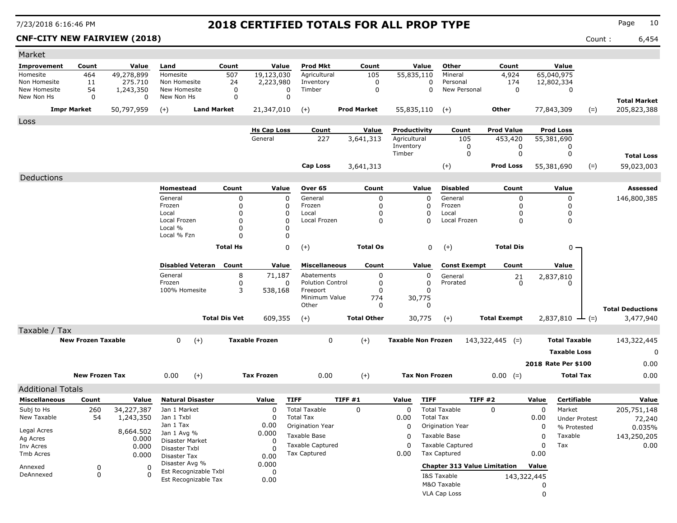## 7/23/2018 6:16:46 PM **2018 CERTIFIED TOTALS FOR ALL PROP TYPE** Page <sup>10</sup>

### **CNF-CITY NEW FAIRVIEW (2018)** Count : 6,454

| Market                       |                           |                |                                         |                      |                               |                              |                    |                           |                       |                                     |                     |             |                      |       |                         |
|------------------------------|---------------------------|----------------|-----------------------------------------|----------------------|-------------------------------|------------------------------|--------------------|---------------------------|-----------------------|-------------------------------------|---------------------|-------------|----------------------|-------|-------------------------|
| Improvement                  | Count                     | Value          | Land                                    | Count                | Value                         | <b>Prod Mkt</b>              | Count              |                           | Value                 | Other                               | Count               |             | Value                |       |                         |
| Homesite                     | 464                       | 49,278,899     | Homesite                                | 507                  | 19,123,030                    | Agricultural                 | 105                | 55,835,110                |                       | Mineral                             | 4,924               |             | 65,040,975           |       |                         |
| Non Homesite<br>New Homesite | 11<br>54                  | 275.710        | Non Homesite<br>New Homesite            | 24<br>$\mathbf 0$    | 2,223,980                     | Inventory<br>Timber          | 0<br>0             |                           | 0<br>$\mathbf 0$      | Personal<br>New Personal            | 174<br>$\mathbf 0$  |             | 12,802,334<br>0      |       |                         |
| New Non Hs                   | 0                         | 1,243,350<br>0 | New Non Hs                              | $\mathbf 0$          |                               | 0<br>0                       |                    |                           |                       |                                     |                     |             |                      |       |                         |
|                              |                           |                |                                         | <b>Land Market</b>   |                               |                              | <b>Prod Market</b> |                           |                       |                                     | <b>Other</b>        |             |                      |       | <b>Total Market</b>     |
|                              | <b>Impr Market</b>        | 50,797,959     | $(+)$                                   |                      | 21,347,010                    | $(+)$                        |                    | 55,835,110                |                       | $(+)$                               |                     |             | 77,843,309           | $(=)$ | 205,823,388             |
| Loss                         |                           |                |                                         |                      |                               |                              |                    |                           |                       |                                     |                     |             |                      |       |                         |
|                              |                           |                |                                         |                      | <b>Hs Cap Loss</b><br>General | Count                        | Value              | Productivity              |                       | Count                               | <b>Prod Value</b>   |             | <b>Prod Loss</b>     |       |                         |
|                              |                           |                |                                         |                      |                               | 227                          | 3,641,313          | Agricultural<br>Inventory |                       | 105<br>0                            | 453,420<br>0        |             | 55,381,690<br>0      |       |                         |
|                              |                           |                |                                         |                      |                               |                              |                    | Timber                    |                       | 0                                   | 0                   |             | 0                    |       | <b>Total Loss</b>       |
|                              |                           |                |                                         |                      |                               | <b>Cap Loss</b>              | 3,641,313          |                           |                       | $(+)$                               | <b>Prod Loss</b>    |             | 55,381,690           | $(=)$ | 59,023,003              |
| Deductions                   |                           |                |                                         |                      |                               |                              |                    |                           |                       |                                     |                     |             |                      |       |                         |
|                              |                           |                | Homestead                               | Count                | Value                         | Over 65                      | Count              |                           | Value                 | <b>Disabled</b>                     | Count               |             | Value                |       | Assessed                |
|                              |                           |                | General                                 |                      | 0                             | 0<br>General                 | $\mathbf 0$        |                           | $\mathbf 0$           | General                             | $\Omega$            |             | 0                    |       |                         |
|                              |                           |                | Frozen                                  |                      | 0                             | $\mathbf 0$<br>Frozen        | $\mathbf 0$        |                           | $\mathbf 0$           | Frozen                              | 0                   |             | 0                    |       | 146,800,385             |
|                              |                           |                | Local                                   |                      | 0                             | 0<br>Local                   | 0                  |                           | 0                     | Local                               | $\Omega$            |             | 0                    |       |                         |
|                              |                           |                | Local Frozen                            |                      | $\Omega$                      | $\Omega$<br>Local Frozen     | $\Omega$           |                           | $\Omega$              | Local Frozen                        | 0                   |             | 0                    |       |                         |
|                              |                           |                | Local %<br>Local % Fzn                  |                      | 0<br>0                        | $\Omega$<br>0                |                    |                           |                       |                                     |                     |             |                      |       |                         |
|                              |                           |                |                                         |                      |                               | $\mathbf 0$                  |                    |                           |                       |                                     | <b>Total Dis</b>    |             |                      |       |                         |
|                              |                           |                |                                         | <b>Total Hs</b>      |                               | $(+)$                        | <b>Total Os</b>    |                           | 0                     | $(+)$                               |                     |             | 0                    |       |                         |
|                              |                           |                | <b>Disabled Veteran</b>                 | Count                | Value                         | <b>Miscellaneous</b>         | Count              |                           | Value                 | <b>Const Exempt</b>                 | Count               |             | Value                |       |                         |
|                              |                           |                | General                                 |                      | 8<br>71,187                   | Abatements                   | $\mathbf 0$        |                           | $\boldsymbol{0}$      | General                             | 21                  |             | 2,837,810            |       |                         |
|                              |                           |                | Frozen                                  |                      | 0                             | <b>Polution Control</b><br>0 | 0                  |                           | $\mathbf 0$           | Prorated                            | 0                   |             | 0                    |       |                         |
|                              |                           |                | 100% Homesite                           |                      | 3<br>538,168                  | Freeport<br>Minimum Value    | $\mathbf 0$<br>774 |                           | $\Omega$<br>30,775    |                                     |                     |             |                      |       |                         |
|                              |                           |                |                                         |                      |                               | Other                        | $\Omega$           |                           | $\Omega$              |                                     |                     |             |                      |       | <b>Total Deductions</b> |
|                              |                           |                |                                         | <b>Total Dis Vet</b> | 609,355                       | $(+)$                        | <b>Total Other</b> |                           | 30,775                | $(+)$                               | <b>Total Exempt</b> |             | $2,837,810$ $-$      | $(=)$ | 3,477,940               |
| Taxable / Tax                |                           |                |                                         |                      |                               |                              |                    |                           |                       |                                     |                     |             |                      |       |                         |
|                              | <b>New Frozen Taxable</b> |                | $\Omega$                                | $(+)$                | <b>Taxable Frozen</b>         | $\mathbf 0$                  | $(+)$              | <b>Taxable Non Frozen</b> |                       |                                     | $143,322,445$ (=)   |             | <b>Total Taxable</b> |       | 143,322,445             |
|                              |                           |                |                                         |                      |                               |                              |                    |                           |                       |                                     |                     |             | <b>Taxable Loss</b>  |       | 0                       |
|                              |                           |                |                                         |                      |                               |                              |                    |                           |                       |                                     |                     |             |                      |       |                         |
|                              |                           |                |                                         |                      |                               |                              |                    |                           |                       |                                     |                     |             | 2018 Rate Per \$100  |       | 0.00                    |
|                              | <b>New Frozen Tax</b>     |                | 0.00                                    | $(+)$                | <b>Tax Frozen</b>             | 0.00                         | $(+)$              |                           | <b>Tax Non Frozen</b> |                                     | $0.00 (=)$          |             | <b>Total Tax</b>     |       | 0.00                    |
| <b>Additional Totals</b>     |                           |                |                                         |                      |                               |                              |                    |                           |                       |                                     |                     |             |                      |       |                         |
| <b>Miscellaneous</b>         | Count                     | Value          | <b>Natural Disaster</b>                 |                      | Value                         | <b>TIFF</b>                  | TIFF #1            | Value                     | <b>TIFF</b>           | <b>TIFF #2</b>                      |                     | Value       | Certifiable          |       | Value                   |
| Subj to Hs                   | 260                       | 34,227,387     | Jan 1 Market                            |                      | $\Omega$                      | <b>Total Taxable</b>         | $\mathbf 0$        | $\mathbf 0$               |                       | <b>Total Taxable</b>                | $\Omega$            | $\mathbf 0$ | Market               |       | 205,751,148             |
| New Taxable                  | 54                        | 1,243,350      | Jan 1 Txbl                              |                      | $\Omega$                      | <b>Total Tax</b>             |                    | 0.00                      | <b>Total Tax</b>      |                                     |                     | 0.00        | <b>Under Protest</b> |       | 72,240                  |
| Legal Acres                  |                           | 8,664.502      | Jan 1 Tax                               |                      | 0.00                          | Origination Year             |                    | 0                         |                       | Origination Year                    |                     | $\Omega$    | % Protested          |       | 0.035%                  |
| Ag Acres                     |                           | 0.000          | Jan 1 Avg %<br>Disaster Market          |                      | 0.000<br>n                    | Taxable Base                 |                    | $\Omega$                  |                       | Taxable Base                        |                     | $\mathbf 0$ | Taxable              |       | 143,250,205             |
| Inv Acres                    |                           | 0.000          | Disaster Txbl                           |                      | n                             | Taxable Captured             |                    | $\Omega$                  |                       | Taxable Captured                    |                     | $\mathbf 0$ | Tax                  |       | 0.00                    |
| Tmb Acres                    |                           | 0.000          | Disaster Tax                            |                      | 0.00                          | <b>Tax Captured</b>          |                    | 0.00                      |                       | <b>Tax Captured</b>                 |                     | 0.00        |                      |       |                         |
| Annexed                      | $\mathbf 0$               | $\Omega$       | Disaster Avg %<br>Est Recognizable Txbl |                      | 0.000<br>$\Omega$             |                              |                    |                           |                       | <b>Chapter 313 Value Limitation</b> |                     | Value       |                      |       |                         |
| DeAnnexed                    | $\mathbf 0$               | $\Omega$       | Est Recognizable Tax                    |                      | 0.00                          |                              |                    |                           | I&S Taxable           |                                     |                     | 143,322,445 |                      |       |                         |
|                              |                           |                |                                         |                      |                               |                              |                    |                           |                       | M&O Taxable                         |                     | 0           |                      |       |                         |
|                              |                           |                |                                         |                      |                               |                              |                    |                           |                       | <b>VLA Cap Loss</b>                 |                     | $\Omega$    |                      |       |                         |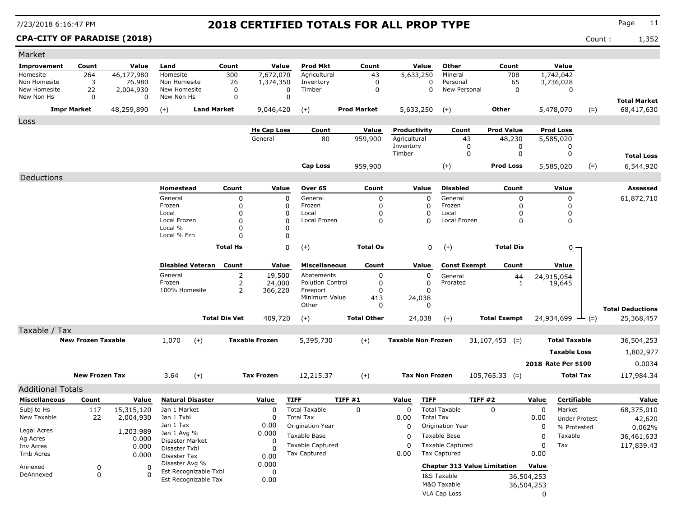## 7/23/2018 6:16:47 PM **2018 CERTIFIED TOTALS FOR ALL PROP TYPE** Page <sup>11</sup>

### **CPA-CITY OF PARADISE (2018)** Count : 1,352

| Market                     |                           |                |                                |                                  |                               |                                                |                    |                           |                                                |                                     |                  |                      |       |                         |
|----------------------------|---------------------------|----------------|--------------------------------|----------------------------------|-------------------------------|------------------------------------------------|--------------------|---------------------------|------------------------------------------------|-------------------------------------|------------------|----------------------|-------|-------------------------|
| Improvement                | Count                     | Value          | Land                           | Count                            | Value                         | <b>Prod Mkt</b>                                | Count              | Value                     | Other                                          | Count                               |                  | Value                |       |                         |
| Homesite                   | 264                       | 46,177,980     | Homesite                       | 300                              | 7,672,070                     | Agricultural                                   | 43                 | 5,633,250                 | Mineral                                        | 708                                 |                  | 1,742,042            |       |                         |
| Non Homesite               | 3                         | 76.980         | Non Homesite                   | 26                               | 1,374,350                     | Inventory                                      | $\mathbf 0$        |                           | Personal<br>0                                  | 65                                  |                  | 3,736,028            |       |                         |
| New Homesite<br>New Non Hs | 22<br>$\mathbf 0$         | 2,004,930<br>0 | New Homesite<br>New Non Hs     | $\mathbf 0$<br>0                 | 0<br>$\mathbf 0$              | Timber                                         | $\mathbf 0$        |                           | New Personal<br>0                              | $\mathbf 0$                         |                  | 0                    |       |                         |
|                            |                           |                |                                |                                  |                               |                                                |                    |                           |                                                |                                     |                  |                      |       | <b>Total Market</b>     |
|                            | <b>Impr Market</b>        | 48,259,890     | <b>Land Market</b><br>$(+)$    |                                  | 9,046,420                     | $(+)$                                          | <b>Prod Market</b> | 5,633,250                 | $(+)$                                          | <b>Other</b>                        |                  | 5,478,070            | $(=)$ | 68,417,630              |
| Loss                       |                           |                |                                |                                  |                               |                                                |                    |                           |                                                |                                     |                  |                      |       |                         |
|                            |                           |                |                                |                                  | <b>Hs Cap Loss</b><br>General | Count                                          | Value              | Productivity              | Count                                          | <b>Prod Value</b>                   |                  | <b>Prod Loss</b>     |       |                         |
|                            |                           |                |                                |                                  |                               | 80                                             | 959,900            | Agricultural<br>Inventory | 43<br>0                                        | 48,230<br>0                         |                  | 5,585,020<br>0       |       |                         |
|                            |                           |                |                                |                                  |                               |                                                |                    | Timber                    | $\Omega$                                       | $\mathbf 0$                         |                  | $\mathbf 0$          |       | <b>Total Loss</b>       |
|                            |                           |                |                                |                                  |                               | <b>Cap Loss</b>                                | 959,900            |                           | $(+)$                                          | <b>Prod Loss</b>                    |                  | 5,585,020            | $(=)$ | 6,544,920               |
| Deductions                 |                           |                |                                |                                  |                               |                                                |                    |                           |                                                |                                     |                  |                      |       |                         |
|                            |                           |                | Homestead                      | Count                            | Value                         | Over 65                                        | Count              | Value                     | <b>Disabled</b>                                | Count                               |                  | Value                |       | Assessed                |
|                            |                           |                | General                        | 0                                | $\mathbf 0$                   | General                                        | $\mathbf 0$        | $\Omega$                  | General                                        | $\Omega$                            |                  | $\Omega$             |       | 61,872,710              |
|                            |                           |                | Frozen                         | $\Omega$                         | 0                             | Frozen                                         | $\mathbf 0$        | $\mathbf 0$               | Frozen                                         | 0                                   |                  | 0                    |       |                         |
|                            |                           |                | Local                          | $\Omega$                         | 0                             | Local                                          | 0                  | 0                         | Local                                          | O                                   |                  | $\mathbf 0$          |       |                         |
|                            |                           |                | Local Frozen<br>Local %        | $\Omega$<br>$\Omega$             | 0<br>0                        | Local Frozen                                   | $\Omega$           | $\Omega$                  | Local Frozen                                   | 0                                   |                  | 0                    |       |                         |
|                            |                           |                | Local % Fzn                    | $\Omega$                         | $\mathbf 0$                   |                                                |                    |                           |                                                |                                     |                  |                      |       |                         |
|                            |                           |                |                                | <b>Total Hs</b>                  | 0                             | $(+)$                                          | <b>Total Os</b>    |                           | 0<br>$(+)$                                     | <b>Total Dis</b>                    |                  | $0 \cdot$            |       |                         |
|                            |                           |                |                                |                                  |                               |                                                |                    |                           |                                                |                                     |                  |                      |       |                         |
|                            |                           |                | <b>Disabled Veteran</b>        | Count                            | Value                         | <b>Miscellaneous</b>                           | Count              | Value                     | <b>Const Exempt</b>                            | Count                               |                  | Value                |       |                         |
|                            |                           |                | General                        | $\mathsf{2}\,$                   | 19,500                        | Abatements                                     | $\mathbf 0$        | $\mathbf 0$               | General                                        | 44                                  |                  | 24,915,054           |       |                         |
|                            |                           |                | Frozen<br>100% Homesite        | $\overline{2}$<br>$\overline{2}$ | 24,000                        | <b>Polution Control</b><br>Freeport            | 0<br>0             | $\mathbf 0$<br>$\Omega$   | Prorated                                       | 1                                   |                  | 19,645               |       |                         |
|                            |                           |                |                                |                                  | 366,220                       | Minimum Value                                  | 413                | 24,038                    |                                                |                                     |                  |                      |       |                         |
|                            |                           |                |                                |                                  |                               | Other                                          | 0                  | $\Omega$                  |                                                |                                     |                  |                      |       | <b>Total Deductions</b> |
|                            |                           |                |                                | <b>Total Dis Vet</b>             | 409,720                       | $(+)$                                          | <b>Total Other</b> | 24,038                    | $(+)$                                          | <b>Total Exempt</b>                 |                  | $24,934,699$ — (=)   |       | 25,368,457              |
| Taxable / Tax              |                           |                |                                |                                  |                               |                                                |                    |                           |                                                |                                     |                  |                      |       |                         |
|                            | <b>New Frozen Taxable</b> |                | $(+)$<br>1,070                 |                                  | <b>Taxable Frozen</b>         | 5,395,730                                      | $(+)$              | <b>Taxable Non Frozen</b> |                                                | $31,107,453$ (=)                    |                  | <b>Total Taxable</b> |       | 36,504,253              |
|                            |                           |                |                                |                                  |                               |                                                |                    |                           |                                                |                                     |                  | <b>Taxable Loss</b>  |       | 1,802,977               |
|                            |                           |                |                                |                                  |                               |                                                |                    |                           |                                                |                                     |                  | 2018 Rate Per \$100  |       | 0.0034                  |
|                            | <b>New Frozen Tax</b>     |                |                                |                                  | <b>Tax Frozen</b>             |                                                |                    | <b>Tax Non Frozen</b>     |                                                |                                     |                  | <b>Total Tax</b>     |       |                         |
|                            |                           |                | 3.64<br>$(+)$                  |                                  |                               | 12,215.37                                      | $(+)$              |                           |                                                | $105,765.33$ (=)                    |                  |                      |       | 117,984.34              |
| <b>Additional Totals</b>   |                           |                |                                |                                  |                               |                                                |                    |                           |                                                |                                     |                  |                      |       |                         |
| <b>Miscellaneous</b>       | Count                     | Value          | <b>Natural Disaster</b>        |                                  | Value                         | <b>TIFF</b>                                    | TIFF #1            | Value<br><b>TIFF</b>      |                                                | <b>TIFF #2</b>                      | Value            | Certifiable          |       | Value                   |
| Subj to Hs                 | 117                       | 15,315,120     | Jan 1 Market                   |                                  | 0                             | <b>Total Taxable</b>                           | 0                  | 0                         | <b>Total Taxable</b>                           | 0                                   | 0                | Market               |       | 68,375,010              |
| New Taxable                | 22                        | 2,004,930      | Jan 1 Txbl<br>Jan 1 Tax        |                                  | 0<br>0.00                     | <b>Total Tax</b>                               |                    | 0.00                      | <b>Total Tax</b>                               |                                     | 0.00             | <b>Under Protest</b> |       | 42,620                  |
| Legal Acres                |                           | 1,203.989      | Jan 1 Avg %                    |                                  | 0.000                         | Origination Year                               |                    | 0                         | Origination Year                               |                                     | 0                | % Protested          |       | 0.062%                  |
| Ag Acres                   |                           | 0.000          | <b>Disaster Market</b>         |                                  | $\Omega$                      | Taxable Base                                   |                    | $\Omega$                  | Taxable Base                                   |                                     | $\mathbf 0$      | Taxable              |       | 36,461,633              |
| Inv Acres<br>Tmb Acres     |                           | 0.000          | Disaster Txbl                  |                                  | 0                             | <b>Taxable Captured</b><br><b>Tax Captured</b> |                    | $\Omega$<br>0.00          | <b>Taxable Captured</b><br><b>Tax Captured</b> |                                     | $\Omega$<br>0.00 | Tax                  |       | 117,839.43              |
|                            |                           | 0.000          | Disaster Tax<br>Disaster Avg % |                                  | 0.00<br>0.000                 |                                                |                    |                           |                                                |                                     |                  |                      |       |                         |
| Annexed                    | 0                         | $\Omega$       | Est Recognizable Txbl          |                                  | $\mathbf 0$                   |                                                |                    |                           |                                                | <b>Chapter 313 Value Limitation</b> | Value            |                      |       |                         |
| DeAnnexed                  | $\mathbf 0$               | $\Omega$       | Est Recognizable Tax           |                                  | 0.00                          |                                                |                    |                           | I&S Taxable                                    |                                     | 36,504,253       |                      |       |                         |
|                            |                           |                |                                |                                  |                               |                                                |                    |                           | M&O Taxable                                    |                                     | 36,504,253       |                      |       |                         |
|                            |                           |                |                                |                                  |                               |                                                |                    |                           | VLA Cap Loss                                   |                                     | $\Omega$         |                      |       |                         |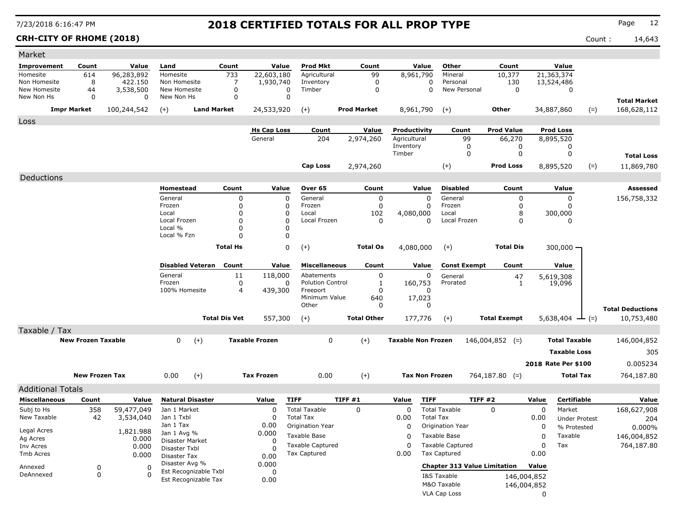## 7/23/2018 6:16:47 PM **2018 CERTIFIED TOTALS FOR ALL PROP TYPE** Page <sup>12</sup>

### **CRH-CITY OF RHOME (2018)** Count : 14,643

| Market                   |                           |                    |                                         |                            |                       |                                     |                    |                           |                       |                                     |                     |              |                      |                         |
|--------------------------|---------------------------|--------------------|-----------------------------------------|----------------------------|-----------------------|-------------------------------------|--------------------|---------------------------|-----------------------|-------------------------------------|---------------------|--------------|----------------------|-------------------------|
| <b>Improvement</b>       | Count                     | Value              | Land                                    | Count                      | Value                 | <b>Prod Mkt</b>                     | Count              |                           | Value                 | Other                               | Count               |              | Value                |                         |
| Homesite                 | 614                       | 96,283,892         | Homesite                                | 733                        | 22,603,180            | Agricultural                        | 99                 |                           | 8,961,790             | Mineral                             | 10,377              |              | 21,363,374           |                         |
| Non Homesite             | 8                         | 422,150            | Non Homesite                            | 7                          | 1,930,740             | Inventory                           | $\mathbf 0$        |                           | 0                     | Personal                            | 130                 |              | 13,524,486           |                         |
| New Homesite             | 44                        | 3,538,500          | New Homesite                            | 0<br>$\mathbf 0$           | 0<br>0                | Timber                              | $\Omega$           |                           | 0                     | New Personal                        | $\mathbf 0$         |              | $\mathbf 0$          |                         |
| New Non Hs               | 0                         | 0                  | New Non Hs                              |                            |                       |                                     |                    |                           |                       |                                     |                     |              |                      | <b>Total Market</b>     |
|                          | <b>Impr Market</b>        | 100,244,542        | $(+)$                                   | <b>Land Market</b>         | 24,533,920            | $(+)$                               | <b>Prod Market</b> |                           | 8,961,790             | $(+)$                               | <b>Other</b>        |              | 34,887,860<br>$(=)$  | 168,628,112             |
| Loss                     |                           |                    |                                         |                            |                       |                                     |                    |                           |                       |                                     |                     |              |                      |                         |
|                          |                           |                    |                                         |                            | <b>Hs Cap Loss</b>    | Count                               | Value              | Productivity              |                       | Count                               | <b>Prod Value</b>   |              | <b>Prod Loss</b>     |                         |
|                          |                           |                    |                                         |                            | General               | 204                                 | 2,974,260          | Agricultural              |                       | 99                                  | 66,270              |              | 8,895,520            |                         |
|                          |                           |                    |                                         |                            |                       |                                     |                    | Inventory<br>Timber       |                       | $\mathbf 0$<br>$\mathbf 0$          | 0<br>$\mathbf 0$    |              | 0<br>$\mathbf 0$     |                         |
|                          |                           |                    |                                         |                            |                       |                                     |                    |                           |                       |                                     |                     |              |                      | <b>Total Loss</b>       |
|                          |                           |                    |                                         |                            |                       | <b>Cap Loss</b>                     | 2,974,260          |                           |                       | $(+)$                               | <b>Prod Loss</b>    |              | 8,895,520<br>$(=)$   | 11,869,780              |
| Deductions               |                           |                    |                                         |                            |                       |                                     |                    |                           |                       |                                     |                     |              |                      |                         |
|                          |                           |                    | Homestead                               | Count                      | Value                 | Over 65                             | Count              |                           | Value                 | <b>Disabled</b>                     | Count               |              | Value                | <b>Assessed</b>         |
|                          |                           |                    | General                                 | $\mathbf 0$                | $\mathbf 0$           | General                             | $\mathbf 0$        |                           | $\mathbf 0$           | General                             | $\mathbf 0$         |              | 0                    | 156,758,332             |
|                          |                           |                    | Frozen<br>Local                         | $\mathbf 0$<br>$\mathbf 0$ | 0<br>$\mathbf 0$      | Frozen<br>Local                     | $\mathbf 0$<br>102 |                           | $\mathbf 0$           | Frozen<br>Local                     | $\mathbf 0$<br>8    |              | 0                    |                         |
|                          |                           |                    | Local Frozen                            | $\mathbf 0$                | $\mathbf 0$           | Local Frozen                        | $\mathbf 0$        | 4,080,000                 | $\mathbf 0$           | Local Frozen                        | $\Omega$            |              | 300,000<br>$\Omega$  |                         |
|                          |                           |                    | Local %                                 | 0                          | 0                     |                                     |                    |                           |                       |                                     |                     |              |                      |                         |
|                          |                           |                    | Local % Fzn                             | $\Omega$                   | $\mathbf 0$           |                                     |                    |                           |                       |                                     |                     |              |                      |                         |
|                          |                           |                    |                                         | <b>Total Hs</b>            | $\mathbf 0$           | $(+)$                               | <b>Total Os</b>    | 4,080,000                 |                       | $(+)$                               | <b>Total Dis</b>    |              | 300,000              |                         |
|                          |                           |                    |                                         |                            |                       |                                     |                    |                           |                       |                                     |                     |              |                      |                         |
|                          |                           |                    | <b>Disabled Veteran</b>                 | Count                      | Value                 | <b>Miscellaneous</b>                | Count              |                           | Value                 | <b>Const Exempt</b>                 | Count               |              | Value                |                         |
|                          |                           |                    | General                                 | 11                         | 118,000               | Abatements                          | 0                  |                           | 0                     | General                             | 47                  |              | 5,619,308            |                         |
|                          |                           |                    | Frozen<br>100% Homesite                 | 0<br>$\overline{4}$        | 0<br>439,300          | <b>Polution Control</b><br>Freeport | 1<br>$\mathbf 0$   |                           | 160,753               | Prorated                            | $\mathbf{1}$        |              | 19,096               |                         |
|                          |                           |                    |                                         |                            |                       | Minimum Value                       | 640                |                           | 17,023                |                                     |                     |              |                      |                         |
|                          |                           |                    |                                         |                            |                       | Other                               | $\Omega$           |                           | $\Omega$              |                                     |                     |              |                      | <b>Total Deductions</b> |
|                          |                           |                    |                                         | <b>Total Dis Vet</b>       | 557,300               | $(+)$                               | <b>Total Other</b> |                           | 177,776               | $(+)$                               | <b>Total Exempt</b> |              | $5,638,404$ — (=)    | 10,753,480              |
| Taxable / Tax            |                           |                    |                                         |                            |                       |                                     |                    |                           |                       |                                     |                     |              |                      |                         |
|                          | <b>New Frozen Taxable</b> |                    | $\Omega$<br>$(+)$                       |                            | <b>Taxable Frozen</b> | $\mathbf 0$                         | $(+)$              | <b>Taxable Non Frozen</b> |                       |                                     | $146,004,852$ (=)   |              | <b>Total Taxable</b> | 146,004,852             |
|                          |                           |                    |                                         |                            |                       |                                     |                    |                           |                       |                                     |                     |              |                      |                         |
|                          |                           |                    |                                         |                            |                       |                                     |                    |                           |                       |                                     |                     |              | <b>Taxable Loss</b>  | 305                     |
|                          |                           |                    |                                         |                            |                       |                                     |                    |                           |                       |                                     |                     |              | 2018 Rate Per \$100  | 0.005234                |
|                          | <b>New Frozen Tax</b>     |                    | 0.00<br>$(+)$                           |                            | <b>Tax Frozen</b>     | 0.00                                | $(+)$              |                           | <b>Tax Non Frozen</b> |                                     | $764,187.80$ (=)    |              | <b>Total Tax</b>     | 764,187.80              |
| <b>Additional Totals</b> |                           |                    |                                         |                            |                       |                                     |                    |                           |                       |                                     |                     |              |                      |                         |
| <b>Miscellaneous</b>     | Count                     | Value              | <b>Natural Disaster</b>                 |                            | Value                 | <b>TIFF</b>                         | TIFF #1            | Value                     | <b>TIFF</b>           | <b>TIFF #2</b>                      |                     | Value        | Certifiable          | Value                   |
| Subj to Hs               | 358                       | 59,477,049         | Jan 1 Market                            |                            | $\mathbf 0$           | <b>Total Taxable</b>                | $\mathbf 0$        | $\mathbf 0$               |                       | <b>Total Taxable</b>                | 0                   | $\mathsf 0$  | Market               | 168,627,908             |
| New Taxable              | 42                        | 3,534,040          | Jan 1 Txbl                              |                            | $\Omega$              | <b>Total Tax</b>                    |                    | 0.00                      | <b>Total Tax</b>      |                                     |                     | 0.00         | <b>Under Protest</b> | 204                     |
|                          |                           |                    | Jan 1 Tax                               |                            | 0.00                  | Origination Year                    |                    | 0                         |                       | Origination Year                    |                     | 0            | % Protested          | 0.000%                  |
| Legal Acres<br>Ag Acres  |                           | 1,821.988<br>0.000 | Jan 1 Avg %                             |                            | 0.000                 | <b>Taxable Base</b>                 |                    | $\Omega$                  |                       | Taxable Base                        |                     | $\Omega$     | Taxable              | 146,004,852             |
| Inv Acres                |                           | 0.000              | <b>Disaster Market</b><br>Disaster Txbl |                            | $\Omega$<br>$\cap$    | <b>Taxable Captured</b>             |                    | $\Omega$                  |                       | <b>Taxable Captured</b>             |                     | $\Omega$     | Tax                  | 764,187.80              |
| <b>Tmb Acres</b>         |                           | 0.000              | Disaster Tax                            |                            | 0.00                  | <b>Tax Captured</b>                 |                    | 0.00                      |                       | <b>Tax Captured</b>                 |                     | 0.00         |                      |                         |
| Annexed                  | $\mathbf 0$               | $\Omega$           | Disaster Avg %                          |                            | 0.000                 |                                     |                    |                           |                       | <b>Chapter 313 Value Limitation</b> |                     | Value        |                      |                         |
| DeAnnexed                | $\mathbf 0$               | $\Omega$           | Est Recognizable Txbl                   |                            | $\Omega$              |                                     |                    |                           |                       | I&S Taxable                         |                     | 146,004,852  |                      |                         |
|                          |                           |                    | Est Recognizable Tax                    |                            | 0.00                  |                                     |                    |                           |                       | M&O Taxable                         |                     | 146,004,852  |                      |                         |
|                          |                           |                    |                                         |                            |                       |                                     |                    |                           |                       | <b>VLA Cap Loss</b>                 |                     | $\mathbf{0}$ |                      |                         |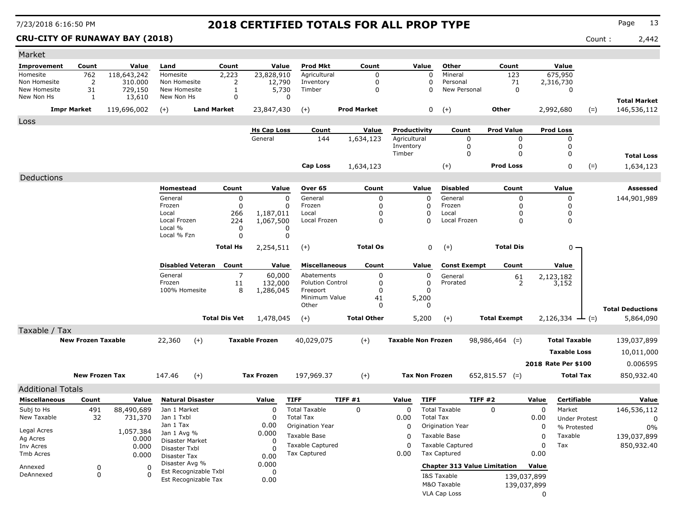## 7/23/2018 6:16:50 PM **2018 CERTIFIED TOTALS FOR ALL PROP TYPE** Page <sup>13</sup>

**CRU-CITY OF RUNAWAY BAY (2018)** Count : 2,442

| Market                     |                           |                   |                               |                         |                      |                               |                           |                    |                    |                           |                  |                                     |                     |             |                              |       |                                      |
|----------------------------|---------------------------|-------------------|-------------------------------|-------------------------|----------------------|-------------------------------|---------------------------|--------------------|--------------------|---------------------------|------------------|-------------------------------------|---------------------|-------------|------------------------------|-------|--------------------------------------|
| Improvement                | Count                     | Value             | Land                          |                         | Count                | Value                         | <b>Prod Mkt</b>           |                    | Count              |                           | Value            | Other                               | Count               |             | Value                        |       |                                      |
| Homesite                   | 762                       | 118,643,242       | Homesite                      |                         | 2,223                | 23,828,910                    | Agricultural              |                    | $\pmb{0}$          |                           | 0                | Mineral                             | 123                 |             | 675,950                      |       |                                      |
| Non Homesite               | 2                         | 310.000           | Non Homesite                  |                         | 2                    | 12,790                        | Inventory                 |                    | $\mathbf 0$        |                           | 0                | Personal                            | 71                  |             | 2,316,730                    |       |                                      |
| New Homesite<br>New Non Hs | 31<br>1                   | 729,150<br>13,610 | New Homesite<br>New Non Hs    |                         | $\mathbf{1}$<br>0    | 5,730                         | Timber<br>$\Omega$        |                    | $\Omega$           |                           | $\Omega$         | New Personal                        | $\mathbf 0$         |             | $\mathbf 0$                  |       |                                      |
|                            |                           |                   |                               |                         |                      |                               |                           |                    |                    |                           |                  |                                     |                     |             |                              |       | <b>Total Market</b>                  |
|                            | <b>Impr Market</b>        | 119,696,002       | $(+)$                         | <b>Land Market</b>      |                      | 23,847,430                    | $(+)$                     | <b>Prod Market</b> |                    |                           | $\mathbf 0$      | $(+)$                               | Other               |             | 2,992,680                    | $(=)$ | 146,536,112                          |
| Loss                       |                           |                   |                               |                         |                      |                               |                           |                    |                    |                           |                  |                                     |                     |             |                              |       |                                      |
|                            |                           |                   |                               |                         |                      | <b>Hs Cap Loss</b><br>General | Count                     |                    | Value              | Productivity              |                  | Count                               | <b>Prod Value</b>   |             | <b>Prod Loss</b><br>$\Omega$ |       |                                      |
|                            |                           |                   |                               |                         |                      |                               | 144                       |                    | 1,634,123          | Agricultural<br>Inventory |                  | $\mathbf 0$<br>0                    |                     | 0<br>0      | 0                            |       |                                      |
|                            |                           |                   |                               |                         |                      |                               |                           |                    |                    | Timber                    |                  | $\mathbf 0$                         |                     | $\mathbf 0$ | 0                            |       | <b>Total Loss</b>                    |
|                            |                           |                   |                               |                         |                      |                               | <b>Cap Loss</b>           |                    | 1,634,123          |                           |                  | $(+)$                               | <b>Prod Loss</b>    |             | $\mathbf{0}$                 | $(=)$ | 1,634,123                            |
| Deductions                 |                           |                   |                               |                         |                      |                               |                           |                    |                    |                           |                  |                                     |                     |             |                              |       |                                      |
|                            |                           |                   | <b>Homestead</b>              |                         | Count                | Value                         | Over 65                   |                    | Count              |                           | Value            | <b>Disabled</b>                     | Count               |             | Value                        |       | Assessed                             |
|                            |                           |                   | General                       |                         | $\mathbf 0$          |                               | $\mathbf 0$<br>General    |                    | 0                  |                           | $\mathbf{0}$     | General                             |                     | $\mathbf 0$ | 0                            |       | 144,901,989                          |
|                            |                           |                   | Frozen                        |                         | $\mathbf 0$          |                               | 0<br>Frozen               |                    | $\mathbf 0$        |                           | 0                | Frozen                              |                     | $\mathbf 0$ | 0                            |       |                                      |
|                            |                           |                   | Local                         |                         | 266                  | 1,187,011                     | Local                     |                    | 0                  |                           | 0                | Local                               |                     | 0           | $\mathbf 0$                  |       |                                      |
|                            |                           |                   | Local Frozen                  |                         | 224                  | 1,067,500                     | Local Frozen              |                    | 0                  |                           | $\Omega$         | Local Frozen                        |                     | $\mathbf 0$ | $\Omega$                     |       |                                      |
|                            |                           |                   | Local %<br>Local % Fzn        |                         | 0<br>0               |                               | 0<br>0                    |                    |                    |                           |                  |                                     |                     |             |                              |       |                                      |
|                            |                           |                   |                               |                         |                      |                               |                           |                    | <b>Total Os</b>    |                           |                  |                                     | <b>Total Dis</b>    |             |                              |       |                                      |
|                            |                           |                   |                               |                         | <b>Total Hs</b>      | 2,254,511                     | $(+)$                     |                    |                    |                           | 0                | $(+)$                               |                     |             | $0 \cdot$                    |       |                                      |
|                            |                           |                   |                               | <b>Disabled Veteran</b> | Count                | Value                         | <b>Miscellaneous</b>      |                    | Count              |                           | Value            | <b>Const Exempt</b>                 | Count               |             | Value                        |       |                                      |
|                            |                           |                   | General                       |                         | $\overline{7}$       | 60,000                        | Abatements                |                    | 0                  |                           | 0                | General                             | 61                  |             | 2,123,182                    |       |                                      |
|                            |                           |                   | Frozen                        |                         | 11                   | 132,000                       | <b>Polution Control</b>   |                    | 0                  |                           | $\mathbf 0$      | Prorated                            |                     | 2           | 3,152                        |       |                                      |
|                            |                           |                   | 100% Homesite                 |                         | 8                    | 1,286,045                     | Freeport<br>Minimum Value |                    | 0<br>41            | 5,200                     | O                |                                     |                     |             |                              |       |                                      |
|                            |                           |                   |                               |                         |                      |                               | Other                     |                    | 0                  |                           | $\Omega$         |                                     |                     |             |                              |       |                                      |
|                            |                           |                   |                               |                         | <b>Total Dis Vet</b> | 1,478,045                     |                           |                    | <b>Total Other</b> |                           | 5,200            |                                     | <b>Total Exempt</b> |             | $2,126,334$ — (=)            |       | <b>Total Deductions</b><br>5,864,090 |
|                            |                           |                   |                               |                         |                      |                               | $(+)$                     |                    |                    |                           |                  | $(+)$                               |                     |             |                              |       |                                      |
| Taxable / Tax              |                           |                   |                               |                         |                      |                               |                           |                    |                    |                           |                  |                                     |                     |             |                              |       |                                      |
|                            | <b>New Frozen Taxable</b> |                   | 22,360                        | $(+)$                   |                      | <b>Taxable Frozen</b>         | 40,029,075                |                    | $(+)$              | <b>Taxable Non Frozen</b> |                  |                                     | $98,986,464$ (=)    |             | <b>Total Taxable</b>         |       | 139,037,899                          |
|                            |                           |                   |                               |                         |                      |                               |                           |                    |                    |                           |                  |                                     |                     |             | <b>Taxable Loss</b>          |       | 10,011,000                           |
|                            |                           |                   |                               |                         |                      |                               |                           |                    |                    |                           |                  |                                     |                     |             | 2018 Rate Per \$100          |       | 0.006595                             |
|                            | <b>New Frozen Tax</b>     |                   | 147.46                        | $(+)$                   |                      | <b>Tax Frozen</b>             | 197,969.37                |                    | $(+)$              | <b>Tax Non Frozen</b>     |                  |                                     | $652,815.57$ (=)    |             | <b>Total Tax</b>             |       | 850,932.40                           |
| <b>Additional Totals</b>   |                           |                   |                               |                         |                      |                               |                           |                    |                    |                           |                  |                                     |                     |             |                              |       |                                      |
| <b>Miscellaneous</b>       | Count                     | Value             |                               | <b>Natural Disaster</b> |                      | Value                         | <b>TIFF</b>               | TIFF#1             |                    | Value                     | <b>TIFF</b>      |                                     | <b>TIFF #2</b>      | Value       | <b>Certifiable</b>           |       | Value                                |
| Subj to Hs                 | 491                       | 88,490,689        | Jan 1 Market                  |                         |                      | 0                             | <b>Total Taxable</b>      | $\mathbf 0$        |                    | $\mathbf 0$               |                  | <b>Total Taxable</b>                | $\Omega$            | $\mathbf 0$ | Market                       |       | 146,536,112                          |
| New Taxable                | 32                        | 731,370           | Jan 1 Txbl                    |                         |                      | 0                             | <b>Total Tax</b>          |                    |                    | 0.00                      | <b>Total Tax</b> |                                     |                     | 0.00        | <b>Under Protest</b>         |       | 0                                    |
|                            |                           |                   | Jan 1 Tax                     |                         |                      | 0.00                          | Origination Year          |                    |                    | 0                         |                  | Origination Year                    |                     | 0           | % Protested                  |       | 0%                                   |
| Legal Acres<br>Ag Acres    |                           | 1,057.384         | Jan 1 Avg %                   |                         |                      | 0.000                         | <b>Taxable Base</b>       |                    |                    | $\Omega$                  |                  | <b>Taxable Base</b>                 |                     | 0           | Taxable                      |       | 139,037,899                          |
| Inv Acres                  |                           | 0.000<br>0.000    | Disaster Market               |                         |                      | $\Omega$                      | <b>Taxable Captured</b>   |                    |                    | 0                         |                  | <b>Taxable Captured</b>             |                     | 0           | Tax                          |       | 850,932.40                           |
| Tmb Acres                  |                           | 0.000             | Disaster Txbl<br>Disaster Tax |                         |                      | $\Omega$<br>0.00              | Tax Captured              |                    |                    | 0.00                      |                  | <b>Tax Captured</b>                 |                     | 0.00        |                              |       |                                      |
| Annexed                    | 0                         | $\Omega$          | Disaster Avg %                |                         |                      | 0.000                         |                           |                    |                    |                           |                  | <b>Chapter 313 Value Limitation</b> |                     | Value       |                              |       |                                      |
| DeAnnexed                  | 0                         | $\Omega$          |                               | Est Recognizable Txbl   |                      | 0                             |                           |                    |                    |                           |                  | I&S Taxable                         |                     | 139,037,899 |                              |       |                                      |
|                            |                           |                   |                               | Est Recognizable Tax    |                      | 0.00                          |                           |                    |                    |                           |                  | M&O Taxable                         |                     | 139,037,899 |                              |       |                                      |
|                            |                           |                   |                               |                         |                      |                               |                           |                    |                    |                           |                  | <b>VLA Cap Loss</b>                 |                     | $\Omega$    |                              |       |                                      |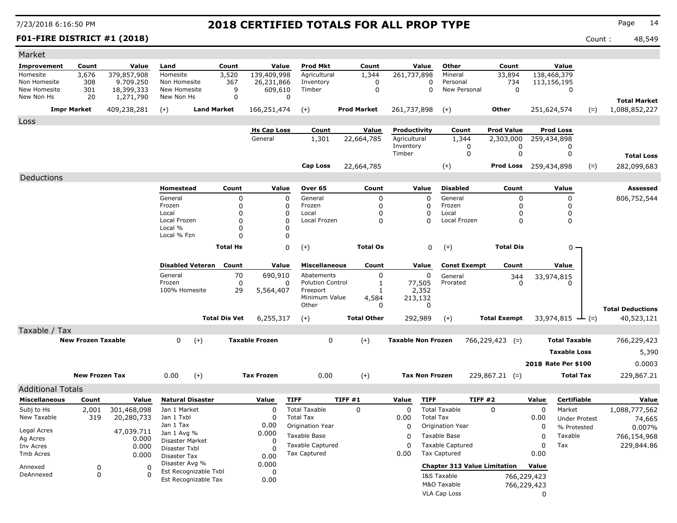## 7/23/2018 6:16:50 PM **2018 CERTIFIED TOTALS FOR ALL PROP TYPE** Page <sup>14</sup>

### **F01-FIRE DISTRICT #1 (2018)** Count : 48,549

| Market                       |                           |                         |                              |                         |                      |                            |                           |                      |                           |                  |                                     |                              |             |                              |       |                                       |
|------------------------------|---------------------------|-------------------------|------------------------------|-------------------------|----------------------|----------------------------|---------------------------|----------------------|---------------------------|------------------|-------------------------------------|------------------------------|-------------|------------------------------|-------|---------------------------------------|
| Improvement                  | Count                     | Value                   | Land                         |                         | Count                | Value                      | <b>Prod Mkt</b>           | Count                |                           | Value            | Other                               | Count                        |             | Value                        |       |                                       |
| Homesite                     | 3,676                     | 379,857,908             | Homesite                     |                         | 3,520                | 139,409,998                | Agricultural              | 1,344                | 261,737,898               |                  | Mineral                             | 33,894                       |             | 138,468,379                  |       |                                       |
| Non Homesite<br>New Homesite | 308<br>301                | 9.709.250<br>18,399,333 | Non Homesite<br>New Homesite |                         | 367<br>9             | 26,231,866<br>609,610      | Inventory<br>Timber       | 0<br>$\mathbf 0$     |                           | 0<br>$\mathbf 0$ | Personal<br>New Personal            | 734<br>$\mathbf 0$           |             | 113,156,195<br>$\mathbf 0$   |       |                                       |
| New Non Hs                   | 20                        | 1,271,790               | New Non Hs                   |                         | $\mathbf 0$          | 0                          |                           |                      |                           |                  |                                     |                              |             |                              |       |                                       |
|                              | <b>Impr Market</b>        | 409,238,281             | $(+)$                        | <b>Land Market</b>      |                      | 166,251,474                | $(+)$                     | <b>Prod Market</b>   | 261,737,898               |                  | $(+)$                               | <b>Other</b>                 |             | 251,624,574                  | $(=)$ | <b>Total Market</b><br>1,088,852,227  |
|                              |                           |                         |                              |                         |                      |                            |                           |                      |                           |                  |                                     |                              |             |                              |       |                                       |
| Loss                         |                           |                         |                              |                         |                      | <b>Hs Cap Loss</b>         | Count                     | Value                | Productivity              |                  | Count                               | <b>Prod Value</b>            |             | <b>Prod Loss</b>             |       |                                       |
|                              |                           |                         |                              |                         |                      | General                    | 1,301                     | 22,664,785           | Agricultural              |                  | 1,344                               | 2,303,000                    |             | 259,434,898                  |       |                                       |
|                              |                           |                         |                              |                         |                      |                            |                           |                      | Inventory                 |                  | 0                                   | 0                            |             | 0                            |       |                                       |
|                              |                           |                         |                              |                         |                      |                            |                           |                      | Timber                    |                  | 0                                   | 0                            |             | 0                            |       | <b>Total Loss</b>                     |
|                              |                           |                         |                              |                         |                      |                            | <b>Cap Loss</b>           | 22,664,785           |                           |                  | $(+)$                               | <b>Prod Loss</b> 259,434,898 |             |                              | $(=)$ | 282,099,683                           |
| Deductions                   |                           |                         |                              |                         |                      |                            |                           |                      |                           |                  |                                     |                              |             |                              |       |                                       |
|                              |                           |                         | Homestead                    |                         | Count                | Value                      | Over 65                   | Count                |                           | Value            | <b>Disabled</b>                     | Count                        |             | Value                        |       | <b>Assessed</b>                       |
|                              |                           |                         | General                      |                         | 0                    | $\mathbf 0$                | General                   | $\mathbf 0$          |                           | $\Omega$         | General                             | $\mathbf 0$                  |             | 0                            |       | 806,752,544                           |
|                              |                           |                         | Frozen<br>Local              |                         | $\Omega$             | $\mathbf 0$                | Frozen<br>Local           | $\Omega$             |                           | $\Omega$         | Frozen                              | $\mathbf{0}$                 |             | $\Omega$                     |       |                                       |
|                              |                           |                         | Local Frozen                 |                         | $\Omega$<br>$\Omega$ | $\mathbf 0$<br>$\mathbf 0$ | Local Frozen              | $\Omega$<br>$\Omega$ |                           | $\Omega$<br>0    | Local<br>Local Frozen               | $\mathbf{0}$<br>$\mathbf{0}$ |             | 0<br>0                       |       |                                       |
|                              |                           |                         | Local %                      |                         | 0                    | $\Omega$                   |                           |                      |                           |                  |                                     |                              |             |                              |       |                                       |
|                              |                           |                         | Local % Fzn                  |                         | $\Omega$             | $\mathbf 0$                |                           |                      |                           |                  |                                     |                              |             |                              |       |                                       |
|                              |                           |                         |                              |                         | <b>Total Hs</b>      | $\Omega$                   | $^{(+)}$                  | <b>Total Os</b>      |                           | 0                | $(+)$                               | <b>Total Dis</b>             |             | $0 \cdot$                    |       |                                       |
|                              |                           |                         |                              | <b>Disabled Veteran</b> | Count                | Value                      | <b>Miscellaneous</b>      | Count                |                           | Value            | <b>Const Exempt</b>                 | Count                        |             | Value                        |       |                                       |
|                              |                           |                         | General                      |                         | 70                   | 690,910                    | Abatements                | $\mathbf 0$          |                           | $\mathbf 0$      | General                             | 344                          |             | 33,974,815                   |       |                                       |
|                              |                           |                         | Frozen                       |                         | $\mathbf 0$          | 0                          | <b>Polution Control</b>   | 1                    | 77,505                    |                  | Prorated                            | $\Omega$                     |             | <sup>0</sup>                 |       |                                       |
|                              |                           |                         | 100% Homesite                |                         | 29                   | 5,564,407                  | Freeport<br>Minimum Value | 1<br>4,584           | 213,132                   | 2,352            |                                     |                              |             |                              |       |                                       |
|                              |                           |                         |                              |                         |                      |                            | Other                     | $\mathbf 0$          |                           | $\mathbf 0$      |                                     |                              |             |                              |       |                                       |
|                              |                           |                         |                              |                         | <b>Total Dis Vet</b> | 6,255,317                  | $(+)$                     | <b>Total Other</b>   | 292,989                   |                  | $(+)$                               | <b>Total Exempt</b>          |             | 33,974,815 $\rightarrow$ (=) |       | <b>Total Deductions</b><br>40,523,121 |
| Taxable / Tax                |                           |                         |                              |                         |                      |                            |                           |                      |                           |                  |                                     |                              |             |                              |       |                                       |
|                              | <b>New Frozen Taxable</b> |                         | $\Omega$                     | $(+)$                   |                      | <b>Taxable Frozen</b>      | $\mathbf 0$               | $(+)$                | <b>Taxable Non Frozen</b> |                  |                                     | $766,229,423$ (=)            |             | <b>Total Taxable</b>         |       | 766,229,423                           |
|                              |                           |                         |                              |                         |                      |                            |                           |                      |                           |                  |                                     |                              |             | <b>Taxable Loss</b>          |       | 5,390                                 |
|                              |                           |                         |                              |                         |                      |                            |                           |                      |                           |                  |                                     |                              |             |                              |       |                                       |
|                              |                           |                         |                              |                         |                      |                            |                           |                      |                           |                  |                                     |                              |             | 2018 Rate Per \$100          |       | 0.0003                                |
|                              | <b>New Frozen Tax</b>     |                         | 0.00                         | $(+)$                   |                      | <b>Tax Frozen</b>          | 0.00                      | $(+)$                | <b>Tax Non Frozen</b>     |                  |                                     | $229,867.21$ (=)             |             | <b>Total Tax</b>             |       | 229,867.21                            |
| <b>Additional Totals</b>     |                           |                         |                              |                         |                      |                            |                           |                      |                           |                  |                                     |                              |             |                              |       |                                       |
| <b>Miscellaneous</b>         | Count                     | Value                   |                              | <b>Natural Disaster</b> |                      | Value                      | <b>TIFF</b>               | TIFF #1              | Value                     | <b>TIFF</b>      | <b>TIFF #2</b>                      |                              | Value       | <b>Certifiable</b>           |       | Value                                 |
| Subj to Hs                   | 2,001                     | 301,468,098             | Jan 1 Market                 |                         |                      | 0                          | <b>Total Taxable</b>      | $\Omega$             | $\Omega$                  |                  | <b>Total Taxable</b>                | $\Omega$                     | $\Omega$    | Market                       |       | 1,088,777,562                         |
| New Taxable                  | 319                       | 20,280,733              | Jan 1 Txbl                   |                         |                      | 0                          | <b>Total Tax</b>          |                      | 0.00                      | <b>Total Tax</b> |                                     |                              | 0.00        | <b>Under Protest</b>         |       | 74,665                                |
| Legal Acres                  |                           | 47,039.711              | Jan 1 Tax<br>Jan 1 Avg %     |                         |                      | 0.00<br>0.000              | Origination Year          |                      | 0                         |                  | Origination Year                    |                              | 0           | % Protested                  |       | 0.007%                                |
| Ag Acres                     |                           | 0.000                   | Disaster Market              |                         |                      | $\Omega$                   | Taxable Base              |                      | 0                         |                  | Taxable Base                        |                              | 0           | Taxable                      |       | 766,154,968                           |
| Inv Acres                    |                           | 0.000                   | Disaster Txbl                |                         |                      | $\Omega$                   | <b>Taxable Captured</b>   |                      | 0                         |                  | <b>Taxable Captured</b>             |                              | $\Omega$    | Tax                          |       | 229,844.86                            |
| Tmb Acres                    |                           | 0.000                   | Disaster Tax                 |                         |                      | 0.00                       | <b>Tax Captured</b>       |                      | 0.00                      |                  | Tax Captured                        |                              | 0.00        |                              |       |                                       |
| Annexed                      | $\Omega$                  | $\Omega$                | Disaster Avg %               | Est Recognizable Txbl   |                      | 0.000                      |                           |                      |                           |                  | <b>Chapter 313 Value Limitation</b> |                              | Value       |                              |       |                                       |
| DeAnnexed                    | $\mathbf 0$               | $\Omega$                |                              | Est Recognizable Tax    |                      | 0<br>0.00                  |                           |                      |                           |                  | I&S Taxable                         |                              | 766,229,423 |                              |       |                                       |
|                              |                           |                         |                              |                         |                      |                            |                           |                      |                           |                  | M&O Taxable                         |                              | 766,229,423 |                              |       |                                       |
|                              |                           |                         |                              |                         |                      |                            |                           |                      |                           |                  | <b>VLA Cap Loss</b>                 |                              | $\Omega$    |                              |       |                                       |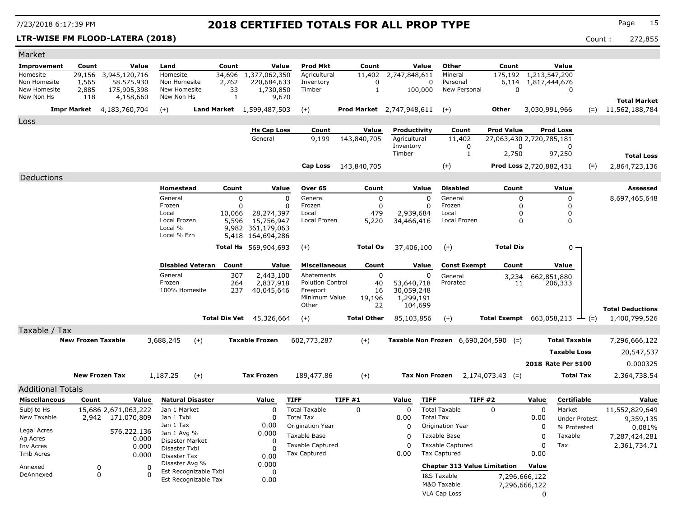## 7/23/2018 6:17:39 PM **2018 CERTIFIED TOTALS FOR ALL PROP TYPE** Page <sup>15</sup>

### **LTR-WISE FM FLOOD-LATERA (2018)** Count : 272,855

| Market                       |                                     |                           |                                |                                  |                             |                                         |                    |                                  |                                                |                          |                           |                                                 |                         |
|------------------------------|-------------------------------------|---------------------------|--------------------------------|----------------------------------|-----------------------------|-----------------------------------------|--------------------|----------------------------------|------------------------------------------------|--------------------------|---------------------------|-------------------------------------------------|-------------------------|
| Improvement                  | Count                               | Value                     | Land                           | Count                            | Value                       | Prod Mkt                                | Count              | Value                            | Other                                          | Count                    |                           | Value                                           |                         |
| Homesite                     | 3,945,120,716<br>29,156             |                           | Homesite                       | 34,696                           | 1,377,062,350               | Agricultural                            | 11,402             | 2,747,848,611                    | Mineral                                        | 175,192                  | 1,213,547,290             |                                                 |                         |
| Non Homesite<br>New Homesite | 1,565<br>2,885                      | 58.575.930<br>175,905,398 | Non Homesite<br>New Homesite   | 2,762<br>33                      | 220,684,633<br>1,730,850    | Inventory<br>Timber                     | 0<br>$\mathbf{1}$  | 100,000                          | 0<br>Personal<br>New Personal                  | 6,114<br>$\Omega$        | 1,817,444,676             | $\mathbf 0$                                     |                         |
| New Non Hs                   | 118                                 | 4,158,660                 | New Non Hs                     | 1                                | 9,670                       |                                         |                    |                                  |                                                |                          |                           |                                                 | <b>Total Market</b>     |
|                              | <b>Impr Market</b><br>4,183,760,704 |                           | $(+)$                          | <b>Land Market</b> 1,599,487,503 |                             | $(+)$                                   |                    | <b>Prod Market</b> 2,747,948,611 | $(+)$                                          | Other                    | 3,030,991,966             | $(=)$                                           | 11,562,188,784          |
|                              |                                     |                           |                                |                                  |                             |                                         |                    |                                  |                                                |                          |                           |                                                 |                         |
| Loss                         |                                     |                           |                                |                                  | <b>Hs Cap Loss</b>          | Count                                   | Value              | Productivity                     | Count                                          | <b>Prod Value</b>        |                           | <b>Prod Loss</b>                                |                         |
|                              |                                     |                           |                                |                                  | General                     | 9,199                                   | 143,840,705        | Agricultural                     | 11,402                                         | 27,063,430 2,720,785,181 |                           |                                                 |                         |
|                              |                                     |                           |                                |                                  |                             |                                         |                    | Inventory                        | 0                                              | 0                        |                           | $\Omega$                                        |                         |
|                              |                                     |                           |                                |                                  |                             |                                         |                    | Timber                           | $\mathbf{1}$                                   | 2,750                    |                           | 97,250                                          | <b>Total Loss</b>       |
|                              |                                     |                           |                                |                                  |                             | Cap Loss                                | 143,840,705        |                                  | $(+)$                                          | Prod Loss 2,720,882,431  |                           | $(=)$                                           | 2,864,723,136           |
| Deductions                   |                                     |                           |                                |                                  |                             |                                         |                    |                                  |                                                |                          |                           |                                                 |                         |
|                              |                                     |                           | <b>Homestead</b>               | Count                            | Value                       | Over <sub>65</sub>                      | Count              | Value                            | <b>Disabled</b>                                | Count                    |                           | Value                                           | <b>Assessed</b>         |
|                              |                                     |                           | General                        | $\mathbf 0$                      |                             | $\mathbf 0$<br>General                  | $\mathbf 0$        | $\Omega$                         | General                                        | $\Omega$                 |                           | 0                                               | 8,697,465,648           |
|                              |                                     |                           | Frozen                         | $\Omega$                         |                             | Frozen<br>$\Omega$                      | $\mathbf 0$        | $\Omega$                         | Frozen                                         | $\Omega$                 |                           | 0                                               |                         |
|                              |                                     |                           | Local<br>Local Frozen          | 10,066<br>5,596                  | 28,274,397<br>15,756,947    | Local<br>Local Frozen                   | 479<br>5,220       | 2,939,684<br>34,466,416          | Local<br>Local Frozen                          | $\Omega$<br>0            |                           | 0<br>0                                          |                         |
|                              |                                     |                           | Local %                        |                                  | 9,982 361,179,063           |                                         |                    |                                  |                                                |                          |                           |                                                 |                         |
|                              |                                     |                           | Local % Fzn                    |                                  | 5,418 164,694,286           |                                         |                    |                                  |                                                |                          |                           |                                                 |                         |
|                              |                                     |                           |                                |                                  | <b>Total Hs</b> 569,904,693 | $(+)$                                   | <b>Total Os</b>    | 37,406,100                       | $(+)$                                          | <b>Total Dis</b>         |                           | $0 \cdot$                                       |                         |
|                              |                                     |                           |                                |                                  |                             |                                         |                    |                                  |                                                |                          |                           |                                                 |                         |
|                              |                                     |                           | <b>Disabled Veteran</b>        | Count                            | Value                       | <b>Miscellaneous</b>                    | Count              | Value                            | <b>Const Exempt</b>                            | Count                    |                           | Value                                           |                         |
|                              |                                     |                           | General<br>Frozen              | 307<br>264                       | 2,443,100<br>2,837,918      | Abatements<br><b>Polution Control</b>   | $\mathbf 0$<br>40  | 0<br>53,640,718                  | General<br>Prorated                            | 3,234<br>11              | 662,851,880               |                                                 |                         |
|                              |                                     |                           | 100% Homesite                  | 237                              | 40,045,646                  | Freeport                                | 16                 | 30,059,248                       |                                                |                          |                           | 206,333                                         |                         |
|                              |                                     |                           |                                |                                  |                             | Minimum Value                           | 19,196             | 1,299,191                        |                                                |                          |                           |                                                 |                         |
|                              |                                     |                           |                                |                                  |                             | Other                                   | 22                 | 104,699                          |                                                |                          |                           |                                                 | <b>Total Deductions</b> |
|                              |                                     |                           |                                | <b>Total Dis Vet</b>             | 45,326,664                  | $(+)$                                   | <b>Total Other</b> | 85,103,856                       | $(+)$                                          |                          |                           | <b>Total Exempt</b> $663,058,213$ <b>-4</b> (=) | 1,400,799,526           |
| Taxable / Tax                |                                     |                           |                                |                                  |                             |                                         |                    |                                  |                                                |                          |                           |                                                 |                         |
|                              | <b>New Frozen Taxable</b>           |                           | 3,688,245                      | $(+)$                            | <b>Taxable Frozen</b>       | 602,773,287                             | $(+)$              |                                  | Taxable Non Frozen $6,690,204,590$ (=)         |                          |                           | <b>Total Taxable</b>                            | 7,296,666,122           |
|                              |                                     |                           |                                |                                  |                             |                                         |                    |                                  |                                                |                          |                           | <b>Taxable Loss</b>                             | 20,547,537              |
|                              |                                     |                           |                                |                                  |                             |                                         |                    |                                  |                                                |                          |                           | 2018 Rate Per \$100                             | 0.000325                |
|                              |                                     |                           |                                |                                  |                             |                                         |                    |                                  |                                                |                          |                           |                                                 |                         |
|                              | <b>New Frozen Tax</b>               |                           | 1,187.25                       | $(+)$                            | <b>Tax Frozen</b>           | 189,477.86                              | $(+)$              | <b>Tax Non Frozen</b>            |                                                | $2,174,073.43$ (=)       |                           | <b>Total Tax</b>                                | 2,364,738.54            |
| <b>Additional Totals</b>     |                                     |                           |                                |                                  |                             |                                         |                    |                                  |                                                |                          |                           |                                                 |                         |
| <b>Miscellaneous</b>         | Count                               | Value                     | <b>Natural Disaster</b>        |                                  | Value                       | <b>TIFF</b>                             | TIFF#1             | Value<br><b>TIFF</b>             |                                                | TIFF #2                  | Value                     | Certifiable                                     | Value                   |
| Subj to Hs                   | 15,686 2,671,063,222                |                           | Jan 1 Market                   |                                  | $\Omega$                    | <b>Total Taxable</b>                    | $\Omega$           | $\Omega$                         | <b>Total Taxable</b>                           | $\Omega$                 | $\Omega$                  | Market                                          | 11,552,829,649          |
| New Taxable                  | 2,942                               | 171,070,809               | Jan 1 Txbl<br>Jan 1 Tax        |                                  | $\Omega$<br>0.00            | <b>Total Tax</b>                        |                    | 0.00                             | <b>Total Tax</b>                               |                          | 0.00                      | <b>Under Protest</b>                            | 9,359,135               |
| Legal Acres                  |                                     | 576,222.136               | Jan 1 Avg %                    |                                  | 0.000                       | Origination Year                        |                    | 0                                | Origination Year                               |                          | $\Omega$                  | % Protested                                     | 0.081%                  |
| Ag Acres                     |                                     | 0.000                     | Disaster Market                |                                  | $\Omega$                    | <b>Taxable Base</b>                     |                    | $\Omega$                         | Taxable Base                                   |                          | $\Omega$                  | Taxable                                         | 7,287,424,281           |
| Inv Acres                    |                                     | 0.000                     | Disaster Txbl                  |                                  | $\Omega$                    | <b>Taxable Captured</b><br>Tax Captured |                    | $\Omega$<br>0.00                 | <b>Taxable Captured</b><br><b>Tax Captured</b> |                          | $\mathbf 0$<br>0.00       | Tax                                             | 2,361,734.71            |
| Tmb Acres                    |                                     | 0.000                     | Disaster Tax<br>Disaster Avg % |                                  | 0.00<br>0.000               |                                         |                    |                                  |                                                |                          |                           |                                                 |                         |
| Annexed<br>DeAnnexed         | 0<br>$\mathbf 0$                    | 0<br>$\Omega$             | Est Recognizable Txbl          |                                  | $\Omega$                    |                                         |                    |                                  | <b>Chapter 313 Value Limitation</b>            |                          | Value                     |                                                 |                         |
|                              |                                     |                           | Est Recognizable Tax           |                                  | 0.00                        |                                         |                    |                                  | I&S Taxable<br>M&O Taxable                     |                          | 7,296,666,122             |                                                 |                         |
|                              |                                     |                           |                                |                                  |                             |                                         |                    |                                  | VLA Cap Loss                                   |                          | 7,296,666,122<br>$\Omega$ |                                                 |                         |
|                              |                                     |                           |                                |                                  |                             |                                         |                    |                                  |                                                |                          |                           |                                                 |                         |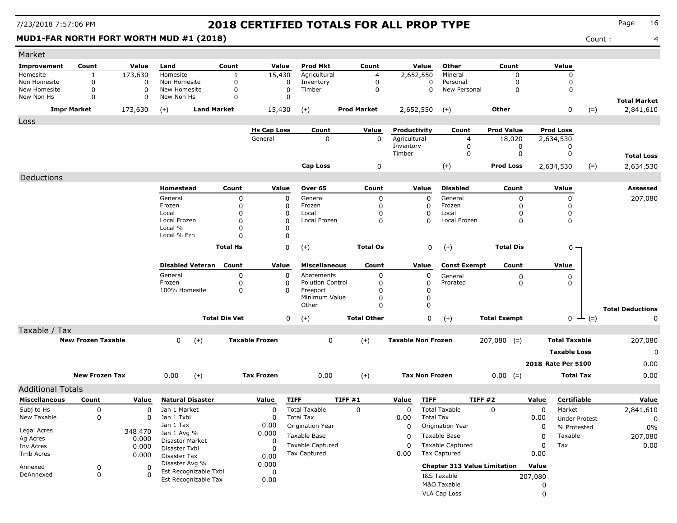## 7/23/2018 7:57:06 PM **2018 CERTIFIED TOTALS FOR ALL PROP TYPE** Page <sup>16</sup>

### **MUD1-FAR NORTH FORT WORTH MUD #1 (2018)** Count : 4

| Market                   |                           |                      |                                  |                         |                       |                         |                    |                           |                       |                                     |                     |              |                      |               |                         |
|--------------------------|---------------------------|----------------------|----------------------------------|-------------------------|-----------------------|-------------------------|--------------------|---------------------------|-----------------------|-------------------------------------|---------------------|--------------|----------------------|---------------|-------------------------|
| Improvement              | Count                     | Value                | Land                             | Count                   | Value                 | Prod Mkt                | Count              |                           | Value                 | Other                               | Count               |              | Value                |               |                         |
| Homesite                 | 1                         | 173,630              | Homesite                         | 1                       | 15,430                | Agricultural            | 4                  | 2,652,550                 |                       | Mineral                             | $\mathbf 0$         |              | $\mathbf 0$          |               |                         |
| Non Homesite             | $\mathbf 0$               | $\Omega$             | Non Homesite                     | $\Omega$                | 0                     | Inventory               | $\mathbf 0$        |                           | 0                     | Personal                            | $\mathbf 0$         |              | 0                    |               |                         |
| New Homesite             | $\Omega$<br>0             | 0<br>0               | New Homesite                     | $\Omega$<br>$\mathbf 0$ | 0<br>$\mathbf 0$      | Timber                  | $\Omega$           |                           | $\mathbf 0$           | New Personal                        | $\Omega$            |              | $\Omega$             |               |                         |
| New Non Hs               |                           |                      | New Non Hs                       |                         |                       |                         |                    |                           |                       |                                     |                     |              |                      |               | <b>Total Market</b>     |
|                          | <b>Impr Market</b>        | 173,630              | <b>Land Market</b><br>$(+)$      |                         | 15,430                | $(+)$                   | <b>Prod Market</b> | 2,652,550                 |                       | $(+)$                               | Other               |              | 0                    | $(=)$         | 2,841,610               |
| Loss                     |                           |                      |                                  |                         |                       |                         |                    |                           |                       |                                     |                     |              |                      |               |                         |
|                          |                           |                      |                                  |                         | <b>Hs Cap Loss</b>    | Count                   | Value              | Productivity              |                       | Count                               | <b>Prod Value</b>   |              | <b>Prod Loss</b>     |               |                         |
|                          |                           |                      |                                  |                         | General               | $\Omega$                | $\Omega$           | Agricultural              |                       | $\overline{4}$                      | 18,020              |              | 2,634,530            |               |                         |
|                          |                           |                      |                                  |                         |                       |                         |                    | Inventory<br>Timber       |                       | $\mathbf 0$<br>$\mathbf 0$          | 0<br>$\mathbf 0$    |              | 0<br>$\mathbf 0$     |               |                         |
|                          |                           |                      |                                  |                         |                       |                         |                    |                           |                       |                                     |                     |              |                      |               | <b>Total Loss</b>       |
|                          |                           |                      |                                  |                         |                       | <b>Cap Loss</b>         | 0                  |                           |                       | $(+)$                               | <b>Prod Loss</b>    |              | 2,634,530            | $(=)$         | 2,634,530               |
| Deductions               |                           |                      |                                  |                         |                       |                         |                    |                           |                       |                                     |                     |              |                      |               |                         |
|                          |                           |                      | Homestead                        | Count                   | Value                 | Over 65                 | Count              |                           | Value                 | <b>Disabled</b>                     | Count               |              | Value                |               | <b>Assessed</b>         |
|                          |                           |                      | General                          | 0                       | $\mathbf 0$           | General                 | $\mathbf 0$        |                           | $\mathbf 0$           | General                             | 0                   |              | $\mathbf 0$          |               | 207,080                 |
|                          |                           |                      | Frozen                           | 0                       | $\mathbf 0$           | Frozen                  | $\Omega$           |                           | $\Omega$              | Frozen                              | 0                   |              | $\mathbf{0}$         |               |                         |
|                          |                           |                      | Local                            | 0                       | $\mathbf 0$           | Local                   | $\Omega$           |                           | $\Omega$              | Local                               | $\mathbf 0$         |              | $\mathbf 0$          |               |                         |
|                          |                           |                      | Local Frozen                     | $\Omega$                | $\mathbf 0$           | Local Frozen            | 0                  |                           | $\Omega$              | Local Frozen                        | $\mathbf 0$         |              | 0                    |               |                         |
|                          |                           |                      | Local %<br>Local % Fzn           | 0<br>0                  | 0<br>$\mathbf 0$      |                         |                    |                           |                       |                                     |                     |              |                      |               |                         |
|                          |                           |                      |                                  |                         |                       |                         |                    |                           |                       |                                     |                     |              |                      |               |                         |
|                          |                           |                      |                                  | <b>Total Hs</b>         | $\Omega$              | $(+)$                   | <b>Total Os</b>    |                           | 0                     | $(+)$                               | <b>Total Dis</b>    |              | $0 -$                |               |                         |
|                          |                           |                      | <b>Disabled Veteran</b>          | Count                   | Value                 | <b>Miscellaneous</b>    | Count              |                           | Value                 | <b>Const Exempt</b>                 | Count               |              | Value                |               |                         |
|                          |                           |                      | General                          | 0                       | 0                     | Abatements              | 0                  |                           | 0                     | General                             | $\pmb{0}$           |              | $\Omega$             |               |                         |
|                          |                           |                      | Frozen                           | 0                       | 0                     | <b>Polution Control</b> | 0                  |                           | $\Omega$              | Prorated                            | 0                   |              | 0                    |               |                         |
|                          |                           |                      | 100% Homesite                    | 0                       | $\mathbf 0$           | Freeport                | 0                  |                           | 0                     |                                     |                     |              |                      |               |                         |
|                          |                           |                      |                                  |                         |                       | Minimum Value<br>Other  | 0<br>$\mathbf{0}$  |                           | 0<br>$\Omega$         |                                     |                     |              |                      |               |                         |
|                          |                           |                      |                                  |                         |                       |                         |                    |                           |                       |                                     |                     |              |                      |               | <b>Total Deductions</b> |
|                          |                           |                      |                                  | <b>Total Dis Vet</b>    | 0                     | $(+)$                   | <b>Total Other</b> |                           | $\mathbf 0$           | $(+)$                               | <b>Total Exempt</b> |              |                      | $0 \perp (=)$ | $\Omega$                |
| Taxable / Tax            |                           |                      |                                  |                         |                       |                         |                    |                           |                       |                                     |                     |              |                      |               |                         |
|                          | <b>New Frozen Taxable</b> |                      | $\mathbf 0$<br>$(+)$             |                         | <b>Taxable Frozen</b> | $\mathbf 0$             | $(+)$              | <b>Taxable Non Frozen</b> |                       |                                     | $207,080$ (=)       |              | <b>Total Taxable</b> |               | 207,080                 |
|                          |                           |                      |                                  |                         |                       |                         |                    |                           |                       |                                     |                     |              | <b>Taxable Loss</b>  |               | $\mathbf 0$             |
|                          |                           |                      |                                  |                         |                       |                         |                    |                           |                       |                                     |                     |              | 2018 Rate Per \$100  |               | 0.00                    |
|                          |                           |                      |                                  |                         |                       |                         |                    |                           |                       |                                     |                     |              |                      |               |                         |
|                          | <b>New Frozen Tax</b>     |                      | 0.00<br>$(+)$                    |                         | <b>Tax Frozen</b>     | 0.00                    | $(+)$              |                           | <b>Tax Non Frozen</b> |                                     | $0.00 (=)$          |              | <b>Total Tax</b>     |               | 0.00                    |
| <b>Additional Totals</b> |                           |                      |                                  |                         |                       |                         |                    |                           |                       |                                     |                     |              |                      |               |                         |
| <b>Miscellaneous</b>     | Count                     | Value                | <b>Natural Disaster</b>          |                         | Value                 | <b>TIFF</b>             | TIFF#1             | Value                     | <b>TIFF</b>           |                                     | <b>TIFF #2</b>      | Value        | Certifiable          |               | Value                   |
| Subj to Hs               | 0                         | 0                    | Jan 1 Market                     |                         | $\mathbf 0$           | <b>Total Taxable</b>    | $\mathbf 0$        | 0                         |                       | <b>Total Taxable</b>                | $\Omega$            | 0            | Market               |               | 2,841,610               |
| New Taxable              | 0                         | 0                    | Jan 1 Txbl                       |                         | $\Omega$              | <b>Total Tax</b>        |                    | 0.00                      | <b>Total Tax</b>      |                                     |                     | 0.00         | <b>Under Protest</b> |               | $\overline{0}$          |
| Legal Acres              |                           | 348.470              | Jan 1 Tax                        |                         | 0.00                  | Origination Year        |                    | 0                         |                       | Origination Year                    |                     | 0            | % Protested          |               | 0%                      |
| Ag Acres                 |                           | 0.000                | Jan 1 Avg %                      |                         | 0.000                 | <b>Taxable Base</b>     |                    | $\Omega$                  |                       | Taxable Base                        |                     | $\Omega$     | Taxable              |               | 207,080                 |
| Inv Acres                |                           | 0.000                | Disaster Market<br>Disaster Txbl |                         | 0<br>0                | <b>Taxable Captured</b> |                    | 0                         |                       | Taxable Captured                    |                     | 0            | Tax                  |               | 0.00                    |
| Tmb Acres                |                           | 0.000                | Disaster Tax                     |                         | 0.00                  | <b>Tax Captured</b>     |                    | 0.00                      |                       | Tax Captured                        |                     | 0.00         |                      |               |                         |
|                          |                           |                      | Disaster Avg %                   |                         | 0.000                 |                         |                    |                           |                       | <b>Chapter 313 Value Limitation</b> |                     | Value        |                      |               |                         |
| Annexed<br>DeAnnexed     | 0<br>$\mathbf 0$          | $\Omega$<br>$\Omega$ | Est Recognizable Txbl            |                         | 0                     |                         |                    |                           |                       | I&S Taxable                         |                     |              |                      |               |                         |
|                          |                           |                      | Est Recognizable Tax             |                         | 0.00                  |                         |                    |                           |                       | M&O Taxable                         |                     | 207,080<br>0 |                      |               |                         |
|                          |                           |                      |                                  |                         |                       |                         |                    |                           |                       | VLA Cap Loss                        |                     | $\Omega$     |                      |               |                         |
|                          |                           |                      |                                  |                         |                       |                         |                    |                           |                       |                                     |                     |              |                      |               |                         |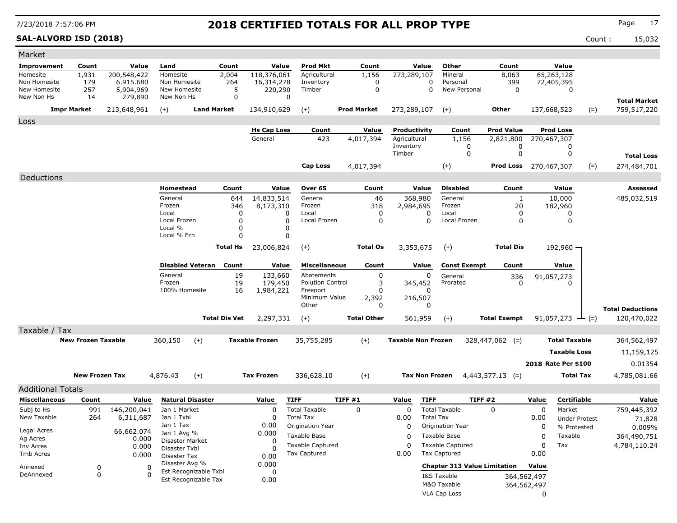## 7/23/2018 7:57:06 PM **2018 CERTIFIED TOTALS FOR ALL PROP TYPE** Page <sup>17</sup>

**SAL-ALVORD ISD (2018)** Count : 15,032

| Market                       |                           |                      |                               |                         |                 |                               |                                      |                    |               |                               |                                     |                                |             |                                 |       |                                    |
|------------------------------|---------------------------|----------------------|-------------------------------|-------------------------|-----------------|-------------------------------|--------------------------------------|--------------------|---------------|-------------------------------|-------------------------------------|--------------------------------|-------------|---------------------------------|-------|------------------------------------|
| Improvement                  | Count                     | Value                | Land                          |                         | Count           | Value                         | <b>Prod Mkt</b>                      | Count              |               | Value                         | Other                               | Count                          |             | Value                           |       |                                    |
| Homesite                     | 1,931                     | 200,548,422          | Homesite                      |                         | 2,004           | 118,376,061                   | Agricultural                         | 1,156              |               | 273,289,107                   | Mineral                             | 8,063                          |             | 65,263,128                      |       |                                    |
| Non Homesite<br>New Homesite | 179<br>257                | 6.915.680            | Non Homesite<br>New Homesite  |                         | 264<br>5        | 16,314,278                    | Inventory<br>Timber                  |                    | 0<br>$\Omega$ | 0<br>$\Omega$                 | Personal<br>New Personal            | 399<br>$\Omega$                |             | 72,405,395<br>$\mathbf 0$       |       |                                    |
| New Non Hs                   | 14                        | 5,904,969<br>279,890 | New Non Hs                    |                         | $\mathbf 0$     | 220,290                       | $\Omega$                             |                    |               |                               |                                     |                                |             |                                 |       |                                    |
|                              | <b>Impr Market</b>        | 213,648,961          | $(+)$                         | <b>Land Market</b>      |                 | 134,910,629                   | $(+)$                                | <b>Prod Market</b> |               | 273,289,107                   | $(+)$                               | Other                          |             | 137,668,523                     | $(=)$ | <b>Total Market</b><br>759,517,220 |
|                              |                           |                      |                               |                         |                 |                               |                                      |                    |               |                               |                                     |                                |             |                                 |       |                                    |
| Loss                         |                           |                      |                               |                         |                 |                               |                                      |                    |               |                               |                                     |                                |             |                                 |       |                                    |
|                              |                           |                      |                               |                         |                 | <b>Hs Cap Loss</b><br>General | Count<br>423                         | Value<br>4,017,394 |               | Productivity<br>Agricultural  | Count<br>1,156                      | <b>Prod Value</b><br>2,821,800 |             | <b>Prod Loss</b><br>270,467,307 |       |                                    |
|                              |                           |                      |                               |                         |                 |                               |                                      |                    |               | Inventory                     | 0                                   | 0                              |             | 0                               |       |                                    |
|                              |                           |                      |                               |                         |                 |                               |                                      |                    |               | Timber                        | $\mathbf 0$                         | $\mathbf 0$                    |             | 0                               |       | <b>Total Loss</b>                  |
|                              |                           |                      |                               |                         |                 |                               | <b>Cap Loss</b>                      | 4,017,394          |               |                               | $(+)$                               | Prod Loss 270,467,307          |             |                                 | $(=)$ | 274,484,701                        |
| Deductions                   |                           |                      |                               |                         |                 |                               |                                      |                    |               |                               |                                     |                                |             |                                 |       |                                    |
|                              |                           |                      | <b>Homestead</b>              |                         | Count           | Value                         | Over <sub>65</sub>                   | Count              |               | Value                         | <b>Disabled</b>                     | Count                          |             | Value                           |       | <b>Assessed</b>                    |
|                              |                           |                      | General                       |                         | 644             | 14,833,514                    | General                              |                    | 46            | 368,980                       | General                             | $\mathbf{1}$                   |             | 10,000                          |       | 485,032,519                        |
|                              |                           |                      | Frozen<br>Local               |                         | 346<br>0        | 8,173,310                     | Frozen<br>Local<br>0                 |                    | 318<br>0      | 2,984,695<br>$\Omega$         | Frozen<br>Local                     | 20<br>0                        |             | 182,960<br>0                    |       |                                    |
|                              |                           |                      | Local Frozen                  |                         | $\Omega$        |                               | $\Omega$<br>Local Frozen             |                    | $\Omega$      | $\Omega$                      | Local Frozen                        | $\mathbf 0$                    |             | 0                               |       |                                    |
|                              |                           |                      | Local %                       |                         | $\Omega$        |                               | $\Omega$                             |                    |               |                               |                                     |                                |             |                                 |       |                                    |
|                              |                           |                      | Local % Fzn                   |                         | $\mathbf 0$     |                               | 0                                    |                    |               |                               |                                     |                                |             |                                 |       |                                    |
|                              |                           |                      |                               |                         | <b>Total Hs</b> | 23,006,824                    | $(+)$                                | <b>Total Os</b>    |               | 3,353,675                     | $(+)$                               | <b>Total Dis</b>               |             | 192,960 -                       |       |                                    |
|                              |                           |                      |                               | <b>Disabled Veteran</b> | Count           | Value                         | <b>Miscellaneous</b>                 | Count              |               | Value                         | <b>Const Exempt</b>                 | Count                          |             | Value                           |       |                                    |
|                              |                           |                      | General                       |                         | 19              | 133,660                       | Abatements                           |                    | 0             | 0                             | General                             | 336                            |             | 91,057,273                      |       |                                    |
|                              |                           |                      | Frozen                        |                         | 19              | 179,450                       | <b>Polution Control</b>              |                    | 3             | 345,452                       | Prorated                            | n                              |             | $\Omega$                        |       |                                    |
|                              |                           |                      | 100% Homesite                 |                         | 16              | 1,984,221                     | Freeport<br>Minimum Value            | 2,392              | $\Omega$      | $\Omega$<br>216,507           |                                     |                                |             |                                 |       |                                    |
|                              |                           |                      |                               |                         |                 |                               | Other                                |                    | 0             | $\Omega$                      |                                     |                                |             |                                 |       | <b>Total Deductions</b>            |
|                              |                           |                      |                               | <b>Total Dis Vet</b>    |                 | 2,297,331                     | $(+)$                                | <b>Total Other</b> |               | 561,959                       | $(+)$                               | <b>Total Exempt</b>            |             | 91,057,273 — $(=)$              |       | 120,470,022                        |
| Taxable / Tax                |                           |                      |                               |                         |                 |                               |                                      |                    |               |                               |                                     |                                |             |                                 |       |                                    |
|                              | <b>New Frozen Taxable</b> |                      | 360,150                       | $(+)$                   |                 | <b>Taxable Frozen</b>         | 35,755,285                           | $(+)$              |               | <b>Taxable Non Frozen</b>     |                                     | 328,447,062 (=)                |             | <b>Total Taxable</b>            |       | 364,562,497                        |
|                              |                           |                      |                               |                         |                 |                               |                                      |                    |               |                               |                                     |                                |             | <b>Taxable Loss</b>             |       | 11,159,125                         |
|                              |                           |                      |                               |                         |                 |                               |                                      |                    |               |                               |                                     |                                |             | 2018 Rate Per \$100             |       | 0.01354                            |
|                              | <b>New Frozen Tax</b>     |                      |                               |                         |                 | <b>Tax Frozen</b>             |                                      |                    |               | <b>Tax Non Frozen</b>         |                                     |                                |             | <b>Total Tax</b>                |       |                                    |
|                              |                           |                      | 4,876.43                      | $(+)$                   |                 |                               | 336,628.10                           | $(+)$              |               |                               |                                     | $4,443,577.13$ (=)             |             |                                 |       | 4,785,081.66                       |
| <b>Additional Totals</b>     |                           |                      |                               |                         |                 |                               |                                      |                    |               |                               |                                     |                                |             |                                 |       |                                    |
| <b>Miscellaneous</b>         | Count                     | Value                |                               | <b>Natural Disaster</b> |                 | Value                         | <b>TIFF</b>                          | TIFF#1             |               | Value<br><b>TIFF</b>          |                                     | <b>TIFF #2</b>                 | Value       | <b>Certifiable</b>              |       | Value                              |
| Subi to Hs                   | 991                       | 146,200,041          | Jan 1 Market                  |                         |                 | 0                             | <b>Total Taxable</b>                 | $\Omega$           |               | $\Omega$                      | <b>Total Taxable</b>                | $\Omega$                       | $\Omega$    | Market                          |       | 759,445,392                        |
| New Taxable                  | 264                       | 6,311,687            | Jan 1 Txbl<br>Jan 1 Tax       |                         |                 | 0<br>0.00                     | <b>Total Tax</b><br>Origination Year |                    |               | 0.00<br><b>Total Tax</b><br>0 | Origination Year                    |                                | 0.00<br>0   | <b>Under Protest</b>            |       | 71,828                             |
| Legal Acres                  |                           | 66,662.074           | Jan 1 Avg %                   |                         |                 | 0.000                         | <b>Taxable Base</b>                  |                    |               | $\Omega$                      | Taxable Base                        |                                | 0           | % Protested<br>Taxable          |       | 0.009%<br>364,490,751              |
| Ag Acres                     |                           | 0.000                | Disaster Market               |                         |                 | 0                             | <b>Taxable Captured</b>              |                    |               | 0                             | <b>Taxable Captured</b>             |                                | $\Omega$    | Tax                             |       | 4,784,110.24                       |
| Inv Acres<br>Tmb Acres       |                           | 0.000<br>0.000       | Disaster Txbl<br>Disaster Tax |                         |                 | $\Omega$                      | Tax Captured                         |                    |               | 0.00                          | <b>Tax Captured</b>                 |                                | 0.00        |                                 |       |                                    |
|                              |                           |                      | Disaster Avg %                |                         |                 | 0.00<br>0.000                 |                                      |                    |               |                               | <b>Chapter 313 Value Limitation</b> |                                | Value       |                                 |       |                                    |
| Annexed<br>DeAnnexed         | $\Omega$<br>$\mathbf 0$   | $\Omega$<br>$\Omega$ |                               | Est Recognizable Txbl   |                 | 0                             |                                      |                    |               |                               | I&S Taxable                         |                                | 364,562,497 |                                 |       |                                    |
|                              |                           |                      |                               | Est Recognizable Tax    |                 | 0.00                          |                                      |                    |               |                               | M&O Taxable                         |                                | 364,562,497 |                                 |       |                                    |
|                              |                           |                      |                               |                         |                 |                               |                                      |                    |               |                               | <b>VLA Cap Loss</b>                 |                                | $\Omega$    |                                 |       |                                    |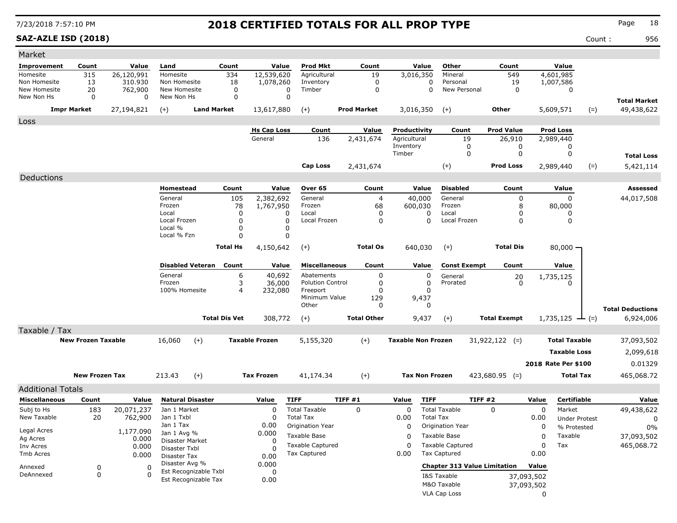**SAZ-AZLE ISD (2018)** Count : 956

| Market                       |                           |                    |                                |                                               |                 |                               |                           |        |                         |                              |                       |                                     |                     |             |                             |       |                                      |
|------------------------------|---------------------------|--------------------|--------------------------------|-----------------------------------------------|-----------------|-------------------------------|---------------------------|--------|-------------------------|------------------------------|-----------------------|-------------------------------------|---------------------|-------------|-----------------------------|-------|--------------------------------------|
| Improvement                  | Count                     | Value              | Land                           |                                               | Count           | Value                         | <b>Prod Mkt</b>           |        | Count                   |                              | Value                 | Other                               | Count               |             | Value                       |       |                                      |
| Homesite                     | 315                       | 26,120,991         | Homesite                       |                                               | 334             | 12,539,620                    | Agricultural              |        | 19                      |                              | 3,016,350             | Mineral                             | 549                 |             | 4,601,985                   |       |                                      |
| Non Homesite<br>New Homesite | 13<br>20                  | 310.930<br>762,900 | Non Homesite<br>New Homesite   |                                               | 18<br>0         | 1,078,260<br>$\mathbf 0$      | Inventory<br>Timber       |        | 0<br>$\mathbf 0$        |                              | 0<br>0                | Personal<br>New Personal            | 19<br>$\mathbf 0$   |             | 1,007,586<br>$\mathbf 0$    |       |                                      |
| New Non Hs                   | $\mathbf 0$               | 0                  | New Non Hs                     |                                               | $\mathbf 0$     | $\mathbf 0$                   |                           |        |                         |                              |                       |                                     |                     |             |                             |       |                                      |
|                              | <b>Impr Market</b>        |                    |                                | <b>Land Market</b>                            |                 |                               |                           |        | <b>Prod Market</b>      |                              |                       |                                     | Other               |             |                             |       | <b>Total Market</b><br>49,438,622    |
|                              |                           | 27,194,821         | $(+)$                          |                                               |                 | 13,617,880                    | $(+)$                     |        |                         | 3,016,350                    |                       | $(+)$                               |                     |             | 5,609,571                   | $(=)$ |                                      |
| <b>Loss</b>                  |                           |                    |                                |                                               |                 |                               |                           |        |                         |                              |                       |                                     |                     |             |                             |       |                                      |
|                              |                           |                    |                                |                                               |                 | <b>Hs Cap Loss</b><br>General | Count                     |        | Value                   | Productivity<br>Agricultural |                       | Count                               | <b>Prod Value</b>   |             | <b>Prod Loss</b>            |       |                                      |
|                              |                           |                    |                                |                                               |                 |                               | 136                       |        | 2,431,674               | Inventory                    |                       | 19<br>0                             | 26,910<br>0         |             | 2,989,440<br>0              |       |                                      |
|                              |                           |                    |                                |                                               |                 |                               |                           |        |                         | Timber                       |                       | $\mathbf 0$                         | $\mathbf 0$         |             | 0                           |       | <b>Total Loss</b>                    |
|                              |                           |                    |                                |                                               |                 |                               | <b>Cap Loss</b>           |        | 2,431,674               |                              |                       | $(+)$                               | <b>Prod Loss</b>    |             | 2,989,440                   | $(=)$ | 5,421,114                            |
|                              |                           |                    |                                |                                               |                 |                               |                           |        |                         |                              |                       |                                     |                     |             |                             |       |                                      |
| Deductions                   |                           |                    |                                |                                               |                 |                               |                           |        |                         |                              |                       | <b>Disabled</b>                     |                     |             |                             |       |                                      |
|                              |                           |                    | Homestead                      |                                               | Count           | Value                         | Over 65                   |        | Count<br>$\overline{4}$ |                              | Value                 |                                     | Count               |             | Value                       |       | <b>Assessed</b>                      |
|                              |                           |                    | General<br>Frozen              |                                               | 105<br>78       | 2,382,692<br>1,767,950        | General<br>Frozen         |        | 68                      |                              | 40,000<br>600,030     | General<br>Frozen                   | $\mathbf 0$<br>8    |             | 0<br>80,000                 |       | 44,017,508                           |
|                              |                           |                    | Local                          |                                               | $\Omega$        | 0                             | Local                     |        | 0                       |                              | 0                     | Local                               | $\Omega$            |             | 0                           |       |                                      |
|                              |                           |                    | Local Frozen                   |                                               | $\Omega$        | 0                             | Local Frozen              |        | $\mathbf 0$             |                              | 0                     | Local Frozen                        | $\mathbf 0$         |             | 0                           |       |                                      |
|                              |                           |                    | Local %<br>Local % Fzn         |                                               | 0<br>$\Omega$   | 0<br>0                        |                           |        |                         |                              |                       |                                     |                     |             |                             |       |                                      |
|                              |                           |                    |                                |                                               |                 |                               |                           |        |                         |                              |                       |                                     |                     |             |                             |       |                                      |
|                              |                           |                    |                                |                                               | <b>Total Hs</b> | 4,150,642                     | $(+)$                     |        | <b>Total Os</b>         |                              | 640,030               | $(+)$                               | <b>Total Dis</b>    |             | 80,000                      |       |                                      |
|                              |                           |                    |                                | <b>Disabled Veteran</b>                       | Count           | Value                         | <b>Miscellaneous</b>      |        | Count                   |                              | Value                 | <b>Const Exempt</b>                 | Count               |             | Value                       |       |                                      |
|                              |                           |                    | General                        |                                               | 6               | 40,692                        | Abatements                |        | 0                       |                              | 0                     | General                             | 20                  |             | 1,735,125                   |       |                                      |
|                              |                           |                    | Frozen                         |                                               | $\mathbf{3}$    | 36,000                        | <b>Polution Control</b>   |        | 0                       |                              | 0                     | Prorated                            | $\Omega$            |             | U                           |       |                                      |
|                              |                           |                    | 100% Homesite                  |                                               | $\overline{4}$  | 232,080                       | Freeport<br>Minimum Value |        | 0<br>129                |                              | O<br>9,437            |                                     |                     |             |                             |       |                                      |
|                              |                           |                    |                                |                                               |                 |                               | Other                     |        | 0                       |                              | $\mathbf{0}$          |                                     |                     |             |                             |       |                                      |
|                              |                           |                    |                                | <b>Total Dis Vet</b>                          |                 | 308,772                       | $(+)$                     |        | <b>Total Other</b>      |                              | 9,437                 | $(+)$                               | <b>Total Exempt</b> |             | 1,735,125 $\rightarrow$ (=) |       | <b>Total Deductions</b><br>6,924,006 |
| Taxable / Tax                |                           |                    |                                |                                               |                 |                               |                           |        |                         |                              |                       |                                     |                     |             |                             |       |                                      |
|                              | <b>New Frozen Taxable</b> |                    | 16,060                         | $(+)$                                         |                 | <b>Taxable Frozen</b>         | 5,155,320                 |        | $(+)$                   | <b>Taxable Non Frozen</b>    |                       |                                     | $31,922,122$ (=)    |             | <b>Total Taxable</b>        |       | 37,093,502                           |
|                              |                           |                    |                                |                                               |                 |                               |                           |        |                         |                              |                       |                                     |                     |             | <b>Taxable Loss</b>         |       | 2,099,618                            |
|                              |                           |                    |                                |                                               |                 |                               |                           |        |                         |                              |                       |                                     |                     |             |                             |       |                                      |
|                              |                           |                    |                                |                                               |                 |                               |                           |        |                         |                              |                       |                                     |                     |             | 2018 Rate Per \$100         |       | 0.01329                              |
|                              | <b>New Frozen Tax</b>     |                    | 213.43                         | $(+)$                                         |                 | <b>Tax Frozen</b>             | 41,174.34                 |        | $(+)$                   |                              | <b>Tax Non Frozen</b> |                                     | $423,680.95$ (=)    |             | <b>Total Tax</b>            |       | 465,068.72                           |
| <b>Additional Totals</b>     |                           |                    |                                |                                               |                 |                               |                           |        |                         |                              |                       |                                     |                     |             |                             |       |                                      |
| <b>Miscellaneous</b>         | Count                     | Value              | <b>Natural Disaster</b>        |                                               |                 | Value                         | <b>TIFF</b>               | TIFF#1 |                         | Value                        | <b>TIFF</b>           |                                     | <b>TIFF #2</b>      | Value       | Certifiable                 |       | Value                                |
| Subj to Hs                   | 183                       | 20,071,237         | Jan 1 Market                   |                                               |                 | 0                             | <b>Total Taxable</b>      |        | $\mathbf 0$             | $\mathbf 0$                  |                       | <b>Total Taxable</b>                | $\Omega$            | 0           | Market                      |       | 49,438,622                           |
| New Taxable                  | 20                        | 762,900            | Jan 1 Txbl                     |                                               |                 | 0                             | <b>Total Tax</b>          |        |                         | 0.00                         | <b>Total Tax</b>      |                                     |                     | 0.00        | <b>Under Protest</b>        |       | $\mathbf 0$                          |
| Legal Acres                  |                           | 1,177.090          | Jan 1 Tax                      |                                               |                 | 0.00                          | Origination Year          |        |                         | 0                            |                       | Origination Year                    |                     | 0           | % Protested                 |       | 0%                                   |
| Ag Acres                     |                           | 0.000              | Jan 1 Avg %<br>Disaster Market |                                               |                 | 0.000<br>0                    | Taxable Base              |        |                         | 0                            |                       | Taxable Base                        |                     | 0           | Taxable                     |       | 37,093,502                           |
| Inv Acres                    |                           | 0.000              | Disaster Txbl                  |                                               |                 | 0                             | <b>Taxable Captured</b>   |        |                         | 0                            |                       | <b>Taxable Captured</b>             |                     | $\mathbf 0$ | Tax                         |       | 465,068.72                           |
| Tmb Acres                    |                           | 0.000              | Disaster Tax                   |                                               |                 | 0.00                          | <b>Tax Captured</b>       |        |                         | 0.00                         |                       | <b>Tax Captured</b>                 |                     | 0.00        |                             |       |                                      |
| Annexed                      | 0                         | $\Omega$           | Disaster Avg %                 |                                               |                 | 0.000                         |                           |        |                         |                              |                       | <b>Chapter 313 Value Limitation</b> |                     | Value       |                             |       |                                      |
| DeAnnexed                    | $\mathbf 0$               | $\Omega$           |                                | Est Recognizable Txbl<br>Est Recognizable Tax |                 | $\mathbf 0$<br>0.00           |                           |        |                         |                              |                       | I&S Taxable                         |                     | 37,093,502  |                             |       |                                      |
|                              |                           |                    |                                |                                               |                 |                               |                           |        |                         |                              |                       | M&O Taxable                         |                     | 37,093,502  |                             |       |                                      |
|                              |                           |                    |                                |                                               |                 |                               |                           |        |                         |                              |                       | VLA Cap Loss                        |                     | $\Omega$    |                             |       |                                      |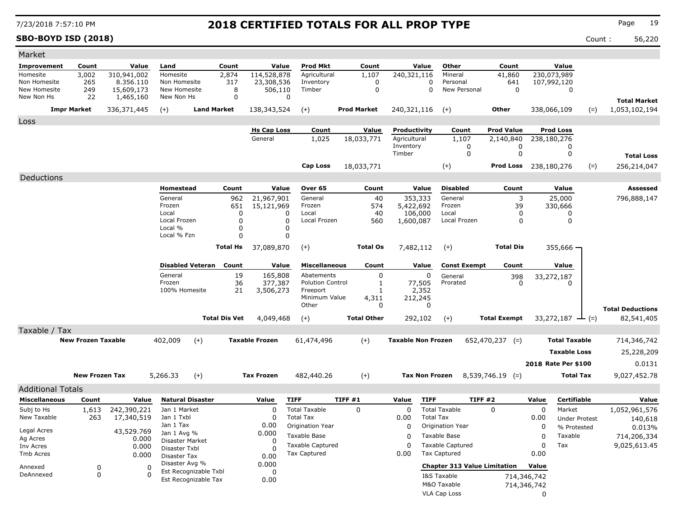**SBO-BOYD ISD (2018)** Count : 56,220

| Market                       |                           |                         |                                |                         |                 |                       |                                      |                    |                              |                         |                                     |                       |                     |                              |       |                                      |
|------------------------------|---------------------------|-------------------------|--------------------------------|-------------------------|-----------------|-----------------------|--------------------------------------|--------------------|------------------------------|-------------------------|-------------------------------------|-----------------------|---------------------|------------------------------|-------|--------------------------------------|
| Improvement                  | Count                     | Value                   | Land                           |                         | Count           | Value                 | Prod Mkt                             | Count              |                              | Value                   | Other                               | Count                 |                     | Value                        |       |                                      |
| Homesite                     | 3,002                     | 310,941,002             | Homesite                       |                         | 2,874           | 114,528,878           | Agricultural                         | 1,107              | 240,321,116                  |                         | Mineral                             | 41,860                |                     | 230,073,989                  |       |                                      |
| Non Homesite<br>New Homesite | 265<br>249                | 8.356.110               | Non Homesite<br>New Homesite   |                         | 317<br>8        | 23,308,536            | Inventory<br>Timber                  | 0<br>$\mathbf 0$   |                              | $\mathbf 0$<br>$\Omega$ | Personal<br>New Personal            | 641<br>$\Omega$       |                     | 107,992,120<br>$\mathbf 0$   |       |                                      |
| New Non Hs                   | 22                        | 15,609,173<br>1,465,160 | New Non Hs                     |                         | $\mathbf 0$     | 506,110               | $\mathbf 0$                          |                    |                              |                         |                                     |                       |                     |                              |       |                                      |
|                              | <b>Impr Market</b>        | 336,371,445             | $(+)$                          | <b>Land Market</b>      |                 | 138,343,524           | $(+)$                                | <b>Prod Market</b> | 240,321,116                  |                         | $(+)$                               | <b>Other</b>          |                     | 338,066,109                  | $(=)$ | <b>Total Market</b><br>1,053,102,194 |
|                              |                           |                         |                                |                         |                 |                       |                                      |                    |                              |                         |                                     |                       |                     |                              |       |                                      |
| Loss                         |                           |                         |                                |                         |                 | <b>Hs Cap Loss</b>    | Count                                | Value              |                              |                         |                                     | <b>Prod Value</b>     |                     | <b>Prod Loss</b>             |       |                                      |
|                              |                           |                         |                                |                         |                 | General               | 1,025                                | 18,033,771         | Productivity<br>Agricultural |                         | Count<br>1,107                      | 2,140,840             |                     | 238,180,276                  |       |                                      |
|                              |                           |                         |                                |                         |                 |                       |                                      |                    | Inventory                    |                         | 0                                   | 0                     |                     | 0                            |       |                                      |
|                              |                           |                         |                                |                         |                 |                       |                                      |                    | Timber                       |                         | $\mathbf 0$                         | $\mathbf 0$           |                     | $\mathbf 0$                  |       | <b>Total Loss</b>                    |
|                              |                           |                         |                                |                         |                 |                       | <b>Cap Loss</b>                      | 18,033,771         |                              |                         | $(+)$                               | Prod Loss 238,180,276 |                     |                              | $(=)$ | 256,214,047                          |
| Deductions                   |                           |                         |                                |                         |                 |                       |                                      |                    |                              |                         |                                     |                       |                     |                              |       |                                      |
|                              |                           |                         | Homestead                      |                         | Count           | Value                 | Over 65                              | Count              |                              | Value                   | <b>Disabled</b>                     | Count                 |                     | Value                        |       | Assessed                             |
|                              |                           |                         | General                        |                         | 962             | 21,967,901            | General                              | 40                 | 353,333                      |                         | General                             | $\mathbf{3}$          |                     | 25,000                       |       | 796,888,147                          |
|                              |                           |                         | Frozen<br>Local                |                         | 651<br>$\Omega$ | 15,121,969            | Frozen<br>Local<br>0                 | 574<br>40          | 5,422,692<br>106,000         |                         | Frozen<br>Local                     | 39<br>0               |                     | 330,666<br>0                 |       |                                      |
|                              |                           |                         | Local Frozen                   |                         | $\Omega$        |                       | $\Omega$<br>Local Frozen             | 560                | 1,600,087                    |                         | Local Frozen                        | $\mathbf 0$           |                     | $\Omega$                     |       |                                      |
|                              |                           |                         | Local %                        |                         | $\Omega$        |                       | 0                                    |                    |                              |                         |                                     |                       |                     |                              |       |                                      |
|                              |                           |                         | Local % Fzn                    |                         | 0               |                       | $\mathbf 0$                          |                    |                              |                         |                                     |                       |                     |                              |       |                                      |
|                              |                           |                         |                                |                         | <b>Total Hs</b> | 37,089,870            | $(+)$                                | <b>Total Os</b>    | 7,482,112                    |                         | $(+)$                               | <b>Total Dis</b>      |                     | $355,666 -$                  |       |                                      |
|                              |                           |                         |                                | <b>Disabled Veteran</b> | Count           | Value                 | <b>Miscellaneous</b>                 | Count              |                              | Value                   | <b>Const Exempt</b>                 | Count                 |                     | Value                        |       |                                      |
|                              |                           |                         | General                        |                         | 19              | 165,808               | Abatements                           | 0                  |                              | $\Omega$                | General                             | 398                   |                     | 33,272,187                   |       |                                      |
|                              |                           |                         | Frozen                         |                         | 36              | 377,387               | <b>Polution Control</b>              | 1                  |                              | 77,505                  | Prorated                            | $\Omega$              |                     |                              |       |                                      |
|                              |                           |                         | 100% Homesite                  |                         | 21              | 3,506,273             | Freeport<br>Minimum Value            | 1<br>4,311         | 212,245                      | 2,352                   |                                     |                       |                     |                              |       |                                      |
|                              |                           |                         |                                |                         |                 |                       | Other                                | 0                  |                              | $\Omega$                |                                     |                       |                     |                              |       | <b>Total Deductions</b>              |
|                              |                           |                         |                                | <b>Total Dis Vet</b>    |                 | 4,049,468             | $(+)$                                | <b>Total Other</b> |                              | 292,102                 | $(+)$                               | <b>Total Exempt</b>   |                     | $33,272,187 \rightarrow$ (=) |       | 82,541,405                           |
| Taxable / Tax                |                           |                         |                                |                         |                 |                       |                                      |                    |                              |                         |                                     |                       |                     |                              |       |                                      |
|                              | <b>New Frozen Taxable</b> |                         | 402,009                        | $(+)$                   |                 | <b>Taxable Frozen</b> | 61,474,496                           | $(+)$              | <b>Taxable Non Frozen</b>    |                         |                                     | $652,470,237$ (=)     |                     | <b>Total Taxable</b>         |       | 714,346,742                          |
|                              |                           |                         |                                |                         |                 |                       |                                      |                    |                              |                         |                                     |                       |                     | <b>Taxable Loss</b>          |       | 25,228,209                           |
|                              |                           |                         |                                |                         |                 |                       |                                      |                    |                              |                         |                                     |                       |                     | 2018 Rate Per \$100          |       | 0.0131                               |
|                              | <b>New Frozen Tax</b>     |                         |                                | $(+)$                   |                 | <b>Tax Frozen</b>     |                                      | $(+)$              | <b>Tax Non Frozen</b>        |                         |                                     |                       |                     | <b>Total Tax</b>             |       | 9,027,452.78                         |
|                              |                           |                         | 5,266.33                       |                         |                 |                       | 482,440.26                           |                    |                              |                         |                                     | $8,539,746.19$ (=)    |                     |                              |       |                                      |
| <b>Additional Totals</b>     |                           |                         |                                |                         |                 |                       |                                      |                    |                              |                         |                                     |                       |                     |                              |       |                                      |
| <b>Miscellaneous</b>         | Count                     | Value                   |                                | <b>Natural Disaster</b> |                 | Value                 | <b>TIFF</b>                          | TIFF#1             | Value                        | <b>TIFF</b>             | TIFF #2                             |                       | Value               | <b>Certifiable</b>           |       | Value                                |
| Subi to Hs                   | 1,613                     | 242,390,221             | Jan 1 Market                   |                         |                 | 0                     | <b>Total Taxable</b>                 | $\Omega$           | $\Omega$                     |                         | <b>Total Taxable</b>                | $\Omega$              | $\Omega$            | Market                       |       | 1,052,961,576                        |
| New Taxable                  | 263                       | 17,340,519              | Jan 1 Txbl<br>Jan 1 Tax        |                         |                 | 0<br>0.00             | <b>Total Tax</b><br>Origination Year |                    | 0.00<br>$\mathbf 0$          | <b>Total Tax</b>        | Origination Year                    |                       | 0.00<br>$\mathbf 0$ | <b>Under Protest</b>         |       | 140,618                              |
| Legal Acres                  |                           | 43,529.769              | Jan 1 Avg %                    |                         |                 | 0.000                 | <b>Taxable Base</b>                  |                    | $\mathbf 0$                  |                         | Taxable Base                        |                       | $\mathbf 0$         | % Protested<br>Taxable       |       | 0.013%<br>714,206,334                |
| Ag Acres<br>Inv Acres        |                           | 0.000<br>0.000          | Disaster Market                |                         |                 | $\Omega$              | <b>Taxable Captured</b>              |                    | $\Omega$                     |                         | <b>Taxable Captured</b>             |                       | $\Omega$            | Tax                          |       | 9,025,613.45                         |
| Tmb Acres                    |                           | 0.000                   | Disaster Txbl                  |                         |                 | $\Omega$              | <b>Tax Captured</b>                  |                    | 0.00                         |                         | <b>Tax Captured</b>                 |                       | 0.00                |                              |       |                                      |
|                              |                           |                         | Disaster Tax<br>Disaster Avg % |                         |                 | 0.00<br>0.000         |                                      |                    |                              |                         | <b>Chapter 313 Value Limitation</b> |                       | Value               |                              |       |                                      |
| Annexed<br>DeAnnexed         | 0<br>0                    | $\Omega$<br>$\Omega$    |                                | Est Recognizable Txbl   |                 | 0                     |                                      |                    |                              |                         | I&S Taxable                         |                       |                     |                              |       |                                      |
|                              |                           |                         |                                | Est Recognizable Tax    |                 | 0.00                  |                                      |                    |                              |                         | M&O Taxable                         | 714,346,742           | 714,346,742         |                              |       |                                      |
|                              |                           |                         |                                |                         |                 |                       |                                      |                    |                              |                         | <b>VLA Cap Loss</b>                 |                       | $\Omega$            |                              |       |                                      |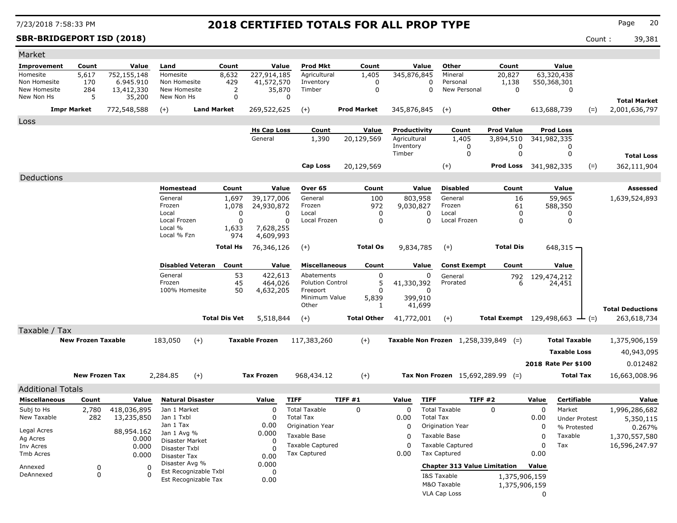## 7/23/2018 7:58:33 PM **2018 CERTIFIED TOTALS FOR ALL PROP TYPE** Page <sup>20</sup>

### **SBR-BRIDGEPORT ISD (2018)** Count : 39,381

| Market                       |                           |                           |                               |                         |                       |                            |                                          |                         |                  |                  |                                        |                                 |                     |                                     |        |                                      |
|------------------------------|---------------------------|---------------------------|-------------------------------|-------------------------|-----------------------|----------------------------|------------------------------------------|-------------------------|------------------|------------------|----------------------------------------|---------------------------------|---------------------|-------------------------------------|--------|--------------------------------------|
| Improvement                  | Count                     | Value                     | Land                          | Count                   |                       | Value                      | <b>Prod Mkt</b>                          | Count                   |                  | Value            | Other                                  | Count                           |                     | Value                               |        |                                      |
| Homesite                     | 5,617                     | 752,155,148               | Homesite                      | 8,632                   |                       | 227,914,185                | Agricultural                             | 1,405                   | 345,876,845      |                  | Mineral                                | 20,827                          |                     | 63,320,438                          |        |                                      |
| Non Homesite<br>New Homesite | 170<br>284                | 6.945.910<br>13,412,330   | Non Homesite<br>New Homesite  |                         | 429<br>$\overline{2}$ | 41,572,570<br>35,870       | Inventory<br>Timber                      | $\Omega$<br>$\mathbf 0$ |                  | 0<br>0           | Personal<br>New Personal               | 1,138<br>$\mathbf 0$            |                     | 550,368,301<br>0                    |        |                                      |
| New Non Hs                   | 5                         | 35,200                    | New Non Hs                    |                         | $\mathbf 0$           |                            | 0                                        |                         |                  |                  |                                        |                                 |                     |                                     |        |                                      |
|                              | <b>Impr Market</b>        | 772,548,588               | $(+)$                         | <b>Land Market</b>      |                       | 269,522,625                | $(+)$                                    | <b>Prod Market</b>      | 345,876,845      |                  | $(+)$                                  | <b>Other</b>                    |                     | 613,688,739                         | $(=)$  | <b>Total Market</b><br>2,001,636,797 |
|                              |                           |                           |                               |                         |                       |                            |                                          |                         |                  |                  |                                        |                                 |                     |                                     |        |                                      |
| Loss                         |                           |                           |                               |                         |                       | <b>Hs Cap Loss</b>         | Count                                    | Value                   | Productivity     |                  | Count                                  | <b>Prod Value</b>               |                     | <b>Prod Loss</b>                    |        |                                      |
|                              |                           |                           |                               |                         |                       | General                    | 1,390                                    | 20,129,569              | Agricultural     |                  | 1,405                                  | 3,894,510                       |                     | 341,982,335                         |        |                                      |
|                              |                           |                           |                               |                         |                       |                            |                                          |                         | Inventory        |                  | 0                                      | 0                               |                     | 0                                   |        |                                      |
|                              |                           |                           |                               |                         |                       |                            |                                          |                         | Timber           |                  | $\mathbf 0$                            | $\mathbf 0$                     |                     | $\mathbf 0$                         |        | <b>Total Loss</b>                    |
|                              |                           |                           |                               |                         |                       |                            | <b>Cap Loss</b>                          | 20,129,569              |                  |                  | $(+)$                                  | Prod Loss 341,982,335           |                     |                                     | $(=)$  | 362,111,904                          |
| Deductions                   |                           |                           |                               |                         |                       |                            |                                          |                         |                  |                  |                                        |                                 |                     |                                     |        |                                      |
|                              |                           |                           | <b>Homestead</b>              |                         | Count                 | Value                      | Over 65                                  | Count                   |                  | Value            | <b>Disabled</b>                        | Count                           |                     | Value                               |        | <b>Assessed</b>                      |
|                              |                           |                           | General                       |                         | 1,697                 | 39,177,006                 | General                                  | 100                     | 803,958          |                  | General                                | 16                              |                     | 59,965                              |        | 1,639,524,893                        |
|                              |                           |                           | Frozen<br>Local               |                         | 1,078<br>$\mathbf 0$  | 24,930,872<br>$\mathbf{0}$ | Frozen<br>Local                          | 972<br>$\mathbf 0$      | 9,030,827        | $\Omega$         | Frozen<br>Local                        | 61<br>$\mathbf 0$               |                     | 588,350<br>0                        |        |                                      |
|                              |                           |                           | Local Frozen                  |                         | $\mathbf 0$           |                            | 0<br>Local Frozen                        | $\mathbf 0$             |                  | $\mathbf 0$      | Local Frozen                           | 0                               |                     | 0                                   |        |                                      |
|                              |                           |                           | Local %                       |                         | 1,633                 | 7,628,255                  |                                          |                         |                  |                  |                                        |                                 |                     |                                     |        |                                      |
|                              |                           |                           | Local % Fzn                   |                         | 974                   | 4,609,993                  |                                          |                         |                  |                  |                                        |                                 |                     |                                     |        |                                      |
|                              |                           |                           |                               | <b>Total Hs</b>         |                       | 76,346,126                 | $(+)$                                    | <b>Total Os</b>         | 9,834,785        |                  | $(+)$                                  | <b>Total Dis</b>                |                     | $648,315 -$                         |        |                                      |
|                              |                           |                           |                               | <b>Disabled Veteran</b> | Count                 | Value                      | <b>Miscellaneous</b>                     | Count                   |                  | Value            | <b>Const Exempt</b>                    | Count                           |                     | Value                               |        |                                      |
|                              |                           |                           | General                       |                         | 53                    | 422,613                    | Abatements                               | $\mathbf 0$             |                  | $\Omega$         | General                                | 792                             |                     | 129,474,212                         |        |                                      |
|                              |                           |                           | Frozen<br>100% Homesite       |                         | 45<br>50              | 464,026<br>4,632,205       | <b>Polution Control</b><br>Freeport      | 5<br>$\Omega$           | 41,330,392       | $\Omega$         | Prorated                               | 6                               |                     | 24,451                              |        |                                      |
|                              |                           |                           |                               |                         |                       |                            | Minimum Value                            | 5,839                   | 399,910          |                  |                                        |                                 |                     |                                     |        |                                      |
|                              |                           |                           |                               |                         |                       |                            | Other                                    | -1                      |                  | 41,699           |                                        |                                 |                     |                                     |        | <b>Total Deductions</b>              |
|                              |                           |                           |                               | <b>Total Dis Vet</b>    |                       | 5,518,844                  | $(+)$                                    | <b>Total Other</b>      | 41,772,001       |                  | $(+)$                                  | <b>Total Exempt</b> 129,498,663 |                     |                                     | $-(-)$ | 263,618,734                          |
| Taxable / Tax                |                           |                           |                               |                         |                       |                            |                                          |                         |                  |                  |                                        |                                 |                     |                                     |        |                                      |
|                              | <b>New Frozen Taxable</b> |                           | 183,050                       | $(+)$                   |                       | <b>Taxable Frozen</b>      | 117,383,260                              | $(+)$                   |                  |                  | Taxable Non Frozen $1,258,339,849$ (=) |                                 |                     | <b>Total Taxable</b>                |        | 1,375,906,159                        |
|                              |                           |                           |                               |                         |                       |                            |                                          |                         |                  |                  |                                        |                                 |                     | <b>Taxable Loss</b>                 |        | 40,943,095                           |
|                              |                           |                           |                               |                         |                       |                            |                                          |                         |                  |                  |                                        |                                 |                     | 2018 Rate Per \$100                 |        | 0.012482                             |
|                              | <b>New Frozen Tax</b>     |                           | 2,284.85                      | $(+)$                   |                       | <b>Tax Frozen</b>          | 968,434.12                               | $(+)$                   |                  |                  | Tax Non Frozen $15,692,289.99$ (=)     |                                 |                     | <b>Total Tax</b>                    |        | 16,663,008.96                        |
|                              |                           |                           |                               |                         |                       |                            |                                          |                         |                  |                  |                                        |                                 |                     |                                     |        |                                      |
| <b>Additional Totals</b>     |                           |                           |                               |                         |                       |                            |                                          |                         |                  |                  |                                        |                                 |                     |                                     |        |                                      |
| <b>Miscellaneous</b>         | Count                     | Value                     | <b>Natural Disaster</b>       |                         |                       | Value                      | <b>TIFF</b>                              | TIFF #1                 | Value            | <b>TIFF</b>      | TIFF#2                                 |                                 | Value               | Certifiable                         |        | Value                                |
| Subj to Hs<br>New Taxable    | 2,780<br>282              | 418,036,895<br>13,235,850 | Jan 1 Market<br>Jan 1 Txbl    |                         |                       | 0<br>$\Omega$              | <b>Total Taxable</b><br><b>Total Tax</b> | $\Omega$                | $\Omega$<br>0.00 | <b>Total Tax</b> | <b>Total Taxable</b>                   | $\Omega$                        | $\mathbf 0$<br>0.00 | Market                              |        | 1,996,286,682                        |
|                              |                           |                           | Jan 1 Tax                     |                         |                       | 0.00                       | Origination Year                         |                         | $\Omega$         |                  | Origination Year                       |                                 | 0                   | <b>Under Protest</b><br>% Protested |        | 5,350,115<br>0.267%                  |
| Legal Acres                  |                           | 88,954.162                | Jan 1 Avg %                   |                         |                       | 0.000                      | Taxable Base                             |                         | $\Omega$         |                  | Taxable Base                           |                                 | $\Omega$            | Taxable                             |        | 1,370,557,580                        |
| Ag Acres<br>Inv Acres        |                           | 0.000<br>0.000            | Disaster Market               |                         |                       | $\Omega$                   | <b>Taxable Captured</b>                  |                         | $\Omega$         |                  | <b>Taxable Captured</b>                |                                 | $\mathbf 0$         | Tax                                 |        | 16,596,247.97                        |
| Tmb Acres                    |                           | 0.000                     | Disaster Txbl<br>Disaster Tax |                         |                       | O<br>0.00                  | <b>Tax Captured</b>                      |                         | 0.00             |                  | <b>Tax Captured</b>                    |                                 | 0.00                |                                     |        |                                      |
| Annexed                      | 0                         | $\mathbf 0$               | Disaster Avg %                |                         |                       | 0.000                      |                                          |                         |                  |                  | <b>Chapter 313 Value Limitation</b>    |                                 | Value               |                                     |        |                                      |
| DeAnnexed                    | $\Omega$                  | $\Omega$                  |                               | Est Recognizable Txbl   |                       | $\mathbf 0$                |                                          |                         |                  |                  | I&S Taxable                            | 1,375,906,159                   |                     |                                     |        |                                      |
|                              |                           |                           |                               | Est Recognizable Tax    |                       | 0.00                       |                                          |                         |                  |                  | M&O Taxable                            | 1,375,906,159                   |                     |                                     |        |                                      |
|                              |                           |                           |                               |                         |                       |                            |                                          |                         |                  |                  | VLA Cap Loss                           |                                 | 0                   |                                     |        |                                      |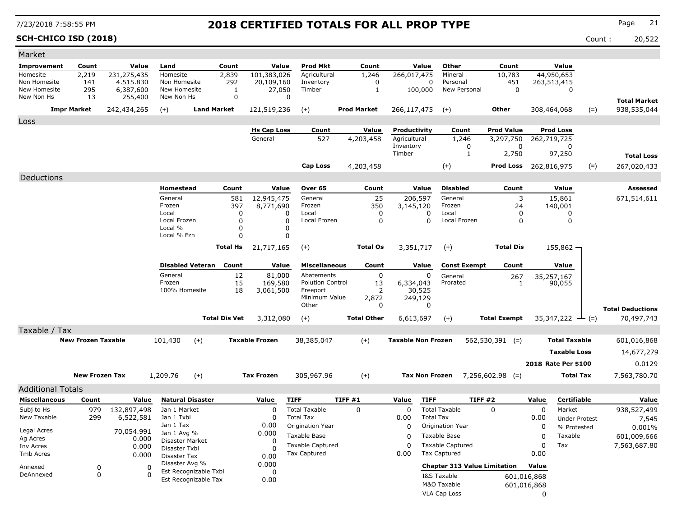## 7/23/2018 7:58:55 PM **2018 CERTIFIED TOTALS FOR ALL PROP TYPE** Page <sup>21</sup>

**SCH-CHICO ISD (2018)** Count : 20,522

| Market                       |                           |                        |                               |                         |                      |                               |                                          |        |                         |                              |                        |                                     |                                |             |                                     |       |                                    |
|------------------------------|---------------------------|------------------------|-------------------------------|-------------------------|----------------------|-------------------------------|------------------------------------------|--------|-------------------------|------------------------------|------------------------|-------------------------------------|--------------------------------|-------------|-------------------------------------|-------|------------------------------------|
| Improvement                  | Count                     | Value                  | Land                          |                         | Count                | Value                         | <b>Prod Mkt</b>                          |        | Count                   |                              | Value                  | Other                               | Count                          |             | Value                               |       |                                    |
| Homesite                     | 2,219                     | 231,275,435            | Homesite                      |                         | 2,839                | 101,383,026                   | Agricultural                             |        | 1,246                   | 266,017,475                  |                        | Mineral                             | 10,783                         |             | 44,950,653                          |       |                                    |
| Non Homesite<br>New Homesite | 141<br>295                | 4.515.830<br>6,387,600 | Non Homesite<br>New Homesite  |                         | 292<br>$1\,$         | 20,109,160<br>27,050          | Inventory<br>Timber                      |        | 0<br>$\mathbf{1}$       |                              | $\mathbf 0$<br>100,000 | Personal<br>New Personal            | 451<br>$\mathbf 0$             |             | 263,513,415<br>$\mathbf 0$          |       |                                    |
| New Non Hs                   | 13                        | 255,400                | New Non Hs                    |                         | 0                    |                               | 0                                        |        |                         |                              |                        |                                     |                                |             |                                     |       |                                    |
|                              | <b>Impr Market</b>        | 242,434,265            | $(+)$                         | <b>Land Market</b>      |                      | 121,519,236                   | $(+)$                                    |        | <b>Prod Market</b>      | 266,117,475                  |                        | $(+)$                               | <b>Other</b>                   |             | 308,464,068                         | $(=)$ | <b>Total Market</b><br>938,535,044 |
|                              |                           |                        |                               |                         |                      |                               |                                          |        |                         |                              |                        |                                     |                                |             |                                     |       |                                    |
| Loss                         |                           |                        |                               |                         |                      |                               |                                          |        |                         |                              |                        |                                     |                                |             |                                     |       |                                    |
|                              |                           |                        |                               |                         |                      | <b>Hs Cap Loss</b><br>General | Count<br>527                             |        | Value<br>4,203,458      | Productivity<br>Agricultural |                        | Count<br>1,246                      | <b>Prod Value</b><br>3,297,750 |             | <b>Prod Loss</b><br>262,719,725     |       |                                    |
|                              |                           |                        |                               |                         |                      |                               |                                          |        |                         | Inventory                    |                        | 0                                   | $\Omega$                       |             | 0                                   |       |                                    |
|                              |                           |                        |                               |                         |                      |                               |                                          |        |                         | Timber                       |                        | $\mathbf{1}$                        | 2,750                          |             | 97,250                              |       | <b>Total Loss</b>                  |
|                              |                           |                        |                               |                         |                      |                               | <b>Cap Loss</b>                          |        | 4,203,458               |                              |                        | $(+)$                               | <b>Prod Loss</b>               |             | 262,816,975                         | $(=)$ | 267,020,433                        |
| Deductions                   |                           |                        |                               |                         |                      |                               |                                          |        |                         |                              |                        |                                     |                                |             |                                     |       |                                    |
|                              |                           |                        | <b>Homestead</b>              |                         | Count                | Value                         | Over 65                                  |        | Count                   |                              | Value                  | <b>Disabled</b>                     | Count                          |             | Value                               |       | <b>Assessed</b>                    |
|                              |                           |                        | General                       |                         | 581                  | 12,945,475                    | General                                  |        | 25                      | 206,597                      |                        | General                             | 3                              |             | 15,861                              |       | 671,514,611                        |
|                              |                           |                        | Frozen                        |                         | 397                  | 8,771,690                     | Frozen                                   |        | 350                     | 3,145,120                    |                        | Frozen                              | 24                             |             | 140,001                             |       |                                    |
|                              |                           |                        | Local<br>Local Frozen         |                         | $\Omega$<br>$\Omega$ | 0<br>0                        | Local<br>Local Frozen                    |        | $\Omega$<br>$\mathbf 0$ |                              | 0<br>0                 | Local<br>Local Frozen               | 0<br>$\mathbf 0$               |             | 0<br>$\mathbf 0$                    |       |                                    |
|                              |                           |                        | Local %                       |                         | 0                    | 0                             |                                          |        |                         |                              |                        |                                     |                                |             |                                     |       |                                    |
|                              |                           |                        | Local % Fzn                   |                         | $\Omega$             | 0                             |                                          |        |                         |                              |                        |                                     |                                |             |                                     |       |                                    |
|                              |                           |                        |                               |                         | <b>Total Hs</b>      | 21,717,165                    | $(+)$                                    |        | <b>Total Os</b>         | 3,351,717                    |                        | $(+)$                               | <b>Total Dis</b>               |             | $155,862 -$                         |       |                                    |
|                              |                           |                        |                               |                         |                      |                               |                                          |        |                         |                              |                        |                                     |                                |             |                                     |       |                                    |
|                              |                           |                        | General                       | Disabled Veteran Count  |                      | Value                         | <b>Miscellaneous</b>                     |        | Count                   |                              | Value                  | <b>Const Exempt</b>                 | Count                          |             | Value                               |       |                                    |
|                              |                           |                        | Frozen                        |                         | 12<br>15             | 81,000<br>169,580             | Abatements<br><b>Polution Control</b>    |        | $\mathbf 0$<br>13       | 6,334,043                    | $\Omega$               | General<br>Prorated                 | 267<br>1                       |             | 35,257,167<br>90,055                |       |                                    |
|                              |                           |                        | 100% Homesite                 |                         | 18                   | 3,061,500                     | Freeport                                 |        | $\overline{2}$          |                              | 30,525                 |                                     |                                |             |                                     |       |                                    |
|                              |                           |                        |                               |                         |                      |                               | Minimum Value                            |        | 2,872                   |                              | 249,129                |                                     |                                |             |                                     |       |                                    |
|                              |                           |                        |                               |                         |                      |                               | Other                                    |        | $\mathbf 0$             |                              | 0                      |                                     |                                |             |                                     |       | <b>Total Deductions</b>            |
|                              |                           |                        |                               | <b>Total Dis Vet</b>    |                      | 3,312,080                     | $(+)$                                    |        | <b>Total Other</b>      | 6,613,697                    |                        | $(+)$                               | <b>Total Exempt</b>            |             | 35,347,222 $\rightarrow$ (=)        |       | 70,497,743                         |
| Taxable / Tax                |                           |                        |                               |                         |                      |                               |                                          |        |                         |                              |                        |                                     |                                |             |                                     |       |                                    |
|                              | <b>New Frozen Taxable</b> |                        | 101,430                       | $(+)$                   |                      | <b>Taxable Frozen</b>         | 38,385,047                               |        | $(+)$                   | <b>Taxable Non Frozen</b>    |                        |                                     | $562,530,391$ (=)              |             | <b>Total Taxable</b>                |       | 601,016,868                        |
|                              |                           |                        |                               |                         |                      |                               |                                          |        |                         |                              |                        |                                     |                                |             | <b>Taxable Loss</b>                 |       | 14,677,279                         |
|                              |                           |                        |                               |                         |                      |                               |                                          |        |                         |                              |                        |                                     |                                |             | 2018 Rate Per \$100                 |       | 0.0129                             |
|                              | <b>New Frozen Tax</b>     |                        | 1,209.76                      | $(+)$                   |                      | <b>Tax Frozen</b>             | 305,967.96                               |        | $(+)$                   |                              | <b>Tax Non Frozen</b>  |                                     | $7,256,602.98$ (=)             |             | <b>Total Tax</b>                    |       | 7,563,780.70                       |
|                              |                           |                        |                               |                         |                      |                               |                                          |        |                         |                              |                        |                                     |                                |             |                                     |       |                                    |
| <b>Additional Totals</b>     |                           |                        |                               |                         |                      |                               |                                          |        |                         |                              |                        |                                     |                                |             |                                     |       |                                    |
| <b>Miscellaneous</b>         | Count                     | Value                  |                               | <b>Natural Disaster</b> |                      | Value                         | <b>TIFF</b>                              | TIFF#1 |                         | Value                        | <b>TIFF</b>            | <b>TIFF #2</b>                      |                                | Value       | Certifiable                         |       | Value                              |
| Subj to Hs<br>New Taxable    | 979                       | 132,897,498            | Jan 1 Market<br>Jan 1 Txbl    |                         |                      | 0<br>0                        | <b>Total Taxable</b><br><b>Total Tax</b> |        | $\Omega$                | $\Omega$                     | <b>Total Tax</b>       | <b>Total Taxable</b>                | $\Omega$                       | $\Omega$    | Market                              |       | 938,527,499                        |
|                              | 299                       | 6,522,581              | Jan 1 Tax                     |                         |                      | 0.00                          | Origination Year                         |        |                         | 0.00<br>0                    |                        | Origination Year                    |                                | 0.00<br>0   | <b>Under Protest</b><br>% Protested |       | 7,545                              |
| Legal Acres                  |                           | 70,054.991             | Jan 1 Avg %                   |                         |                      | 0.000                         | Taxable Base                             |        |                         | $\Omega$                     |                        | Taxable Base                        |                                | $\mathbf 0$ | Taxable                             |       | 0.001%<br>601,009,666              |
| Ag Acres<br>Inv Acres        |                           | 0.000<br>0.000         | Disaster Market               |                         |                      | 0                             | <b>Taxable Captured</b>                  |        |                         | 0                            |                        | <b>Taxable Captured</b>             |                                | 0           | Tax                                 |       | 7,563,687.80                       |
| Tmb Acres                    |                           | 0.000                  | Disaster Txbl<br>Disaster Tax |                         |                      | 0<br>0.00                     | <b>Tax Captured</b>                      |        |                         | 0.00                         |                        | <b>Tax Captured</b>                 |                                | 0.00        |                                     |       |                                    |
|                              |                           |                        | Disaster Avg %                |                         |                      | 0.000                         |                                          |        |                         |                              |                        | <b>Chapter 313 Value Limitation</b> |                                | Value       |                                     |       |                                    |
| Annexed<br>DeAnnexed         | 0<br>$\mathbf 0$          |                        | $\Omega$<br>$\Omega$          | Est Recognizable Txbl   |                      | 0                             |                                          |        |                         |                              |                        | I&S Taxable                         |                                | 601,016,868 |                                     |       |                                    |
|                              |                           |                        |                               | Est Recognizable Tax    |                      | 0.00                          |                                          |        |                         |                              |                        | M&O Taxable                         |                                | 601,016,868 |                                     |       |                                    |
|                              |                           |                        |                               |                         |                      |                               |                                          |        |                         |                              |                        | <b>VLA Cap Loss</b>                 |                                | $\Omega$    |                                     |       |                                    |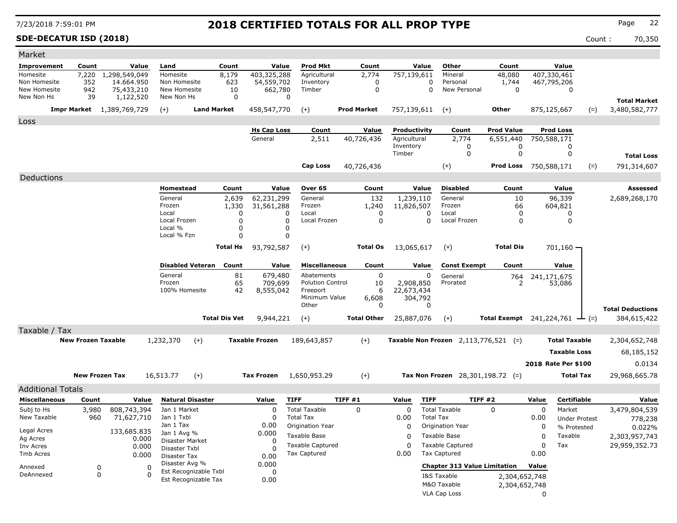**SDE-DECATUR ISD (2018)** Count : 70,350

| Market                       |                           |                                  |                                  |                                  |                                |                                          |                         |                     |                                               |                                 |             |                                |                         |
|------------------------------|---------------------------|----------------------------------|----------------------------------|----------------------------------|--------------------------------|------------------------------------------|-------------------------|---------------------|-----------------------------------------------|---------------------------------|-------------|--------------------------------|-------------------------|
| Improvement                  | Count                     | Value                            | Land                             | Count                            | Value                          | <b>Prod Mkt</b>                          | Count                   | Value               | Other                                         | Count                           |             | Value                          |                         |
| Homesite                     | 7,220                     | 1,298,549,049                    | Homesite                         | 8,179                            | 403,325,288                    | Agricultural                             | 2,774                   | 757,139,611         | Mineral                                       | 48,080                          |             | 407,330,461                    |                         |
| Non Homesite<br>New Homesite | 352<br>942                | 14.664.950<br>75,433,210         | Non Homesite<br>New Homesite     | 623<br>10                        | 54,559,702<br>662,780          | Inventory<br>Timber                      | $\Omega$<br>$\mathbf 0$ |                     | Personal<br>0<br>0<br>New Personal            | 1,744<br>$\mathbf 0$            |             | 467,795,206<br>0               |                         |
| New Non Hs                   | 39                        | 1,122,520                        | New Non Hs                       | $\mathbf 0$                      |                                | $\Omega$                                 |                         |                     |                                               |                                 |             |                                | <b>Total Market</b>     |
|                              |                           | <b>Impr Market</b> 1,389,769,729 | $(+)$                            | <b>Land Market</b>               | 458,547,770                    | $(+)$                                    | <b>Prod Market</b>      | 757,139,611         | $(+)$                                         | Other                           |             | 875,125,667<br>$(=)$           | 3,480,582,777           |
| Loss                         |                           |                                  |                                  |                                  |                                |                                          |                         |                     |                                               |                                 |             |                                |                         |
|                              |                           |                                  |                                  |                                  | <b>Hs Cap Loss</b>             | Count                                    | Value                   | Productivity        | Count                                         | <b>Prod Value</b>               |             | <b>Prod Loss</b>               |                         |
|                              |                           |                                  |                                  |                                  | General                        | 2,511                                    | 40,726,436              | Agricultural        | 2,774                                         | 6,551,440                       |             | 750,588,171                    |                         |
|                              |                           |                                  |                                  |                                  |                                |                                          |                         | Inventory           | 0                                             | 0                               |             | 0                              |                         |
|                              |                           |                                  |                                  |                                  |                                |                                          |                         | Timber              | $\Omega$                                      | $\mathbf 0$                     |             | $\mathbf 0$                    | <b>Total Loss</b>       |
|                              |                           |                                  |                                  |                                  |                                | <b>Cap Loss</b>                          | 40,726,436              |                     | $(+)$                                         | <b>Prod Loss</b> 750,588,171    |             | $(=)$                          | 791,314,607             |
| Deductions                   |                           |                                  |                                  |                                  |                                |                                          |                         |                     |                                               |                                 |             |                                |                         |
|                              |                           |                                  | Homestead                        | Count                            | Value                          | Over 65                                  | Count                   | Value               | <b>Disabled</b>                               | Count                           |             | Value                          | Assessed                |
|                              |                           |                                  | General                          | 2,639                            | 62,231,299                     | General                                  | 132                     | 1,239,110           | General                                       | 10                              |             | 96,339                         | 2,689,268,170           |
|                              |                           |                                  | Frozen<br>Local                  | 1,330                            | 31,561,288                     | Frozen<br>Local                          | 1,240<br>$\mathbf 0$    | 11,826,507          | Frozen<br>$\mathbf 0$<br>Local                | 66                              |             | 604,821                        |                         |
|                              |                           |                                  | Local Frozen                     |                                  | 0<br>$\Omega$                  | 0<br>0<br>Local Frozen                   | $\mathbf 0$             |                     | $\Omega$<br>Local Frozen                      | 0<br>0                          |             | 0<br>$\mathbf 0$               |                         |
|                              |                           |                                  | Local %                          |                                  | $\Omega$                       | 0                                        |                         |                     |                                               |                                 |             |                                |                         |
|                              |                           |                                  | Local % Fzn                      |                                  | $\mathbf 0$                    | 0                                        |                         |                     |                                               |                                 |             |                                |                         |
|                              |                           |                                  |                                  | <b>Total Hs</b>                  | 93,792,587                     | $(+)$                                    | <b>Total Os</b>         | 13,065,617          | $(+)$                                         | <b>Total Dis</b>                |             | 701,160 -                      |                         |
|                              |                           |                                  |                                  |                                  |                                |                                          |                         |                     |                                               |                                 |             |                                |                         |
|                              |                           |                                  | General                          | <b>Disabled Veteran</b><br>Count | Value                          | <b>Miscellaneous</b><br>Abatements       | Count                   | Value               | <b>Const Exempt</b><br>$\Omega$               | Count                           |             | Value                          |                         |
|                              |                           |                                  | Frozen                           |                                  | 81<br>679,480<br>65<br>709,699 | <b>Polution Control</b>                  | $\mathbf 0$<br>10       | 2,908,850           | General<br>Prorated                           | 764                             |             | 241,171,675<br>53,086          |                         |
|                              |                           |                                  | 100% Homesite                    |                                  | 42<br>8,555,042                | Freeport                                 | 6                       | 22,673,434          |                                               |                                 |             |                                |                         |
|                              |                           |                                  |                                  |                                  |                                | Minimum Value<br>Other                   | 6,608<br>$\Omega$       | 304,792             | $\mathbf 0$                                   |                                 |             |                                |                         |
|                              |                           |                                  |                                  |                                  |                                |                                          |                         |                     |                                               |                                 |             |                                | <b>Total Deductions</b> |
|                              |                           |                                  |                                  | <b>Total Dis Vet</b>             | 9,944,221                      | $(+)$                                    | <b>Total Other</b>      | 25,887,076          | $(+)$                                         | <b>Total Exempt</b> 241,224,761 |             | $-(-)$                         | 384,615,422             |
| Taxable / Tax                |                           |                                  |                                  |                                  |                                |                                          |                         |                     |                                               |                                 |             |                                |                         |
|                              | <b>New Frozen Taxable</b> |                                  | 1,232,370                        | $(+)$                            | <b>Taxable Frozen</b>          | 189,643,857                              | $(+)$                   |                     | <b>Taxable Non Frozen</b> $2,113,776,521$ (=) |                                 |             | <b>Total Taxable</b>           | 2,304,652,748           |
|                              |                           |                                  |                                  |                                  |                                |                                          |                         |                     |                                               |                                 |             | <b>Taxable Loss</b>            | 68,185,152              |
|                              |                           |                                  |                                  |                                  |                                |                                          |                         |                     |                                               |                                 |             | 2018 Rate Per \$100            | 0.0134                  |
|                              | <b>New Frozen Tax</b>     |                                  | 16,513.77                        | $(+)$                            | <b>Tax Frozen</b>              | 1,650,953.29                             | $(+)$                   |                     | Tax Non Frozen $28,301,198.72$ (=)            |                                 |             | <b>Total Tax</b>               | 29,968,665.78           |
|                              |                           |                                  |                                  |                                  |                                |                                          |                         |                     |                                               |                                 |             |                                |                         |
| <b>Additional Totals</b>     |                           |                                  |                                  |                                  |                                |                                          |                         |                     |                                               |                                 |             |                                |                         |
| <b>Miscellaneous</b>         | Count                     | Value                            | <b>Natural Disaster</b>          |                                  | Value                          | <b>TIFF</b>                              | TIFF#1                  | Value               | <b>TIFF</b>                                   | TIFF#2                          | Value       | Certifiable                    | Value                   |
| Subj to Hs<br>New Taxable    | 3,980<br>960              | 808,743,394<br>71,627,710        | Jan 1 Market<br>Jan 1 Txbl       |                                  | 0<br>0                         | <b>Total Taxable</b><br><b>Total Tax</b> | $\mathbf 0$             | $\mathbf 0$<br>0.00 | <b>Total Taxable</b><br><b>Total Tax</b>      | $\Omega$                        | 0<br>0.00   | Market<br><b>Under Protest</b> | 3,479,804,539           |
|                              |                           |                                  | Jan 1 Tax                        |                                  | 0.00                           | Origination Year                         |                         | $\Omega$            | Origination Year                              |                                 | $\Omega$    | % Protested                    | 778,238<br>0.022%       |
| Legal Acres<br>Ag Acres      |                           | 133,685.835<br>0.000             | Jan 1 Avg %                      |                                  | 0.000                          | Taxable Base                             |                         | $\Omega$            | Taxable Base                                  |                                 | $\Omega$    | Taxable                        | 2,303,957,743           |
| Inv Acres                    |                           | 0.000                            | Disaster Market<br>Disaster Txbl |                                  | 0<br>0                         | <b>Taxable Captured</b>                  |                         | $\mathbf 0$         | <b>Taxable Captured</b>                       |                                 | $\mathbf 0$ | Tax                            | 29,959,352.73           |
| Tmb Acres                    |                           | 0.000                            | Disaster Tax                     |                                  | 0.00                           | <b>Tax Captured</b>                      |                         | 0.00                | <b>Tax Captured</b>                           |                                 | 0.00        |                                |                         |
| Annexed                      | 0                         | $\Omega$                         | Disaster Avg %                   |                                  | 0.000                          |                                          |                         |                     | <b>Chapter 313 Value Limitation</b>           |                                 | Value       |                                |                         |
| DeAnnexed                    | $\Omega$                  | $\Omega$                         |                                  | Est Recognizable Txbl            | 0                              |                                          |                         |                     | I&S Taxable                                   | 2,304,652,748                   |             |                                |                         |
|                              |                           |                                  |                                  | Est Recognizable Tax             | 0.00                           |                                          |                         |                     | M&O Taxable                                   | 2,304,652,748                   |             |                                |                         |
|                              |                           |                                  |                                  |                                  |                                |                                          |                         |                     | VLA Cap Loss                                  |                                 | 0           |                                |                         |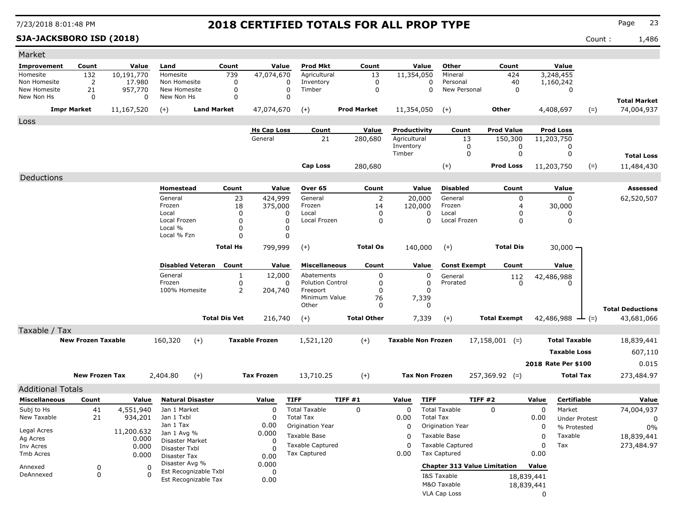## 7/23/2018 8:01:48 PM **2018 CERTIFIED TOTALS FOR ALL PROP TYPE** Page <sup>23</sup>

### **SJA-JACKSBORO ISD (2018)** Count : 1,486

| Market                     |                           |                |                                       |                      |                       |                                      |                    |                           |                                      |                     |                 |                              |                          |
|----------------------------|---------------------------|----------------|---------------------------------------|----------------------|-----------------------|--------------------------------------|--------------------|---------------------------|--------------------------------------|---------------------|-----------------|------------------------------|--------------------------|
| <b>Improvement</b>         | Count                     | Value          | Land                                  | Count                | Value                 | <b>Prod Mkt</b>                      | Count              | Value                     | Other                                | Count               |                 | Value                        |                          |
| Homesite                   | 132                       | 10,191,770     | Homesite                              | 739                  | 47,074,670            | Agricultural                         | 13                 | 11,354,050                | Mineral                              | 424                 |                 | 3,248,455                    |                          |
| Non Homesite               | 2                         | 17,980         | Non Homesite                          | 0                    | 0                     | Inventory                            | $\mathbf 0$        | 0                         | Personal                             | 40                  |                 | 1,160,242                    |                          |
| New Homesite<br>New Non Hs | 21<br>0                   | 957,770<br>0   | New Homesite<br>New Non Hs            | 0<br>0               | 0<br>0                | Timber                               | $\mathbf 0$        | 0                         | New Personal                         | 0                   |                 | 0                            |                          |
|                            |                           |                |                                       |                      |                       |                                      |                    |                           |                                      |                     |                 |                              | <b>Total Market</b>      |
|                            | <b>Impr Market</b>        | 11,167,520     | $(+)$                                 | <b>Land Market</b>   | 47,074,670            | $(+)$                                | <b>Prod Market</b> | 11,354,050                | $(+)$                                | Other               |                 | 4,408,697<br>$(=)$           | 74,004,937               |
| Loss                       |                           |                |                                       |                      |                       |                                      |                    |                           |                                      |                     |                 |                              |                          |
|                            |                           |                |                                       |                      | <b>Hs Cap Loss</b>    | Count                                | Value              | Productivity              | Count                                | <b>Prod Value</b>   |                 | <b>Prod Loss</b>             |                          |
|                            |                           |                |                                       |                      | General               | 21                                   | 280,680            | Agricultural<br>Inventory | 13<br>0                              | 150,300<br>0        |                 | 11,203,750<br>0              |                          |
|                            |                           |                |                                       |                      |                       |                                      |                    | Timber                    | 0                                    | 0                   |                 | 0                            | <b>Total Loss</b>        |
|                            |                           |                |                                       |                      |                       |                                      |                    |                           |                                      | <b>Prod Loss</b>    |                 |                              |                          |
|                            |                           |                |                                       |                      |                       | <b>Cap Loss</b>                      | 280,680            |                           | $(+)$                                |                     |                 | $(=)$<br>11,203,750          | 11,484,430               |
| Deductions                 |                           |                |                                       |                      |                       |                                      |                    |                           |                                      |                     |                 |                              |                          |
|                            |                           |                | Homestead                             | Count                | Value                 | Over 65                              | Count              | Value                     | <b>Disabled</b>                      | Count               |                 | Value                        | <b>Assessed</b>          |
|                            |                           |                | General                               | 23                   | 424,999               | General                              | 2                  | 20,000                    | General                              | 0                   |                 | 0                            | 62,520,507               |
|                            |                           |                | Frozen<br>Local                       | 18<br>$\Omega$       | 375,000<br>0          | Frozen<br>Local                      | 14<br>0            | 120,000<br>0              | Frozen<br>Local                      | 4<br><sup>0</sup>   |                 | 30,000<br>0                  |                          |
|                            |                           |                | Local Frozen                          | $\Omega$             | 0                     | Local Frozen                         | 0                  | $\Omega$                  | Local Frozen                         | 0                   |                 | 0                            |                          |
|                            |                           |                | Local %                               | 0                    | 0                     |                                      |                    |                           |                                      |                     |                 |                              |                          |
|                            |                           |                | Local % Fzn                           | $\Omega$             | 0                     |                                      |                    |                           |                                      |                     |                 |                              |                          |
|                            |                           |                |                                       | <b>Total Hs</b>      | 799,999               | $^{(+)}$                             | <b>Total Os</b>    | 140,000                   | $(+)$                                | <b>Total Dis</b>    |                 | $30,000 -$                   |                          |
|                            |                           |                | <b>Disabled Veteran</b> Count         |                      |                       | <b>Miscellaneous</b>                 | Count              | Value                     | <b>Const Exempt</b>                  | Count               |                 | Value                        |                          |
|                            |                           |                | General                               | 1                    | Value<br>12,000       | Abatements                           | 0                  | 0                         |                                      |                     |                 |                              |                          |
|                            |                           |                | Frozen                                | 0                    | 0                     | <b>Polution Control</b>              | 0                  | 0                         | General<br>Prorated                  | 112<br>0            |                 | 42,486,988<br>0              |                          |
|                            |                           |                | 100% Homesite                         | 2                    | 204,740               | Freeport                             | 0                  | 0                         |                                      |                     |                 |                              |                          |
|                            |                           |                |                                       |                      |                       | Minimum Value<br>Other               | 76<br>0            | 7,339<br>0                |                                      |                     |                 |                              |                          |
|                            |                           |                |                                       |                      |                       |                                      |                    |                           |                                      |                     |                 |                              | <b>Total Deductions</b>  |
|                            |                           |                |                                       | <b>Total Dis Vet</b> | 216,740               | $(+)$                                | <b>Total Other</b> | 7,339                     | $(+)$                                | <b>Total Exempt</b> |                 | 42,486,988 $\rightarrow$ (=) | 43,681,066               |
| Taxable / Tax              |                           |                |                                       |                      |                       |                                      |                    |                           |                                      |                     |                 |                              |                          |
|                            | <b>New Frozen Taxable</b> |                | $(+)$<br>160,320                      |                      | <b>Taxable Frozen</b> | 1,521,120                            | $(+)$              | <b>Taxable Non Frozen</b> |                                      | $17,158,001$ (=)    |                 | <b>Total Taxable</b>         | 18,839,441               |
|                            |                           |                |                                       |                      |                       |                                      |                    |                           |                                      |                     |                 | <b>Taxable Loss</b>          | 607,110                  |
|                            |                           |                |                                       |                      |                       |                                      |                    |                           |                                      |                     |                 | 2018 Rate Per \$100          | 0.015                    |
|                            | <b>New Frozen Tax</b>     |                | 2,404.80<br>$(+)$                     |                      | <b>Tax Frozen</b>     | 13,710.25                            | $(+)$              | <b>Tax Non Frozen</b>     |                                      | $257,369.92$ (=)    |                 | Total Tax                    | 273,484.97               |
|                            |                           |                |                                       |                      |                       |                                      |                    |                           |                                      |                     |                 |                              |                          |
| <b>Additional Totals</b>   |                           |                |                                       |                      |                       |                                      |                    |                           |                                      |                     |                 |                              |                          |
| <b>Miscellaneous</b>       | Count                     | Value          | <b>Natural Disaster</b>               |                      | Value                 | <b>TIFF</b>                          | TIFF #1            | Value<br><b>TIFF</b>      |                                      | <b>TIFF #2</b>      | Value           | Certifiable                  | Value                    |
| Subj to Hs                 | 41                        | 4,551,940      | Jan 1 Market                          |                      | $\Omega$              | <b>Total Taxable</b>                 | 0                  | 0                         | <b>Total Taxable</b>                 | 0                   | 0               | Market                       | 74,004,937               |
| New Taxable                | 21                        | 934,201        | Jan 1 Txbl<br>Jan 1 Tax               |                      | 0<br>0.00             | <b>Total Tax</b><br>Origination Year |                    | 0.00<br>0                 | <b>Total Tax</b><br>Origination Year |                     | 0.00            | <b>Under Protest</b>         | 0                        |
| Legal Acres                |                           | 11,200.632     | Jan 1 Avg %                           |                      | 0.000                 | Taxable Base                         |                    |                           | Taxable Base                         |                     | 0               | % Protested<br>Taxable       | 0%                       |
| Ag Acres                   |                           | 0.000          | Disaster Market                       |                      | 0                     | <b>Taxable Captured</b>              |                    | 0<br>0                    | <b>Taxable Captured</b>              |                     | 0<br>0          | Tax                          | 18,839,441<br>273,484.97 |
| Inv Acres<br>Tmb Acres     |                           | 0.000<br>0.000 | Disaster Txbl                         |                      | n                     | <b>Tax Captured</b>                  |                    | 0.00                      | <b>Tax Captured</b>                  |                     | 0.00            |                              |                          |
|                            |                           |                | <b>Disaster Tax</b><br>Disaster Avg % |                      | 0.00<br>0.000         |                                      |                    |                           |                                      |                     |                 |                              |                          |
| Annexed<br>DeAnnexed       | 0<br>0                    | 0<br>0         | Est Recognizable Txbl                 |                      | 0                     |                                      |                    |                           | <b>Chapter 313 Value Limitation</b>  |                     | Value           |                              |                          |
|                            |                           |                | Est Recognizable Tax                  |                      | 0.00                  |                                      |                    |                           | I&S Taxable<br>M&O Taxable           |                     | 18,839,441      |                              |                          |
|                            |                           |                |                                       |                      |                       |                                      |                    |                           | VLA Cap Loss                         |                     | 18,839,441<br>0 |                              |                          |
|                            |                           |                |                                       |                      |                       |                                      |                    |                           |                                      |                     |                 |                              |                          |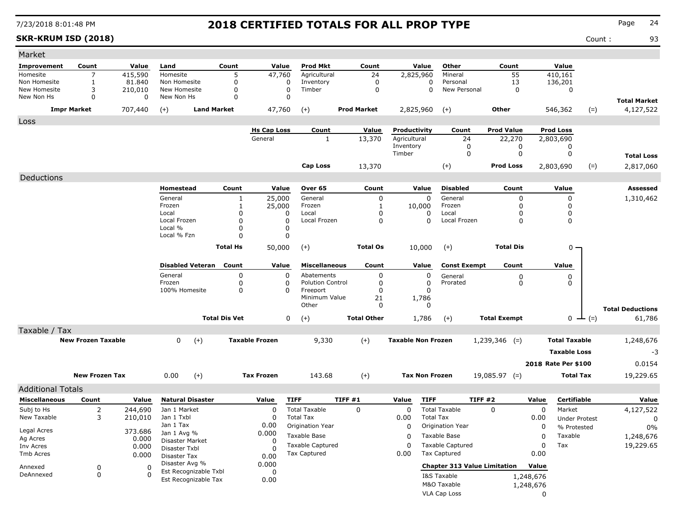## 7/23/2018 8:01:48 PM **2018 CERTIFIED TOTALS FOR ALL PROP TYPE** Page <sup>24</sup>

**SKR-KRUM ISD (2018)** Count : 93

| Market                     |                           |                |                                |                      |                         |                           |                      |                           |                                     |                     |                     |                      |                                   |
|----------------------------|---------------------------|----------------|--------------------------------|----------------------|-------------------------|---------------------------|----------------------|---------------------------|-------------------------------------|---------------------|---------------------|----------------------|-----------------------------------|
| Improvement                | Count                     | Value          | Land                           | Count                | Value                   | <b>Prod Mkt</b>           | Count                | Value                     | Other                               | Count               | Value               |                      |                                   |
| Homesite                   | 7                         | 415,590        | Homesite                       | 5                    | 47,760                  | Agricultural              | 24                   | 2,825,960                 | Mineral                             | $\overline{55}$     | 410,161             |                      |                                   |
| Non Homesite               | 1                         | 81,840         | Non Homesite                   | $\Omega$             | 0                       | Inventory                 | $\mathbf 0$          | 0                         | Personal                            | 13                  | 136,201             |                      |                                   |
| New Homesite<br>New Non Hs | 3<br>0                    | 210,010<br>0   | New Homesite<br>New Non Hs     | $\Omega$<br>$\Omega$ | $\mathbf 0$<br>$\Omega$ | Timber                    | $\mathbf 0$          | 0                         | New Personal                        | 0                   |                     | 0                    |                                   |
|                            |                           |                |                                |                      |                         |                           |                      |                           |                                     |                     |                     |                      | <b>Total Market</b>               |
|                            | <b>Impr Market</b>        | 707,440        | $(+)$                          | <b>Land Market</b>   | 47,760                  | $(+)$                     | <b>Prod Market</b>   | 2,825,960                 | $^{(+)}$                            | Other               | 546,362             | $(=)$                | 4,127,522                         |
| Loss                       |                           |                |                                |                      |                         |                           |                      |                           |                                     |                     |                     |                      |                                   |
|                            |                           |                |                                |                      | <b>Hs Cap Loss</b>      | Count                     | Value                | Productivity              | Count                               | <b>Prod Value</b>   | <b>Prod Loss</b>    |                      |                                   |
|                            |                           |                |                                |                      | General                 | $\mathbf{1}$              | 13,370               | Agricultural              | 24                                  | 22,270              | 2,803,690           |                      |                                   |
|                            |                           |                |                                |                      |                         |                           |                      | Inventory<br>Timber       | 0<br>0                              | 0<br>0              |                     | 0<br>0               |                                   |
|                            |                           |                |                                |                      |                         |                           |                      |                           |                                     |                     |                     |                      | <b>Total Loss</b>                 |
|                            |                           |                |                                |                      |                         | <b>Cap Loss</b>           | 13,370               |                           | $(+)$                               | <b>Prod Loss</b>    | 2,803,690           | $(=)$                | 2,817,060                         |
| Deductions                 |                           |                |                                |                      |                         |                           |                      |                           |                                     |                     |                     |                      |                                   |
|                            |                           |                | Homestead                      | Count                | Value                   | Over 65                   | Count                | Value                     | <b>Disabled</b>                     | Count               | Value               |                      | Assessed                          |
|                            |                           |                | General                        | 1                    | 25,000                  | General                   | 0                    | $\Omega$                  | General                             | 0                   |                     | 0                    | 1,310,462                         |
|                            |                           |                | Frozen<br>Local                | 1<br>0               | 25,000                  | Frozen<br>Local           | 1                    | 10,000                    | Frozen                              | 0                   |                     | 0                    |                                   |
|                            |                           |                | Local Frozen                   | 0                    | 0<br>$\Omega$           | Local Frozen              | $\Omega$<br>$\Omega$ | 0<br>$\Omega$             | Local<br>Local Frozen               | 0<br>0              |                     | 0<br>0               |                                   |
|                            |                           |                | Local %                        | 0                    | 0                       |                           |                      |                           |                                     |                     |                     |                      |                                   |
|                            |                           |                | Local % Fzn                    | 0                    | 0                       |                           |                      |                           |                                     |                     |                     |                      |                                   |
|                            |                           |                |                                | <b>Total Hs</b>      | 50,000                  | $(+)$                     | <b>Total Os</b>      | 10,000                    | $(+)$                               | <b>Total Dis</b>    |                     | 0 -                  |                                   |
|                            |                           |                |                                |                      |                         |                           |                      |                           |                                     |                     |                     |                      |                                   |
|                            |                           |                | <b>Disabled Veteran</b>        | Count                | Value                   | <b>Miscellaneous</b>      | Count                | Value                     | <b>Const Exempt</b>                 | Count               | Value               |                      |                                   |
|                            |                           |                | General                        | 0                    | 0                       | Abatements                | 0                    | 0                         | General                             | 0                   |                     | 0                    |                                   |
|                            |                           |                | Frozen                         | 0                    | 0                       | <b>Polution Control</b>   | $\Omega$             | 0                         | Prorated                            | 0                   |                     | 0                    |                                   |
|                            |                           |                | 100% Homesite                  | 0                    | $\Omega$                | Freeport<br>Minimum Value | $\Omega$<br>21       | 0<br>1,786                |                                     |                     |                     |                      |                                   |
|                            |                           |                |                                |                      |                         | Other                     | 0                    | $\Omega$                  |                                     |                     |                     |                      |                                   |
|                            |                           |                |                                | <b>Total Dis Vet</b> | 0                       | $(+)$                     | <b>Total Other</b>   | 1,786                     | $(+)$                               | <b>Total Exempt</b> |                     | $0 \perp (=)$        | <b>Total Deductions</b><br>61,786 |
| Taxable / Tax              |                           |                |                                |                      |                         |                           |                      |                           |                                     |                     |                     |                      |                                   |
|                            | <b>New Frozen Taxable</b> |                | $(+)$<br>0                     |                      | <b>Taxable Frozen</b>   | 9,330                     | $(+)$                | <b>Taxable Non Frozen</b> |                                     | $1,239,346$ (=)     |                     | <b>Total Taxable</b> | 1,248,676                         |
|                            |                           |                |                                |                      |                         |                           |                      |                           |                                     |                     |                     |                      |                                   |
|                            |                           |                |                                |                      |                         |                           |                      |                           |                                     |                     |                     | <b>Taxable Loss</b>  | -3                                |
|                            |                           |                |                                |                      |                         |                           |                      |                           |                                     |                     | 2018 Rate Per \$100 |                      | 0.0154                            |
|                            | <b>New Frozen Tax</b>     |                | 0.00<br>$(+)$                  |                      | <b>Tax Frozen</b>       | 143.68                    | $(+)$                | <b>Tax Non Frozen</b>     |                                     | $19,085.97$ (=)     |                     | <b>Total Tax</b>     | 19,229.65                         |
| <b>Additional Totals</b>   |                           |                |                                |                      |                         |                           |                      |                           |                                     |                     |                     |                      |                                   |
| <b>Miscellaneous</b>       | Count                     | Value          | <b>Natural Disaster</b>        |                      | Value                   | <b>TIFF</b>               | TIFF #1              | Value<br><b>TIFF</b>      |                                     | TIFF#2              | Value               | Certifiable          | Value                             |
| Subj to Hs                 | 2                         | 244,690        | Jan 1 Market                   |                      | 0                       | <b>Total Taxable</b>      | 0                    | 0                         | <b>Total Taxable</b>                | 0                   | 0                   | Market               | 4,127,522                         |
| New Taxable                | 3                         | 210,010        | Jan 1 Txbl                     |                      | 0                       | <b>Total Tax</b>          |                      | 0.00                      | <b>Total Tax</b>                    |                     | 0.00                | <b>Under Protest</b> | 0                                 |
|                            |                           |                | Jan 1 Tax                      |                      | 0.00                    | Origination Year          |                      | 0                         | Origination Year                    |                     | 0                   | % Protested          | $0\%$                             |
| Legal Acres                |                           | 373.686        | Jan 1 Avg %                    |                      | 0.000                   | Taxable Base              |                      | 0                         | Taxable Base                        |                     | 0                   | Taxable              | 1,248,676                         |
| Ag Acres<br>Inv Acres      |                           | 0.000<br>0.000 | Disaster Market                |                      | 0                       | <b>Taxable Captured</b>   |                      | 0                         | Taxable Captured                    |                     | Tax<br>0            |                      | 19,229.65                         |
| Tmb Acres                  |                           | 0.000          | Disaster Txbl                  |                      | <sup>0</sup>            | Tax Captured              |                      | 0.00                      | <b>Tax Captured</b>                 |                     | 0.00                |                      |                                   |
|                            |                           |                | Disaster Tax<br>Disaster Avg % |                      | 0.00<br>0.000           |                           |                      |                           |                                     |                     |                     |                      |                                   |
| Annexed                    | 0                         | 0              | Est Recognizable Txbl          |                      | 0                       |                           |                      |                           | <b>Chapter 313 Value Limitation</b> |                     | Value               |                      |                                   |
| DeAnnexed                  | 0                         | $\Omega$       | Est Recognizable Tax           |                      | 0.00                    |                           |                      |                           | I&S Taxable                         |                     | 1,248,676           |                      |                                   |
|                            |                           |                |                                |                      |                         |                           |                      |                           | M&O Taxable                         |                     | 1,248,676           |                      |                                   |
|                            |                           |                |                                |                      |                         |                           |                      |                           | VLA Cap Loss                        |                     | 0                   |                      |                                   |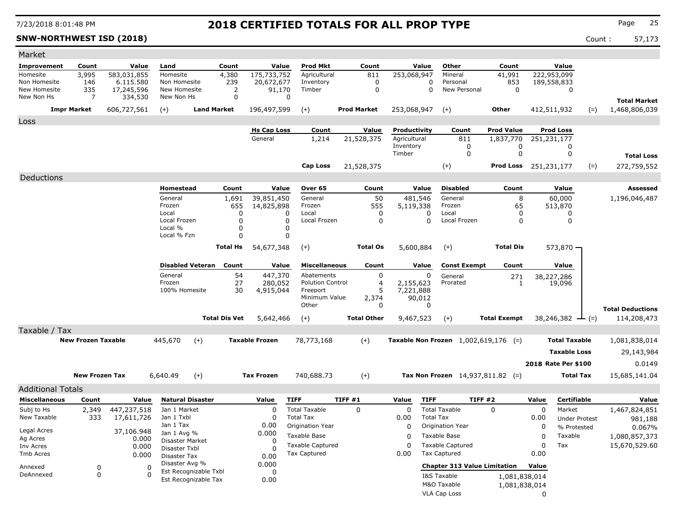## 7/23/2018 8:01:48 PM **2018 CERTIFIED TOTALS FOR ALL PROP TYPE** Page <sup>25</sup>

### **SNW-NORTHWEST ISD (2018)** Count : 57,173

| Market                       |                           |                           |                                |                         |                 |                       |                                          |        |                    |              |                  |                                               |                                |           |                              |       |                                      |
|------------------------------|---------------------------|---------------------------|--------------------------------|-------------------------|-----------------|-----------------------|------------------------------------------|--------|--------------------|--------------|------------------|-----------------------------------------------|--------------------------------|-----------|------------------------------|-------|--------------------------------------|
| <b>Improvement</b>           | Count                     | Value                     | Land                           | Count                   |                 | Value                 | <b>Prod Mkt</b>                          |        | Count              |              | Value            | Other                                         | Count                          |           | Value                        |       |                                      |
| Homesite                     | 3,995                     | 583,031,855               | Homesite                       | 4,380                   |                 | 175,733,752           | Agricultural                             |        | 811                | 253,068,947  |                  | Mineral                                       | 41,991                         |           | 222,953,099                  |       |                                      |
| Non Homesite<br>New Homesite | 146<br>335                | 6.115.580<br>17,245,596   | Non Homesite<br>New Homesite   |                         | 239<br>2        | 20,672,677<br>91,170  | Inventory<br>Timber                      |        | 0<br>$\mathbf 0$   |              | 0<br>0           | Personal<br>New Personal                      | 853<br>$\mathbf 0$             |           | 189,558,833<br>0             |       |                                      |
| New Non Hs                   | 7                         | 334,530                   | New Non Hs                     |                         | 0               |                       | 0                                        |        |                    |              |                  |                                               |                                |           |                              |       |                                      |
|                              | <b>Impr Market</b>        | 606,727,561               | $(+)$                          | <b>Land Market</b>      |                 | 196,497,599           | $(+)$                                    |        | <b>Prod Market</b> | 253,068,947  |                  | $(+)$                                         | Other                          |           | 412,511,932                  | $(=)$ | <b>Total Market</b><br>1,468,806,039 |
|                              |                           |                           |                                |                         |                 |                       |                                          |        |                    |              |                  |                                               |                                |           |                              |       |                                      |
| Loss                         |                           |                           |                                |                         |                 | <b>Hs Cap Loss</b>    | Count                                    |        | <u>Value</u>       | Productivity |                  | Count                                         | <b>Prod Value</b>              |           | <b>Prod Loss</b>             |       |                                      |
|                              |                           |                           |                                |                         |                 | General               | 1,214                                    |        | 21,528,375         | Agricultural |                  | 811                                           | 1,837,770                      |           | 251,231,177                  |       |                                      |
|                              |                           |                           |                                |                         |                 |                       |                                          |        |                    | Inventory    |                  | 0                                             | 0                              |           | 0                            |       |                                      |
|                              |                           |                           |                                |                         |                 |                       |                                          |        |                    | Timber       |                  | 0                                             | 0                              |           | 0                            |       | <b>Total Loss</b>                    |
|                              |                           |                           |                                |                         |                 |                       | Cap Loss                                 |        | 21,528,375         |              |                  | $(+)$                                         | <b>Prod Loss</b> 251,231,177   |           |                              | $(=)$ | 272,759,552                          |
| Deductions                   |                           |                           |                                |                         |                 |                       |                                          |        |                    |              |                  |                                               |                                |           |                              |       |                                      |
|                              |                           |                           | Homestead                      |                         | Count           | Value                 | Over 65                                  |        | Count              |              | Value            | <b>Disabled</b>                               | Count                          |           | Value                        |       | Assessed                             |
|                              |                           |                           | General                        |                         | 1,691           | 39,851,450            | General                                  |        | 50                 |              | 481,546          | General                                       | 8                              |           | 60,000                       |       | 1,196,046,487                        |
|                              |                           |                           | Frozen<br>Local                |                         | 655             | 14,825,898            | Frozen<br>Local                          |        | 555                | 5,119,338    |                  | Frozen<br>Local                               | 65                             |           | 513,870                      |       |                                      |
|                              |                           |                           | Local Frozen                   |                         | 0<br>$\Omega$   | 0<br>0                | Local Frozen                             |        | 0<br>0             |              | 0<br>$\Omega$    | Local Frozen                                  | 0<br>$\Omega$                  |           | 0<br>0                       |       |                                      |
|                              |                           |                           | Local %                        |                         | $\Omega$        | 0                     |                                          |        |                    |              |                  |                                               |                                |           |                              |       |                                      |
|                              |                           |                           | Local % Fzn                    |                         | $\Omega$        | 0                     |                                          |        |                    |              |                  |                                               |                                |           |                              |       |                                      |
|                              |                           |                           |                                |                         | <b>Total Hs</b> | 54,677,348            | $(+)$                                    |        | <b>Total Os</b>    | 5,600,884    |                  | $(+)$                                         | <b>Total Dis</b>               |           | 573,870 -                    |       |                                      |
|                              |                           |                           |                                | <b>Disabled Veteran</b> | Count           | Value                 | <b>Miscellaneous</b>                     |        | Count              |              | Value            | <b>Const Exempt</b>                           | Count                          |           | Value                        |       |                                      |
|                              |                           |                           | General                        |                         | 54              | 447,370               | Abatements                               |        | 0                  |              | 0                | General                                       | 271                            |           | 38,227,286                   |       |                                      |
|                              |                           |                           | Frozen                         |                         | 27              | 280,052               | <b>Polution Control</b>                  |        | $\overline{4}$     | 2,155,623    |                  | Prorated                                      | 1                              |           | 19,096                       |       |                                      |
|                              |                           |                           | 100% Homesite                  |                         | 30              | 4,915,044             | Freeport<br>Minimum Value                |        | 5<br>2,374         | 7,221,888    | 90,012           |                                               |                                |           |                              |       |                                      |
|                              |                           |                           |                                |                         |                 |                       | Other                                    |        | 0                  |              | 0                |                                               |                                |           |                              |       | <b>Total Deductions</b>              |
|                              |                           |                           |                                | <b>Total Dis Vet</b>    |                 | 5,642,466             | $(+)$                                    |        | <b>Total Other</b> | 9,467,523    |                  | $(+)$                                         | <b>Total Exempt</b>            |           | 38,246,382 $\rightarrow$ (=) |       | 114,208,473                          |
| Taxable / Tax                |                           |                           |                                |                         |                 |                       |                                          |        |                    |              |                  |                                               |                                |           |                              |       |                                      |
|                              | <b>New Frozen Taxable</b> |                           | 445,670                        | $(+)$                   |                 | <b>Taxable Frozen</b> | 78,773,168                               |        | $(+)$              |              |                  | <b>Taxable Non Frozen</b> $1,002,619,176$ (=) |                                |           | <b>Total Taxable</b>         |       | 1,081,838,014                        |
|                              |                           |                           |                                |                         |                 |                       |                                          |        |                    |              |                  |                                               |                                |           | <b>Taxable Loss</b>          |       | 29,143,984                           |
|                              |                           |                           |                                |                         |                 |                       |                                          |        |                    |              |                  |                                               |                                |           | 2018 Rate Per \$100          |       | 0.0149                               |
|                              | <b>New Frozen Tax</b>     |                           | 6,640.49                       | $(+)$                   |                 | <b>Tax Frozen</b>     | 740,688.73                               |        | $(+)$              |              |                  | Tax Non Frozen $14,937,811.82$ (=)            |                                |           | Total Tax                    |       | 15,685,141.04                        |
|                              |                           |                           |                                |                         |                 |                       |                                          |        |                    |              |                  |                                               |                                |           |                              |       |                                      |
| <b>Additional Totals</b>     |                           |                           |                                |                         |                 |                       |                                          |        |                    |              |                  |                                               |                                |           |                              |       |                                      |
| <b>Miscellaneous</b>         | Count                     | Value                     |                                | <b>Natural Disaster</b> |                 | Value                 | <b>TIFF</b>                              | TIFF#1 |                    | Value        | <b>TIFF</b>      | TIFF#2                                        |                                | Value     | Certifiable                  |       | Value                                |
| Subj to Hs<br>New Taxable    | 2,349<br>333              | 447,237,518<br>17,611,726 | Jan 1 Market<br>Jan 1 Txbl     |                         |                 | 0<br>0                | <b>Total Taxable</b><br><b>Total Tax</b> |        | 0                  | 0<br>0.00    | <b>Total Tax</b> | <b>Total Taxable</b>                          | 0                              | 0         | Market                       |       | 1,467,824,851                        |
|                              |                           |                           | Jan 1 Tax                      |                         |                 | 0.00                  | Origination Year                         |        |                    | 0            |                  | Origination Year                              |                                | 0.00<br>0 | <b>Under Protest</b>         |       | 981,188                              |
| Legal Acres                  |                           | 37,106.948                | Jan 1 Avg %                    |                         |                 | 0.000                 | Taxable Base                             |        |                    | 0            |                  | Taxable Base                                  |                                | 0         | % Protested<br>Taxable       |       | 0.067%<br>1,080,857,373              |
| Ag Acres<br>Inv Acres        |                           | 0.000<br>0.000            | Disaster Market                |                         |                 | 0                     | <b>Taxable Captured</b>                  |        |                    | 0            |                  | <b>Taxable Captured</b>                       |                                | 0         | Tax                          |       | 15,670,529.60                        |
| Tmb Acres                    |                           | 0.000                     | Disaster Txbl                  |                         |                 | $\Omega$              | Tax Captured                             |        |                    | 0.00         |                  | Tax Captured                                  |                                | 0.00      |                              |       |                                      |
|                              |                           |                           | Disaster Tax<br>Disaster Avg % |                         |                 | 0.00<br>0.000         |                                          |        |                    |              |                  |                                               |                                |           |                              |       |                                      |
| Annexed<br>DeAnnexed         | 0<br>0                    |                           | 0<br>0                         | Est Recognizable Txbl   |                 | 0                     |                                          |        |                    |              |                  | <b>Chapter 313 Value Limitation</b>           |                                | Value     |                              |       |                                      |
|                              |                           |                           |                                | Est Recognizable Tax    |                 | 0.00                  |                                          |        |                    |              |                  | I&S Taxable<br>M&O Taxable                    | 1,081,838,014<br>1,081,838,014 |           |                              |       |                                      |
|                              |                           |                           |                                |                         |                 |                       |                                          |        |                    |              |                  | VLA Cap Loss                                  |                                | 0         |                              |       |                                      |
|                              |                           |                           |                                |                         |                 |                       |                                          |        |                    |              |                  |                                               |                                |           |                              |       |                                      |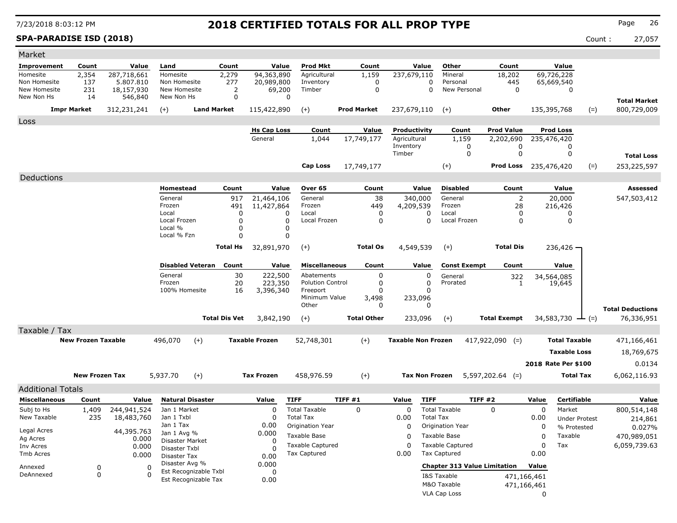## 7/23/2018 8:03:12 PM **2018 CERTIFIED TOTALS FOR ALL PROP TYPE** Page <sup>26</sup>

**SPA-PARADISE ISD (2018)** Count : 27,057

| Market                       |                           |                         |                                |                         |                 |                       |                                      |                    |                 |                           |                                      |                       |                            |                              |       |                                       |
|------------------------------|---------------------------|-------------------------|--------------------------------|-------------------------|-----------------|-----------------------|--------------------------------------|--------------------|-----------------|---------------------------|--------------------------------------|-----------------------|----------------------------|------------------------------|-------|---------------------------------------|
| <b>Improvement</b>           | Count                     | Value                   | Land                           |                         | Count           | Value                 | <b>Prod Mkt</b>                      | Count              |                 | Value                     | Other                                | Count                 |                            | Value                        |       |                                       |
| Homesite                     | 2,354                     | 287,718,661             | Homesite                       |                         | 2,279           | 94,363,890            | Agricultural                         | 1,159              |                 | 237,679,110               | Mineral                              | 18,202                |                            | 69,726,228                   |       |                                       |
| Non Homesite<br>New Homesite | 137<br>231                | 5.807.810<br>18,157,930 | Non Homesite<br>New Homesite   |                         | 277<br>2        | 20,989,800<br>69,200  | Inventory<br>Timber                  |                    | 0<br>$\Omega$   | 0<br>$\Omega$             | Personal<br>New Personal             | 445<br>$\mathbf 0$    |                            | 65,669,540<br>$\mathbf 0$    |       |                                       |
| New Non Hs                   | -14                       | 546,840                 | New Non Hs                     |                         | $\mathbf 0$     |                       | $\Omega$                             |                    |                 |                           |                                      |                       |                            |                              |       | <b>Total Market</b>                   |
|                              | <b>Impr Market</b>        | 312,231,241             | $(+)$                          | <b>Land Market</b>      |                 | 115,422,890           | $(+)$                                | <b>Prod Market</b> |                 | 237,679,110               | $(+)$                                | Other                 |                            | 135,395,768                  | $(=)$ | 800,729,009                           |
|                              |                           |                         |                                |                         |                 |                       |                                      |                    |                 |                           |                                      |                       |                            |                              |       |                                       |
| Loss                         |                           |                         |                                |                         |                 | <b>Hs Cap Loss</b>    | Count                                | Value              |                 | Productivity              | Count                                | <b>Prod Value</b>     |                            | <b>Prod Loss</b>             |       |                                       |
|                              |                           |                         |                                |                         |                 | General               | 1,044                                | 17,749,177         |                 | Agricultural              | 1,159                                | 2,202,690             |                            | 235,476,420                  |       |                                       |
|                              |                           |                         |                                |                         |                 |                       |                                      |                    |                 | Inventory                 | 0                                    | 0                     |                            | 0                            |       |                                       |
|                              |                           |                         |                                |                         |                 |                       |                                      |                    |                 | Timber                    | $\mathbf 0$                          | $\mathbf 0$           |                            | $\mathbf 0$                  |       | <b>Total Loss</b>                     |
|                              |                           |                         |                                |                         |                 |                       | <b>Cap Loss</b>                      | 17,749,177         |                 |                           | $(+)$                                | Prod Loss 235,476,420 |                            |                              | $(=)$ | 253,225,597                           |
| Deductions                   |                           |                         |                                |                         |                 |                       |                                      |                    |                 |                           |                                      |                       |                            |                              |       |                                       |
|                              |                           |                         | Homestead                      |                         | Count           | Value                 | Over 65                              | Count              |                 | Value                     | <b>Disabled</b>                      | Count                 |                            | Value                        |       | <b>Assessed</b>                       |
|                              |                           |                         | General                        |                         | 917             | 21,464,106            | General                              |                    | 38              | 340,000                   | General                              | $\mathsf{2}$          |                            | 20,000                       |       | 547,503,412                           |
|                              |                           |                         | Frozen<br>Local                |                         | 491<br>0        | 11,427,864            | Frozen<br>Local<br>$\Omega$          |                    | 449<br>$\Omega$ | 4,209,539<br>$\Omega$     | Frozen<br>Local                      | 28<br>0               |                            | 216,426                      |       |                                       |
|                              |                           |                         | Local Frozen                   |                         | $\Omega$        |                       | $\Omega$<br>Local Frozen             |                    | $\Omega$        | $\Omega$                  | Local Frozen                         | $\mathbf{0}$          |                            | 0<br>$\Omega$                |       |                                       |
|                              |                           |                         | Local %                        |                         | $\Omega$        |                       | 0                                    |                    |                 |                           |                                      |                       |                            |                              |       |                                       |
|                              |                           |                         | Local % Fzn                    |                         | $\mathbf 0$     |                       | 0                                    |                    |                 |                           |                                      |                       |                            |                              |       |                                       |
|                              |                           |                         |                                |                         | <b>Total Hs</b> | 32,891,970            | $(+)$                                | <b>Total Os</b>    |                 | 4,549,539                 | $(+)$                                | <b>Total Dis</b>      |                            | 236,426 -                    |       |                                       |
|                              |                           |                         |                                | <b>Disabled Veteran</b> | Count           | Value                 | <b>Miscellaneous</b>                 | Count              |                 | Value                     | <b>Const Exempt</b>                  | Count                 |                            | Value                        |       |                                       |
|                              |                           |                         | General                        |                         | 30              | 222,500               | Abatements                           |                    | $\mathbf 0$     | 0                         | General                              | 322                   |                            | 34,564,085                   |       |                                       |
|                              |                           |                         | Frozen                         |                         | 20              | 223,350               | <b>Polution Control</b>              |                    | 0               | 0                         | Prorated                             | 1                     |                            | 19,645                       |       |                                       |
|                              |                           |                         | 100% Homesite                  |                         | 16              | 3,396,340             | Freeport<br>Minimum Value            | 3,498              | $\Omega$        | $\Omega$<br>233,096       |                                      |                       |                            |                              |       |                                       |
|                              |                           |                         |                                |                         |                 |                       | Other                                |                    | $\Omega$        | $\Omega$                  |                                      |                       |                            |                              |       |                                       |
|                              |                           |                         |                                | <b>Total Dis Vet</b>    |                 | 3,842,190             | $(+)$                                | <b>Total Other</b> |                 | 233,096                   | $(+)$                                | <b>Total Exempt</b>   |                            | 34,583,730 $\rightarrow$ (=) |       | <b>Total Deductions</b><br>76,336,951 |
| Taxable / Tax                |                           |                         |                                |                         |                 |                       |                                      |                    |                 |                           |                                      |                       |                            |                              |       |                                       |
|                              | <b>New Frozen Taxable</b> |                         | 496,070                        | $(+)$                   |                 | <b>Taxable Frozen</b> | 52,748,301                           | $(+)$              |                 | <b>Taxable Non Frozen</b> |                                      | 417,922,090 (=)       |                            | <b>Total Taxable</b>         |       | 471,166,461                           |
|                              |                           |                         |                                |                         |                 |                       |                                      |                    |                 |                           |                                      |                       |                            | <b>Taxable Loss</b>          |       | 18,769,675                            |
|                              |                           |                         |                                |                         |                 |                       |                                      |                    |                 |                           |                                      |                       |                            | 2018 Rate Per \$100          |       | 0.0134                                |
|                              | <b>New Frozen Tax</b>     |                         |                                |                         |                 | <b>Tax Frozen</b>     |                                      |                    |                 |                           |                                      |                       |                            | <b>Total Tax</b>             |       |                                       |
|                              |                           |                         | 5,937.70                       | $(+)$                   |                 |                       | 458,976.59                           | $(+)$              |                 | <b>Tax Non Frozen</b>     |                                      | $5,597,202.64$ (=)    |                            |                              |       | 6,062,116.93                          |
| <b>Additional Totals</b>     |                           |                         |                                |                         |                 |                       |                                      |                    |                 |                           |                                      |                       |                            |                              |       |                                       |
| <b>Miscellaneous</b>         | Count                     | Value                   |                                | <b>Natural Disaster</b> |                 | Value                 | <b>TIFF</b>                          | TIFF #1            |                 | Value<br><b>TIFF</b>      |                                      | <b>TIFF #2</b>        | Value                      | Certifiable                  |       | Value                                 |
| Subj to Hs                   | 1,409                     | 244,941,524             | Jan 1 Market                   |                         |                 | 0                     | <b>Total Taxable</b>                 | $\Omega$           |                 | $\Omega$                  | <b>Total Taxable</b>                 | $\Omega$              | $\Omega$                   | Market                       |       | 800,514,148                           |
| New Taxable                  | 235                       | 18,483,760              | Jan 1 Txbl<br>Jan 1 Tax        |                         |                 | 0<br>0.00             | <b>Total Tax</b><br>Origination Year |                    |                 | 0.00<br>0                 | <b>Total Tax</b><br>Origination Year |                       | 0.00<br>0                  | <b>Under Protest</b>         |       | 214,861                               |
| Legal Acres                  |                           | 44,395.763              | Jan 1 Avg %                    |                         |                 | 0.000                 | <b>Taxable Base</b>                  |                    |                 | $\Omega$                  | Taxable Base                         |                       | 0                          | % Protested<br>Taxable       |       | 0.027%                                |
| Ag Acres                     |                           | 0.000                   | Disaster Market                |                         |                 | $\Omega$              | <b>Taxable Captured</b>              |                    |                 | 0                         | <b>Taxable Captured</b>              |                       | $\Omega$                   | Tax                          |       | 470,989,051                           |
| Inv Acres<br>Tmb Acres       |                           | 0.000<br>0.000          | Disaster Txbl                  |                         |                 | $\Omega$              | Tax Captured                         |                    |                 | 0.00                      | Tax Captured                         |                       | 0.00                       |                              |       | 6,059,739.63                          |
|                              |                           |                         | Disaster Tax<br>Disaster Avg % |                         |                 | 0.00<br>0.000         |                                      |                    |                 |                           | <b>Chapter 313 Value Limitation</b>  |                       | Value                      |                              |       |                                       |
| Annexed<br>DeAnnexed         | 0<br>$\mathbf 0$          |                         | $\Omega$<br>n                  | Est Recognizable Txbl   |                 | 0                     |                                      |                    |                 |                           | I&S Taxable                          |                       |                            |                              |       |                                       |
|                              |                           |                         |                                | Est Recognizable Tax    |                 | 0.00                  |                                      |                    |                 |                           | M&O Taxable                          |                       | 471,166,461<br>471,166,461 |                              |       |                                       |
|                              |                           |                         |                                |                         |                 |                       |                                      |                    |                 |                           | <b>VLA Cap Loss</b>                  |                       | $\Omega$                   |                              |       |                                       |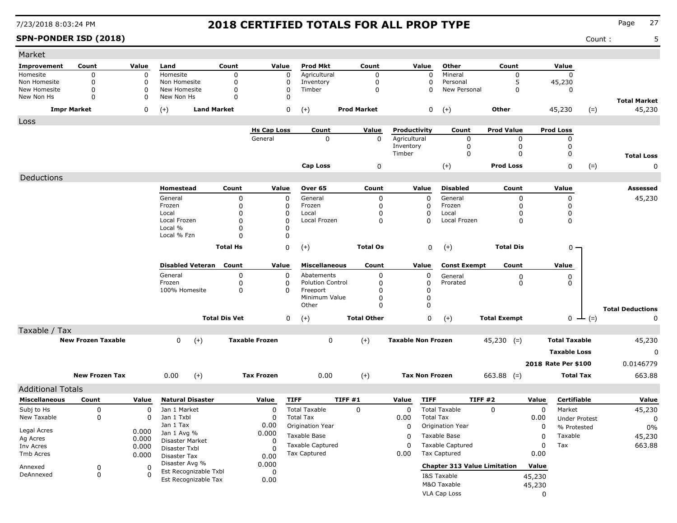## 7/23/2018 8:03:24 PM **2018 CERTIFIED TOTALS FOR ALL PROP TYPE** Page <sup>27</sup>

**SPN-PONDER ISD (2018)** Count : 5

| Market                     |                           |        |                                         |                      |                       |                         |                    |                           |                  |                                     |                     |             |                      |                               |
|----------------------------|---------------------------|--------|-----------------------------------------|----------------------|-----------------------|-------------------------|--------------------|---------------------------|------------------|-------------------------------------|---------------------|-------------|----------------------|-------------------------------|
| Improvement                | Count                     | Value  | Land                                    | Count                | Value                 | Prod Mkt                | Count              |                           | Value            | Other                               | Count               |             | Value                |                               |
| Homesite                   | 0                         | 0      | Homesite                                | 0                    | 0                     | Agricultural            | 0                  |                           | 0                | Mineral                             | 0                   |             | $\Omega$             |                               |
| Non Homesite               | 0                         | 0      | Non Homesite                            | 0                    | 0                     | Inventory               | 0                  |                           | 0                | Personal                            | 5                   |             | 45,230               |                               |
| New Homesite<br>New Non Hs | 0<br>0                    | 0<br>0 | New Homesite<br>New Non Hs              | 0<br>0               | 0<br>0                | Timber                  | $\mathbf 0$        |                           | $\Omega$         | New Personal                        | 0                   |             | 0                    |                               |
|                            | <b>Impr Market</b>        | 0      | <b>Land Market</b><br>$(+)$             |                      | 0                     | $(+)$                   | <b>Prod Market</b> |                           | 0                | $(+)$                               | Other               |             | 45,230<br>$(=)$      | <b>Total Market</b><br>45,230 |
| Loss                       |                           |        |                                         |                      |                       |                         |                    |                           |                  |                                     |                     |             |                      |                               |
|                            |                           |        |                                         |                      | <b>Hs Cap Loss</b>    | Count                   | Value              | Productivity              |                  | Count                               | <b>Prod Value</b>   |             | <b>Prod Loss</b>     |                               |
|                            |                           |        |                                         |                      | General               | 0                       | 0                  | Agricultural              |                  | 0                                   | 0                   |             | 0                    |                               |
|                            |                           |        |                                         |                      |                       |                         |                    | Inventory                 |                  | 0                                   | 0                   |             | 0                    |                               |
|                            |                           |        |                                         |                      |                       |                         |                    | Timber                    |                  | 0                                   | $\Omega$            |             | 0                    | <b>Total Loss</b>             |
|                            |                           |        |                                         |                      |                       | <b>Cap Loss</b>         | 0                  |                           |                  | $(+)$                               | <b>Prod Loss</b>    |             | 0<br>$(=)$           | 0                             |
| Deductions                 |                           |        |                                         |                      |                       |                         |                    |                           |                  |                                     |                     |             |                      |                               |
|                            |                           |        | Homestead                               | Count                | Value                 | Over 65                 | Count              |                           | Value            | <b>Disabled</b>                     | Count               |             | Value                | Assessed                      |
|                            |                           |        | General                                 | 0                    | 0                     | General                 | $\mathbf 0$        |                           | $\Omega$         | General                             | 0                   |             | 0                    | 45,230                        |
|                            |                           |        | Frozen                                  | 0                    | 0                     | Frozen                  | 0                  |                           | 0                | Frozen                              | 0                   |             | 0                    |                               |
|                            |                           |        | Local                                   | 0                    | 0                     | Local                   | $\Omega$           |                           | 0                | Local                               | 0                   |             | 0                    |                               |
|                            |                           |        | Local Frozen                            | 0                    | $\Omega$              | Local Frozen            | 0                  |                           | $\Omega$         | Local Frozen                        | $\Omega$            |             | 0                    |                               |
|                            |                           |        | Local %<br>Local % Fzn                  | 0<br>0               | 0<br>$\Omega$         |                         |                    |                           |                  |                                     |                     |             |                      |                               |
|                            |                           |        |                                         |                      |                       |                         |                    |                           |                  |                                     |                     |             |                      |                               |
|                            |                           |        |                                         | <b>Total Hs</b>      | 0                     | $(+)$                   | <b>Total Os</b>    |                           | 0                | $(+)$                               | <b>Total Dis</b>    |             | $0 -$                |                               |
|                            |                           |        | <b>Disabled Veteran</b>                 | Count                | Value                 | <b>Miscellaneous</b>    | Count              |                           | Value            | <b>Const Exempt</b>                 | Count               |             | Value                |                               |
|                            |                           |        | General                                 | 0                    | 0                     | Abatements              | 0                  |                           | 0                | General                             | 0                   |             | 0                    |                               |
|                            |                           |        | Frozen                                  | 0                    | 0                     | <b>Polution Control</b> | 0                  |                           | 0                | Prorated                            | 0                   |             | 0                    |                               |
|                            |                           |        | 100% Homesite                           | 0                    | 0                     | Freeport                | $\Omega$           |                           | 0                |                                     |                     |             |                      |                               |
|                            |                           |        |                                         |                      |                       | Minimum Value<br>Other  | 0<br>$\mathbf{0}$  |                           | 0<br>0           |                                     |                     |             |                      |                               |
|                            |                           |        |                                         |                      |                       |                         |                    |                           |                  |                                     |                     |             |                      | <b>Total Deductions</b>       |
|                            |                           |        |                                         | <b>Total Dis Vet</b> | 0                     | $(+)$                   | <b>Total Other</b> |                           | 0                | $(+)$                               | <b>Total Exempt</b> |             | $0 \perp (=)$        | 0                             |
| Taxable / Tax              |                           |        |                                         |                      |                       |                         |                    |                           |                  |                                     |                     |             |                      |                               |
|                            | <b>New Frozen Taxable</b> |        | $(+)$<br>$\mathbf{0}$                   |                      | <b>Taxable Frozen</b> | $\mathbf 0$             | $(+)$              | <b>Taxable Non Frozen</b> |                  |                                     | $45,230$ (=)        |             | <b>Total Taxable</b> | 45,230                        |
|                            |                           |        |                                         |                      |                       |                         |                    |                           |                  |                                     |                     |             | <b>Taxable Loss</b>  | 0                             |
|                            |                           |        |                                         |                      |                       |                         |                    |                           |                  |                                     |                     |             | 2018 Rate Per \$100  | 0.0146779                     |
|                            | <b>New Frozen Tax</b>     |        | 0.00<br>$(+)$                           |                      | <b>Tax Frozen</b>     | 0.00                    | $(+)$              | <b>Tax Non Frozen</b>     |                  |                                     | $663.88$ (=)        |             | <b>Total Tax</b>     | 663.88                        |
|                            |                           |        |                                         |                      |                       |                         |                    |                           |                  |                                     |                     |             |                      |                               |
| <b>Additional Totals</b>   |                           |        |                                         |                      |                       |                         |                    |                           |                  |                                     |                     |             |                      |                               |
| <b>Miscellaneous</b>       | Count                     | Value  | <b>Natural Disaster</b>                 |                      | Value                 | <b>TIFF</b>             | TIFF#1             | Value                     | <b>TIFF</b>      | TIFF #2                             |                     | Value       | Certifiable          | Value                         |
| Subj to Hs                 | 0                         | 0      | Jan 1 Market                            |                      | $\Omega$              | <b>Total Taxable</b>    | 0                  | 0                         |                  | <b>Total Taxable</b>                | $\Omega$            | 0           | Market               | 45,230                        |
| New Taxable                | 0                         | 0      | Jan 1 Txbl<br>Jan 1 Tax                 |                      | 0                     | <b>Total Tax</b>        |                    | 0.00                      | <b>Total Tax</b> |                                     |                     | 0.00        | <b>Under Protest</b> | 0                             |
| Legal Acres                |                           | 0.000  | Jan 1 Avg %                             |                      | 0.00<br>0.000         | Origination Year        |                    | 0                         |                  | Origination Year                    |                     | 0           | % Protested          | $0\%$                         |
| Ag Acres                   |                           | 0.000  | Disaster Market                         |                      | 0                     | Taxable Base            |                    | 0                         |                  | Taxable Base                        |                     | 0           | Taxable              | 45,230                        |
| Inv Acres                  |                           | 0.000  | Disaster Txbl                           |                      |                       | <b>Taxable Captured</b> |                    | 0                         |                  | <b>Taxable Captured</b>             |                     | 0           | Tax                  | 663.88                        |
| Tmb Acres                  |                           | 0.000  | Disaster Tax                            |                      | 0.00                  | Tax Captured            |                    | 0.00                      |                  | <b>Tax Captured</b>                 |                     | 0.00        |                      |                               |
| Annexed                    | 0                         | 0      | Disaster Avg %<br>Est Recognizable Txbl |                      | 0.000                 |                         |                    |                           |                  | <b>Chapter 313 Value Limitation</b> |                     | Value       |                      |                               |
| DeAnnexed                  | 0                         | 0      | Est Recognizable Tax                    |                      | 0<br>0.00             |                         |                    |                           |                  | I&S Taxable                         |                     | 45,230      |                      |                               |
|                            |                           |        |                                         |                      |                       |                         |                    |                           |                  | M&O Taxable                         |                     | 45,230      |                      |                               |
|                            |                           |        |                                         |                      |                       |                         |                    |                           |                  | VLA Cap Loss                        |                     | $\mathbf 0$ |                      |                               |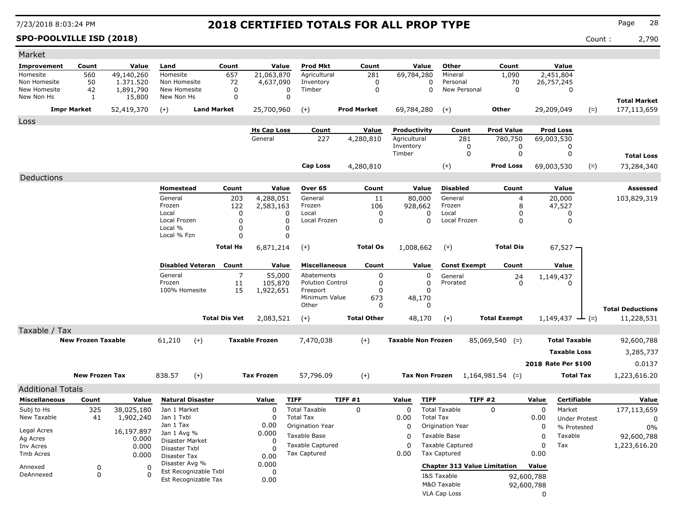## 7/23/2018 8:03:24 PM **2018 CERTIFIED TOTALS FOR ALL PROP TYPE** Page <sup>28</sup>

**SPO-POOLVILLE ISD (2018)** Count : 2,790

| Market                     |                           |                     |                            |                         |                            |                            |                         |                    |                           |                           |                                     |                     |            |                             |                         |
|----------------------------|---------------------------|---------------------|----------------------------|-------------------------|----------------------------|----------------------------|-------------------------|--------------------|---------------------------|---------------------------|-------------------------------------|---------------------|------------|-----------------------------|-------------------------|
| Improvement                | Count                     | Value               | Land                       |                         | Count                      | Value                      | <b>Prod Mkt</b>         | Count              |                           | Value                     | Other                               | Count               |            | Value                       |                         |
| Homesite                   | 560                       | 49,140,260          | Homesite                   |                         | 657                        | 21,063,870                 | Agricultural            | 281                |                           | 69,784,280                | Mineral                             | 1,090               |            | 2,451,804                   |                         |
| Non Homesite               | 50                        | 1,371,520           | Non Homesite               |                         | 72                         | 4,637,090                  | Inventory               | $\mathbf 0$        |                           | $\Omega$                  | Personal                            | 70                  |            | 26,757,245                  |                         |
| New Homesite<br>New Non Hs | 42<br>1                   | 1,891,790<br>15,800 | New Homesite<br>New Non Hs |                         | $\mathsf 0$<br>$\mathbf 0$ | $\mathbf 0$<br>$\mathbf 0$ | Timber                  | $\mathbf 0$        |                           | 0                         | New Personal                        | $\mathbf 0$         |            | $\mathbf 0$                 |                         |
|                            |                           |                     |                            |                         |                            |                            |                         |                    |                           |                           |                                     |                     |            |                             | <b>Total Market</b>     |
|                            | <b>Impr Market</b>        | 52,419,370          | $(+)$                      | <b>Land Market</b>      |                            | 25,700,960                 | $(+)$                   | <b>Prod Market</b> |                           | 69,784,280                | $(+)$                               | Other               |            | $(=)$<br>29,209,049         | 177,113,659             |
| Loss                       |                           |                     |                            |                         |                            |                            |                         |                    |                           |                           |                                     |                     |            |                             |                         |
|                            |                           |                     |                            |                         |                            | <b>Hs Cap Loss</b>         | Count                   | Value              |                           | Productivity              | Count                               | <b>Prod Value</b>   |            | <b>Prod Loss</b>            |                         |
|                            |                           |                     |                            |                         |                            | General                    | 227                     | 4,280,810          | Agricultural<br>Inventory |                           | 281<br>0                            | 780,750<br>0        |            | 69,003,530<br>0             |                         |
|                            |                           |                     |                            |                         |                            |                            |                         |                    | Timber                    |                           | $\mathbf 0$                         | $\mathbf 0$         |            | $\mathbf 0$                 | <b>Total Loss</b>       |
|                            |                           |                     |                            |                         |                            |                            | <b>Cap Loss</b>         |                    |                           |                           |                                     | <b>Prod Loss</b>    |            |                             |                         |
|                            |                           |                     |                            |                         |                            |                            |                         | 4,280,810          |                           |                           | $(+)$                               |                     |            | 69,003,530<br>$(=)$         | 73,284,340              |
| Deductions                 |                           |                     |                            |                         |                            |                            |                         |                    |                           |                           |                                     |                     |            |                             |                         |
|                            |                           |                     | <b>Homestead</b>           |                         | Count                      | Value                      | Over 65                 | Count              |                           | Value                     | <b>Disabled</b>                     | Count               |            | Value                       | <b>Assessed</b>         |
|                            |                           |                     | General                    |                         | 203                        | 4,288,051                  | General                 | 11                 |                           | 80,000                    | General                             | $\overline{4}$      |            | 20,000                      | 103,829,319             |
|                            |                           |                     | Frozen<br>Local            |                         | 122<br>0                   | 2,583,163<br>$\Omega$      | Frozen<br>Local         | 106<br>0           |                           | 928,662<br>$\Omega$       | Frozen<br>Local                     | 8<br>$\mathbf 0$    |            | 47,527<br>0                 |                         |
|                            |                           |                     | Local Frozen               |                         | $\mathbf 0$                | $\Omega$                   | Local Frozen            | 0                  |                           | $\Omega$                  | Local Frozen                        | $\mathbf 0$         |            | $\mathbf 0$                 |                         |
|                            |                           |                     | Local %                    |                         | 0                          | $\mathbf 0$                |                         |                    |                           |                           |                                     |                     |            |                             |                         |
|                            |                           |                     | Local % Fzn                |                         | $\Omega$                   | $\mathbf 0$                |                         |                    |                           |                           |                                     |                     |            |                             |                         |
|                            |                           |                     |                            |                         | <b>Total Hs</b>            | 6,871,214                  | $(+)$                   | <b>Total Os</b>    |                           | 1,008,662                 | $(+)$                               | <b>Total Dis</b>    |            | $67,527 -$                  |                         |
|                            |                           |                     |                            | <b>Disabled Veteran</b> | Count                      | Value                      | <b>Miscellaneous</b>    | Count              |                           | Value                     | <b>Const Exempt</b>                 | Count               |            | Value                       |                         |
|                            |                           |                     | General                    |                         | $\overline{7}$             |                            | Abatements              | 0                  |                           | 0                         |                                     |                     |            |                             |                         |
|                            |                           |                     | Frozen                     |                         | 11                         | 55,000<br>105,870          | <b>Polution Control</b> | 0                  |                           | $\Omega$                  | General<br>Prorated                 | 24<br>$\Omega$      |            | 1,149,437<br>$\Omega$       |                         |
|                            |                           |                     | 100% Homesite              |                         | 15                         | 1,922,651                  | Freeport                | $\Omega$           |                           | <sup>0</sup>              |                                     |                     |            |                             |                         |
|                            |                           |                     |                            |                         |                            |                            | Minimum Value           | 673                |                           | 48,170                    |                                     |                     |            |                             |                         |
|                            |                           |                     |                            |                         |                            |                            | Other                   | $\mathbf{0}$       |                           | $\Omega$                  |                                     |                     |            |                             | <b>Total Deductions</b> |
|                            |                           |                     |                            |                         | <b>Total Dis Vet</b>       | 2,083,521                  | $(+)$                   | <b>Total Other</b> |                           | 48,170                    | $(+)$                               | <b>Total Exempt</b> |            | 1,149,437 $\rightarrow$ (=) | 11,228,531              |
| Taxable / Tax              |                           |                     |                            |                         |                            |                            |                         |                    |                           |                           |                                     |                     |            |                             |                         |
|                            | <b>New Frozen Taxable</b> |                     | 61,210                     | $(+)$                   |                            | <b>Taxable Frozen</b>      | 7,470,038               | $(+)$              |                           | <b>Taxable Non Frozen</b> |                                     | $85,069,540$ (=)    |            | <b>Total Taxable</b>        | 92,600,788              |
|                            |                           |                     |                            |                         |                            |                            |                         |                    |                           |                           |                                     |                     |            | <b>Taxable Loss</b>         | 3,285,737               |
|                            |                           |                     |                            |                         |                            |                            |                         |                    |                           |                           |                                     |                     |            | 2018 Rate Per \$100         | 0.0137                  |
|                            |                           |                     |                            |                         |                            |                            |                         |                    |                           |                           |                                     |                     |            |                             |                         |
|                            | <b>New Frozen Tax</b>     |                     | 838.57                     | $(+)$                   |                            | <b>Tax Frozen</b>          | 57,796.09               | $(+)$              |                           | <b>Tax Non Frozen</b>     |                                     | $1,164,981.54$ (=)  |            | <b>Total Tax</b>            | 1,223,616.20            |
| <b>Additional Totals</b>   |                           |                     |                            |                         |                            |                            |                         |                    |                           |                           |                                     |                     |            |                             |                         |
| <b>Miscellaneous</b>       | Count                     | Value               |                            | <b>Natural Disaster</b> |                            | Value                      | <b>TIFF</b>             | TIFF#1             | Value                     | <b>TIFF</b>               |                                     | <b>TIFF #2</b>      | Value      | Certifiable                 | Value                   |
| Subj to Hs                 | 325                       | 38,025,180          | Jan 1 Market               |                         |                            | 0                          | <b>Total Taxable</b>    | 0                  | $\mathbf 0$               |                           | <b>Total Taxable</b>                | $\Omega$            | 0          | Market                      | 177,113,659             |
| New Taxable                | 41                        | 1,902,240           | Jan 1 Txbl                 |                         |                            | $\Omega$                   | <b>Total Tax</b>        |                    | 0.00                      | <b>Total Tax</b>          |                                     |                     | 0.00       | <b>Under Protest</b>        | $\mathbf 0$             |
| Legal Acres                |                           | 16,197.897          | Jan 1 Tax<br>Jan 1 Avg %   |                         |                            | 0.00<br>0.000              | Origination Year        |                    | 0                         |                           | Origination Year                    |                     | 0          | % Protested                 | 0%                      |
| Ag Acres                   |                           | 0.000               | Disaster Market            |                         |                            | $\Omega$                   | Taxable Base            |                    | $\Omega$                  |                           | Taxable Base                        |                     | 0          | Taxable                     | 92,600,788              |
| Inv Acres                  |                           | 0.000               | Disaster Txbl              |                         |                            | $\Omega$                   | <b>Taxable Captured</b> |                    | $\Omega$                  |                           | <b>Taxable Captured</b>             |                     | $\Omega$   | Tax                         | 1,223,616.20            |
| Tmb Acres                  |                           | 0.000               | Disaster Tax               |                         |                            | 0.00                       | <b>Tax Captured</b>     |                    | 0.00                      |                           | Tax Captured                        |                     | 0.00       |                             |                         |
| Annexed                    | $\mathbf 0$               | $\sqrt{ }$          | Disaster Avg %             | Est Recognizable Txbl   |                            | 0.000<br>$\Omega$          |                         |                    |                           |                           | <b>Chapter 313 Value Limitation</b> |                     | Value      |                             |                         |
| DeAnnexed                  | $\mathbf 0$               | റ                   |                            | Est Recognizable Tax    |                            | 0.00                       |                         |                    |                           |                           | I&S Taxable                         |                     | 92,600,788 |                             |                         |
|                            |                           |                     |                            |                         |                            |                            |                         |                    |                           |                           | M&O Taxable                         |                     | 92,600,788 |                             |                         |
|                            |                           |                     |                            |                         |                            |                            |                         |                    |                           |                           | <b>VLA Cap Loss</b>                 |                     | $\Omega$   |                             |                         |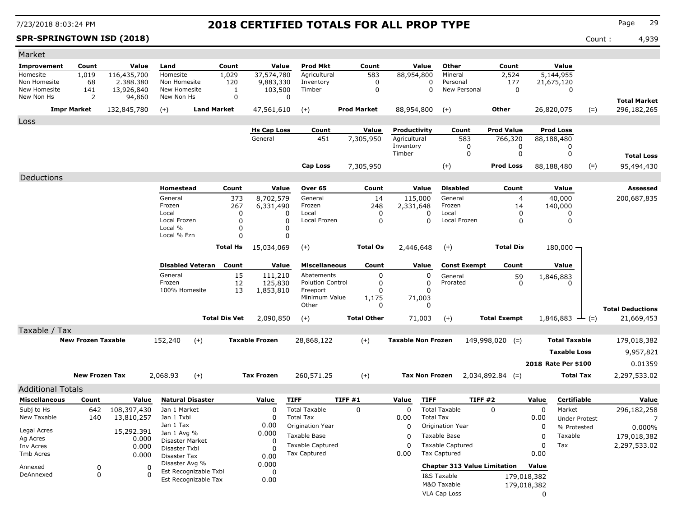## 7/23/2018 8:03:24 PM **2018 CERTIFIED TOTALS FOR ALL PROP TYPE** Page <sup>29</sup>

### **SPR-SPRINGTOWN ISD (2018)** Count : 4,939

| Market                       |                           |                      |                              |                         |                      |                       |                                                |        |                            |                           |                       |                                     |                     |             |                           |        |                         |
|------------------------------|---------------------------|----------------------|------------------------------|-------------------------|----------------------|-----------------------|------------------------------------------------|--------|----------------------------|---------------------------|-----------------------|-------------------------------------|---------------------|-------------|---------------------------|--------|-------------------------|
| Improvement                  | Count                     | Value                | Land                         |                         | Count                | Value                 | <b>Prod Mkt</b>                                |        | Count                      |                           | Value                 | Other                               | Count               |             | Value                     |        |                         |
| Homesite                     | 1,019                     | 116,435,700          | Homesite                     |                         | 1,029                | 37,574,780            | Agricultural                                   |        | 583                        | 88,954,800                |                       | Mineral                             | 2,524               |             | 5,144,955                 |        |                         |
| Non Homesite<br>New Homesite | 68                        | 2.388.380            | Non Homesite<br>New Homesite |                         | 120                  | 9,883,330             | Inventory<br>Timber                            |        | $\mathbf 0$<br>$\mathsf 0$ |                           | 0<br>$\Omega$         | Personal<br>New Personal            | 177<br>$\Omega$     |             | 21,675,120                |        |                         |
| New Non Hs                   | 141<br>2                  | 13,926,840<br>94,860 | New Non Hs                   |                         | 1<br>$\mathbf 0$     | 103,500               | 0                                              |        |                            |                           |                       |                                     |                     |             | 0                         |        |                         |
|                              |                           |                      |                              |                         |                      |                       |                                                |        |                            |                           |                       |                                     |                     |             |                           |        | <b>Total Market</b>     |
|                              | <b>Impr Market</b>        | 132,845,780          | $(+)$                        | <b>Land Market</b>      |                      | 47,561,610            | $(+)$                                          |        | <b>Prod Market</b>         | 88,954,800                |                       | $(+)$                               | <b>Other</b>        |             | 26,820,075                | $(=)$  | 296,182,265             |
| Loss                         |                           |                      |                              |                         |                      |                       |                                                |        |                            |                           |                       |                                     |                     |             |                           |        |                         |
|                              |                           |                      |                              |                         |                      | <b>Hs Cap Loss</b>    | Count                                          |        | Value                      | Productivity              |                       | Count                               | <b>Prod Value</b>   |             | <b>Prod Loss</b>          |        |                         |
|                              |                           |                      |                              |                         |                      | General               | 451                                            |        | 7,305,950                  | Agricultural<br>Inventory |                       | 583<br>0                            | 766,320<br>0        |             | 88,188,480<br>0           |        |                         |
|                              |                           |                      |                              |                         |                      |                       |                                                |        |                            | Timber                    |                       | 0                                   | $\mathbf 0$         |             | $\mathbf 0$               |        | <b>Total Loss</b>       |
|                              |                           |                      |                              |                         |                      |                       | <b>Cap Loss</b>                                |        | 7,305,950                  |                           |                       | $(+)$                               | <b>Prod Loss</b>    |             | 88,188,480                | $(=)$  | 95,494,430              |
|                              |                           |                      |                              |                         |                      |                       |                                                |        |                            |                           |                       |                                     |                     |             |                           |        |                         |
| Deductions                   |                           |                      |                              |                         |                      |                       |                                                |        |                            |                           |                       |                                     |                     |             |                           |        |                         |
|                              |                           |                      | Homestead                    |                         | Count                | Value                 | Over 65                                        |        | Count                      |                           | Value                 | <b>Disabled</b>                     | Count               |             | Value                     |        | Assessed                |
|                              |                           |                      | General<br>Frozen            |                         | 373                  | 8,702,579             | General<br>Frozen                              |        | 14                         | 115,000                   |                       | General<br>Frozen                   | 4                   |             | 40,000                    |        | 200,687,835             |
|                              |                           |                      | Local                        |                         | 267<br>$\mathbf 0$   | 6,331,490<br>0        | Local                                          |        | 248<br>$\mathbf 0$         | 2,331,648                 | $\mathbf 0$           | Local                               | 14<br>$\mathbf 0$   |             | 140,000<br>$\mathbf 0$    |        |                         |
|                              |                           |                      | Local Frozen                 |                         | 0                    | $\mathbf 0$           | Local Frozen                                   |        | $\mathbf 0$                |                           | $\mathbf 0$           | Local Frozen                        | 0                   |             | $\mathbf 0$               |        |                         |
|                              |                           |                      | Local %                      |                         | 0                    | $\mathbf 0$           |                                                |        |                            |                           |                       |                                     |                     |             |                           |        |                         |
|                              |                           |                      | Local % Fzn                  |                         | 0                    | $\Omega$              |                                                |        |                            |                           |                       |                                     |                     |             |                           |        |                         |
|                              |                           |                      |                              |                         | Total Hs             | 15,034,069            | $(+)$                                          |        | <b>Total Os</b>            | 2,446,648                 |                       | $(+)$                               | <b>Total Dis</b>    |             | $180,000 -$               |        |                         |
|                              |                           |                      |                              | <b>Disabled Veteran</b> | Count                | Value                 | <b>Miscellaneous</b>                           |        | Count                      |                           | Value                 | <b>Const Exempt</b>                 | Count               |             | Value                     |        |                         |
|                              |                           |                      | General                      |                         | 15                   | 111,210               | Abatements                                     |        | 0                          |                           | 0                     |                                     |                     |             |                           |        |                         |
|                              |                           |                      | Frozen                       |                         | 12                   | 125,830               | <b>Polution Control</b>                        |        | 0                          |                           | 0                     | General<br>Prorated                 | 59<br>$\mathbf{0}$  |             | 1,846,883<br>$\mathbf{0}$ |        |                         |
|                              |                           |                      | 100% Homesite                |                         | 13                   | 1,853,810             | Freeport                                       |        | $\Omega$                   |                           | $\mathbf 0$           |                                     |                     |             |                           |        |                         |
|                              |                           |                      |                              |                         |                      |                       | Minimum Value<br>Other                         |        | 1,175                      |                           | 71,003                |                                     |                     |             |                           |        |                         |
|                              |                           |                      |                              |                         |                      |                       |                                                |        | $\Omega$                   |                           | $\Omega$              |                                     |                     |             |                           |        | <b>Total Deductions</b> |
|                              |                           |                      |                              |                         | <b>Total Dis Vet</b> | 2,090,850             | $(+)$                                          |        | <b>Total Other</b>         |                           | 71,003                | $(+)$                               | <b>Total Exempt</b> |             | 1,846,883                 | $-(-)$ | 21,669,453              |
| Taxable / Tax                |                           |                      |                              |                         |                      |                       |                                                |        |                            |                           |                       |                                     |                     |             |                           |        |                         |
|                              | <b>New Frozen Taxable</b> |                      | 152,240                      | $(+)$                   |                      | <b>Taxable Frozen</b> | 28,868,122                                     |        | $(+)$                      | <b>Taxable Non Frozen</b> |                       |                                     | $149,998,020$ (=)   |             | <b>Total Taxable</b>      |        | 179,018,382             |
|                              |                           |                      |                              |                         |                      |                       |                                                |        |                            |                           |                       |                                     |                     |             | <b>Taxable Loss</b>       |        | 9,957,821               |
|                              |                           |                      |                              |                         |                      |                       |                                                |        |                            |                           |                       |                                     |                     |             | 2018 Rate Per \$100       |        | 0.01359                 |
|                              | <b>New Frozen Tax</b>     |                      | 2,068.93                     | $(+)$                   |                      | <b>Tax Frozen</b>     | 260,571.25                                     |        | $(+)$                      |                           | <b>Tax Non Frozen</b> |                                     | $2,034,892.84$ (=)  |             | <b>Total Tax</b>          |        | 2,297,533.02            |
|                              |                           |                      |                              |                         |                      |                       |                                                |        |                            |                           |                       |                                     |                     |             |                           |        |                         |
| <b>Additional Totals</b>     |                           |                      |                              |                         |                      |                       |                                                |        |                            |                           |                       |                                     |                     |             |                           |        |                         |
| <b>Miscellaneous</b>         | Count                     | Value                |                              | <b>Natural Disaster</b> |                      | Value                 | <b>TIFF</b>                                    | TIFF#1 |                            | Value                     | <b>TIFF</b>           | TIFF#2                              |                     | Value       | <b>Certifiable</b>        |        | Value                   |
| Subj to Hs                   | 642                       | 108,397,430          | Jan 1 Market                 |                         |                      | $\mathbf 0$           | <b>Total Taxable</b>                           |        | 0                          | $\Omega$                  |                       | <b>Total Taxable</b>                | $\mathbf 0$         | $\mathbf 0$ | Market                    |        | 296,182,258             |
| New Taxable                  | 140                       | 13,810,257           | Jan 1 Txbl<br>Jan 1 Tax      |                         |                      | $\Omega$              | <b>Total Tax</b>                               |        |                            | 0.00                      | <b>Total Tax</b>      |                                     |                     | 0.00        | <b>Under Protest</b>      |        | 7                       |
| Legal Acres                  |                           | 15,292.391           | Jan 1 Avg %                  |                         |                      | 0.00<br>0.000         | Origination Year                               |        |                            | $\Omega$                  |                       | Origination Year                    |                     | $\Omega$    | % Protested               |        | 0.000%                  |
| Ag Acres                     |                           | 0.000                | Disaster Market              |                         |                      | $\Omega$              | <b>Taxable Base</b>                            |        |                            | $\Omega$                  |                       | Taxable Base                        |                     | $\Omega$    | Taxable                   |        | 179,018,382             |
| Inv Acres                    |                           | 0.000                | Disaster Txbl                |                         |                      | O                     | <b>Taxable Captured</b><br><b>Tax Captured</b> |        |                            | $\Omega$                  |                       | <b>Taxable Captured</b>             |                     | $\Omega$    | Tax                       |        | 2,297,533.02            |
| Tmb Acres                    |                           | 0.000                | Disaster Tax                 |                         |                      | 0.00                  |                                                |        |                            | 0.00                      |                       | <b>Tax Captured</b>                 |                     | 0.00        |                           |        |                         |
| Annexed                      | 0                         | 0                    | Disaster Avg %               | Est Recognizable Txbl   |                      | 0.000<br>0            |                                                |        |                            |                           |                       | <b>Chapter 313 Value Limitation</b> |                     | Value       |                           |        |                         |
| DeAnnexed                    | $\Omega$                  | $\Omega$             |                              | Est Recognizable Tax    |                      | 0.00                  |                                                |        |                            |                           |                       | I&S Taxable                         |                     | 179,018,382 |                           |        |                         |
|                              |                           |                      |                              |                         |                      |                       |                                                |        |                            |                           |                       | M&O Taxable                         |                     | 179,018,382 |                           |        |                         |
|                              |                           |                      |                              |                         |                      |                       |                                                |        |                            |                           |                       | <b>VLA Cap Loss</b>                 |                     | $\Omega$    |                           |        |                         |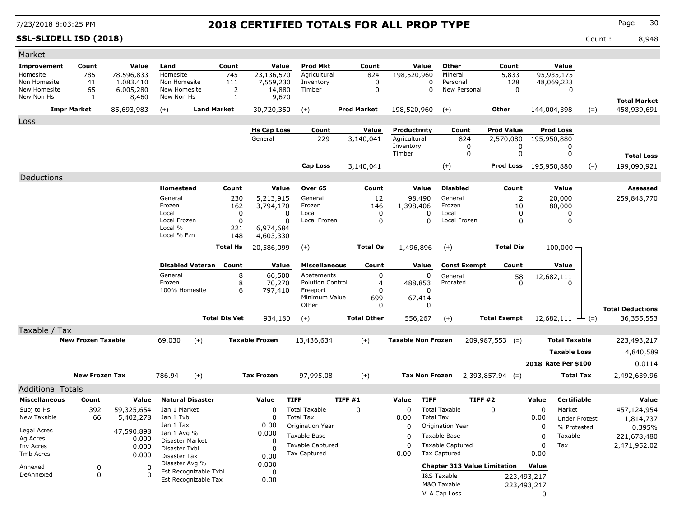## 7/23/2018 8:03:25 PM **2018 CERTIFIED TOTALS FOR ALL PROP TYPE** Page <sup>30</sup>

**SSL-SLIDELL ISD (2018)** Count : 8,948

| Market                        |                           |                         |                                |                         |                      |                               |                                                |                    |                    |                           |                       |                                                |                              |                         |                                |       |                                       |
|-------------------------------|---------------------------|-------------------------|--------------------------------|-------------------------|----------------------|-------------------------------|------------------------------------------------|--------------------|--------------------|---------------------------|-----------------------|------------------------------------------------|------------------------------|-------------------------|--------------------------------|-------|---------------------------------------|
| Improvement                   | Count                     | Value                   | Land                           |                         | Count                | Value                         | <b>Prod Mkt</b>                                |                    | Count              |                           | Value                 | Other                                          | Count                        |                         | Value                          |       |                                       |
| Homesite                      | 785                       | 78,596,833              | Homesite                       |                         | 745                  | 23,136,570                    | Agricultural                                   |                    | 824                | 198,520,960               |                       | Mineral                                        | 5,833                        |                         | 95,935,175                     |       |                                       |
| Non Homesite<br>New Homesite  | 41<br>65                  | 1.083.410<br>6,005,280  | Non Homesite<br>New Homesite   |                         | 111<br>2             | 7,559,230<br>14,880           | Inventory<br>Timber                            |                    | 0<br>$\mathbf 0$   |                           | 0<br>0                | Personal<br>New Personal                       | 128<br>$\mathbf 0$           |                         | 48,069,223<br>$\mathbf 0$      |       |                                       |
| New Non Hs                    | 1                         | 8,460                   | New Non Hs                     |                         | $\mathbf{1}$         | 9,670                         |                                                |                    |                    |                           |                       |                                                |                              |                         |                                |       |                                       |
|                               | <b>Impr Market</b>        | 85,693,983              | $(+)$                          | <b>Land Market</b>      |                      | 30,720,350                    | $(+)$                                          | <b>Prod Market</b> |                    | 198,520,960               |                       | $(+)$                                          | <b>Other</b>                 |                         | 144,004,398                    | $(=)$ | <b>Total Market</b><br>458,939,691    |
|                               |                           |                         |                                |                         |                      |                               |                                                |                    |                    |                           |                       |                                                |                              |                         |                                |       |                                       |
| Loss                          |                           |                         |                                |                         |                      |                               | Count                                          |                    | Value              | Productivity              |                       | Count                                          | <b>Prod Value</b>            |                         | <b>Prod Loss</b>               |       |                                       |
|                               |                           |                         |                                |                         |                      | <b>Hs Cap Loss</b><br>General | 229                                            |                    | 3,140,041          | Agricultural              |                       | 824                                            | 2,570,080                    |                         | 195,950,880                    |       |                                       |
|                               |                           |                         |                                |                         |                      |                               |                                                |                    |                    | Inventory                 |                       | 0                                              | 0                            |                         | 0                              |       |                                       |
|                               |                           |                         |                                |                         |                      |                               |                                                |                    |                    | Timber                    |                       | 0                                              | 0                            |                         | 0                              |       | <b>Total Loss</b>                     |
|                               |                           |                         |                                |                         |                      |                               | <b>Cap Loss</b>                                |                    | 3,140,041          |                           |                       | $(+)$                                          | <b>Prod Loss</b> 195,950,880 |                         |                                | $(=)$ | 199,090,921                           |
| Deductions                    |                           |                         |                                |                         |                      |                               |                                                |                    |                    |                           |                       |                                                |                              |                         |                                |       |                                       |
|                               |                           |                         | <b>Homestead</b>               |                         | Count                | Value                         | Over 65                                        |                    | Count              |                           | Value                 | <b>Disabled</b>                                | Count                        |                         | Value                          |       | <b>Assessed</b>                       |
|                               |                           |                         | General                        |                         | 230                  | 5,213,915                     | General                                        |                    | 12                 |                           | 98,490                | General                                        | $\overline{2}$               |                         | 20,000                         |       | 259,848,770                           |
|                               |                           |                         | Frozen<br>Local                |                         | 162                  | 3,794,170                     | Frozen<br>Local                                |                    | 146                | 1,398,406                 |                       | Frozen<br>Local                                | 10                           |                         | 80,000                         |       |                                       |
|                               |                           |                         | Local Frozen                   |                         | 0<br>$\Omega$        | 0<br>$\Omega$                 | Local Frozen                                   |                    | 0<br>0             |                           | 0<br>0                | Local Frozen                                   | 0<br>0                       |                         | 0<br>0                         |       |                                       |
|                               |                           |                         | Local %                        |                         | 221                  | 6,974,684                     |                                                |                    |                    |                           |                       |                                                |                              |                         |                                |       |                                       |
|                               |                           |                         | Local % Fzn                    |                         | 148                  | 4,603,330                     |                                                |                    |                    |                           |                       |                                                |                              |                         |                                |       |                                       |
|                               |                           |                         |                                |                         | <b>Total Hs</b>      | 20,586,099                    | $(+)$                                          |                    | <b>Total Os</b>    | 1,496,896                 |                       | $(+)$                                          | <b>Total Dis</b>             |                         | 100,000                        |       |                                       |
|                               |                           |                         |                                | <b>Disabled Veteran</b> | Count                | Value                         | <b>Miscellaneous</b>                           |                    | Count              |                           | Value                 | <b>Const Exempt</b>                            | Count                        |                         | Value                          |       |                                       |
|                               |                           |                         | General                        |                         | 8                    | 66,500                        | Abatements                                     |                    | 0                  |                           | $\Omega$              | General                                        | 58                           |                         | 12,682,111                     |       |                                       |
|                               |                           |                         | Frozen                         |                         | 8                    | 70,270                        | <b>Polution Control</b>                        |                    | $\overline{4}$     | 488,853                   |                       | Prorated                                       | $\Omega$                     |                         | 0                              |       |                                       |
|                               |                           |                         | 100% Homesite                  |                         | 6                    | 797,410                       | Freeport<br>Minimum Value                      |                    | $\mathbf 0$<br>699 |                           | O<br>67,414           |                                                |                              |                         |                                |       |                                       |
|                               |                           |                         |                                |                         |                      |                               | Other                                          |                    | $\mathbf 0$        |                           | $\mathbf{0}$          |                                                |                              |                         |                                |       |                                       |
|                               |                           |                         |                                |                         | <b>Total Dis Vet</b> | 934,180                       | $(+)$                                          |                    | <b>Total Other</b> |                           | 556,267               | $(+)$                                          | <b>Total Exempt</b>          |                         | $12,682,111$ $\rightarrow$ (=) |       | <b>Total Deductions</b><br>36,355,553 |
| Taxable / Tax                 |                           |                         |                                |                         |                      |                               |                                                |                    |                    |                           |                       |                                                |                              |                         |                                |       |                                       |
|                               | <b>New Frozen Taxable</b> |                         | 69,030                         | $(+)$                   |                      | <b>Taxable Frozen</b>         | 13,436,634                                     |                    | $(+)$              | <b>Taxable Non Frozen</b> |                       |                                                | $209,987,553$ (=)            |                         | <b>Total Taxable</b>           |       | 223,493,217                           |
|                               |                           |                         |                                |                         |                      |                               |                                                |                    |                    |                           |                       |                                                |                              |                         | <b>Taxable Loss</b>            |       | 4,840,589                             |
|                               |                           |                         |                                |                         |                      |                               |                                                |                    |                    |                           |                       |                                                |                              |                         | 2018 Rate Per \$100            |       |                                       |
|                               |                           |                         |                                |                         |                      |                               |                                                |                    |                    |                           |                       |                                                |                              |                         |                                |       | 0.0114                                |
|                               | <b>New Frozen Tax</b>     |                         | 786.94                         | $(+)$                   |                      | <b>Tax Frozen</b>             | 97,995.08                                      |                    | $(+)$              |                           | <b>Tax Non Frozen</b> |                                                | $2,393,857.94$ (=)           |                         | <b>Total Tax</b>               |       | 2,492,639.96                          |
| <b>Additional Totals</b>      |                           |                         |                                |                         |                      |                               |                                                |                    |                    |                           |                       |                                                |                              |                         |                                |       |                                       |
| <b>Miscellaneous</b>          | Count                     | Value                   |                                | <b>Natural Disaster</b> |                      | Value                         | <b>TIFF</b>                                    | TIFF #1            |                    | Value                     | <b>TIFF</b>           | TIFF#2                                         |                              | Value                   | Certifiable                    |       | Value                                 |
| Subj to Hs                    | 392                       | 59,325,654              | Jan 1 Market                   |                         |                      | 0                             | <b>Total Taxable</b>                           | $\mathbf 0$        |                    | $\mathbf 0$               |                       | <b>Total Taxable</b>                           | $\mathbf 0$                  | $\mathbf 0$             | Market                         |       | 457,124,954                           |
| New Taxable                   | 66                        | 5,402,278               | Jan 1 Txbl<br>Jan 1 Tax        |                         |                      | 0<br>0.00                     | <b>Total Tax</b>                               |                    |                    | 0.00                      | <b>Total Tax</b>      |                                                |                              | 0.00                    | <b>Under Protest</b>           |       | 1,814,737                             |
| Legal Acres                   |                           | 47,590.898              | Jan 1 Avg %                    |                         |                      | 0.000                         | Origination Year                               |                    |                    | $\mathbf 0$               |                       | Origination Year                               |                              | 0                       | % Protested                    |       | 0.395%                                |
| Ag Acres                      |                           | 0.000                   | Disaster Market                |                         |                      | O                             | <b>Taxable Base</b><br><b>Taxable Captured</b> |                    |                    | $\Omega$<br>$\Omega$      |                       | <b>Taxable Base</b><br><b>Taxable Captured</b> |                              | $\Omega$<br>$\Omega$    | Taxable<br>Tax                 |       | 221,678,480                           |
| Inv Acres<br><b>Tmb Acres</b> |                           | 0.000<br>0.000          | Disaster Txbl                  |                         |                      | U                             | <b>Tax Captured</b>                            |                    |                    | 0.00                      |                       | <b>Tax Captured</b>                            |                              | 0.00                    |                                |       | 2,471,952.02                          |
|                               |                           |                         | Disaster Tax<br>Disaster Avg % |                         |                      | 0.00<br>0.000                 |                                                |                    |                    |                           |                       |                                                |                              |                         |                                |       |                                       |
| Annexed<br>DeAnnexed          | 0<br>$\Omega$             | $\mathbf 0$<br>$\Omega$ |                                | Est Recognizable Txbl   |                      | 0                             |                                                |                    |                    |                           |                       | <b>Chapter 313 Value Limitation</b>            |                              | Value                   |                                |       |                                       |
|                               |                           |                         |                                | Est Recognizable Tax    |                      | 0.00                          |                                                |                    |                    |                           |                       | I&S Taxable<br>M&O Taxable                     |                              | 223,493,217             |                                |       |                                       |
|                               |                           |                         |                                |                         |                      |                               |                                                |                    |                    |                           |                       | <b>VLA Cap Loss</b>                            |                              | 223,493,217<br>$\Omega$ |                                |       |                                       |
|                               |                           |                         |                                |                         |                      |                               |                                                |                    |                    |                           |                       |                                                |                              |                         |                                |       |                                       |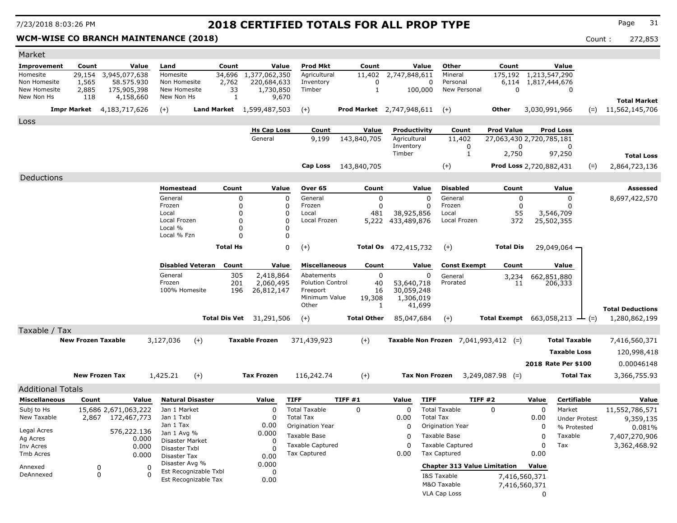## 7/23/2018 8:03:26 PM **2018 CERTIFIED TOTALS FOR ALL PROP TYPE** Page 31

### WCM-WISE CO BRANCH MAINTENANCE (2018) **WCM-WISE CO BRANCH MAINTENANCE (2018)** Count : 272,853

| rage |  |  |
|------|--|--|
|      |  |  |

| Market                       |                           |                                  |                              |                                  |                       |                          |                           |                                  |                             |                           |                                        |                                 |                     |                      |        |                                          |
|------------------------------|---------------------------|----------------------------------|------------------------------|----------------------------------|-----------------------|--------------------------|---------------------------|----------------------------------|-----------------------------|---------------------------|----------------------------------------|---------------------------------|---------------------|----------------------|--------|------------------------------------------|
| Improvement                  | Count                     | Value                            | Land                         | Count                            |                       | Value                    | <b>Prod Mkt</b>           | Count                            |                             | Value                     | Other                                  | Count                           |                     | Value                |        |                                          |
| Homesite                     | 29,154                    | 3,945,077,638                    | Homesite                     | 34,696                           |                       | 1,377,062,350            | Agricultural              | 11,402                           | 2,747,848,611               |                           | Mineral                                | 175,192                         | 1,213,547,290       |                      |        |                                          |
| Non Homesite<br>New Homesite | 1,565<br>2,885            | 58.575.930<br>175,905,398        | Non Homesite<br>New Homesite | 2,762                            | 33                    | 220,684,633<br>1,730,850 | Inventory<br>Timber       | 0<br>$\mathbf{1}$                |                             | 0<br>100,000              | Personal<br>New Personal               | $\Omega$                        | 6,114 1,817,444,676 | 0                    |        |                                          |
| New Non Hs                   | 118                       | 4,158,660                        | New Non Hs                   |                                  | $\mathbf{1}$          | 9,670                    |                           |                                  |                             |                           |                                        |                                 |                     |                      |        | <b>Total Market</b>                      |
|                              |                           | <b>Impr Market</b> 4,183,717,626 | $(+)$                        | <b>Land Market</b> 1,599,487,503 |                       |                          | $(+)$                     | <b>Prod Market</b> 2,747,948,611 |                             |                           | $(+)$                                  | Other                           | 3,030,991,966       |                      | $(=)$  | 11,562,145,706                           |
| Loss                         |                           |                                  |                              |                                  |                       |                          |                           |                                  |                             |                           |                                        |                                 |                     |                      |        |                                          |
|                              |                           |                                  |                              |                                  |                       | <b>Hs Cap Loss</b>       | Count                     | Value                            |                             | Productivity              | Count                                  | <b>Prod Value</b>               |                     | <b>Prod Loss</b>     |        |                                          |
|                              |                           |                                  |                              |                                  |                       | General                  | 9.199                     | 143,840,705                      | Agricultural                |                           | 11,402                                 | 27,063,430 2,720,785,181        |                     |                      |        |                                          |
|                              |                           |                                  |                              |                                  |                       |                          |                           |                                  | Inventory<br>Timber         |                           | 0<br>$\mathbf{1}$                      | 0<br>2,750                      |                     | 0                    |        |                                          |
|                              |                           |                                  |                              |                                  |                       |                          |                           |                                  |                             |                           |                                        |                                 |                     | 97,250               |        | <b>Total Loss</b>                        |
|                              |                           |                                  |                              |                                  |                       |                          | Cap Loss                  | 143,840,705                      |                             |                           | $(+)$                                  | <b>Prod Loss 2,720,882,431</b>  |                     |                      | $(=)$  | 2,864,723,136                            |
| Deductions                   |                           |                                  |                              |                                  |                       |                          |                           |                                  |                             |                           |                                        |                                 |                     |                      |        |                                          |
|                              |                           |                                  | Homestead                    | Count                            |                       | Value                    | Over 65                   | Count                            |                             | Value                     | <b>Disabled</b>                        | Count                           |                     | Value                |        | Assessed                                 |
|                              |                           |                                  | General                      |                                  | $\mathbf 0$           | $\mathbf 0$              | General                   | $\mathbf 0$                      |                             | $\Omega$                  | General                                | 0                               |                     | $\Omega$             |        | 8,697,422,570                            |
|                              |                           |                                  | Frozen<br>Local              |                                  | 0<br>0                | 0<br>$\Omega$            | Frozen<br>Local           | $\mathbf 0$<br>481               |                             | $\mathbf 0$<br>38,925,856 | Frozen<br>Local                        | $\mathbf 0$<br>55               |                     | n<br>3,546,709       |        |                                          |
|                              |                           |                                  | Local Frozen                 |                                  | $\Omega$              | $\Omega$                 | Local Frozen              | 5,222                            | 433,489,876                 |                           | Local Frozen                           | 372                             |                     | 25,502,355           |        |                                          |
|                              |                           |                                  | Local %<br>Local % Fzn       |                                  | 0                     | $\Omega$                 |                           |                                  |                             |                           |                                        |                                 |                     |                      |        |                                          |
|                              |                           |                                  |                              |                                  | 0                     | 0                        |                           |                                  |                             |                           |                                        |                                 |                     |                      |        |                                          |
|                              |                           |                                  |                              | <b>Total Hs</b>                  |                       | $\mathbf 0$              | $(+)$                     |                                  | <b>Total Os</b> 472,415,732 |                           | $(+)$                                  | <b>Total Dis</b>                |                     | 29,049,064 -         |        |                                          |
|                              |                           |                                  | <b>Disabled Veteran</b>      | Count                            |                       | Value                    | <b>Miscellaneous</b>      | Count                            |                             | Value                     | <b>Const Exempt</b>                    | Count                           |                     | Value                |        |                                          |
|                              |                           |                                  | General                      |                                  | 305                   | 2,418,864                | Abatements                | $\Omega$                         |                             | 0                         | General                                | 3,234                           |                     | 662,851,880          |        |                                          |
|                              |                           |                                  | Frozen                       |                                  | 201                   | 2,060,495                | <b>Polution Control</b>   | 40                               |                             | 53,640,718                | Prorated                               | 11                              |                     | 206,333              |        |                                          |
|                              |                           |                                  | 100% Homesite                |                                  | 196                   | 26,812,147               | Freeport<br>Minimum Value | 16                               |                             | 30,059,248                |                                        |                                 |                     |                      |        |                                          |
|                              |                           |                                  |                              |                                  |                       |                          | Other                     | 19,308<br>1                      |                             | 1,306,019<br>41,699       |                                        |                                 |                     |                      |        |                                          |
|                              |                           |                                  |                              | <b>Total Dis Vet</b> 31,291,506  |                       |                          | $(+)$                     | <b>Total Other</b>               |                             | 85,047,684                | $(+)$                                  | <b>Total Exempt</b> 663,058,213 |                     |                      | $-(-)$ | <b>Total Deductions</b><br>1,280,862,199 |
|                              |                           |                                  |                              |                                  |                       |                          |                           |                                  |                             |                           |                                        |                                 |                     |                      |        |                                          |
| Taxable / Tax                | <b>New Frozen Taxable</b> |                                  | 3,127,036                    | $(+)$                            | <b>Taxable Frozen</b> |                          | 371,439,923               | $(+)$                            |                             |                           | Taxable Non Frozen $7,041,993,412$ (=) |                                 |                     | <b>Total Taxable</b> |        | 7,416,560,371                            |
|                              |                           |                                  |                              |                                  |                       |                          |                           |                                  |                             |                           |                                        |                                 |                     |                      |        |                                          |
|                              |                           |                                  |                              |                                  |                       |                          |                           |                                  |                             |                           |                                        |                                 |                     | <b>Taxable Loss</b>  |        | 120,998,418                              |
|                              |                           |                                  |                              |                                  |                       |                          |                           |                                  |                             |                           |                                        |                                 |                     | 2018 Rate Per \$100  |        | 0.00046148                               |
|                              | <b>New Frozen Tax</b>     |                                  | 1,425.21                     | $(+)$                            | <b>Tax Frozen</b>     |                          | 116,242.74                | $(+)$                            |                             | <b>Tax Non Frozen</b>     |                                        | $3,249,087.98$ (=)              |                     | <b>Total Tax</b>     |        | 3,366,755.93                             |
| <b>Additional Totals</b>     |                           |                                  |                              |                                  |                       |                          |                           |                                  |                             |                           |                                        |                                 |                     |                      |        |                                          |
| <b>Miscellaneous</b>         | Count                     | Value                            | <b>Natural Disaster</b>      |                                  |                       | Value                    | <b>TIFF</b>               | TIFF #1                          | Value                       | <b>TIFF</b>               |                                        | <b>TIFF #2</b>                  | Value               | <b>Certifiable</b>   |        | Value                                    |
| Subj to Hs                   |                           | 15,686 2,671,063,222             | Jan 1 Market                 |                                  |                       | 0                        | <b>Total Taxable</b>      | 0                                | 0                           |                           | <b>Total Taxable</b>                   | $\Omega$                        | 0                   | Market               |        | 11,552,786,571                           |
| New Taxable                  | 2,867                     | 172,467,773                      | Jan 1 Txbl                   |                                  |                       | $\Omega$                 | <b>Total Tax</b>          |                                  | 0.00                        | <b>Total Tax</b>          |                                        |                                 | 0.00                | <b>Under Protest</b> |        | 9,359,135                                |
| Legal Acres                  |                           | 576,222.136                      | Jan 1 Tax<br>Jan 1 Avg %     |                                  |                       | 0.00<br>0.000            | Origination Year          |                                  | 0                           |                           | Origination Year                       |                                 | $\Omega$            | % Protested          |        | 0.081%                                   |
| Ag Acres                     |                           | 0.000                            | Disaster Market              |                                  |                       | <sup>0</sup>             | Taxable Base              |                                  | $\Omega$                    |                           | Taxable Base                           |                                 | $\Omega$            | Taxable              |        | 7,407,270,906                            |
| Inv Acres                    |                           | 0.000                            | Disaster Txbl                |                                  |                       | $\Omega$                 | Taxable Captured          |                                  | 0                           |                           | <b>Taxable Captured</b>                |                                 | $\Omega$            | Tax                  |        | 3,362,468.92                             |
| Tmb Acres                    |                           | 0.000                            | Disaster Tax                 |                                  |                       | 0.00                     | <b>Tax Captured</b>       |                                  | 0.00                        |                           | Tax Captured                           |                                 | 0.00                |                      |        |                                          |
| Annexed                      | 0                         | $\Omega$                         | Disaster Avg %               | Est Recognizable Txbl            |                       | 0.000<br>$\Omega$        |                           |                                  |                             |                           | <b>Chapter 313 Value Limitation</b>    |                                 | Value               |                      |        |                                          |
| DeAnnexed                    | $\mathbf 0$               | $\Omega$                         |                              | Est Recognizable Tax             |                       | 0.00                     |                           |                                  |                             |                           | I&S Taxable                            |                                 | 7,416,560,371       |                      |        |                                          |
|                              |                           |                                  |                              |                                  |                       |                          |                           |                                  |                             |                           | M&O Taxable                            |                                 | 7,416,560,371       |                      |        |                                          |
|                              |                           |                                  |                              |                                  |                       |                          |                           |                                  |                             |                           | VLA Cap Loss                           |                                 | $\Omega$            |                      |        |                                          |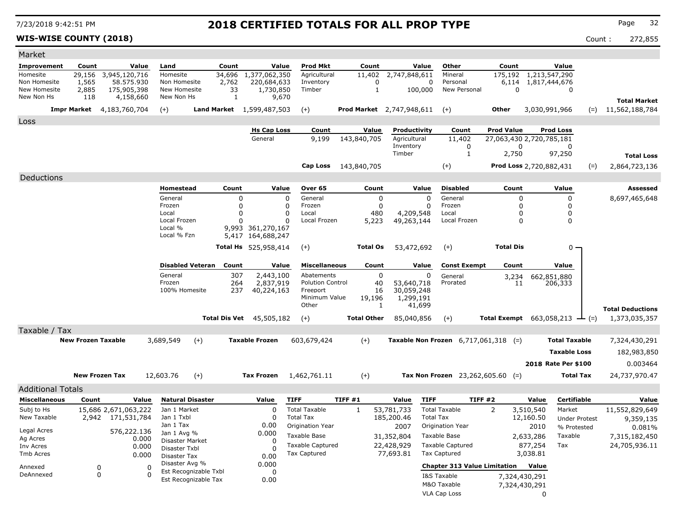### **WIS-WISE COUNTY (2018)** Count : 272,855

| Market                        |                           |                                  |                      |                                |                       |               |                                 |                                       |         |                    |                                  |                  |                                               |                                                     |                                    |                      |       |                                       |
|-------------------------------|---------------------------|----------------------------------|----------------------|--------------------------------|-----------------------|---------------|---------------------------------|---------------------------------------|---------|--------------------|----------------------------------|------------------|-----------------------------------------------|-----------------------------------------------------|------------------------------------|----------------------|-------|---------------------------------------|
| Improvement                   | Count                     | Value                            |                      | Land                           |                       | Count         | Value                           | <b>Prod Mkt</b>                       |         | Count              |                                  | Value            | Other                                         | Count                                               |                                    | Value                |       |                                       |
| Homesite                      | 29,156                    | 3,945,120,716                    |                      | Homesite                       |                       | 34,696        | 1,377,062,350                   | Agricultural                          |         | 11,402             | 2,747,848,611                    |                  | Mineral                                       |                                                     | 175,192 1,213,547,290              |                      |       |                                       |
| Non Homesite<br>New Homesite  | 1,565<br>2,885            | 58.575.930                       |                      | Non Homesite<br>New Homesite   |                       | 2,762<br>33   | 220,684,633<br>1,730,850        | Inventory<br>Timber                   |         | 0<br>$\mathbf{1}$  | 100,000                          | 0                | Personal<br>New Personal                      |                                                     | 6,114 1,817,444,676<br>$\mathbf 0$ | 0                    |       |                                       |
| New Non Hs                    | 118                       | 175,905,398<br>4,158,660         |                      | New Non Hs                     |                       | $\mathbf{1}$  | 9,670                           |                                       |         |                    |                                  |                  |                                               |                                                     |                                    |                      |       |                                       |
|                               |                           | <b>Impr Market</b> 4,183,760,704 |                      | $(+)$                          |                       |               | Land Market 1,599,487,503       | $(+)$                                 |         |                    | <b>Prod Market</b> 2,747,948,611 |                  | $(+)$                                         | Other                                               |                                    | 3,030,991,966        | $(=)$ | <b>Total Market</b><br>11,562,188,784 |
|                               |                           |                                  |                      |                                |                       |               |                                 |                                       |         |                    |                                  |                  |                                               |                                                     |                                    |                      |       |                                       |
| Loss                          |                           |                                  |                      |                                |                       |               | <b>Hs Cap Loss</b>              | Count                                 |         | Value              | Productivity                     |                  | Count                                         | <b>Prod Value</b>                                   |                                    | <b>Prod Loss</b>     |       |                                       |
|                               |                           |                                  |                      |                                |                       |               | General                         | 9,199                                 |         | 143,840,705        | Agricultural                     |                  | 11,402                                        | 27,063,430 2,720,785,181                            |                                    |                      |       |                                       |
|                               |                           |                                  |                      |                                |                       |               |                                 |                                       |         |                    | Inventory                        |                  | 0                                             |                                                     | 0                                  | 0                    |       |                                       |
|                               |                           |                                  |                      |                                |                       |               |                                 |                                       |         |                    | Timber                           |                  | $\mathbf{1}$                                  | 2,750                                               |                                    | 97,250               |       | <b>Total Loss</b>                     |
|                               |                           |                                  |                      |                                |                       |               |                                 | Cap Loss                              |         | 143,840,705        |                                  |                  | $(+)$                                         |                                                     | Prod Loss 2,720,882,431            |                      | $(=)$ | 2,864,723,136                         |
| Deductions                    |                           |                                  |                      |                                |                       |               |                                 |                                       |         |                    |                                  |                  |                                               |                                                     |                                    |                      |       |                                       |
|                               |                           |                                  |                      | Homestead                      |                       | Count         | Value                           | Over 65                               |         | Count              |                                  | Value            | <b>Disabled</b>                               | Count                                               |                                    | Value                |       | Assessed                              |
|                               |                           |                                  |                      | General                        |                       | $\Omega$      |                                 | $\mathbf 0$<br>General                |         | $\mathbf 0$        |                                  | $\Omega$         | General                                       |                                                     | $\mathbf 0$                        | $\mathbf 0$          |       | 8,697,465,648                         |
|                               |                           |                                  |                      | Frozen                         |                       | $\mathbf 0$   |                                 | 0<br>Frozen                           |         | 0                  |                                  | $\Omega$         | Frozen                                        |                                                     | 0                                  | $\Omega$             |       |                                       |
|                               |                           |                                  |                      | Local<br>Local Frozen          |                       | $\Omega$<br>n |                                 | 0<br>Local<br>0<br>Local Frozen       |         | 480<br>5,223       | 4,209,548<br>49,263,144          |                  | Local<br>Local Frozen                         |                                                     | 0<br>0                             | 0<br>$\Omega$        |       |                                       |
|                               |                           |                                  |                      | Local %                        |                       |               | 9,993 361,270,167               |                                       |         |                    |                                  |                  |                                               |                                                     |                                    |                      |       |                                       |
|                               |                           |                                  |                      | Local % Fzn                    |                       |               | 5,417 164,688,247               |                                       |         |                    |                                  |                  |                                               |                                                     |                                    |                      |       |                                       |
|                               |                           |                                  |                      |                                |                       |               | <b>Total Hs</b> 525,958,414     | $(+)$                                 |         | <b>Total Os</b>    | 53,472,692                       |                  | $(+)$                                         | <b>Total Dis</b>                                    |                                    | 0                    |       |                                       |
|                               |                           |                                  |                      |                                |                       |               |                                 |                                       |         |                    |                                  |                  |                                               |                                                     |                                    |                      |       |                                       |
|                               |                           |                                  |                      | <b>Disabled Veteran</b>        |                       | Count         | Value                           | <b>Miscellaneous</b>                  |         | Count              |                                  | Value            | <b>Const Exempt</b>                           | Count                                               |                                    | Value                |       |                                       |
|                               |                           |                                  |                      | General<br>Frozen              |                       | 307<br>264    | 2,443,100                       | Abatements<br><b>Polution Control</b> |         | 0                  |                                  | 0                | General                                       | 3,234                                               |                                    | 662,851,880          |       |                                       |
|                               |                           |                                  |                      | 100% Homesite                  |                       | 237           | 2,837,919<br>40,224,163         | Freeport                              |         | 40<br>16           | 53,640,718<br>30,059,248         |                  | Prorated                                      |                                                     | 11                                 | 206,333              |       |                                       |
|                               |                           |                                  |                      |                                |                       |               |                                 | Minimum Value                         |         | 19,196             | 1,299,191                        |                  |                                               |                                                     |                                    |                      |       |                                       |
|                               |                           |                                  |                      |                                |                       |               |                                 | Other                                 |         | 1                  | 41,699                           |                  |                                               |                                                     |                                    |                      |       | <b>Total Deductions</b>               |
|                               |                           |                                  |                      |                                |                       |               | <b>Total Dis Vet</b> 45,505,182 | $(+)$                                 |         | <b>Total Other</b> | 85,040,856                       |                  | $(+)$                                         | <b>Total Exempt</b> $663,058,213$ $\rightarrow$ (=) |                                    |                      |       | 1,373,035,357                         |
| Taxable / Tax                 |                           |                                  |                      |                                |                       |               |                                 |                                       |         |                    |                                  |                  |                                               |                                                     |                                    |                      |       |                                       |
|                               | <b>New Frozen Taxable</b> |                                  |                      | 3,689,549                      | $(+)$                 |               | <b>Taxable Frozen</b>           | 603,679,424                           |         | $(+)$              |                                  |                  | <b>Taxable Non Frozen</b> $6,717,061,318$ (=) |                                                     |                                    | <b>Total Taxable</b> |       | 7,324,430,291                         |
|                               |                           |                                  |                      |                                |                       |               |                                 |                                       |         |                    |                                  |                  |                                               |                                                     |                                    | <b>Taxable Loss</b>  |       | 182,983,850                           |
|                               |                           |                                  |                      |                                |                       |               |                                 |                                       |         |                    |                                  |                  |                                               |                                                     |                                    | 2018 Rate Per \$100  |       | 0.003464                              |
|                               |                           |                                  |                      |                                |                       |               |                                 |                                       |         |                    |                                  |                  |                                               |                                                     |                                    |                      |       |                                       |
|                               |                           | <b>New Frozen Tax</b>            |                      | 12,603.76                      | $(+)$                 |               | <b>Tax Frozen</b>               | 1,462,761.11                          |         | $(+)$              |                                  |                  | Tax Non Frozen $23,262,605.60$ (=)            |                                                     |                                    | <b>Total Tax</b>     |       | 24,737,970.47                         |
| <b>Additional Totals</b>      |                           |                                  |                      |                                |                       |               |                                 |                                       |         |                    |                                  |                  |                                               |                                                     |                                    |                      |       |                                       |
| <b>Miscellaneous</b>          | Count                     |                                  | Value                | <b>Natural Disaster</b>        |                       |               | Value                           | <b>TIFF</b>                           | TIFF #1 |                    | Value                            | <b>TIFF</b>      | TIFF#2                                        |                                                     | Value                              | Certifiable          |       | Value                                 |
| Subj to Hs                    |                           | 15,686 2,671,063,222             |                      | Jan 1 Market                   |                       |               | 0                               | <b>Total Taxable</b>                  |         | $\mathbf{1}$       | 53,781,733                       |                  | <b>Total Taxable</b>                          | 2                                                   | 3,510,540                          | Market               |       | 11,552,829,649                        |
| New Taxable                   |                           | 2,942 171,531,784                |                      | Jan 1 Txbl<br>Jan 1 Tax        |                       |               | 0<br>0.00                       | <b>Total Tax</b>                      |         |                    | 185,200.46                       | <b>Total Tax</b> |                                               |                                                     | 12,160.50                          | <b>Under Protest</b> |       | 9,359,135                             |
| Legal Acres                   |                           | 576,222.136                      |                      | Jan 1 Avg %                    |                       |               | 0.000                           | Origination Year<br>Taxable Base      |         |                    | 2007                             |                  | Origination Year                              |                                                     | 2010                               | % Protested          |       | 0.081%                                |
| Ag Acres                      |                           |                                  | 0.000                | Disaster Market                |                       |               | 0                               | <b>Taxable Captured</b>               |         |                    | 31,352,804                       |                  | Taxable Base<br><b>Taxable Captured</b>       |                                                     | 2,633,286                          | Taxable<br>Tax       |       | 7,315,182,450                         |
| Inv Acres<br><b>Tmb Acres</b> |                           |                                  | 0.000<br>0.000       | Disaster Txbl                  |                       |               | 0                               | <b>Tax Captured</b>                   |         |                    | 22,428,929<br>77,693.81          |                  | <b>Tax Captured</b>                           |                                                     | 877,254<br>3,038.81                |                      |       | 24,705,936.11                         |
|                               |                           |                                  |                      | Disaster Tax<br>Disaster Avg % |                       |               | 0.00<br>0.000                   |                                       |         |                    |                                  |                  |                                               |                                                     |                                    |                      |       |                                       |
| Annexed<br>DeAnnexed          | 0<br>$\mathbf 0$          |                                  | $\Omega$<br>$\Omega$ |                                | Est Recognizable Txbl |               | $\mathbf 0$                     |                                       |         |                    |                                  |                  | <b>Chapter 313 Value Limitation</b>           |                                                     | Value                              |                      |       |                                       |
|                               |                           |                                  |                      |                                | Est Recognizable Tax  |               | 0.00                            |                                       |         |                    |                                  |                  | I&S Taxable<br>M&O Taxable                    |                                                     | 7,324,430,291<br>7,324,430,291     |                      |       |                                       |
|                               |                           |                                  |                      |                                |                       |               |                                 |                                       |         |                    |                                  |                  | <b>VLA Cap Loss</b>                           |                                                     | $\Omega$                           |                      |       |                                       |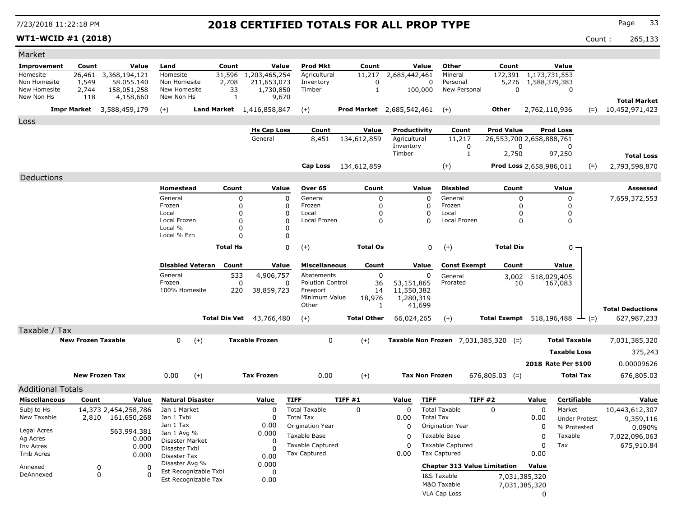**WT1-WCID #1 (2018)** Count : 265,133

| Market                       |                           |                                  |                              |                         |                 |                                 |                              |                                  |                           |                               |                                               |                         |                                              |                                        |
|------------------------------|---------------------------|----------------------------------|------------------------------|-------------------------|-----------------|---------------------------------|------------------------------|----------------------------------|---------------------------|-------------------------------|-----------------------------------------------|-------------------------|----------------------------------------------|----------------------------------------|
| <b>Improvement</b>           | Count                     | Value                            | Land                         |                         | Count           | Value                           | <b>Prod Mkt</b>              | Count                            | Value                     | Other                         | Count                                         |                         | Value                                        |                                        |
| Homesite                     | 26,461                    | 3,368,194,121                    | Homesite                     |                         | 31,596          | 1,203,465,254                   | Agricultural                 | 11,217                           | 2,685,442,461             | Mineral                       | 172,391                                       | 1,173,731,553           |                                              |                                        |
| Non Homesite<br>New Homesite | 1,549<br>2,744            | 58.055.140<br>158,051,258        | Non Homesite<br>New Homesite |                         | 2,708<br>33     | 211,653,073<br>1,730,850        | Inventory<br>Timber          | 0<br>1                           | 100,000                   | 0<br>Personal<br>New Personal | 5,276<br>$\mathbf 0$                          | 1,588,379,383           | 0                                            |                                        |
| New Non Hs                   | 118                       | 4,158,660                        | New Non Hs                   |                         | 1               | 9,670                           |                              |                                  |                           |                               |                                               |                         |                                              | <b>Total Market</b>                    |
|                              |                           | <b>Impr Market</b> 3,588,459,179 | $(+)$                        |                         |                 | Land Market 1,416,858,847       | $(+)$                        | <b>Prod Market</b> 2,685,542,461 |                           | $(+)$                         | Other                                         | 2,762,110,936           |                                              | $= 10,452,971,423$                     |
| Loss                         |                           |                                  |                              |                         |                 |                                 |                              |                                  |                           |                               |                                               |                         |                                              |                                        |
|                              |                           |                                  |                              |                         |                 | <b>Hs Cap Loss</b>              | Count                        | Value                            | Productivity              | Count                         | <b>Prod Value</b>                             |                         | <b>Prod Loss</b>                             |                                        |
|                              |                           |                                  |                              |                         |                 | General                         | 8,451                        | 134,612,859                      | Agricultural<br>Inventory | 11,217                        | 26,553,700 2,658,888,761<br>0                 | $\Omega$                | 0                                            |                                        |
|                              |                           |                                  |                              |                         |                 |                                 |                              |                                  | Timber                    |                               | $\mathbf{1}$<br>2,750                         |                         | 97,250                                       | <b>Total Loss</b>                      |
|                              |                           |                                  |                              |                         |                 |                                 |                              | Cap Loss 134,612,859             |                           | $(+)$                         |                                               | Prod Loss 2,658,986,011 | $(=)$                                        | 2,793,598,870                          |
| Deductions                   |                           |                                  |                              |                         |                 |                                 |                              |                                  |                           |                               |                                               |                         |                                              |                                        |
|                              |                           |                                  | Homestead                    |                         | Count           | Value                           | Over 65                      | Count                            | Value                     | <b>Disabled</b>               | Count                                         |                         | Value                                        | <b>Assessed</b>                        |
|                              |                           |                                  | General                      |                         | 0               |                                 | General<br>0                 | 0                                |                           | General<br>$\Omega$           |                                               | 0                       | $\mathbf 0$                                  | 7,659,372,553                          |
|                              |                           |                                  | Frozen                       |                         | 0               |                                 | 0<br>Frozen                  | 0                                |                           | Frozen<br>0                   |                                               | 0                       | 0                                            |                                        |
|                              |                           |                                  | Local                        |                         | $\Omega$        |                                 | 0<br>Local                   | O                                |                           | Local<br>$\Omega$             |                                               | $\Omega$                | 0                                            |                                        |
|                              |                           |                                  | Local Frozen                 |                         | $\Omega$        |                                 | $\Omega$<br>Local Frozen     | 0                                |                           | Local Frozen<br>$\Omega$      |                                               | 0                       | 0                                            |                                        |
|                              |                           |                                  | Local %                      |                         | $\Omega$        |                                 | 0                            |                                  |                           |                               |                                               |                         |                                              |                                        |
|                              |                           |                                  | Local % Fzn                  |                         | ∩               |                                 | $\mathbf 0$                  |                                  |                           |                               |                                               |                         |                                              |                                        |
|                              |                           |                                  |                              |                         | <b>Total Hs</b> |                                 | 0<br>$(+)$                   | <b>Total Os</b>                  |                           | 0<br>$(+)$                    | <b>Total Dis</b>                              |                         | 0 -                                          |                                        |
|                              |                           |                                  |                              | <b>Disabled Veteran</b> | Count           | Value                           | <b>Miscellaneous</b>         | Count                            | Value                     | <b>Const Exempt</b>           | Count                                         |                         | Value                                        |                                        |
|                              |                           |                                  | General                      |                         | 533             | 4,906,757                       | Abatements                   | 0                                |                           | 0<br>General                  | 3,002                                         |                         | 518,029,405                                  |                                        |
|                              |                           |                                  | Frozen                       |                         | 0               |                                 | <b>Polution Control</b><br>0 | 36                               | 53,151,865                | Prorated                      | 10                                            |                         | 167,083                                      |                                        |
|                              |                           |                                  | 100% Homesite                |                         | 220             | 38,859,723                      | Freeport<br>Minimum Value    | 14<br>18,976                     | 11,550,382<br>1,280,319   |                               |                                               |                         |                                              |                                        |
|                              |                           |                                  |                              |                         |                 |                                 | Other                        | 1                                | 41,699                    |                               |                                               |                         |                                              |                                        |
|                              |                           |                                  |                              |                         |                 | <b>Total Dis Vet</b> 43,766,480 | $(+)$                        | <b>Total Other</b>               | 66,024,265                | $(+)$                         |                                               |                         | Total Exempt $518,196,488$ $\rightarrow$ (=) | <b>Total Deductions</b><br>627,987,233 |
| Taxable / Tax                |                           |                                  |                              |                         |                 |                                 |                              |                                  |                           |                               |                                               |                         |                                              |                                        |
|                              | <b>New Frozen Taxable</b> |                                  | 0                            | $(+)$                   |                 | <b>Taxable Frozen</b>           | 0                            | $(+)$                            |                           |                               | <b>Taxable Non Frozen</b> $7,031,385,320$ (=) |                         | <b>Total Taxable</b>                         | 7,031,385,320                          |
|                              |                           |                                  |                              |                         |                 |                                 |                              |                                  |                           |                               |                                               |                         | <b>Taxable Loss</b>                          | 375,243                                |
|                              |                           |                                  |                              |                         |                 |                                 |                              |                                  |                           |                               |                                               |                         | 2018 Rate Per \$100                          | 0.00009626                             |
|                              | <b>New Frozen Tax</b>     |                                  | 0.00                         | $(+)$                   |                 | <b>Tax Frozen</b>               | 0.00                         | $(+)$                            |                           | <b>Tax Non Frozen</b>         | $676,805.03$ (=)                              |                         | <b>Total Tax</b>                             |                                        |
|                              |                           |                                  |                              |                         |                 |                                 |                              |                                  |                           |                               |                                               |                         |                                              | 676,805.03                             |
| <b>Additional Totals</b>     |                           |                                  |                              |                         |                 |                                 |                              |                                  |                           |                               |                                               |                         |                                              |                                        |
| <b>Miscellaneous</b>         | Count                     | Value                            | <b>Natural Disaster</b>      |                         |                 | Value                           | <b>TIFF</b>                  | TIFF#1                           | Value                     | <b>TIFF</b>                   | TIFF#2                                        | Value                   | Certifiable                                  | Value                                  |
| Subj to Hs                   |                           | 14,373 2,454,258,786             | Jan 1 Market                 |                         |                 | 0                               | <b>Total Taxable</b>         | $\Omega$                         | 0                         | <b>Total Taxable</b>          | $\Omega$                                      | 0                       | Market                                       | 10,443,612,307                         |
| New Taxable                  |                           | 2,810 161,650,268                | Jan 1 Txbl                   |                         |                 | $\mathbf 0$                     | <b>Total Tax</b>             |                                  | 0.00                      | <b>Total Tax</b>              |                                               | 0.00                    | <b>Under Protest</b>                         | 9,359,116                              |
| Legal Acres                  |                           | 563,994.381                      | Jan 1 Tax<br>Jan 1 Avg %     |                         |                 | 0.00<br>0.000                   | Origination Year             |                                  | 0                         | <b>Origination Year</b>       |                                               | 0                       | % Protested                                  | 0.090%                                 |
| Ag Acres                     |                           | 0.000                            | <b>Disaster Market</b>       |                         |                 | 0                               | Taxable Base                 |                                  | 0                         | Taxable Base                  |                                               | 0                       | Taxable                                      | 7,022,096,063                          |
| Inv Acres                    |                           | 0.000                            | Disaster Txbl                |                         |                 | $\Omega$                        | <b>Taxable Captured</b>      |                                  | 0                         | <b>Taxable Captured</b>       |                                               | 0                       | Tax                                          | 675,910.84                             |
| Tmb Acres                    |                           | 0.000                            | Disaster Tax                 |                         |                 | 0.00                            | <b>Tax Captured</b>          |                                  | 0.00                      | Tax Captured                  |                                               | 0.00                    |                                              |                                        |
| Annexed                      | 0                         | 0                                | Disaster Avg %               |                         |                 | 0.000                           |                              |                                  |                           |                               | <b>Chapter 313 Value Limitation</b>           | Value                   |                                              |                                        |
| DeAnnexed                    | $\mathbf 0$               | $\Omega$                         |                              | Est Recognizable Txbl   |                 | 0                               |                              |                                  |                           | I&S Taxable                   |                                               | 7,031,385,320           |                                              |                                        |
|                              |                           |                                  |                              | Est Recognizable Tax    |                 | 0.00                            |                              |                                  |                           | M&O Taxable                   |                                               | 7,031,385,320           |                                              |                                        |
|                              |                           |                                  |                              |                         |                 |                                 |                              |                                  |                           | <b>VLA Cap Loss</b>           |                                               | 0                       |                                              |                                        |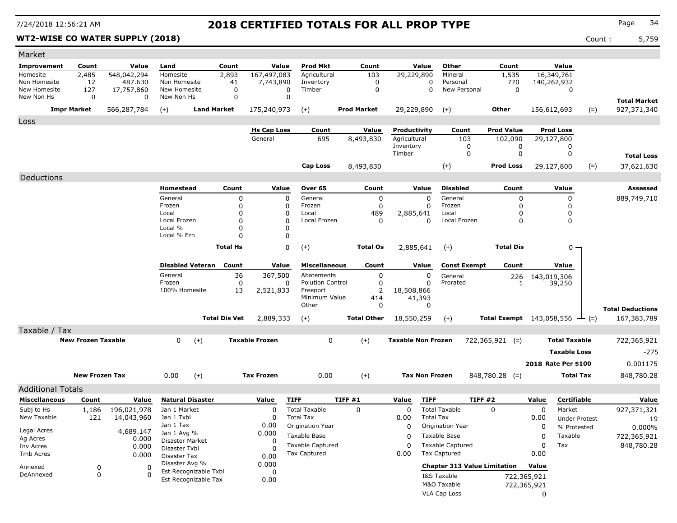### **WT2-WISE CO WATER SUPPLY (2018)** Count : 5,759

| Market                     |                           |                 |                                         |                      |                               |                                     |                    |             |                              |                                     |                                                     |             |                                |                         |
|----------------------------|---------------------------|-----------------|-----------------------------------------|----------------------|-------------------------------|-------------------------------------|--------------------|-------------|------------------------------|-------------------------------------|-----------------------------------------------------|-------------|--------------------------------|-------------------------|
| Improvement                | Count                     | Value           | Land                                    | Count                | Value                         | <b>Prod Mkt</b>                     | Count              |             | Value                        | Other                               | Count                                               |             | Value                          |                         |
| Homesite                   | 2,485                     | 548,042,294     | Homesite                                | 2,893                | 167,497,083                   | Agricultural                        | 103                |             | 29,229,890                   | Mineral                             | 1,535                                               |             | 16,349,761                     |                         |
| Non Homesite               | 12                        | 487.630         | Non Homesite                            | 41                   | 7,743,890                     | Inventory                           |                    | $\mathbf 0$ | $\mathbf 0$                  | Personal                            | 770                                                 |             | 140,262,932                    |                         |
| New Homesite<br>New Non Hs | 127<br>$\mathbf 0$        | 17,757,860<br>0 | New Homesite<br>New Non Hs              | 0<br>$\mathbf 0$     | $\Omega$<br>$\Omega$          | Timber                              |                    | $\Omega$    | 0                            | New Personal                        | $\Omega$                                            |             | $\mathbf 0$                    |                         |
|                            |                           |                 |                                         | <b>Land Market</b>   |                               |                                     | <b>Prod Market</b> |             |                              |                                     | Other                                               |             |                                | <b>Total Market</b>     |
|                            | <b>Impr Market</b>        | 566,287,784     | $(+)$                                   |                      | 175,240,973                   | $(+)$                               |                    |             | 29,229,890                   | $(+)$                               |                                                     |             | 156,612,693<br>$(=)$           | 927,371,340             |
| Loss                       |                           |                 |                                         |                      |                               |                                     |                    |             |                              |                                     |                                                     |             |                                |                         |
|                            |                           |                 |                                         |                      | <b>Hs Cap Loss</b><br>General | Count<br>695                        | Value<br>8,493,830 |             | Productivity<br>Agricultural | Count<br>103                        | <b>Prod Value</b><br>102,090                        |             | <b>Prod Loss</b><br>29,127,800 |                         |
|                            |                           |                 |                                         |                      |                               |                                     |                    |             | Inventory                    | 0                                   | 0                                                   |             | 0                              |                         |
|                            |                           |                 |                                         |                      |                               |                                     |                    |             | Timber                       | $\mathbf 0$                         | $\mathbf 0$                                         |             | $\mathbf 0$                    | <b>Total Loss</b>       |
|                            |                           |                 |                                         |                      |                               | <b>Cap Loss</b>                     | 8,493,830          |             |                              | $(+)$                               | <b>Prod Loss</b>                                    |             | 29,127,800<br>$(=)$            | 37,621,630              |
| Deductions                 |                           |                 |                                         |                      |                               |                                     |                    |             |                              |                                     |                                                     |             |                                |                         |
|                            |                           |                 | <b>Homestead</b>                        | Count                | Value                         | Over 65                             | Count              |             | Value                        | <b>Disabled</b>                     | Count                                               |             | Value                          | Assessed                |
|                            |                           |                 | General                                 | $\mathbf 0$          | $\mathbf 0$                   | General                             |                    | 0           | $\Omega$                     | General                             | $\mathbf 0$                                         |             | 0                              | 889,749,710             |
|                            |                           |                 | Frozen                                  | $\mathbf 0$          | 0                             | Frozen                              |                    | 0           | $\Omega$                     | Frozen                              | $\mathbf 0$                                         |             | 0                              |                         |
|                            |                           |                 | Local                                   | $\Omega$             | 0                             | Local                               |                    | 489         | 2,885,641                    | Local                               | $\mathbf 0$                                         |             | $\Omega$                       |                         |
|                            |                           |                 | Local Frozen<br>Local %                 | $\mathbf 0$<br>0     | 0<br>0                        | Local Frozen                        |                    | $\mathbf 0$ | $\Omega$                     | Local Frozen                        | $\mathbf 0$                                         |             | 0                              |                         |
|                            |                           |                 | Local % Fzn                             | $\Omega$             | 0                             |                                     |                    |             |                              |                                     |                                                     |             |                                |                         |
|                            |                           |                 |                                         | <b>Total Hs</b>      | 0                             | $(+)$                               | <b>Total Os</b>    |             | 2,885,641                    | $(+)$                               | <b>Total Dis</b>                                    |             | $0 \cdot$                      |                         |
|                            |                           |                 |                                         |                      |                               |                                     |                    |             |                              |                                     |                                                     |             |                                |                         |
|                            |                           |                 | <b>Disabled Veteran</b>                 | Count                | Value                         | <b>Miscellaneous</b>                | Count              |             | Value                        | <b>Const Exempt</b>                 | Count                                               |             | Value                          |                         |
|                            |                           |                 | General                                 | 36                   | 367,500                       | Abatements                          |                    | 0           | 0                            | General                             | 226                                                 | 143,019,306 |                                |                         |
|                            |                           |                 | Frozen<br>100% Homesite                 | $\mathbf 0$<br>13    | 0<br>2,521,833                | <b>Polution Control</b><br>Freeport |                    | 0<br>2      | $\Omega$<br>18,508,866       | Prorated                            | 1                                                   |             | 39,250                         |                         |
|                            |                           |                 |                                         |                      |                               | Minimum Value                       |                    | 414         | 41,393                       |                                     |                                                     |             |                                |                         |
|                            |                           |                 |                                         |                      |                               | Other                               |                    | 0           | $\Omega$                     |                                     |                                                     |             |                                | <b>Total Deductions</b> |
|                            |                           |                 |                                         | <b>Total Dis Vet</b> | 2,889,333                     | $(+)$                               | <b>Total Other</b> |             | 18,550,259                   | $(+)$                               | <b>Total Exempt</b> $143,058,556$ $\rightarrow$ (=) |             |                                | 167,383,789             |
| Taxable / Tax              |                           |                 |                                         |                      |                               |                                     |                    |             |                              |                                     |                                                     |             |                                |                         |
|                            | <b>New Frozen Taxable</b> |                 | $\mathbf 0$<br>$(+)$                    |                      | <b>Taxable Frozen</b>         | $\mathbf 0$                         | $(+)$              |             | <b>Taxable Non Frozen</b>    |                                     | $722,365,921$ (=)                                   |             | <b>Total Taxable</b>           | 722,365,921             |
|                            |                           |                 |                                         |                      |                               |                                     |                    |             |                              |                                     |                                                     |             | <b>Taxable Loss</b>            | $-275$                  |
|                            |                           |                 |                                         |                      |                               |                                     |                    |             |                              |                                     |                                                     |             |                                |                         |
|                            |                           |                 |                                         |                      |                               |                                     |                    |             |                              |                                     |                                                     |             | 2018 Rate Per \$100            | 0.001175                |
|                            | <b>New Frozen Tax</b>     |                 | $(+)$<br>0.00                           |                      | <b>Tax Frozen</b>             | 0.00                                | $(+)$              |             | <b>Tax Non Frozen</b>        |                                     | $848,780.28$ (=)                                    |             | <b>Total Tax</b>               | 848,780.28              |
| <b>Additional Totals</b>   |                           |                 |                                         |                      |                               |                                     |                    |             |                              |                                     |                                                     |             |                                |                         |
| <b>Miscellaneous</b>       | Count                     | Value           | <b>Natural Disaster</b>                 |                      | Value                         | <b>TIFF</b>                         | TIFF#1             |             | <b>TIFF</b><br>Value         |                                     | <b>TIFF #2</b>                                      | Value       | <b>Certifiable</b>             | Value                   |
| Subj to Hs                 | 1,186                     | 196,021,978     | Jan 1 Market                            |                      | 0                             | <b>Total Taxable</b>                | $\mathbf 0$        |             | 0                            | <b>Total Taxable</b>                | $\mathbf 0$                                         | 0           | Market                         | 927,371,321             |
| New Taxable                | 121                       | 14,043,960      | Jan 1 Txbl                              |                      | 0                             | <b>Total Tax</b>                    |                    |             | 0.00                         | <b>Total Tax</b>                    |                                                     | 0.00        | <b>Under Protest</b>           | 19                      |
| Legal Acres                |                           | 4,689.147       | Jan 1 Tax<br>Jan 1 Avg %                |                      | 0.00<br>0.000                 | Origination Year                    |                    |             | 0                            | Origination Year                    |                                                     | 0           | % Protested                    | 0.000%                  |
| Ag Acres                   |                           | 0.000           | Disaster Market                         |                      | $\Omega$                      | Taxable Base                        |                    |             | $\Omega$                     | <b>Taxable Base</b>                 |                                                     | 0           | Taxable                        | 722,365,921             |
| Inv Acres                  |                           | 0.000           | Disaster Txbl                           |                      | 0                             | <b>Taxable Captured</b>             |                    |             | 0                            | <b>Taxable Captured</b>             |                                                     | $\Omega$    | Tax                            | 848,780.28              |
| Tmb Acres                  |                           | 0.000           | Disaster Tax                            |                      | 0.00                          | Tax Captured                        |                    |             | 0.00                         | <b>Tax Captured</b>                 |                                                     | 0.00        |                                |                         |
| Annexed                    | 0                         | $\Omega$        | Disaster Avg %<br>Est Recognizable Txbl |                      | 0.000<br>0                    |                                     |                    |             |                              | <b>Chapter 313 Value Limitation</b> |                                                     | Value       |                                |                         |
| DeAnnexed                  | $\mathbf 0$               | $\Omega$        | Est Recognizable Tax                    |                      | 0.00                          |                                     |                    |             |                              | I&S Taxable                         |                                                     | 722,365,921 |                                |                         |
|                            |                           |                 |                                         |                      |                               |                                     |                    |             |                              | M&O Taxable                         |                                                     | 722,365,921 |                                |                         |
|                            |                           |                 |                                         |                      |                               |                                     |                    |             |                              | <b>VLA Cap Loss</b>                 |                                                     | $\Omega$    |                                |                         |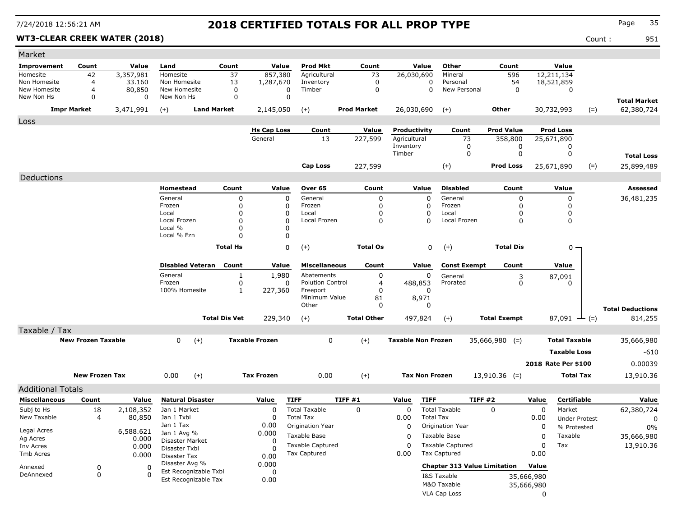### WT3-CLEAR CREEK WATER (2018) **Count :** 951

| Improvement<br>Count<br>Value<br>Land<br>Count<br>Value<br><b>Prod Mkt</b><br>Count<br>Value<br>Other<br>Count<br>Value<br>42<br>Homesite<br>37<br>857,380<br>73<br>26,030,690<br>Mineral<br>596<br>12,211,134<br>Homesite<br>3,357,981<br>Agricultural<br>54<br>Non Homesite<br>13<br>$\mathbf 0$<br>Personal<br>18,521,859<br>Non Homesite<br>33.160<br>1,287,670<br>Inventory<br>$\Omega$<br>4<br>$\Omega$<br>80,850<br>New Homesite<br>$\Omega$<br>Timber<br>$\mathbf 0$<br>New Personal<br>New Homesite<br>$\Omega$<br>0<br>$\overline{4}$<br>$\Omega$<br>$\mathbf 0$<br>$\Omega$<br>New Non Hs<br>$\mathbf 0$<br>$\mathbf 0$<br>New Non Hs<br><b>Total Market</b><br><b>Impr Market</b><br>3,471,991<br>$(+)$<br><b>Land Market</b><br>2,145,050<br><b>Prod Market</b><br>26,030,690<br>$(+)$<br>Other<br>30,732,993<br>$(=)$<br>62,380,724<br>$(+)$<br>Loss<br>Count<br>Value<br>Productivity<br>Count<br><b>Prod Value</b><br><b>Prod Loss</b><br><b>Hs Cap Loss</b><br>13<br>227,599<br>Agricultural<br>73<br>General<br>358,800<br>25,671,890<br>Inventory<br>0<br>0<br>0<br>$\mathbf 0$<br>$\mathbf 0$<br>Timber<br>$\mathbf 0$<br><b>Total Loss</b><br><b>Cap Loss</b><br>227,599<br>$(+)$<br><b>Prod Loss</b><br>25,671,890<br>25,899,489<br>$(=)$<br>Deductions<br>Homestead<br>Count<br>Value<br>Over 65<br>Count<br>Value<br><b>Disabled</b><br>Count<br>Value<br><b>Assessed</b><br>General<br>0<br>$\overline{0}$<br>General<br>$\mathbf 0$<br>$\mathbf 0$<br>General<br>$\mathbf 0$<br>$\mathbf 0$<br>36,481,235<br>$\mathbf 0$<br>Frozen<br>$\overline{0}$<br>Frozen<br>$\Omega$<br>0<br>Frozen<br>$\Omega$<br>$\Omega$<br>$\Omega$<br>Local<br>$\mathbf 0$<br>0<br>Local<br>$\Omega$<br>Local<br>0<br>0<br>$\Omega$<br>$\Omega$<br>$\Omega$<br>$\Omega$<br>Local Frozen<br>Local Frozen<br>$\Omega$<br>$\mathbf{0}$<br>Local Frozen<br>Local %<br>$\Omega$<br>$\Omega$<br>Local % Fzn<br>$\Omega$<br>0<br><b>Total Hs</b><br>0<br><b>Total Os</b><br>$\mathbf 0$<br><b>Total Dis</b><br>$(+)$<br>$(+)$<br>$0 \cdot$<br>Count<br><b>Disabled Veteran</b><br>Value<br><b>Miscellaneous</b><br>Count<br>Value<br><b>Const Exempt</b><br>Count<br>Value<br>General<br>1,980<br>Abatements<br>0<br>$\Omega$<br>1<br>3<br>General<br>87,091<br>Frozen<br>$\mathbf 0$<br><b>Polution Control</b><br>488,853<br>$\Omega$<br>0<br>4<br>Prorated<br>$\Omega$<br>100% Homesite<br>0<br>Freeport<br>$\mathbf{1}$<br>227,360<br>$\Omega$<br>8,971<br>Minimum Value<br>81<br>Other<br>0<br>0<br><b>Total Deductions</b><br><b>Total Dis Vet</b><br><b>Total Exempt</b><br>229,340<br><b>Total Other</b><br>497,824<br>87,091<br>814,255<br>$(+)$<br>$(+)$<br>$ (=)$<br>Taxable / Tax<br><b>Taxable Frozen</b><br>$(+)$<br><b>New Frozen Taxable</b><br>$\Omega$<br>$(+)$<br>$\mathbf{0}$<br><b>Taxable Non Frozen</b><br><b>Total Taxable</b><br>35,666,980<br>$35,666,980$ (=)<br><b>Taxable Loss</b><br>$-610$<br>2018 Rate Per \$100<br>0.00039<br>$(+)$<br><b>New Frozen Tax</b><br>0.00<br>$(+)$<br><b>Tax Frozen</b><br>0.00<br><b>Tax Non Frozen</b><br>$13,910.36$ (=)<br><b>Total Tax</b><br>13,910.36<br><b>Additional Totals</b><br><b>Miscellaneous</b><br>Count<br>Value<br><b>Natural Disaster</b><br>Value<br><b>TIFF</b><br>TIFF #1<br>Value<br><b>TIFF</b><br><b>TIFF #2</b><br>Value<br><b>Certifiable</b><br>Value<br><b>Total Taxable</b><br><b>Total Taxable</b><br>Subj to Hs<br>2,108,352<br>0<br>$\mathbf 0$<br>$\Omega$<br>$\Omega$<br>Market<br>62,380,724<br>18<br>Jan 1 Market<br>$\Omega$<br>New Taxable<br><b>Total Tax</b><br><b>Total Tax</b><br>4<br>80,850<br>Jan 1 Txbl<br>0<br>0.00<br>0.00<br><b>Under Protest</b><br>$\mathbf 0$<br>Jan 1 Tax<br>0.00<br>Origination Year<br>0<br>Origination Year<br>$\mathbf 0$<br>% Protested<br>0%<br>Legal Acres<br>6,588.621<br>Jan 1 Avg %<br>0.000<br>Taxable Base<br>Taxable Base<br>Taxable<br>$\Omega$<br>0<br>35,666,980<br>Ag Acres<br>0.000<br>Disaster Market<br>0<br><b>Taxable Captured</b><br><b>Taxable Captured</b><br>$\Omega$<br>$\Omega$<br>Tax<br>13,910.36<br>Inv Acres<br>0.000<br>Disaster Txbl<br>0<br>Tax Captured<br>0.00<br>Tax Captured<br>0.00<br><b>Tmb Acres</b><br>0.000<br>Disaster Tax<br>0.00<br>Disaster Avg %<br>0.000<br><b>Chapter 313 Value Limitation</b><br>Value<br>0<br>$\Omega$<br>Annexed<br>Est Recognizable Txbl<br>$\Omega$<br>$\mathbf 0$<br>DeAnnexed<br>0<br>I&S Taxable<br>35,666,980<br>Est Recognizable Tax<br>0.00<br>M&O Taxable<br>35,666,980<br><b>VLA Cap Loss</b> | Market |  |  |  |  |  |  |              |  |  |
|-----------------------------------------------------------------------------------------------------------------------------------------------------------------------------------------------------------------------------------------------------------------------------------------------------------------------------------------------------------------------------------------------------------------------------------------------------------------------------------------------------------------------------------------------------------------------------------------------------------------------------------------------------------------------------------------------------------------------------------------------------------------------------------------------------------------------------------------------------------------------------------------------------------------------------------------------------------------------------------------------------------------------------------------------------------------------------------------------------------------------------------------------------------------------------------------------------------------------------------------------------------------------------------------------------------------------------------------------------------------------------------------------------------------------------------------------------------------------------------------------------------------------------------------------------------------------------------------------------------------------------------------------------------------------------------------------------------------------------------------------------------------------------------------------------------------------------------------------------------------------------------------------------------------------------------------------------------------------------------------------------------------------------------------------------------------------------------------------------------------------------------------------------------------------------------------------------------------------------------------------------------------------------------------------------------------------------------------------------------------------------------------------------------------------------------------------------------------------------------------------------------------------------------------------------------------------------------------------------------------------------------------------------------------------------------------------------------------------------------------------------------------------------------------------------------------------------------------------------------------------------------------------------------------------------------------------------------------------------------------------------------------------------------------------------------------------------------------------------------------------------------------------------------------------------------------------------------------------------------------------------------------------------------------------------------------------------------------------------------------------------------------------------------------------------------------------------------------------------------------------------------------------------------------------------------------------------------------------------------------------------------------------------------------------------------------------------------------------------------------------------------------------------------------------------------------------------------------------------------------------------------------------------------------------------------------------------------------------------------------------------------------------------------------------------------------------------------------------------------------------------------------------------------------------------------------------------------------------------------------------------------------------------------------------------------------------------------------------------------------------------------------------------------------------------------------------------------------------------------------------------------------|--------|--|--|--|--|--|--|--------------|--|--|
|                                                                                                                                                                                                                                                                                                                                                                                                                                                                                                                                                                                                                                                                                                                                                                                                                                                                                                                                                                                                                                                                                                                                                                                                                                                                                                                                                                                                                                                                                                                                                                                                                                                                                                                                                                                                                                                                                                                                                                                                                                                                                                                                                                                                                                                                                                                                                                                                                                                                                                                                                                                                                                                                                                                                                                                                                                                                                                                                                                                                                                                                                                                                                                                                                                                                                                                                                                                                                                                                                                                                                                                                                                                                                                                                                                                                                                                                                                                                                                                                                                                                                                                                                                                                                                                                                                                                                                                                                                                                                                                 |        |  |  |  |  |  |  |              |  |  |
|                                                                                                                                                                                                                                                                                                                                                                                                                                                                                                                                                                                                                                                                                                                                                                                                                                                                                                                                                                                                                                                                                                                                                                                                                                                                                                                                                                                                                                                                                                                                                                                                                                                                                                                                                                                                                                                                                                                                                                                                                                                                                                                                                                                                                                                                                                                                                                                                                                                                                                                                                                                                                                                                                                                                                                                                                                                                                                                                                                                                                                                                                                                                                                                                                                                                                                                                                                                                                                                                                                                                                                                                                                                                                                                                                                                                                                                                                                                                                                                                                                                                                                                                                                                                                                                                                                                                                                                                                                                                                                                 |        |  |  |  |  |  |  |              |  |  |
|                                                                                                                                                                                                                                                                                                                                                                                                                                                                                                                                                                                                                                                                                                                                                                                                                                                                                                                                                                                                                                                                                                                                                                                                                                                                                                                                                                                                                                                                                                                                                                                                                                                                                                                                                                                                                                                                                                                                                                                                                                                                                                                                                                                                                                                                                                                                                                                                                                                                                                                                                                                                                                                                                                                                                                                                                                                                                                                                                                                                                                                                                                                                                                                                                                                                                                                                                                                                                                                                                                                                                                                                                                                                                                                                                                                                                                                                                                                                                                                                                                                                                                                                                                                                                                                                                                                                                                                                                                                                                                                 |        |  |  |  |  |  |  |              |  |  |
|                                                                                                                                                                                                                                                                                                                                                                                                                                                                                                                                                                                                                                                                                                                                                                                                                                                                                                                                                                                                                                                                                                                                                                                                                                                                                                                                                                                                                                                                                                                                                                                                                                                                                                                                                                                                                                                                                                                                                                                                                                                                                                                                                                                                                                                                                                                                                                                                                                                                                                                                                                                                                                                                                                                                                                                                                                                                                                                                                                                                                                                                                                                                                                                                                                                                                                                                                                                                                                                                                                                                                                                                                                                                                                                                                                                                                                                                                                                                                                                                                                                                                                                                                                                                                                                                                                                                                                                                                                                                                                                 |        |  |  |  |  |  |  |              |  |  |
|                                                                                                                                                                                                                                                                                                                                                                                                                                                                                                                                                                                                                                                                                                                                                                                                                                                                                                                                                                                                                                                                                                                                                                                                                                                                                                                                                                                                                                                                                                                                                                                                                                                                                                                                                                                                                                                                                                                                                                                                                                                                                                                                                                                                                                                                                                                                                                                                                                                                                                                                                                                                                                                                                                                                                                                                                                                                                                                                                                                                                                                                                                                                                                                                                                                                                                                                                                                                                                                                                                                                                                                                                                                                                                                                                                                                                                                                                                                                                                                                                                                                                                                                                                                                                                                                                                                                                                                                                                                                                                                 |        |  |  |  |  |  |  |              |  |  |
|                                                                                                                                                                                                                                                                                                                                                                                                                                                                                                                                                                                                                                                                                                                                                                                                                                                                                                                                                                                                                                                                                                                                                                                                                                                                                                                                                                                                                                                                                                                                                                                                                                                                                                                                                                                                                                                                                                                                                                                                                                                                                                                                                                                                                                                                                                                                                                                                                                                                                                                                                                                                                                                                                                                                                                                                                                                                                                                                                                                                                                                                                                                                                                                                                                                                                                                                                                                                                                                                                                                                                                                                                                                                                                                                                                                                                                                                                                                                                                                                                                                                                                                                                                                                                                                                                                                                                                                                                                                                                                                 |        |  |  |  |  |  |  |              |  |  |
|                                                                                                                                                                                                                                                                                                                                                                                                                                                                                                                                                                                                                                                                                                                                                                                                                                                                                                                                                                                                                                                                                                                                                                                                                                                                                                                                                                                                                                                                                                                                                                                                                                                                                                                                                                                                                                                                                                                                                                                                                                                                                                                                                                                                                                                                                                                                                                                                                                                                                                                                                                                                                                                                                                                                                                                                                                                                                                                                                                                                                                                                                                                                                                                                                                                                                                                                                                                                                                                                                                                                                                                                                                                                                                                                                                                                                                                                                                                                                                                                                                                                                                                                                                                                                                                                                                                                                                                                                                                                                                                 |        |  |  |  |  |  |  |              |  |  |
|                                                                                                                                                                                                                                                                                                                                                                                                                                                                                                                                                                                                                                                                                                                                                                                                                                                                                                                                                                                                                                                                                                                                                                                                                                                                                                                                                                                                                                                                                                                                                                                                                                                                                                                                                                                                                                                                                                                                                                                                                                                                                                                                                                                                                                                                                                                                                                                                                                                                                                                                                                                                                                                                                                                                                                                                                                                                                                                                                                                                                                                                                                                                                                                                                                                                                                                                                                                                                                                                                                                                                                                                                                                                                                                                                                                                                                                                                                                                                                                                                                                                                                                                                                                                                                                                                                                                                                                                                                                                                                                 |        |  |  |  |  |  |  |              |  |  |
|                                                                                                                                                                                                                                                                                                                                                                                                                                                                                                                                                                                                                                                                                                                                                                                                                                                                                                                                                                                                                                                                                                                                                                                                                                                                                                                                                                                                                                                                                                                                                                                                                                                                                                                                                                                                                                                                                                                                                                                                                                                                                                                                                                                                                                                                                                                                                                                                                                                                                                                                                                                                                                                                                                                                                                                                                                                                                                                                                                                                                                                                                                                                                                                                                                                                                                                                                                                                                                                                                                                                                                                                                                                                                                                                                                                                                                                                                                                                                                                                                                                                                                                                                                                                                                                                                                                                                                                                                                                                                                                 |        |  |  |  |  |  |  |              |  |  |
|                                                                                                                                                                                                                                                                                                                                                                                                                                                                                                                                                                                                                                                                                                                                                                                                                                                                                                                                                                                                                                                                                                                                                                                                                                                                                                                                                                                                                                                                                                                                                                                                                                                                                                                                                                                                                                                                                                                                                                                                                                                                                                                                                                                                                                                                                                                                                                                                                                                                                                                                                                                                                                                                                                                                                                                                                                                                                                                                                                                                                                                                                                                                                                                                                                                                                                                                                                                                                                                                                                                                                                                                                                                                                                                                                                                                                                                                                                                                                                                                                                                                                                                                                                                                                                                                                                                                                                                                                                                                                                                 |        |  |  |  |  |  |  |              |  |  |
|                                                                                                                                                                                                                                                                                                                                                                                                                                                                                                                                                                                                                                                                                                                                                                                                                                                                                                                                                                                                                                                                                                                                                                                                                                                                                                                                                                                                                                                                                                                                                                                                                                                                                                                                                                                                                                                                                                                                                                                                                                                                                                                                                                                                                                                                                                                                                                                                                                                                                                                                                                                                                                                                                                                                                                                                                                                                                                                                                                                                                                                                                                                                                                                                                                                                                                                                                                                                                                                                                                                                                                                                                                                                                                                                                                                                                                                                                                                                                                                                                                                                                                                                                                                                                                                                                                                                                                                                                                                                                                                 |        |  |  |  |  |  |  |              |  |  |
|                                                                                                                                                                                                                                                                                                                                                                                                                                                                                                                                                                                                                                                                                                                                                                                                                                                                                                                                                                                                                                                                                                                                                                                                                                                                                                                                                                                                                                                                                                                                                                                                                                                                                                                                                                                                                                                                                                                                                                                                                                                                                                                                                                                                                                                                                                                                                                                                                                                                                                                                                                                                                                                                                                                                                                                                                                                                                                                                                                                                                                                                                                                                                                                                                                                                                                                                                                                                                                                                                                                                                                                                                                                                                                                                                                                                                                                                                                                                                                                                                                                                                                                                                                                                                                                                                                                                                                                                                                                                                                                 |        |  |  |  |  |  |  |              |  |  |
|                                                                                                                                                                                                                                                                                                                                                                                                                                                                                                                                                                                                                                                                                                                                                                                                                                                                                                                                                                                                                                                                                                                                                                                                                                                                                                                                                                                                                                                                                                                                                                                                                                                                                                                                                                                                                                                                                                                                                                                                                                                                                                                                                                                                                                                                                                                                                                                                                                                                                                                                                                                                                                                                                                                                                                                                                                                                                                                                                                                                                                                                                                                                                                                                                                                                                                                                                                                                                                                                                                                                                                                                                                                                                                                                                                                                                                                                                                                                                                                                                                                                                                                                                                                                                                                                                                                                                                                                                                                                                                                 |        |  |  |  |  |  |  |              |  |  |
|                                                                                                                                                                                                                                                                                                                                                                                                                                                                                                                                                                                                                                                                                                                                                                                                                                                                                                                                                                                                                                                                                                                                                                                                                                                                                                                                                                                                                                                                                                                                                                                                                                                                                                                                                                                                                                                                                                                                                                                                                                                                                                                                                                                                                                                                                                                                                                                                                                                                                                                                                                                                                                                                                                                                                                                                                                                                                                                                                                                                                                                                                                                                                                                                                                                                                                                                                                                                                                                                                                                                                                                                                                                                                                                                                                                                                                                                                                                                                                                                                                                                                                                                                                                                                                                                                                                                                                                                                                                                                                                 |        |  |  |  |  |  |  |              |  |  |
|                                                                                                                                                                                                                                                                                                                                                                                                                                                                                                                                                                                                                                                                                                                                                                                                                                                                                                                                                                                                                                                                                                                                                                                                                                                                                                                                                                                                                                                                                                                                                                                                                                                                                                                                                                                                                                                                                                                                                                                                                                                                                                                                                                                                                                                                                                                                                                                                                                                                                                                                                                                                                                                                                                                                                                                                                                                                                                                                                                                                                                                                                                                                                                                                                                                                                                                                                                                                                                                                                                                                                                                                                                                                                                                                                                                                                                                                                                                                                                                                                                                                                                                                                                                                                                                                                                                                                                                                                                                                                                                 |        |  |  |  |  |  |  |              |  |  |
|                                                                                                                                                                                                                                                                                                                                                                                                                                                                                                                                                                                                                                                                                                                                                                                                                                                                                                                                                                                                                                                                                                                                                                                                                                                                                                                                                                                                                                                                                                                                                                                                                                                                                                                                                                                                                                                                                                                                                                                                                                                                                                                                                                                                                                                                                                                                                                                                                                                                                                                                                                                                                                                                                                                                                                                                                                                                                                                                                                                                                                                                                                                                                                                                                                                                                                                                                                                                                                                                                                                                                                                                                                                                                                                                                                                                                                                                                                                                                                                                                                                                                                                                                                                                                                                                                                                                                                                                                                                                                                                 |        |  |  |  |  |  |  |              |  |  |
|                                                                                                                                                                                                                                                                                                                                                                                                                                                                                                                                                                                                                                                                                                                                                                                                                                                                                                                                                                                                                                                                                                                                                                                                                                                                                                                                                                                                                                                                                                                                                                                                                                                                                                                                                                                                                                                                                                                                                                                                                                                                                                                                                                                                                                                                                                                                                                                                                                                                                                                                                                                                                                                                                                                                                                                                                                                                                                                                                                                                                                                                                                                                                                                                                                                                                                                                                                                                                                                                                                                                                                                                                                                                                                                                                                                                                                                                                                                                                                                                                                                                                                                                                                                                                                                                                                                                                                                                                                                                                                                 |        |  |  |  |  |  |  |              |  |  |
|                                                                                                                                                                                                                                                                                                                                                                                                                                                                                                                                                                                                                                                                                                                                                                                                                                                                                                                                                                                                                                                                                                                                                                                                                                                                                                                                                                                                                                                                                                                                                                                                                                                                                                                                                                                                                                                                                                                                                                                                                                                                                                                                                                                                                                                                                                                                                                                                                                                                                                                                                                                                                                                                                                                                                                                                                                                                                                                                                                                                                                                                                                                                                                                                                                                                                                                                                                                                                                                                                                                                                                                                                                                                                                                                                                                                                                                                                                                                                                                                                                                                                                                                                                                                                                                                                                                                                                                                                                                                                                                 |        |  |  |  |  |  |  |              |  |  |
|                                                                                                                                                                                                                                                                                                                                                                                                                                                                                                                                                                                                                                                                                                                                                                                                                                                                                                                                                                                                                                                                                                                                                                                                                                                                                                                                                                                                                                                                                                                                                                                                                                                                                                                                                                                                                                                                                                                                                                                                                                                                                                                                                                                                                                                                                                                                                                                                                                                                                                                                                                                                                                                                                                                                                                                                                                                                                                                                                                                                                                                                                                                                                                                                                                                                                                                                                                                                                                                                                                                                                                                                                                                                                                                                                                                                                                                                                                                                                                                                                                                                                                                                                                                                                                                                                                                                                                                                                                                                                                                 |        |  |  |  |  |  |  |              |  |  |
|                                                                                                                                                                                                                                                                                                                                                                                                                                                                                                                                                                                                                                                                                                                                                                                                                                                                                                                                                                                                                                                                                                                                                                                                                                                                                                                                                                                                                                                                                                                                                                                                                                                                                                                                                                                                                                                                                                                                                                                                                                                                                                                                                                                                                                                                                                                                                                                                                                                                                                                                                                                                                                                                                                                                                                                                                                                                                                                                                                                                                                                                                                                                                                                                                                                                                                                                                                                                                                                                                                                                                                                                                                                                                                                                                                                                                                                                                                                                                                                                                                                                                                                                                                                                                                                                                                                                                                                                                                                                                                                 |        |  |  |  |  |  |  |              |  |  |
|                                                                                                                                                                                                                                                                                                                                                                                                                                                                                                                                                                                                                                                                                                                                                                                                                                                                                                                                                                                                                                                                                                                                                                                                                                                                                                                                                                                                                                                                                                                                                                                                                                                                                                                                                                                                                                                                                                                                                                                                                                                                                                                                                                                                                                                                                                                                                                                                                                                                                                                                                                                                                                                                                                                                                                                                                                                                                                                                                                                                                                                                                                                                                                                                                                                                                                                                                                                                                                                                                                                                                                                                                                                                                                                                                                                                                                                                                                                                                                                                                                                                                                                                                                                                                                                                                                                                                                                                                                                                                                                 |        |  |  |  |  |  |  |              |  |  |
|                                                                                                                                                                                                                                                                                                                                                                                                                                                                                                                                                                                                                                                                                                                                                                                                                                                                                                                                                                                                                                                                                                                                                                                                                                                                                                                                                                                                                                                                                                                                                                                                                                                                                                                                                                                                                                                                                                                                                                                                                                                                                                                                                                                                                                                                                                                                                                                                                                                                                                                                                                                                                                                                                                                                                                                                                                                                                                                                                                                                                                                                                                                                                                                                                                                                                                                                                                                                                                                                                                                                                                                                                                                                                                                                                                                                                                                                                                                                                                                                                                                                                                                                                                                                                                                                                                                                                                                                                                                                                                                 |        |  |  |  |  |  |  |              |  |  |
|                                                                                                                                                                                                                                                                                                                                                                                                                                                                                                                                                                                                                                                                                                                                                                                                                                                                                                                                                                                                                                                                                                                                                                                                                                                                                                                                                                                                                                                                                                                                                                                                                                                                                                                                                                                                                                                                                                                                                                                                                                                                                                                                                                                                                                                                                                                                                                                                                                                                                                                                                                                                                                                                                                                                                                                                                                                                                                                                                                                                                                                                                                                                                                                                                                                                                                                                                                                                                                                                                                                                                                                                                                                                                                                                                                                                                                                                                                                                                                                                                                                                                                                                                                                                                                                                                                                                                                                                                                                                                                                 |        |  |  |  |  |  |  |              |  |  |
|                                                                                                                                                                                                                                                                                                                                                                                                                                                                                                                                                                                                                                                                                                                                                                                                                                                                                                                                                                                                                                                                                                                                                                                                                                                                                                                                                                                                                                                                                                                                                                                                                                                                                                                                                                                                                                                                                                                                                                                                                                                                                                                                                                                                                                                                                                                                                                                                                                                                                                                                                                                                                                                                                                                                                                                                                                                                                                                                                                                                                                                                                                                                                                                                                                                                                                                                                                                                                                                                                                                                                                                                                                                                                                                                                                                                                                                                                                                                                                                                                                                                                                                                                                                                                                                                                                                                                                                                                                                                                                                 |        |  |  |  |  |  |  |              |  |  |
|                                                                                                                                                                                                                                                                                                                                                                                                                                                                                                                                                                                                                                                                                                                                                                                                                                                                                                                                                                                                                                                                                                                                                                                                                                                                                                                                                                                                                                                                                                                                                                                                                                                                                                                                                                                                                                                                                                                                                                                                                                                                                                                                                                                                                                                                                                                                                                                                                                                                                                                                                                                                                                                                                                                                                                                                                                                                                                                                                                                                                                                                                                                                                                                                                                                                                                                                                                                                                                                                                                                                                                                                                                                                                                                                                                                                                                                                                                                                                                                                                                                                                                                                                                                                                                                                                                                                                                                                                                                                                                                 |        |  |  |  |  |  |  |              |  |  |
|                                                                                                                                                                                                                                                                                                                                                                                                                                                                                                                                                                                                                                                                                                                                                                                                                                                                                                                                                                                                                                                                                                                                                                                                                                                                                                                                                                                                                                                                                                                                                                                                                                                                                                                                                                                                                                                                                                                                                                                                                                                                                                                                                                                                                                                                                                                                                                                                                                                                                                                                                                                                                                                                                                                                                                                                                                                                                                                                                                                                                                                                                                                                                                                                                                                                                                                                                                                                                                                                                                                                                                                                                                                                                                                                                                                                                                                                                                                                                                                                                                                                                                                                                                                                                                                                                                                                                                                                                                                                                                                 |        |  |  |  |  |  |  |              |  |  |
|                                                                                                                                                                                                                                                                                                                                                                                                                                                                                                                                                                                                                                                                                                                                                                                                                                                                                                                                                                                                                                                                                                                                                                                                                                                                                                                                                                                                                                                                                                                                                                                                                                                                                                                                                                                                                                                                                                                                                                                                                                                                                                                                                                                                                                                                                                                                                                                                                                                                                                                                                                                                                                                                                                                                                                                                                                                                                                                                                                                                                                                                                                                                                                                                                                                                                                                                                                                                                                                                                                                                                                                                                                                                                                                                                                                                                                                                                                                                                                                                                                                                                                                                                                                                                                                                                                                                                                                                                                                                                                                 |        |  |  |  |  |  |  |              |  |  |
|                                                                                                                                                                                                                                                                                                                                                                                                                                                                                                                                                                                                                                                                                                                                                                                                                                                                                                                                                                                                                                                                                                                                                                                                                                                                                                                                                                                                                                                                                                                                                                                                                                                                                                                                                                                                                                                                                                                                                                                                                                                                                                                                                                                                                                                                                                                                                                                                                                                                                                                                                                                                                                                                                                                                                                                                                                                                                                                                                                                                                                                                                                                                                                                                                                                                                                                                                                                                                                                                                                                                                                                                                                                                                                                                                                                                                                                                                                                                                                                                                                                                                                                                                                                                                                                                                                                                                                                                                                                                                                                 |        |  |  |  |  |  |  |              |  |  |
|                                                                                                                                                                                                                                                                                                                                                                                                                                                                                                                                                                                                                                                                                                                                                                                                                                                                                                                                                                                                                                                                                                                                                                                                                                                                                                                                                                                                                                                                                                                                                                                                                                                                                                                                                                                                                                                                                                                                                                                                                                                                                                                                                                                                                                                                                                                                                                                                                                                                                                                                                                                                                                                                                                                                                                                                                                                                                                                                                                                                                                                                                                                                                                                                                                                                                                                                                                                                                                                                                                                                                                                                                                                                                                                                                                                                                                                                                                                                                                                                                                                                                                                                                                                                                                                                                                                                                                                                                                                                                                                 |        |  |  |  |  |  |  |              |  |  |
|                                                                                                                                                                                                                                                                                                                                                                                                                                                                                                                                                                                                                                                                                                                                                                                                                                                                                                                                                                                                                                                                                                                                                                                                                                                                                                                                                                                                                                                                                                                                                                                                                                                                                                                                                                                                                                                                                                                                                                                                                                                                                                                                                                                                                                                                                                                                                                                                                                                                                                                                                                                                                                                                                                                                                                                                                                                                                                                                                                                                                                                                                                                                                                                                                                                                                                                                                                                                                                                                                                                                                                                                                                                                                                                                                                                                                                                                                                                                                                                                                                                                                                                                                                                                                                                                                                                                                                                                                                                                                                                 |        |  |  |  |  |  |  |              |  |  |
|                                                                                                                                                                                                                                                                                                                                                                                                                                                                                                                                                                                                                                                                                                                                                                                                                                                                                                                                                                                                                                                                                                                                                                                                                                                                                                                                                                                                                                                                                                                                                                                                                                                                                                                                                                                                                                                                                                                                                                                                                                                                                                                                                                                                                                                                                                                                                                                                                                                                                                                                                                                                                                                                                                                                                                                                                                                                                                                                                                                                                                                                                                                                                                                                                                                                                                                                                                                                                                                                                                                                                                                                                                                                                                                                                                                                                                                                                                                                                                                                                                                                                                                                                                                                                                                                                                                                                                                                                                                                                                                 |        |  |  |  |  |  |  |              |  |  |
|                                                                                                                                                                                                                                                                                                                                                                                                                                                                                                                                                                                                                                                                                                                                                                                                                                                                                                                                                                                                                                                                                                                                                                                                                                                                                                                                                                                                                                                                                                                                                                                                                                                                                                                                                                                                                                                                                                                                                                                                                                                                                                                                                                                                                                                                                                                                                                                                                                                                                                                                                                                                                                                                                                                                                                                                                                                                                                                                                                                                                                                                                                                                                                                                                                                                                                                                                                                                                                                                                                                                                                                                                                                                                                                                                                                                                                                                                                                                                                                                                                                                                                                                                                                                                                                                                                                                                                                                                                                                                                                 |        |  |  |  |  |  |  |              |  |  |
|                                                                                                                                                                                                                                                                                                                                                                                                                                                                                                                                                                                                                                                                                                                                                                                                                                                                                                                                                                                                                                                                                                                                                                                                                                                                                                                                                                                                                                                                                                                                                                                                                                                                                                                                                                                                                                                                                                                                                                                                                                                                                                                                                                                                                                                                                                                                                                                                                                                                                                                                                                                                                                                                                                                                                                                                                                                                                                                                                                                                                                                                                                                                                                                                                                                                                                                                                                                                                                                                                                                                                                                                                                                                                                                                                                                                                                                                                                                                                                                                                                                                                                                                                                                                                                                                                                                                                                                                                                                                                                                 |        |  |  |  |  |  |  |              |  |  |
|                                                                                                                                                                                                                                                                                                                                                                                                                                                                                                                                                                                                                                                                                                                                                                                                                                                                                                                                                                                                                                                                                                                                                                                                                                                                                                                                                                                                                                                                                                                                                                                                                                                                                                                                                                                                                                                                                                                                                                                                                                                                                                                                                                                                                                                                                                                                                                                                                                                                                                                                                                                                                                                                                                                                                                                                                                                                                                                                                                                                                                                                                                                                                                                                                                                                                                                                                                                                                                                                                                                                                                                                                                                                                                                                                                                                                                                                                                                                                                                                                                                                                                                                                                                                                                                                                                                                                                                                                                                                                                                 |        |  |  |  |  |  |  |              |  |  |
|                                                                                                                                                                                                                                                                                                                                                                                                                                                                                                                                                                                                                                                                                                                                                                                                                                                                                                                                                                                                                                                                                                                                                                                                                                                                                                                                                                                                                                                                                                                                                                                                                                                                                                                                                                                                                                                                                                                                                                                                                                                                                                                                                                                                                                                                                                                                                                                                                                                                                                                                                                                                                                                                                                                                                                                                                                                                                                                                                                                                                                                                                                                                                                                                                                                                                                                                                                                                                                                                                                                                                                                                                                                                                                                                                                                                                                                                                                                                                                                                                                                                                                                                                                                                                                                                                                                                                                                                                                                                                                                 |        |  |  |  |  |  |  |              |  |  |
|                                                                                                                                                                                                                                                                                                                                                                                                                                                                                                                                                                                                                                                                                                                                                                                                                                                                                                                                                                                                                                                                                                                                                                                                                                                                                                                                                                                                                                                                                                                                                                                                                                                                                                                                                                                                                                                                                                                                                                                                                                                                                                                                                                                                                                                                                                                                                                                                                                                                                                                                                                                                                                                                                                                                                                                                                                                                                                                                                                                                                                                                                                                                                                                                                                                                                                                                                                                                                                                                                                                                                                                                                                                                                                                                                                                                                                                                                                                                                                                                                                                                                                                                                                                                                                                                                                                                                                                                                                                                                                                 |        |  |  |  |  |  |  |              |  |  |
|                                                                                                                                                                                                                                                                                                                                                                                                                                                                                                                                                                                                                                                                                                                                                                                                                                                                                                                                                                                                                                                                                                                                                                                                                                                                                                                                                                                                                                                                                                                                                                                                                                                                                                                                                                                                                                                                                                                                                                                                                                                                                                                                                                                                                                                                                                                                                                                                                                                                                                                                                                                                                                                                                                                                                                                                                                                                                                                                                                                                                                                                                                                                                                                                                                                                                                                                                                                                                                                                                                                                                                                                                                                                                                                                                                                                                                                                                                                                                                                                                                                                                                                                                                                                                                                                                                                                                                                                                                                                                                                 |        |  |  |  |  |  |  |              |  |  |
|                                                                                                                                                                                                                                                                                                                                                                                                                                                                                                                                                                                                                                                                                                                                                                                                                                                                                                                                                                                                                                                                                                                                                                                                                                                                                                                                                                                                                                                                                                                                                                                                                                                                                                                                                                                                                                                                                                                                                                                                                                                                                                                                                                                                                                                                                                                                                                                                                                                                                                                                                                                                                                                                                                                                                                                                                                                                                                                                                                                                                                                                                                                                                                                                                                                                                                                                                                                                                                                                                                                                                                                                                                                                                                                                                                                                                                                                                                                                                                                                                                                                                                                                                                                                                                                                                                                                                                                                                                                                                                                 |        |  |  |  |  |  |  |              |  |  |
|                                                                                                                                                                                                                                                                                                                                                                                                                                                                                                                                                                                                                                                                                                                                                                                                                                                                                                                                                                                                                                                                                                                                                                                                                                                                                                                                                                                                                                                                                                                                                                                                                                                                                                                                                                                                                                                                                                                                                                                                                                                                                                                                                                                                                                                                                                                                                                                                                                                                                                                                                                                                                                                                                                                                                                                                                                                                                                                                                                                                                                                                                                                                                                                                                                                                                                                                                                                                                                                                                                                                                                                                                                                                                                                                                                                                                                                                                                                                                                                                                                                                                                                                                                                                                                                                                                                                                                                                                                                                                                                 |        |  |  |  |  |  |  |              |  |  |
|                                                                                                                                                                                                                                                                                                                                                                                                                                                                                                                                                                                                                                                                                                                                                                                                                                                                                                                                                                                                                                                                                                                                                                                                                                                                                                                                                                                                                                                                                                                                                                                                                                                                                                                                                                                                                                                                                                                                                                                                                                                                                                                                                                                                                                                                                                                                                                                                                                                                                                                                                                                                                                                                                                                                                                                                                                                                                                                                                                                                                                                                                                                                                                                                                                                                                                                                                                                                                                                                                                                                                                                                                                                                                                                                                                                                                                                                                                                                                                                                                                                                                                                                                                                                                                                                                                                                                                                                                                                                                                                 |        |  |  |  |  |  |  |              |  |  |
|                                                                                                                                                                                                                                                                                                                                                                                                                                                                                                                                                                                                                                                                                                                                                                                                                                                                                                                                                                                                                                                                                                                                                                                                                                                                                                                                                                                                                                                                                                                                                                                                                                                                                                                                                                                                                                                                                                                                                                                                                                                                                                                                                                                                                                                                                                                                                                                                                                                                                                                                                                                                                                                                                                                                                                                                                                                                                                                                                                                                                                                                                                                                                                                                                                                                                                                                                                                                                                                                                                                                                                                                                                                                                                                                                                                                                                                                                                                                                                                                                                                                                                                                                                                                                                                                                                                                                                                                                                                                                                                 |        |  |  |  |  |  |  |              |  |  |
|                                                                                                                                                                                                                                                                                                                                                                                                                                                                                                                                                                                                                                                                                                                                                                                                                                                                                                                                                                                                                                                                                                                                                                                                                                                                                                                                                                                                                                                                                                                                                                                                                                                                                                                                                                                                                                                                                                                                                                                                                                                                                                                                                                                                                                                                                                                                                                                                                                                                                                                                                                                                                                                                                                                                                                                                                                                                                                                                                                                                                                                                                                                                                                                                                                                                                                                                                                                                                                                                                                                                                                                                                                                                                                                                                                                                                                                                                                                                                                                                                                                                                                                                                                                                                                                                                                                                                                                                                                                                                                                 |        |  |  |  |  |  |  | $\mathbf{0}$ |  |  |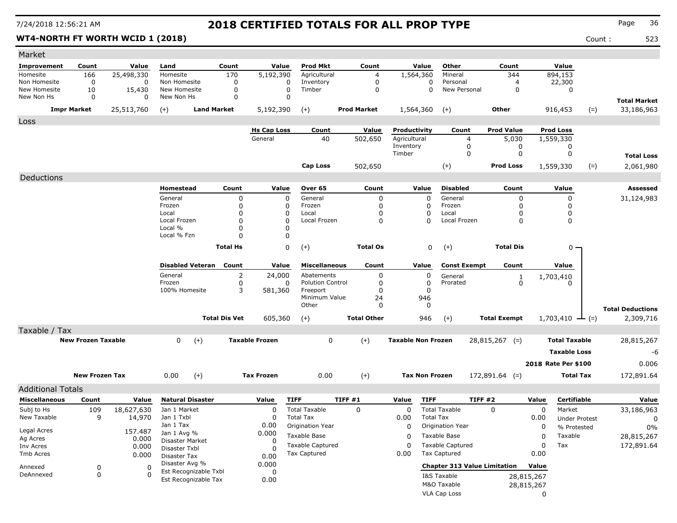### **WT4-NORTH FT WORTH WCID 1 (2018)** 523

| Market                                   |                    |                               |                            |                            |                         |                                      |                       |                           |                                         |                                     |                     |                     |                      |                                      |                     |
|------------------------------------------|--------------------|-------------------------------|----------------------------|----------------------------|-------------------------|--------------------------------------|-----------------------|---------------------------|-----------------------------------------|-------------------------------------|---------------------|---------------------|----------------------|--------------------------------------|---------------------|
| Improvement                              | Count              | Value                         | Land                       | Count                      | Value                   | <b>Prod Mkt</b>                      | Count                 | Value                     | Other                                   |                                     | Count               |                     | Value                |                                      |                     |
| Homesite                                 | 166                | 25,498,330                    | Homesite                   | 170                        | 5,192,390               | Agricultural                         | $\overline{4}$        | 1,564,360                 |                                         | Mineral                             | 344                 |                     | 894,153              |                                      |                     |
| Non Homesite                             | $\mathbf 0$        | $\Omega$                      | Non Homesite               | 0                          |                         | Inventory<br>0                       | $\mathbf 0$           |                           | 0                                       | Personal                            | 4                   |                     | 22,300               |                                      |                     |
| New Homesite<br>New Non Hs               | 10<br>$\mathbf 0$  | 15,430<br>0                   | New Homesite<br>New Non Hs | $\mathbf 0$<br>$\mathbf 0$ |                         | Timber<br>$\mathbf 0$<br>$\mathbf 0$ | $\mathbf 0$           |                           | $\mathbf 0$                             | New Personal                        | $\mathbf 0$         |                     | $\mathbf 0$          |                                      |                     |
|                                          |                    |                               |                            |                            |                         |                                      |                       |                           |                                         |                                     |                     |                     |                      |                                      | <b>Total Market</b> |
|                                          | <b>Impr Market</b> | 25,513,760                    | $(+)$                      | <b>Land Market</b>         | 5,192,390               | $(+)$                                | <b>Prod Market</b>    | 1,564,360                 | $(+)$                                   |                                     | Other               |                     | 916,453              | $(=)$                                | 33,186,963          |
| Loss                                     |                    |                               |                            |                            |                         |                                      |                       |                           |                                         |                                     |                     |                     |                      |                                      |                     |
|                                          |                    |                               |                            |                            | <b>Hs Cap Loss</b>      | Count                                | Value                 | Productivity              |                                         | Count                               | <b>Prod Value</b>   |                     | <b>Prod Loss</b>     |                                      |                     |
|                                          |                    |                               |                            |                            | General                 | 40                                   | 502,650               | Agricultural<br>Inventory |                                         | $\overline{a}$<br>0                 | 5,030<br>0          |                     | 1,559,330<br>0       |                                      |                     |
|                                          |                    |                               |                            |                            |                         |                                      |                       | Timber                    |                                         | $\mathbf 0$                         | $\mathbf 0$         |                     | 0                    |                                      | <b>Total Loss</b>   |
|                                          |                    |                               |                            |                            |                         | <b>Cap Loss</b>                      | 502,650               |                           | $(+)$                                   |                                     | <b>Prod Loss</b>    |                     | 1,559,330            | $(=)$                                | 2,061,980           |
| Deductions                               |                    |                               |                            |                            |                         |                                      |                       |                           |                                         |                                     |                     |                     |                      |                                      |                     |
|                                          |                    |                               | Homestead                  | Count                      | Value                   | Over 65                              | Count                 | Value                     |                                         | <b>Disabled</b>                     | Count               |                     | Value                |                                      | <b>Assessed</b>     |
|                                          |                    |                               | General                    |                            | $\mathbf 0$             | 0<br>General                         | 0                     |                           | $\mathbf 0$<br>General                  |                                     | $\Omega$            |                     | $\mathbf 0$          |                                      | 31,124,983          |
|                                          |                    |                               | Frozen                     |                            | $\mathbf 0$             | 0<br>Frozen                          | 0                     |                           | $\mathbf 0$<br>Frozen                   |                                     | $\Omega$            |                     | $\Omega$             |                                      |                     |
|                                          |                    |                               | Local                      |                            | 0                       | 0<br>Local                           | 0                     |                           | 0<br>Local                              |                                     | $\Omega$            |                     | 0                    |                                      |                     |
|                                          |                    |                               | Local Frozen               |                            | $\mathbf 0$             | 0<br>Local Frozen                    | 0                     |                           | 0                                       | Local Frozen                        | $\Omega$            |                     | $\mathbf 0$          |                                      |                     |
|                                          |                    |                               | Local %<br>Local % Fzn     |                            | 0<br>$\Omega$           | 0<br>$\mathbf 0$                     |                       |                           |                                         |                                     |                     |                     |                      |                                      |                     |
|                                          |                    |                               |                            | <b>Total Hs</b>            |                         | $\mathbf 0$                          | <b>Total Os</b>       |                           |                                         |                                     | <b>Total Dis</b>    |                     |                      |                                      |                     |
|                                          |                    |                               |                            |                            |                         | $(+)$                                |                       |                           | $\mathbf 0$<br>$(+)$                    |                                     |                     |                     | 0                    |                                      |                     |
|                                          |                    |                               | <b>Disabled Veteran</b>    | Count                      | Value                   | <b>Miscellaneous</b>                 | Count                 | Value                     |                                         | <b>Const Exempt</b>                 | Count               |                     | Value                |                                      |                     |
|                                          |                    |                               | General                    |                            | 2<br>24,000             | Abatements                           | 0                     |                           | 0<br>General                            |                                     |                     |                     | 1,703,410            |                                      |                     |
|                                          |                    |                               | Frozen                     |                            | 0                       | 0<br><b>Polution Control</b>         | 0                     |                           | 0                                       | Prorated                            | $\frac{1}{0}$       |                     | <sup>0</sup>         |                                      |                     |
|                                          |                    |                               | 100% Homesite              |                            | 3<br>581,360            | Freeport<br>Minimum Value            | 0<br>24               | 946                       | 0                                       |                                     |                     |                     |                      |                                      |                     |
|                                          |                    |                               |                            |                            |                         | Other                                | 0                     |                           | $\mathbf 0$                             |                                     |                     |                     |                      |                                      |                     |
|                                          |                    | <b>Total Dis Vet</b>          |                            | 605,360                    | $(+)$                   | <b>Total Other</b>                   |                       | 946                       | <b>Total Exempt</b><br>$(+)$            |                                     | 1,703,410<br>$-(-)$ |                     |                      | <b>Total Deductions</b><br>2,309,716 |                     |
| Taxable / Tax                            |                    |                               |                            |                            |                         |                                      |                       |                           |                                         |                                     |                     |                     |                      |                                      |                     |
| <b>New Frozen Taxable</b>                |                    |                               | $\Omega$                   | $(+)$                      | <b>Taxable Frozen</b>   | 0                                    | $(+)$                 | <b>Taxable Non Frozen</b> |                                         |                                     | $28,815,267$ (=)    |                     | <b>Total Taxable</b> |                                      | 28,815,267          |
|                                          |                    |                               |                            |                            |                         |                                      |                       |                           |                                         |                                     | <b>Taxable Loss</b> |                     |                      | -6                                   |                     |
|                                          |                    |                               |                            |                            |                         |                                      |                       |                           |                                         |                                     |                     |                     |                      |                                      |                     |
|                                          |                    |                               |                            |                            |                         |                                      |                       |                           |                                         |                                     |                     | 2018 Rate Per \$100 |                      |                                      | 0.006               |
| <b>New Frozen Tax</b>                    |                    | 0.00<br>$(+)$                 |                            | <b>Tax Frozen</b>          | 0.00                    | $(+)$                                | <b>Tax Non Frozen</b> |                           | $172,891.64$ (=)                        |                                     | <b>Total Tax</b>    |                     |                      | 172,891.64                           |                     |
| <b>Additional Totals</b>                 |                    |                               |                            |                            |                         |                                      |                       |                           |                                         |                                     |                     |                     |                      |                                      |                     |
| <b>Miscellaneous</b>                     | Count              | Value                         | <b>Natural Disaster</b>    |                            | Value                   | <b>TIFF</b>                          | TIFF#1                | Value                     | <b>TIFF</b>                             | <b>TIFF #2</b>                      |                     | Value               | Certifiable          |                                      | Value               |
| Subj to Hs                               | 109                | 18,627,630                    | Jan 1 Market               |                            | $\mathbf 0$             | <b>Total Taxable</b>                 | $\mathbf 0$           | 0                         | <b>Total Taxable</b>                    |                                     | $\mathbf 0$         | $\Omega$            | Market               |                                      | 33,186,963          |
| New Taxable                              | 9                  | 14,970                        | Jan 1 Txbl                 |                            | $\Omega$                | <b>Total Tax</b>                     |                       | 0.00                      | <b>Total Tax</b>                        |                                     |                     | 0.00                | <b>Under Protest</b> |                                      | 0                   |
| Legal Acres                              |                    | 157.487                       | Jan 1 Tax<br>Jan 1 Avg %   |                            | 0.00                    | Origination Year                     |                       |                           |                                         | Origination Year                    |                     | $\Omega$            | % Protested          |                                      | $0\%$               |
| Ag Acres                                 |                    | 0.000                         | Disaster Market            |                            | 0.000<br>0              | Taxable Base                         |                       | $\Omega$                  | Taxable Base                            |                                     |                     | 0                   | Taxable              |                                      | 28,815,267          |
| 0.000<br>Inv Acres<br>Tmb Acres<br>0.000 |                    | Disaster Txbl<br>Disaster Tax |                            | $\Omega$                   | <b>Taxable Captured</b> |                                      | $\mathbf{0}$          |                           | <b>Taxable Captured</b><br>Tax Captured |                                     | $\Omega$            | Tax                 |                      | 172,891.64                           |                     |
|                                          |                    |                               |                            | 0.00                       | <b>Tax Captured</b>     |                                      | 0.00                  |                           |                                         |                                     | 0.00                |                     |                      |                                      |                     |
| $\Omega$<br>$\Omega$<br>Annexed          |                    | Disaster Avg %                |                            | 0.000                      |                         |                                      |                       |                           |                                         | <b>Chapter 313 Value Limitation</b> | Value               |                     |                      |                                      |                     |
| DeAnnexed                                | $\mathbf 0$        | $\Omega$                      |                            | Est Recognizable Txbl      | $\mathbf 0$<br>0.00     |                                      |                       |                           | I&S Taxable                             |                                     |                     | 28,815,267          |                      |                                      |                     |
|                                          |                    |                               | Est Recognizable Tax       |                            |                         |                                      |                       |                           |                                         | M&O Taxable                         |                     | 28,815,267          |                      |                                      |                     |
|                                          |                    |                               |                            |                            |                         |                                      |                       |                           | VLA Cap Loss                            |                                     |                     | $\Omega$            |                      |                                      |                     |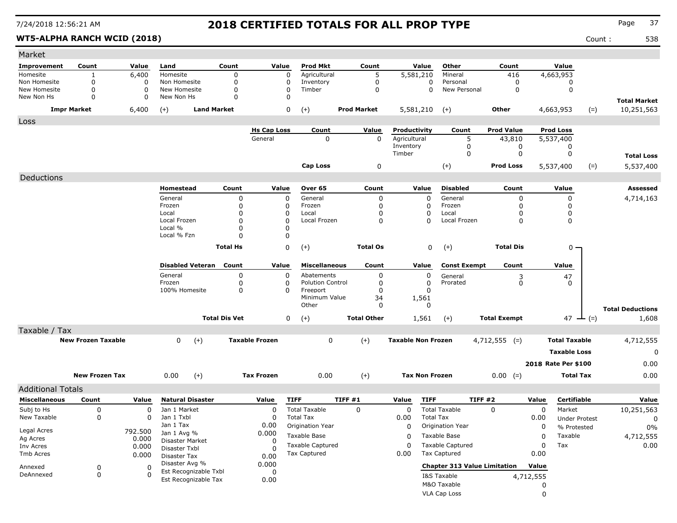### WT5-ALPHA RANCH WCID (2018) **Count :** 538

| <b>Prod Mkt</b><br>Other<br>Value<br>Improvement<br>Count<br>Value<br>Count<br>Value<br>Count<br>Value<br>Count<br>Land<br>6,400<br>5,581,210<br>416<br>4,663,953<br>Homesite<br>1<br>Homesite<br>$\Omega$<br>$\Omega$<br>Agricultural<br>5<br>Mineral<br>Non Homesite<br>0<br>Non Homesite<br>0<br>0<br>Inventory<br>0<br>0<br>Personal<br>0<br>0<br>0<br>$\mathbf 0$<br>New Homesite<br>$\mathbf 0$<br>New Homesite<br>$\mathbf 0$<br>0<br>Timber<br>$\mathbf 0$<br>New Personal<br>0<br>0<br>0<br>$\mathbf 0$<br>$\Omega$<br>$\Omega$<br>New Non Hs<br>0<br>New Non Hs<br><b>Total Market</b><br><b>Land Market</b><br>10,251,563<br><b>Impr Market</b><br>6,400<br>$(+)$<br>0<br>$(+)$<br><b>Prod Market</b><br>5,581,210<br>$(+)$<br>Other<br>4,663,953<br>$(=)$<br>Loss<br><b>Prod Value</b><br><b>Prod Loss</b><br><b>Hs Cap Loss</b><br>Count<br>Value<br>Productivity<br>Count<br>0<br>$\mathbf 0$<br>Agricultural<br>5<br>General<br>43,810<br>5,537,400<br>Inventory<br>0<br>0<br>0<br>0<br>Timber<br>0<br>0<br><b>Total Loss</b><br>$(+)$<br>5,537,400<br><b>Cap Loss</b><br>0<br><b>Prod Loss</b><br>5,537,400<br>$(=)$<br>Deductions<br><b>Disabled</b><br>Homestead<br>Count<br>Value<br>Over 65<br>Count<br>Value<br>Count<br>Value<br>Assessed<br>General<br>$\mathbf 0$<br>0<br>General<br>0<br>$\mathbf 0$<br>General<br>0<br>0<br>4,714,163<br>Frozen<br>0<br>0<br>Frozen<br>0<br>0<br>Frozen<br>0<br>0<br>Local<br>$\Omega$<br>0<br>Local<br>Local<br>0<br>0<br>$\Omega$<br>0<br>Local Frozen<br>0<br>0<br>Local Frozen<br>0<br>Local Frozen<br>0<br>0<br>0<br>Local %<br>0<br>0<br>Local % Fzn<br>$\Omega$<br>0<br>0<br>$(+)$<br>0<br><b>Total Dis</b><br><b>Total Hs</b><br><b>Total Os</b><br>$(+)$<br>$0 -$<br><b>Disabled Veteran</b><br>Count<br>Value<br><b>Miscellaneous</b><br>Count<br>Value<br><b>Const Exempt</b><br>Count<br>Value<br>0<br>Abatements<br>General<br>0<br>0<br>0<br>General<br>3<br>47<br>$\overline{0}$<br>Frozen<br>0<br>0<br><b>Polution Control</b><br>0<br>0<br>Prorated<br>0<br>100% Homesite<br>$\mathbf 0$<br>0<br>Freeport<br>0<br>0<br>Minimum Value<br>34<br>1,561<br>Other<br>$\Omega$<br>$\Omega$<br><b>Total Deductions</b><br><b>Total Dis Vet</b><br><b>Total Other</b><br><b>Total Exempt</b><br>0<br>1,561<br>47 — $(=)$<br>1,608<br>$(+)$<br>$(+)$<br><b>New Frozen Taxable</b><br>$(+)$<br><b>Taxable Frozen</b><br>$(+)$<br><b>Taxable Non Frozen</b><br><b>Total Taxable</b><br>0<br>0<br>$4,712,555$ (=)<br>4,712,555<br><b>Taxable Loss</b><br>0<br>2018 Rate Per \$100<br>0.00<br>$(+)$<br>$(+)$<br><b>New Frozen Tax</b><br>0.00<br><b>Tax Frozen</b><br>0.00<br><b>Tax Non Frozen</b><br>$0.00 (=)$<br><b>Total Tax</b><br>0.00<br><b>Additional Totals</b><br>TIFF#1<br>TIFF #2<br>Certifiable<br><b>Miscellaneous</b><br>Count<br>Value<br><b>Natural Disaster</b><br>Value<br><b>TIFF</b><br>Value<br><b>TIFF</b><br>Value<br>Value<br>0<br>Subj to Hs<br>0<br>Jan 1 Market<br><b>Total Taxable</b><br>0<br>0<br><b>Total Taxable</b><br>0<br>Market<br>10,251,563<br>0<br>0<br>New Taxable<br>Jan 1 Txbl<br><b>Total Tax</b><br><b>Total Tax</b><br>0<br>0<br>0<br>0.00<br>0.00<br><b>Under Protest</b><br>0<br>Jan 1 Tax<br>0.00<br>Origination Year<br>0<br>Origination Year<br>0<br>% Protested<br>0%<br>Legal Acres<br>792.500<br>Jan 1 Avg %<br>0.000<br>Taxable Base<br>Taxable Base<br>0<br>Taxable<br>4,712,555<br>0<br>Ag Acres<br>0.000<br>Disaster Market<br>0<br><b>Taxable Captured</b><br><b>Taxable Captured</b><br>Tax<br>0<br>0.00<br>0<br>Inv Acres<br>0.000<br>Disaster Txbl<br>0<br><b>Tax Captured</b><br>Tax Captured<br>0.00<br>0.00<br>Tmb Acres<br>0.000<br>Disaster Tax<br>0.00<br>Disaster Avg %<br>0.000<br><b>Chapter 313 Value Limitation</b><br>Value<br>Annexed<br>0<br>0<br>Est Recognizable Txbl<br>0<br>DeAnnexed<br>0<br>$\Omega$<br>I&S Taxable<br>4,712,555 | Taxable / Tax<br>Est Recognizable Tax<br>0.00<br>M&O Taxable<br>0<br><b>VLA Cap Loss</b> | Market |  |  |  |  |  |  |  |  |  |  |          |  |
|-----------------------------------------------------------------------------------------------------------------------------------------------------------------------------------------------------------------------------------------------------------------------------------------------------------------------------------------------------------------------------------------------------------------------------------------------------------------------------------------------------------------------------------------------------------------------------------------------------------------------------------------------------------------------------------------------------------------------------------------------------------------------------------------------------------------------------------------------------------------------------------------------------------------------------------------------------------------------------------------------------------------------------------------------------------------------------------------------------------------------------------------------------------------------------------------------------------------------------------------------------------------------------------------------------------------------------------------------------------------------------------------------------------------------------------------------------------------------------------------------------------------------------------------------------------------------------------------------------------------------------------------------------------------------------------------------------------------------------------------------------------------------------------------------------------------------------------------------------------------------------------------------------------------------------------------------------------------------------------------------------------------------------------------------------------------------------------------------------------------------------------------------------------------------------------------------------------------------------------------------------------------------------------------------------------------------------------------------------------------------------------------------------------------------------------------------------------------------------------------------------------------------------------------------------------------------------------------------------------------------------------------------------------------------------------------------------------------------------------------------------------------------------------------------------------------------------------------------------------------------------------------------------------------------------------------------------------------------------------------------------------------------------------------------------------------------------------------------------------------------------------------------------------------------------------------------------------------------------------------------------------------------------------------------------------------------------------------------------------------------------------------------------------------------------------------------------------------------------------------------------------------------------------------------------------------------------------------------------------------------------------------------------------------------------------------------------------------------------------------------------------------------------------------------------------------------------------------------------------------------------------|------------------------------------------------------------------------------------------|--------|--|--|--|--|--|--|--|--|--|--|----------|--|
|                                                                                                                                                                                                                                                                                                                                                                                                                                                                                                                                                                                                                                                                                                                                                                                                                                                                                                                                                                                                                                                                                                                                                                                                                                                                                                                                                                                                                                                                                                                                                                                                                                                                                                                                                                                                                                                                                                                                                                                                                                                                                                                                                                                                                                                                                                                                                                                                                                                                                                                                                                                                                                                                                                                                                                                                                                                                                                                                                                                                                                                                                                                                                                                                                                                                                                                                                                                                                                                                                                                                                                                                                                                                                                                                                                                                                                                                                   |                                                                                          |        |  |  |  |  |  |  |  |  |  |  |          |  |
|                                                                                                                                                                                                                                                                                                                                                                                                                                                                                                                                                                                                                                                                                                                                                                                                                                                                                                                                                                                                                                                                                                                                                                                                                                                                                                                                                                                                                                                                                                                                                                                                                                                                                                                                                                                                                                                                                                                                                                                                                                                                                                                                                                                                                                                                                                                                                                                                                                                                                                                                                                                                                                                                                                                                                                                                                                                                                                                                                                                                                                                                                                                                                                                                                                                                                                                                                                                                                                                                                                                                                                                                                                                                                                                                                                                                                                                                                   |                                                                                          |        |  |  |  |  |  |  |  |  |  |  |          |  |
|                                                                                                                                                                                                                                                                                                                                                                                                                                                                                                                                                                                                                                                                                                                                                                                                                                                                                                                                                                                                                                                                                                                                                                                                                                                                                                                                                                                                                                                                                                                                                                                                                                                                                                                                                                                                                                                                                                                                                                                                                                                                                                                                                                                                                                                                                                                                                                                                                                                                                                                                                                                                                                                                                                                                                                                                                                                                                                                                                                                                                                                                                                                                                                                                                                                                                                                                                                                                                                                                                                                                                                                                                                                                                                                                                                                                                                                                                   |                                                                                          |        |  |  |  |  |  |  |  |  |  |  |          |  |
|                                                                                                                                                                                                                                                                                                                                                                                                                                                                                                                                                                                                                                                                                                                                                                                                                                                                                                                                                                                                                                                                                                                                                                                                                                                                                                                                                                                                                                                                                                                                                                                                                                                                                                                                                                                                                                                                                                                                                                                                                                                                                                                                                                                                                                                                                                                                                                                                                                                                                                                                                                                                                                                                                                                                                                                                                                                                                                                                                                                                                                                                                                                                                                                                                                                                                                                                                                                                                                                                                                                                                                                                                                                                                                                                                                                                                                                                                   |                                                                                          |        |  |  |  |  |  |  |  |  |  |  |          |  |
|                                                                                                                                                                                                                                                                                                                                                                                                                                                                                                                                                                                                                                                                                                                                                                                                                                                                                                                                                                                                                                                                                                                                                                                                                                                                                                                                                                                                                                                                                                                                                                                                                                                                                                                                                                                                                                                                                                                                                                                                                                                                                                                                                                                                                                                                                                                                                                                                                                                                                                                                                                                                                                                                                                                                                                                                                                                                                                                                                                                                                                                                                                                                                                                                                                                                                                                                                                                                                                                                                                                                                                                                                                                                                                                                                                                                                                                                                   |                                                                                          |        |  |  |  |  |  |  |  |  |  |  |          |  |
|                                                                                                                                                                                                                                                                                                                                                                                                                                                                                                                                                                                                                                                                                                                                                                                                                                                                                                                                                                                                                                                                                                                                                                                                                                                                                                                                                                                                                                                                                                                                                                                                                                                                                                                                                                                                                                                                                                                                                                                                                                                                                                                                                                                                                                                                                                                                                                                                                                                                                                                                                                                                                                                                                                                                                                                                                                                                                                                                                                                                                                                                                                                                                                                                                                                                                                                                                                                                                                                                                                                                                                                                                                                                                                                                                                                                                                                                                   |                                                                                          |        |  |  |  |  |  |  |  |  |  |  |          |  |
|                                                                                                                                                                                                                                                                                                                                                                                                                                                                                                                                                                                                                                                                                                                                                                                                                                                                                                                                                                                                                                                                                                                                                                                                                                                                                                                                                                                                                                                                                                                                                                                                                                                                                                                                                                                                                                                                                                                                                                                                                                                                                                                                                                                                                                                                                                                                                                                                                                                                                                                                                                                                                                                                                                                                                                                                                                                                                                                                                                                                                                                                                                                                                                                                                                                                                                                                                                                                                                                                                                                                                                                                                                                                                                                                                                                                                                                                                   |                                                                                          |        |  |  |  |  |  |  |  |  |  |  |          |  |
|                                                                                                                                                                                                                                                                                                                                                                                                                                                                                                                                                                                                                                                                                                                                                                                                                                                                                                                                                                                                                                                                                                                                                                                                                                                                                                                                                                                                                                                                                                                                                                                                                                                                                                                                                                                                                                                                                                                                                                                                                                                                                                                                                                                                                                                                                                                                                                                                                                                                                                                                                                                                                                                                                                                                                                                                                                                                                                                                                                                                                                                                                                                                                                                                                                                                                                                                                                                                                                                                                                                                                                                                                                                                                                                                                                                                                                                                                   |                                                                                          |        |  |  |  |  |  |  |  |  |  |  |          |  |
|                                                                                                                                                                                                                                                                                                                                                                                                                                                                                                                                                                                                                                                                                                                                                                                                                                                                                                                                                                                                                                                                                                                                                                                                                                                                                                                                                                                                                                                                                                                                                                                                                                                                                                                                                                                                                                                                                                                                                                                                                                                                                                                                                                                                                                                                                                                                                                                                                                                                                                                                                                                                                                                                                                                                                                                                                                                                                                                                                                                                                                                                                                                                                                                                                                                                                                                                                                                                                                                                                                                                                                                                                                                                                                                                                                                                                                                                                   |                                                                                          |        |  |  |  |  |  |  |  |  |  |  |          |  |
|                                                                                                                                                                                                                                                                                                                                                                                                                                                                                                                                                                                                                                                                                                                                                                                                                                                                                                                                                                                                                                                                                                                                                                                                                                                                                                                                                                                                                                                                                                                                                                                                                                                                                                                                                                                                                                                                                                                                                                                                                                                                                                                                                                                                                                                                                                                                                                                                                                                                                                                                                                                                                                                                                                                                                                                                                                                                                                                                                                                                                                                                                                                                                                                                                                                                                                                                                                                                                                                                                                                                                                                                                                                                                                                                                                                                                                                                                   |                                                                                          |        |  |  |  |  |  |  |  |  |  |  |          |  |
|                                                                                                                                                                                                                                                                                                                                                                                                                                                                                                                                                                                                                                                                                                                                                                                                                                                                                                                                                                                                                                                                                                                                                                                                                                                                                                                                                                                                                                                                                                                                                                                                                                                                                                                                                                                                                                                                                                                                                                                                                                                                                                                                                                                                                                                                                                                                                                                                                                                                                                                                                                                                                                                                                                                                                                                                                                                                                                                                                                                                                                                                                                                                                                                                                                                                                                                                                                                                                                                                                                                                                                                                                                                                                                                                                                                                                                                                                   |                                                                                          |        |  |  |  |  |  |  |  |  |  |  |          |  |
|                                                                                                                                                                                                                                                                                                                                                                                                                                                                                                                                                                                                                                                                                                                                                                                                                                                                                                                                                                                                                                                                                                                                                                                                                                                                                                                                                                                                                                                                                                                                                                                                                                                                                                                                                                                                                                                                                                                                                                                                                                                                                                                                                                                                                                                                                                                                                                                                                                                                                                                                                                                                                                                                                                                                                                                                                                                                                                                                                                                                                                                                                                                                                                                                                                                                                                                                                                                                                                                                                                                                                                                                                                                                                                                                                                                                                                                                                   |                                                                                          |        |  |  |  |  |  |  |  |  |  |  |          |  |
|                                                                                                                                                                                                                                                                                                                                                                                                                                                                                                                                                                                                                                                                                                                                                                                                                                                                                                                                                                                                                                                                                                                                                                                                                                                                                                                                                                                                                                                                                                                                                                                                                                                                                                                                                                                                                                                                                                                                                                                                                                                                                                                                                                                                                                                                                                                                                                                                                                                                                                                                                                                                                                                                                                                                                                                                                                                                                                                                                                                                                                                                                                                                                                                                                                                                                                                                                                                                                                                                                                                                                                                                                                                                                                                                                                                                                                                                                   |                                                                                          |        |  |  |  |  |  |  |  |  |  |  |          |  |
|                                                                                                                                                                                                                                                                                                                                                                                                                                                                                                                                                                                                                                                                                                                                                                                                                                                                                                                                                                                                                                                                                                                                                                                                                                                                                                                                                                                                                                                                                                                                                                                                                                                                                                                                                                                                                                                                                                                                                                                                                                                                                                                                                                                                                                                                                                                                                                                                                                                                                                                                                                                                                                                                                                                                                                                                                                                                                                                                                                                                                                                                                                                                                                                                                                                                                                                                                                                                                                                                                                                                                                                                                                                                                                                                                                                                                                                                                   |                                                                                          |        |  |  |  |  |  |  |  |  |  |  |          |  |
|                                                                                                                                                                                                                                                                                                                                                                                                                                                                                                                                                                                                                                                                                                                                                                                                                                                                                                                                                                                                                                                                                                                                                                                                                                                                                                                                                                                                                                                                                                                                                                                                                                                                                                                                                                                                                                                                                                                                                                                                                                                                                                                                                                                                                                                                                                                                                                                                                                                                                                                                                                                                                                                                                                                                                                                                                                                                                                                                                                                                                                                                                                                                                                                                                                                                                                                                                                                                                                                                                                                                                                                                                                                                                                                                                                                                                                                                                   |                                                                                          |        |  |  |  |  |  |  |  |  |  |  |          |  |
|                                                                                                                                                                                                                                                                                                                                                                                                                                                                                                                                                                                                                                                                                                                                                                                                                                                                                                                                                                                                                                                                                                                                                                                                                                                                                                                                                                                                                                                                                                                                                                                                                                                                                                                                                                                                                                                                                                                                                                                                                                                                                                                                                                                                                                                                                                                                                                                                                                                                                                                                                                                                                                                                                                                                                                                                                                                                                                                                                                                                                                                                                                                                                                                                                                                                                                                                                                                                                                                                                                                                                                                                                                                                                                                                                                                                                                                                                   |                                                                                          |        |  |  |  |  |  |  |  |  |  |  |          |  |
|                                                                                                                                                                                                                                                                                                                                                                                                                                                                                                                                                                                                                                                                                                                                                                                                                                                                                                                                                                                                                                                                                                                                                                                                                                                                                                                                                                                                                                                                                                                                                                                                                                                                                                                                                                                                                                                                                                                                                                                                                                                                                                                                                                                                                                                                                                                                                                                                                                                                                                                                                                                                                                                                                                                                                                                                                                                                                                                                                                                                                                                                                                                                                                                                                                                                                                                                                                                                                                                                                                                                                                                                                                                                                                                                                                                                                                                                                   |                                                                                          |        |  |  |  |  |  |  |  |  |  |  |          |  |
|                                                                                                                                                                                                                                                                                                                                                                                                                                                                                                                                                                                                                                                                                                                                                                                                                                                                                                                                                                                                                                                                                                                                                                                                                                                                                                                                                                                                                                                                                                                                                                                                                                                                                                                                                                                                                                                                                                                                                                                                                                                                                                                                                                                                                                                                                                                                                                                                                                                                                                                                                                                                                                                                                                                                                                                                                                                                                                                                                                                                                                                                                                                                                                                                                                                                                                                                                                                                                                                                                                                                                                                                                                                                                                                                                                                                                                                                                   |                                                                                          |        |  |  |  |  |  |  |  |  |  |  |          |  |
|                                                                                                                                                                                                                                                                                                                                                                                                                                                                                                                                                                                                                                                                                                                                                                                                                                                                                                                                                                                                                                                                                                                                                                                                                                                                                                                                                                                                                                                                                                                                                                                                                                                                                                                                                                                                                                                                                                                                                                                                                                                                                                                                                                                                                                                                                                                                                                                                                                                                                                                                                                                                                                                                                                                                                                                                                                                                                                                                                                                                                                                                                                                                                                                                                                                                                                                                                                                                                                                                                                                                                                                                                                                                                                                                                                                                                                                                                   |                                                                                          |        |  |  |  |  |  |  |  |  |  |  |          |  |
|                                                                                                                                                                                                                                                                                                                                                                                                                                                                                                                                                                                                                                                                                                                                                                                                                                                                                                                                                                                                                                                                                                                                                                                                                                                                                                                                                                                                                                                                                                                                                                                                                                                                                                                                                                                                                                                                                                                                                                                                                                                                                                                                                                                                                                                                                                                                                                                                                                                                                                                                                                                                                                                                                                                                                                                                                                                                                                                                                                                                                                                                                                                                                                                                                                                                                                                                                                                                                                                                                                                                                                                                                                                                                                                                                                                                                                                                                   |                                                                                          |        |  |  |  |  |  |  |  |  |  |  |          |  |
|                                                                                                                                                                                                                                                                                                                                                                                                                                                                                                                                                                                                                                                                                                                                                                                                                                                                                                                                                                                                                                                                                                                                                                                                                                                                                                                                                                                                                                                                                                                                                                                                                                                                                                                                                                                                                                                                                                                                                                                                                                                                                                                                                                                                                                                                                                                                                                                                                                                                                                                                                                                                                                                                                                                                                                                                                                                                                                                                                                                                                                                                                                                                                                                                                                                                                                                                                                                                                                                                                                                                                                                                                                                                                                                                                                                                                                                                                   |                                                                                          |        |  |  |  |  |  |  |  |  |  |  |          |  |
|                                                                                                                                                                                                                                                                                                                                                                                                                                                                                                                                                                                                                                                                                                                                                                                                                                                                                                                                                                                                                                                                                                                                                                                                                                                                                                                                                                                                                                                                                                                                                                                                                                                                                                                                                                                                                                                                                                                                                                                                                                                                                                                                                                                                                                                                                                                                                                                                                                                                                                                                                                                                                                                                                                                                                                                                                                                                                                                                                                                                                                                                                                                                                                                                                                                                                                                                                                                                                                                                                                                                                                                                                                                                                                                                                                                                                                                                                   |                                                                                          |        |  |  |  |  |  |  |  |  |  |  |          |  |
|                                                                                                                                                                                                                                                                                                                                                                                                                                                                                                                                                                                                                                                                                                                                                                                                                                                                                                                                                                                                                                                                                                                                                                                                                                                                                                                                                                                                                                                                                                                                                                                                                                                                                                                                                                                                                                                                                                                                                                                                                                                                                                                                                                                                                                                                                                                                                                                                                                                                                                                                                                                                                                                                                                                                                                                                                                                                                                                                                                                                                                                                                                                                                                                                                                                                                                                                                                                                                                                                                                                                                                                                                                                                                                                                                                                                                                                                                   |                                                                                          |        |  |  |  |  |  |  |  |  |  |  |          |  |
|                                                                                                                                                                                                                                                                                                                                                                                                                                                                                                                                                                                                                                                                                                                                                                                                                                                                                                                                                                                                                                                                                                                                                                                                                                                                                                                                                                                                                                                                                                                                                                                                                                                                                                                                                                                                                                                                                                                                                                                                                                                                                                                                                                                                                                                                                                                                                                                                                                                                                                                                                                                                                                                                                                                                                                                                                                                                                                                                                                                                                                                                                                                                                                                                                                                                                                                                                                                                                                                                                                                                                                                                                                                                                                                                                                                                                                                                                   |                                                                                          |        |  |  |  |  |  |  |  |  |  |  |          |  |
|                                                                                                                                                                                                                                                                                                                                                                                                                                                                                                                                                                                                                                                                                                                                                                                                                                                                                                                                                                                                                                                                                                                                                                                                                                                                                                                                                                                                                                                                                                                                                                                                                                                                                                                                                                                                                                                                                                                                                                                                                                                                                                                                                                                                                                                                                                                                                                                                                                                                                                                                                                                                                                                                                                                                                                                                                                                                                                                                                                                                                                                                                                                                                                                                                                                                                                                                                                                                                                                                                                                                                                                                                                                                                                                                                                                                                                                                                   |                                                                                          |        |  |  |  |  |  |  |  |  |  |  |          |  |
|                                                                                                                                                                                                                                                                                                                                                                                                                                                                                                                                                                                                                                                                                                                                                                                                                                                                                                                                                                                                                                                                                                                                                                                                                                                                                                                                                                                                                                                                                                                                                                                                                                                                                                                                                                                                                                                                                                                                                                                                                                                                                                                                                                                                                                                                                                                                                                                                                                                                                                                                                                                                                                                                                                                                                                                                                                                                                                                                                                                                                                                                                                                                                                                                                                                                                                                                                                                                                                                                                                                                                                                                                                                                                                                                                                                                                                                                                   |                                                                                          |        |  |  |  |  |  |  |  |  |  |  |          |  |
|                                                                                                                                                                                                                                                                                                                                                                                                                                                                                                                                                                                                                                                                                                                                                                                                                                                                                                                                                                                                                                                                                                                                                                                                                                                                                                                                                                                                                                                                                                                                                                                                                                                                                                                                                                                                                                                                                                                                                                                                                                                                                                                                                                                                                                                                                                                                                                                                                                                                                                                                                                                                                                                                                                                                                                                                                                                                                                                                                                                                                                                                                                                                                                                                                                                                                                                                                                                                                                                                                                                                                                                                                                                                                                                                                                                                                                                                                   |                                                                                          |        |  |  |  |  |  |  |  |  |  |  |          |  |
|                                                                                                                                                                                                                                                                                                                                                                                                                                                                                                                                                                                                                                                                                                                                                                                                                                                                                                                                                                                                                                                                                                                                                                                                                                                                                                                                                                                                                                                                                                                                                                                                                                                                                                                                                                                                                                                                                                                                                                                                                                                                                                                                                                                                                                                                                                                                                                                                                                                                                                                                                                                                                                                                                                                                                                                                                                                                                                                                                                                                                                                                                                                                                                                                                                                                                                                                                                                                                                                                                                                                                                                                                                                                                                                                                                                                                                                                                   |                                                                                          |        |  |  |  |  |  |  |  |  |  |  |          |  |
|                                                                                                                                                                                                                                                                                                                                                                                                                                                                                                                                                                                                                                                                                                                                                                                                                                                                                                                                                                                                                                                                                                                                                                                                                                                                                                                                                                                                                                                                                                                                                                                                                                                                                                                                                                                                                                                                                                                                                                                                                                                                                                                                                                                                                                                                                                                                                                                                                                                                                                                                                                                                                                                                                                                                                                                                                                                                                                                                                                                                                                                                                                                                                                                                                                                                                                                                                                                                                                                                                                                                                                                                                                                                                                                                                                                                                                                                                   |                                                                                          |        |  |  |  |  |  |  |  |  |  |  |          |  |
|                                                                                                                                                                                                                                                                                                                                                                                                                                                                                                                                                                                                                                                                                                                                                                                                                                                                                                                                                                                                                                                                                                                                                                                                                                                                                                                                                                                                                                                                                                                                                                                                                                                                                                                                                                                                                                                                                                                                                                                                                                                                                                                                                                                                                                                                                                                                                                                                                                                                                                                                                                                                                                                                                                                                                                                                                                                                                                                                                                                                                                                                                                                                                                                                                                                                                                                                                                                                                                                                                                                                                                                                                                                                                                                                                                                                                                                                                   |                                                                                          |        |  |  |  |  |  |  |  |  |  |  |          |  |
|                                                                                                                                                                                                                                                                                                                                                                                                                                                                                                                                                                                                                                                                                                                                                                                                                                                                                                                                                                                                                                                                                                                                                                                                                                                                                                                                                                                                                                                                                                                                                                                                                                                                                                                                                                                                                                                                                                                                                                                                                                                                                                                                                                                                                                                                                                                                                                                                                                                                                                                                                                                                                                                                                                                                                                                                                                                                                                                                                                                                                                                                                                                                                                                                                                                                                                                                                                                                                                                                                                                                                                                                                                                                                                                                                                                                                                                                                   |                                                                                          |        |  |  |  |  |  |  |  |  |  |  |          |  |
|                                                                                                                                                                                                                                                                                                                                                                                                                                                                                                                                                                                                                                                                                                                                                                                                                                                                                                                                                                                                                                                                                                                                                                                                                                                                                                                                                                                                                                                                                                                                                                                                                                                                                                                                                                                                                                                                                                                                                                                                                                                                                                                                                                                                                                                                                                                                                                                                                                                                                                                                                                                                                                                                                                                                                                                                                                                                                                                                                                                                                                                                                                                                                                                                                                                                                                                                                                                                                                                                                                                                                                                                                                                                                                                                                                                                                                                                                   |                                                                                          |        |  |  |  |  |  |  |  |  |  |  |          |  |
|                                                                                                                                                                                                                                                                                                                                                                                                                                                                                                                                                                                                                                                                                                                                                                                                                                                                                                                                                                                                                                                                                                                                                                                                                                                                                                                                                                                                                                                                                                                                                                                                                                                                                                                                                                                                                                                                                                                                                                                                                                                                                                                                                                                                                                                                                                                                                                                                                                                                                                                                                                                                                                                                                                                                                                                                                                                                                                                                                                                                                                                                                                                                                                                                                                                                                                                                                                                                                                                                                                                                                                                                                                                                                                                                                                                                                                                                                   |                                                                                          |        |  |  |  |  |  |  |  |  |  |  |          |  |
|                                                                                                                                                                                                                                                                                                                                                                                                                                                                                                                                                                                                                                                                                                                                                                                                                                                                                                                                                                                                                                                                                                                                                                                                                                                                                                                                                                                                                                                                                                                                                                                                                                                                                                                                                                                                                                                                                                                                                                                                                                                                                                                                                                                                                                                                                                                                                                                                                                                                                                                                                                                                                                                                                                                                                                                                                                                                                                                                                                                                                                                                                                                                                                                                                                                                                                                                                                                                                                                                                                                                                                                                                                                                                                                                                                                                                                                                                   |                                                                                          |        |  |  |  |  |  |  |  |  |  |  |          |  |
|                                                                                                                                                                                                                                                                                                                                                                                                                                                                                                                                                                                                                                                                                                                                                                                                                                                                                                                                                                                                                                                                                                                                                                                                                                                                                                                                                                                                                                                                                                                                                                                                                                                                                                                                                                                                                                                                                                                                                                                                                                                                                                                                                                                                                                                                                                                                                                                                                                                                                                                                                                                                                                                                                                                                                                                                                                                                                                                                                                                                                                                                                                                                                                                                                                                                                                                                                                                                                                                                                                                                                                                                                                                                                                                                                                                                                                                                                   |                                                                                          |        |  |  |  |  |  |  |  |  |  |  |          |  |
|                                                                                                                                                                                                                                                                                                                                                                                                                                                                                                                                                                                                                                                                                                                                                                                                                                                                                                                                                                                                                                                                                                                                                                                                                                                                                                                                                                                                                                                                                                                                                                                                                                                                                                                                                                                                                                                                                                                                                                                                                                                                                                                                                                                                                                                                                                                                                                                                                                                                                                                                                                                                                                                                                                                                                                                                                                                                                                                                                                                                                                                                                                                                                                                                                                                                                                                                                                                                                                                                                                                                                                                                                                                                                                                                                                                                                                                                                   |                                                                                          |        |  |  |  |  |  |  |  |  |  |  |          |  |
|                                                                                                                                                                                                                                                                                                                                                                                                                                                                                                                                                                                                                                                                                                                                                                                                                                                                                                                                                                                                                                                                                                                                                                                                                                                                                                                                                                                                                                                                                                                                                                                                                                                                                                                                                                                                                                                                                                                                                                                                                                                                                                                                                                                                                                                                                                                                                                                                                                                                                                                                                                                                                                                                                                                                                                                                                                                                                                                                                                                                                                                                                                                                                                                                                                                                                                                                                                                                                                                                                                                                                                                                                                                                                                                                                                                                                                                                                   |                                                                                          |        |  |  |  |  |  |  |  |  |  |  |          |  |
|                                                                                                                                                                                                                                                                                                                                                                                                                                                                                                                                                                                                                                                                                                                                                                                                                                                                                                                                                                                                                                                                                                                                                                                                                                                                                                                                                                                                                                                                                                                                                                                                                                                                                                                                                                                                                                                                                                                                                                                                                                                                                                                                                                                                                                                                                                                                                                                                                                                                                                                                                                                                                                                                                                                                                                                                                                                                                                                                                                                                                                                                                                                                                                                                                                                                                                                                                                                                                                                                                                                                                                                                                                                                                                                                                                                                                                                                                   |                                                                                          |        |  |  |  |  |  |  |  |  |  |  |          |  |
|                                                                                                                                                                                                                                                                                                                                                                                                                                                                                                                                                                                                                                                                                                                                                                                                                                                                                                                                                                                                                                                                                                                                                                                                                                                                                                                                                                                                                                                                                                                                                                                                                                                                                                                                                                                                                                                                                                                                                                                                                                                                                                                                                                                                                                                                                                                                                                                                                                                                                                                                                                                                                                                                                                                                                                                                                                                                                                                                                                                                                                                                                                                                                                                                                                                                                                                                                                                                                                                                                                                                                                                                                                                                                                                                                                                                                                                                                   |                                                                                          |        |  |  |  |  |  |  |  |  |  |  |          |  |
|                                                                                                                                                                                                                                                                                                                                                                                                                                                                                                                                                                                                                                                                                                                                                                                                                                                                                                                                                                                                                                                                                                                                                                                                                                                                                                                                                                                                                                                                                                                                                                                                                                                                                                                                                                                                                                                                                                                                                                                                                                                                                                                                                                                                                                                                                                                                                                                                                                                                                                                                                                                                                                                                                                                                                                                                                                                                                                                                                                                                                                                                                                                                                                                                                                                                                                                                                                                                                                                                                                                                                                                                                                                                                                                                                                                                                                                                                   |                                                                                          |        |  |  |  |  |  |  |  |  |  |  |          |  |
|                                                                                                                                                                                                                                                                                                                                                                                                                                                                                                                                                                                                                                                                                                                                                                                                                                                                                                                                                                                                                                                                                                                                                                                                                                                                                                                                                                                                                                                                                                                                                                                                                                                                                                                                                                                                                                                                                                                                                                                                                                                                                                                                                                                                                                                                                                                                                                                                                                                                                                                                                                                                                                                                                                                                                                                                                                                                                                                                                                                                                                                                                                                                                                                                                                                                                                                                                                                                                                                                                                                                                                                                                                                                                                                                                                                                                                                                                   |                                                                                          |        |  |  |  |  |  |  |  |  |  |  |          |  |
|                                                                                                                                                                                                                                                                                                                                                                                                                                                                                                                                                                                                                                                                                                                                                                                                                                                                                                                                                                                                                                                                                                                                                                                                                                                                                                                                                                                                                                                                                                                                                                                                                                                                                                                                                                                                                                                                                                                                                                                                                                                                                                                                                                                                                                                                                                                                                                                                                                                                                                                                                                                                                                                                                                                                                                                                                                                                                                                                                                                                                                                                                                                                                                                                                                                                                                                                                                                                                                                                                                                                                                                                                                                                                                                                                                                                                                                                                   |                                                                                          |        |  |  |  |  |  |  |  |  |  |  |          |  |
|                                                                                                                                                                                                                                                                                                                                                                                                                                                                                                                                                                                                                                                                                                                                                                                                                                                                                                                                                                                                                                                                                                                                                                                                                                                                                                                                                                                                                                                                                                                                                                                                                                                                                                                                                                                                                                                                                                                                                                                                                                                                                                                                                                                                                                                                                                                                                                                                                                                                                                                                                                                                                                                                                                                                                                                                                                                                                                                                                                                                                                                                                                                                                                                                                                                                                                                                                                                                                                                                                                                                                                                                                                                                                                                                                                                                                                                                                   |                                                                                          |        |  |  |  |  |  |  |  |  |  |  |          |  |
|                                                                                                                                                                                                                                                                                                                                                                                                                                                                                                                                                                                                                                                                                                                                                                                                                                                                                                                                                                                                                                                                                                                                                                                                                                                                                                                                                                                                                                                                                                                                                                                                                                                                                                                                                                                                                                                                                                                                                                                                                                                                                                                                                                                                                                                                                                                                                                                                                                                                                                                                                                                                                                                                                                                                                                                                                                                                                                                                                                                                                                                                                                                                                                                                                                                                                                                                                                                                                                                                                                                                                                                                                                                                                                                                                                                                                                                                                   |                                                                                          |        |  |  |  |  |  |  |  |  |  |  |          |  |
|                                                                                                                                                                                                                                                                                                                                                                                                                                                                                                                                                                                                                                                                                                                                                                                                                                                                                                                                                                                                                                                                                                                                                                                                                                                                                                                                                                                                                                                                                                                                                                                                                                                                                                                                                                                                                                                                                                                                                                                                                                                                                                                                                                                                                                                                                                                                                                                                                                                                                                                                                                                                                                                                                                                                                                                                                                                                                                                                                                                                                                                                                                                                                                                                                                                                                                                                                                                                                                                                                                                                                                                                                                                                                                                                                                                                                                                                                   |                                                                                          |        |  |  |  |  |  |  |  |  |  |  |          |  |
|                                                                                                                                                                                                                                                                                                                                                                                                                                                                                                                                                                                                                                                                                                                                                                                                                                                                                                                                                                                                                                                                                                                                                                                                                                                                                                                                                                                                                                                                                                                                                                                                                                                                                                                                                                                                                                                                                                                                                                                                                                                                                                                                                                                                                                                                                                                                                                                                                                                                                                                                                                                                                                                                                                                                                                                                                                                                                                                                                                                                                                                                                                                                                                                                                                                                                                                                                                                                                                                                                                                                                                                                                                                                                                                                                                                                                                                                                   |                                                                                          |        |  |  |  |  |  |  |  |  |  |  |          |  |
|                                                                                                                                                                                                                                                                                                                                                                                                                                                                                                                                                                                                                                                                                                                                                                                                                                                                                                                                                                                                                                                                                                                                                                                                                                                                                                                                                                                                                                                                                                                                                                                                                                                                                                                                                                                                                                                                                                                                                                                                                                                                                                                                                                                                                                                                                                                                                                                                                                                                                                                                                                                                                                                                                                                                                                                                                                                                                                                                                                                                                                                                                                                                                                                                                                                                                                                                                                                                                                                                                                                                                                                                                                                                                                                                                                                                                                                                                   |                                                                                          |        |  |  |  |  |  |  |  |  |  |  | $\Omega$ |  |